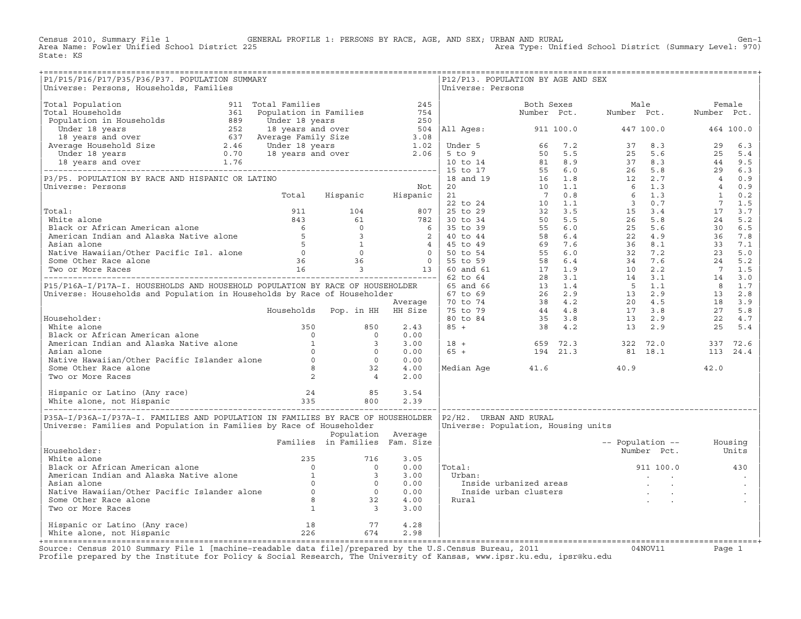Census 2010, Summary File 1 GENERAL PROFILE 1: PERSONS BY RACE, AGE, AND SEX; URBAN AND RURAL Genosile from the<br>Area Name: Fowler Unified School District 225 Area Type: Unified School District (Summary Level: 970) State: KS

| P1/P15/P16/P17/P35/P36/P37. POPULATION SUMMARY<br>Universe: Persons, Households, Families                                                                                                                                                                                                    |                                |                    |      | Universe: Persons      | P12/P13. POPULATION BY AGE AND SEX                                                                                                                                                                                               |                                                                                                                                                                 |      |
|----------------------------------------------------------------------------------------------------------------------------------------------------------------------------------------------------------------------------------------------------------------------------------------------|--------------------------------|--------------------|------|------------------------|----------------------------------------------------------------------------------------------------------------------------------------------------------------------------------------------------------------------------------|-----------------------------------------------------------------------------------------------------------------------------------------------------------------|------|
|                                                                                                                                                                                                                                                                                              |                                |                    |      |                        |                                                                                                                                                                                                                                  |                                                                                                                                                                 |      |
|                                                                                                                                                                                                                                                                                              |                                |                    |      |                        |                                                                                                                                                                                                                                  |                                                                                                                                                                 |      |
|                                                                                                                                                                                                                                                                                              |                                |                    |      |                        |                                                                                                                                                                                                                                  |                                                                                                                                                                 |      |
|                                                                                                                                                                                                                                                                                              |                                |                    |      |                        |                                                                                                                                                                                                                                  |                                                                                                                                                                 |      |
|                                                                                                                                                                                                                                                                                              |                                |                    |      |                        |                                                                                                                                                                                                                                  |                                                                                                                                                                 |      |
|                                                                                                                                                                                                                                                                                              |                                |                    |      |                        |                                                                                                                                                                                                                                  |                                                                                                                                                                 |      |
|                                                                                                                                                                                                                                                                                              |                                |                    |      |                        |                                                                                                                                                                                                                                  |                                                                                                                                                                 |      |
|                                                                                                                                                                                                                                                                                              |                                |                    |      |                        |                                                                                                                                                                                                                                  |                                                                                                                                                                 |      |
|                                                                                                                                                                                                                                                                                              |                                |                    |      |                        |                                                                                                                                                                                                                                  |                                                                                                                                                                 |      |
|                                                                                                                                                                                                                                                                                              |                                |                    |      |                        |                                                                                                                                                                                                                                  |                                                                                                                                                                 |      |
|                                                                                                                                                                                                                                                                                              |                                |                    |      |                        |                                                                                                                                                                                                                                  |                                                                                                                                                                 |      |
|                                                                                                                                                                                                                                                                                              |                                |                    |      |                        |                                                                                                                                                                                                                                  |                                                                                                                                                                 |      |
|                                                                                                                                                                                                                                                                                              |                                |                    |      |                        |                                                                                                                                                                                                                                  |                                                                                                                                                                 |      |
|                                                                                                                                                                                                                                                                                              |                                |                    |      |                        |                                                                                                                                                                                                                                  |                                                                                                                                                                 |      |
|                                                                                                                                                                                                                                                                                              |                                |                    |      |                        |                                                                                                                                                                                                                                  |                                                                                                                                                                 |      |
|                                                                                                                                                                                                                                                                                              |                                |                    |      |                        |                                                                                                                                                                                                                                  |                                                                                                                                                                 |      |
|                                                                                                                                                                                                                                                                                              |                                |                    |      |                        |                                                                                                                                                                                                                                  |                                                                                                                                                                 |      |
|                                                                                                                                                                                                                                                                                              |                                |                    |      |                        |                                                                                                                                                                                                                                  |                                                                                                                                                                 |      |
|                                                                                                                                                                                                                                                                                              |                                |                    |      |                        |                                                                                                                                                                                                                                  |                                                                                                                                                                 |      |
|                                                                                                                                                                                                                                                                                              |                                |                    |      |                        |                                                                                                                                                                                                                                  |                                                                                                                                                                 |      |
|                                                                                                                                                                                                                                                                                              |                                |                    |      |                        |                                                                                                                                                                                                                                  |                                                                                                                                                                 |      |
|                                                                                                                                                                                                                                                                                              |                                |                    |      |                        |                                                                                                                                                                                                                                  |                                                                                                                                                                 |      |
|                                                                                                                                                                                                                                                                                              |                                |                    | 0.00 |                        |                                                                                                                                                                                                                                  |                                                                                                                                                                 |      |
|                                                                                                                                                                                                                                                                                              |                                |                    | 3.00 |                        |                                                                                                                                                                                                                                  |                                                                                                                                                                 |      |
|                                                                                                                                                                                                                                                                                              |                                |                    | 0.00 |                        |                                                                                                                                                                                                                                  | $\begin{array}{cccccccc} 18 & + & & & & 659 & 72.3 & & & 322 & 72.0 & & & 337 & 72.6 \\ 65 & + & & & & 194 & 21.3 & & & 81 & 18.1 & & & 113 & 24.4 \end{array}$ |      |
|                                                                                                                                                                                                                                                                                              |                                |                    | 0.00 |                        |                                                                                                                                                                                                                                  |                                                                                                                                                                 |      |
|                                                                                                                                                                                                                                                                                              |                                |                    | 4.00 |                        | Median Age 41.6                                                                                                                                                                                                                  | 40.9                                                                                                                                                            | 42.0 |
| Mhite alone<br>Mhite alone<br>1 350 850<br>Mhite alone<br>2 350 850<br>2 360 850<br>2 360 850<br>2 4<br>Mhite alone<br>2 360 850<br>2 4<br>Mhite alone<br>2 350 850<br>2 350<br>2 350<br>2 361<br>2 3<br>2 3<br>2 3<br>2 3<br>2 3<br>2 3<br>2<br>2 4<br>2<br>2<br>2<br>2<br>2<br>4<br>2<br>2 |                                |                    | 2.00 |                        |                                                                                                                                                                                                                                  |                                                                                                                                                                 |      |
|                                                                                                                                                                                                                                                                                              |                                |                    |      |                        |                                                                                                                                                                                                                                  |                                                                                                                                                                 |      |
|                                                                                                                                                                                                                                                                                              |                                |                    |      |                        |                                                                                                                                                                                                                                  |                                                                                                                                                                 |      |
| P35A-I/P36A-I/P37A-I. FAMILIES AND POPULATION IN FAMILIES BY RACE OF HOUSEHOLDER                                                                                                                                                                                                             |                                |                    |      | P2/H2. URBAN AND RURAL |                                                                                                                                                                                                                                  |                                                                                                                                                                 |      |
| Universe: Families and Population in Families by Race of Householder                                                                                                                                                                                                                         |                                |                    |      |                        | Universe: Population, Housing units                                                                                                                                                                                              |                                                                                                                                                                 |      |
|                                                                                                                                                                                                                                                                                              |                                | Population Average |      |                        |                                                                                                                                                                                                                                  |                                                                                                                                                                 |      |
|                                                                                                                                                                                                                                                                                              | Families in Families Fam. Size |                    |      |                        |                                                                                                                                                                                                                                  | -- Population -- Housing                                                                                                                                        |      |
| Householder:                                                                                                                                                                                                                                                                                 |                                |                    | 3.05 |                        |                                                                                                                                                                                                                                  | Number Pct. Units                                                                                                                                               |      |
|                                                                                                                                                                                                                                                                                              |                                |                    | 0.00 | Total:                 |                                                                                                                                                                                                                                  | 911 100.0 430                                                                                                                                                   |      |
|                                                                                                                                                                                                                                                                                              |                                |                    | 3.00 | Urban:                 |                                                                                                                                                                                                                                  | and the company of the company                                                                                                                                  |      |
|                                                                                                                                                                                                                                                                                              |                                |                    | 0.00 |                        |                                                                                                                                                                                                                                  |                                                                                                                                                                 |      |
|                                                                                                                                                                                                                                                                                              |                                |                    | 0.00 |                        | Inside urbanized areas inside urban clusters in the contract of the state of the state of the state of the sta<br>Inside urban clusters in the state of the state of the state of the state of the state of the state of the sta |                                                                                                                                                                 |      |
|                                                                                                                                                                                                                                                                                              |                                |                    | 4.00 | Rural                  |                                                                                                                                                                                                                                  |                                                                                                                                                                 |      |
| Householder:<br>White alone<br>Black or African American alone<br>American Indian and Alaska Native alone<br>Asian alone<br>Native Hawaiian/Other Pacific Islander alone<br>Some Other Race alone<br>Two or More Races<br>133                                                                |                                |                    | 3.00 |                        |                                                                                                                                                                                                                                  |                                                                                                                                                                 |      |
|                                                                                                                                                                                                                                                                                              |                                |                    | 4.28 |                        |                                                                                                                                                                                                                                  |                                                                                                                                                                 |      |
| Hispanic or Latino (Any race) 18 18 77<br>White alone, not Hispanic 226 674                                                                                                                                                                                                                  |                                |                    | 2.98 |                        |                                                                                                                                                                                                                                  |                                                                                                                                                                 |      |
|                                                                                                                                                                                                                                                                                              |                                |                    |      |                        |                                                                                                                                                                                                                                  |                                                                                                                                                                 |      |

+===================================================================================================================================================+Source: Census 2010 Summary File 1 [machine−readable data file]/prepared by the U.S.Census Bureau, 2011 04NOV11 Page 1 Profile prepared by the Institute for Policy & Social Research, The University of Kansas, www.ipsr.ku.edu, ipsr@ku.edu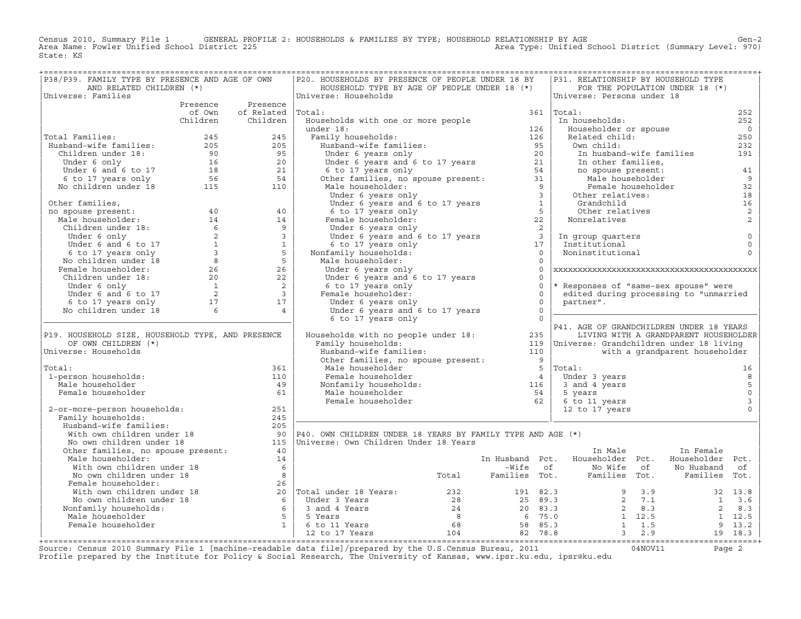Census 2010, Summary File 1 GENERAL PROFILE 2: HOUSEHOLDS & FAMILIES BY TYPE; HOUSEHOLD RELATIONSHIP BY AGE GEN<br>Area Name: Fowler Unified School District 225 Area Type: Unified School District (Summary Level: 970) State: KS

| P38/P39. FAMILY TYPE BY PRESENCE AND AGE OF OWN                                                                                                                                                                                                        |                          | P20. HOUSEHOLDS BY PRESENCE OF PEOPLE UNDER 18 BY                                                                                                                                                                                                                                                             |           | P31. RELATIONSHIP BY HOUSEHOLD TYPE                                                                                                                  |                                       |                     |
|--------------------------------------------------------------------------------------------------------------------------------------------------------------------------------------------------------------------------------------------------------|--------------------------|---------------------------------------------------------------------------------------------------------------------------------------------------------------------------------------------------------------------------------------------------------------------------------------------------------------|-----------|------------------------------------------------------------------------------------------------------------------------------------------------------|---------------------------------------|---------------------|
| AND RELATED CHILDREN (*)<br>Universe: Families                                                                                                                                                                                                         |                          | HOUSEHOLD TYPE BY AGE OF PEOPLE UNDER 18 (*)<br>Universe: Households                                                                                                                                                                                                                                          |           | Universe: Persons under 18                                                                                                                           | FOR THE POPULATION UNDER 18 (*)       |                     |
|                                                                                                                                                                                                                                                        | Presence Presence        |                                                                                                                                                                                                                                                                                                               |           |                                                                                                                                                      |                                       |                     |
|                                                                                                                                                                                                                                                        | of Own of Related Total: |                                                                                                                                                                                                                                                                                                               |           | $361$  Total:                                                                                                                                        |                                       | 252                 |
|                                                                                                                                                                                                                                                        | Children Children        | Households with one or more people                                                                                                                                                                                                                                                                            |           | In households:                                                                                                                                       |                                       | 252                 |
|                                                                                                                                                                                                                                                        |                          | under 18:                                                                                                                                                                                                                                                                                                     |           | Householder or spouse                                                                                                                                |                                       | $\overline{0}$      |
| Total Families:                                                                                                                                                                                                                                        |                          | Family households:                                                                                                                                                                                                                                                                                            |           | Related child:                                                                                                                                       |                                       | 250                 |
|                                                                                                                                                                                                                                                        |                          |                                                                                                                                                                                                                                                                                                               |           | Own child:                                                                                                                                           |                                       | 232                 |
|                                                                                                                                                                                                                                                        |                          |                                                                                                                                                                                                                                                                                                               |           |                                                                                                                                                      | In husband-wife families              | 191                 |
|                                                                                                                                                                                                                                                        |                          |                                                                                                                                                                                                                                                                                                               |           |                                                                                                                                                      |                                       |                     |
|                                                                                                                                                                                                                                                        |                          |                                                                                                                                                                                                                                                                                                               |           |                                                                                                                                                      |                                       | 41                  |
|                                                                                                                                                                                                                                                        |                          |                                                                                                                                                                                                                                                                                                               |           |                                                                                                                                                      |                                       | 9                   |
| Total Families:<br>Husband-wife families: 205<br>Children under 18: 205<br>Under 6 only 16<br>Under 6 and 6 to 17<br>56<br>54<br>No children under 18<br>21<br>15<br>110                                                                               |                          | of the subsection of the compared of the set of the set of the set of the set of the set of the set of the set of the set of the set of the set of the set of the set of the set of the set of the set of the set of the set o                                                                                |           | In husband<br>In other families,<br>no spouse present:<br>Male householder<br>Female householder<br>3<br>Other relatives:<br>Grandchild<br>Salatives | Female householder                    | 32                  |
|                                                                                                                                                                                                                                                        |                          |                                                                                                                                                                                                                                                                                                               |           |                                                                                                                                                      |                                       | 18                  |
|                                                                                                                                                                                                                                                        |                          |                                                                                                                                                                                                                                                                                                               |           | Grandchild<br>Other relatives                                                                                                                        |                                       | 16                  |
|                                                                                                                                                                                                                                                        |                          |                                                                                                                                                                                                                                                                                                               |           |                                                                                                                                                      |                                       | $\overline{c}$      |
|                                                                                                                                                                                                                                                        |                          |                                                                                                                                                                                                                                                                                                               |           | Nonrelatives                                                                                                                                         |                                       | 2                   |
|                                                                                                                                                                                                                                                        |                          |                                                                                                                                                                                                                                                                                                               |           |                                                                                                                                                      |                                       |                     |
|                                                                                                                                                                                                                                                        |                          |                                                                                                                                                                                                                                                                                                               |           | In group quarters<br>Institutional                                                                                                                   |                                       | $\mathsf 0$         |
|                                                                                                                                                                                                                                                        |                          |                                                                                                                                                                                                                                                                                                               |           | Institutional                                                                                                                                        |                                       | $\mathsf 0$         |
|                                                                                                                                                                                                                                                        |                          | omaer 6 years only<br>Under 6 years and 6 to 17 years<br>6 to 17 years only<br>family households:<br>ale householder:<br>Nonfamily households:                                                                                                                                                                |           | Noninstitutional                                                                                                                                     |                                       | $\Omega$            |
|                                                                                                                                                                                                                                                        |                          | Male householder:                                                                                                                                                                                                                                                                                             |           |                                                                                                                                                      |                                       |                     |
|                                                                                                                                                                                                                                                        |                          | Under 6 years only                                                                                                                                                                                                                                                                                            | $\Omega$  |                                                                                                                                                      |                                       |                     |
|                                                                                                                                                                                                                                                        |                          | Under 6 years and 6 to 17 years                                                                                                                                                                                                                                                                               | $\Omega$  |                                                                                                                                                      |                                       |                     |
|                                                                                                                                                                                                                                                        |                          | 6 to 17 years only                                                                                                                                                                                                                                                                                            | $\circ$   | * Responses of "same-sex spouse" were                                                                                                                |                                       |                     |
|                                                                                                                                                                                                                                                        |                          | Female householder:                                                                                                                                                                                                                                                                                           | $\Omega$  | edited during processing to "unmarried                                                                                                               |                                       |                     |
|                                                                                                                                                                                                                                                        |                          | Under 6 years only                                                                                                                                                                                                                                                                                            | $\Omega$  | partner".                                                                                                                                            |                                       |                     |
|                                                                                                                                                                                                                                                        |                          | Under 6 years and 6 to 17 years                                                                                                                                                                                                                                                                               | $\bigcap$ |                                                                                                                                                      |                                       |                     |
|                                                                                                                                                                                                                                                        |                          | 6 to 17 years only                                                                                                                                                                                                                                                                                            | $\bigcap$ |                                                                                                                                                      |                                       |                     |
|                                                                                                                                                                                                                                                        |                          | Households with no people under 18:                                                                                                                                                                                                                                                                           |           | P41. AGE OF GRANDCHILDREN UNDER 18 YEARS                                                                                                             |                                       |                     |
| P19. HOUSEHOLD SIZE, HOUSEHOLD TYPE, AND PRESENCE                                                                                                                                                                                                      |                          |                                                                                                                                                                                                                                                                                                               | 235       |                                                                                                                                                      | LIVING WITH A GRANDPARENT HOUSEHOLDER |                     |
| OF OWN CHILDREN (*)<br>Universe: Households                                                                                                                                                                                                            |                          | Family households:                                                                                                                                                                                                                                                                                            | 110       | 119   Universe: Grandchildren under 18 living                                                                                                        | with a grandparent householder        |                     |
|                                                                                                                                                                                                                                                        |                          | Husband-wife families: 110<br>Other families, no spouse present: 9                                                                                                                                                                                                                                            |           |                                                                                                                                                      |                                       |                     |
| Total:                                                                                                                                                                                                                                                 | 361                      |                                                                                                                                                                                                                                                                                                               |           |                                                                                                                                                      |                                       | 16                  |
| 1-person households:                                                                                                                                                                                                                                   | 110                      |                                                                                                                                                                                                                                                                                                               |           | Under 3 years                                                                                                                                        |                                       | 8                   |
| Male householder                                                                                                                                                                                                                                       | 49                       |                                                                                                                                                                                                                                                                                                               |           | 3 and 4 years                                                                                                                                        |                                       | $\overline{5}$      |
| Female householder                                                                                                                                                                                                                                     | 61                       |                                                                                                                                                                                                                                                                                                               |           | 5 years                                                                                                                                              |                                       | $\mathsf{O}\xspace$ |
|                                                                                                                                                                                                                                                        |                          |                                                                                                                                                                                                                                                                                                               |           | 6 to 11 years                                                                                                                                        |                                       | $\mathbf{3}$        |
| 2-or-more-person households:                                                                                                                                                                                                                           | 251                      |                                                                                                                                                                                                                                                                                                               |           | 12 to 17 years                                                                                                                                       |                                       | $\Omega$            |
| Family households:                                                                                                                                                                                                                                     | 245                      | Female householder<br>Nonfamily households:<br>Male householder<br>Female householder<br>Female householder<br>Female householder<br>Female householder<br>Female householder<br>Female $\begin{array}{c c}\n5 & \text{Total:} \\ 4 & \text{Under} \\ 5 & 3 & \text{and} \\ 5 & \text{year} \\ 6 & 6 & \text$ |           |                                                                                                                                                      |                                       |                     |
| Family households:<br>Husband-wife families: 205<br>With own children under 18 90<br>No own children under 18 115<br>Other families, no spouse present: 40<br>11                                                                                       |                          |                                                                                                                                                                                                                                                                                                               |           |                                                                                                                                                      |                                       |                     |
|                                                                                                                                                                                                                                                        |                          | 90   P40. OWN CHILDREN UNDER 18 YEARS BY FAMILY TYPE AND AGE $(*)$                                                                                                                                                                                                                                            |           |                                                                                                                                                      |                                       |                     |
|                                                                                                                                                                                                                                                        |                          | 115   Universe: Own Children Under 18 Years                                                                                                                                                                                                                                                                   |           |                                                                                                                                                      |                                       |                     |
|                                                                                                                                                                                                                                                        |                          |                                                                                                                                                                                                                                                                                                               |           | In Male                                                                                                                                              | In Female                             |                     |
| Male householder:                                                                                                                                                                                                                                      | 14                       |                                                                                                                                                                                                                                                                                                               |           | In Husband Pct. Householder Pct. Householder Pct.                                                                                                    |                                       |                     |
|                                                                                                                                                                                                                                                        |                          |                                                                                                                                                                                                                                                                                                               |           |                                                                                                                                                      |                                       |                     |
|                                                                                                                                                                                                                                                        |                          |                                                                                                                                                                                                                                                                                                               |           |                                                                                                                                                      |                                       |                     |
|                                                                                                                                                                                                                                                        |                          |                                                                                                                                                                                                                                                                                                               |           |                                                                                                                                                      |                                       |                     |
|                                                                                                                                                                                                                                                        |                          |                                                                                                                                                                                                                                                                                                               |           |                                                                                                                                                      |                                       |                     |
|                                                                                                                                                                                                                                                        |                          |                                                                                                                                                                                                                                                                                                               |           |                                                                                                                                                      |                                       |                     |
|                                                                                                                                                                                                                                                        |                          |                                                                                                                                                                                                                                                                                                               |           |                                                                                                                                                      |                                       |                     |
|                                                                                                                                                                                                                                                        |                          |                                                                                                                                                                                                                                                                                                               |           |                                                                                                                                                      |                                       |                     |
|                                                                                                                                                                                                                                                        |                          |                                                                                                                                                                                                                                                                                                               |           |                                                                                                                                                      |                                       |                     |
| Male householder<br>Male householder<br>Male householder<br>Male householder<br>Male householder<br>Male householder<br>Male householder<br>Male householder<br>Male householder<br>Male householder<br>Male householder<br>Male householder<br>Male h |                          |                                                                                                                                                                                                                                                                                                               |           |                                                                                                                                                      |                                       |                     |
|                                                                                                                                                                                                                                                        |                          |                                                                                                                                                                                                                                                                                                               |           |                                                                                                                                                      |                                       |                     |

+===================================================================================================================================================+Source: Census 2010 Summary File 1 [machine−readable data file]/prepared by the U.S.Census Bureau, 2011 04NOV11 Page 2 Profile prepared by the Institute for Policy & Social Research, The University of Kansas, www.ipsr.ku.edu, ipsr@ku.edu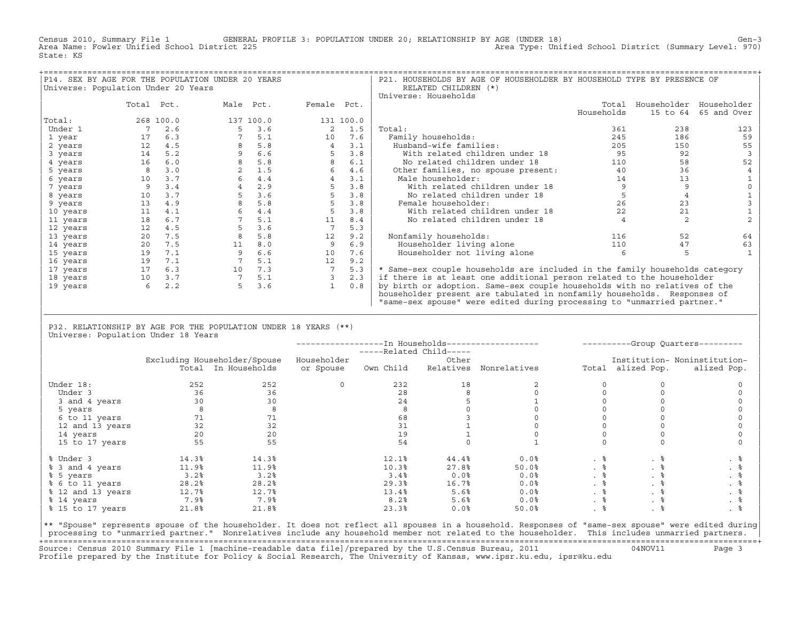Census 2010, Summary File 1 GENERAL PROFILE 3: POPULATION UNDER 20; RELATIONSHIP BY AGE (UNDER 18) Gen−3<br>Area Name: Fowler Unified School District 225 Area Type: Unified School District (Summary Level: 970) Area Type: Unified School District (Summary Level: 970) State: KS

|                                     |            |           | P14. SEX BY AGE FOR THE POPULATION UNDER 20 YEARS |     |                |           | P21. HOUSEHOLDS BY AGE OF HOUSEHOLDER BY HOUSEHOLD TYPE BY PRESENCE OF      |            |          |                         |
|-------------------------------------|------------|-----------|---------------------------------------------------|-----|----------------|-----------|-----------------------------------------------------------------------------|------------|----------|-------------------------|
| Universe: Population Under 20 Years |            |           |                                                   |     |                |           | RELATED CHILDREN (*)                                                        |            |          |                         |
|                                     |            |           |                                                   |     |                |           | Universe: Households                                                        |            |          |                         |
|                                     | Total Pct. |           | Male Pct.                                         |     | Female Pct.    |           |                                                                             | Total      |          | Householder Householder |
|                                     |            |           |                                                   |     |                |           |                                                                             | Households | 15 to 64 | 65 and Over             |
| Total:                              |            | 268 100.0 | 137 100.0                                         |     |                | 131 100.0 |                                                                             |            |          |                         |
| Under 1                             | 7          | 2.6       |                                                   | 3.6 | 2              | 1.5       | Total:                                                                      | 361        | 238      | 123                     |
| 1 year                              | 17         | 6.3       |                                                   | 5.1 | 10             | 7.6       | Family households:                                                          | 245        | 186      | 59                      |
| 2 years                             | 12         | 4.5       |                                                   | 5.8 | $\overline{4}$ | 3.1       | Husband-wife families:                                                      | 205        | 150      | 55                      |
| 3 years                             | 14         | 5.2       |                                                   | 6.6 | 5              | 3.8       | With related children under 18                                              | 95         | 92       |                         |
| 4 years                             | 16         | 6.0       |                                                   | 5.8 | 8              | 6.1       | No related children under 18                                                | 110        | 58       | 52                      |
| 5 years                             |            | 3.0       |                                                   | 1.5 | 6              | 4.6       | Other families, no spouse present:                                          | 40         | 36       |                         |
| 6 years                             | 10         | 3.7       |                                                   | 4.4 | $\overline{4}$ | 3.1       | Male householder:                                                           | 14         | 13       |                         |
| 7 years                             | 9          | 3.4       |                                                   | 2.9 |                | 3.8       | With related children under 18                                              |            |          |                         |
| 8 years                             | 10         | 3.7       |                                                   | 3.6 | 5              | 3.8       | No related children under 18                                                |            |          |                         |
| 9 years                             | 13         | 4.9       |                                                   | 5.8 | 5              | 3.8       | Female householder:                                                         | 26         | 23       |                         |
| 10 years                            | 11         | 4.1       |                                                   | 4.4 | 5              | 3.8       | With related children under 18                                              | 22         | 21       |                         |
| 11 years                            | 18         | 6.7       |                                                   | 5.1 | 11             | 8.4       | No related children under 18                                                |            |          |                         |
| 12 years                            | 12         | 4.5       |                                                   | 3.6 |                | 5.3       |                                                                             |            |          |                         |
| 13 years                            | 20         | 7.5       |                                                   | 5.8 | 12             | 9.2       | Nonfamily households:                                                       | 116        | 52       | 64                      |
| 14 years                            | 20         | 7.5       | 11                                                | 8.0 | 9              | 6.9       | Householder living alone                                                    | 110        | 47       | 63                      |
| 15 years                            | 19         | 7.1       |                                                   | 6.6 | 10             | 7.6       | Householder not living alone                                                |            |          |                         |
| 16 years                            | 19         | 7.1       |                                                   | 5.1 | 12             | 9.2       |                                                                             |            |          |                         |
| 17 years                            | 17         | 6.3       | 10                                                | 7.3 |                | 5.3       | * Same-sex couple households are included in the family households category |            |          |                         |
| 18 years                            | 10         | 3.7       |                                                   | 5.1 |                | 2.3       | if there is at least one additional person related to the householder       |            |          |                         |
| 19 years                            | 6          | 2.2       |                                                   | 3.6 |                | 0.8       | by birth or adoption. Same-sex couple households with no relatives of the   |            |          |                         |
|                                     |            |           |                                                   |     |                |           | householder present are tabulated in nonfamily households. Responses of     |            |          |                         |
|                                     |            |           |                                                   |     |                |           | "same-sex spouse" were edited during processing to "unmarried partner."     |            |          |                         |

| P32. RELATIONSHIP BY AGE FOR THE POPULATION UNDER 18 YEARS (\*\*) | Universe: Population Under 18 Years

|                   |       |                              |             |           |       |                        | ----------Group Quarters--------- |                   |                              |
|-------------------|-------|------------------------------|-------------|-----------|-------|------------------------|-----------------------------------|-------------------|------------------------------|
|                   |       | Excluding Householder/Spouse | Householder |           | Other |                        |                                   |                   | Institution- Noninstitution- |
|                   |       | Total In Households          | or Spouse   | Own Child |       | Relatives Nonrelatives |                                   | Total alized Pop. | alized Pop.                  |
| Under 18:         | 252   | 252                          | $\Omega$    | 232       | 18    |                        |                                   |                   |                              |
| Under 3           | 36    | 36                           |             | 28        |       |                        |                                   |                   |                              |
| 3 and 4 years     | 30    | 30                           |             | 24        |       |                        |                                   |                   |                              |
| 5 years           |       |                              |             |           |       |                        |                                   |                   |                              |
| 6 to 11 years     | 71    |                              |             | 68        |       |                        |                                   |                   |                              |
| 12 and 13 years   | 32    | 32                           |             | 31        |       |                        |                                   |                   |                              |
| 14 years          | 20    | 20                           |             | 19        |       |                        |                                   |                   |                              |
| 15 to 17 years    | 55    | 55                           |             | 54        |       |                        |                                   |                   |                              |
| % Under 3         | 14.3% | 14.3%                        |             | 12.1%     | 44.4% | 0.0%                   | . 응                               | . 응               |                              |
| % 3 and 4 years   | 11.9% | 11.9%                        |             | 10.3%     | 27.8% | 50.0%                  | $. \circ$                         | . ៖               | . 응                          |
| % 5 years         | 3.2%  | 3.2%                         |             | 3.4%      | 0.0%  | 0.0%                   | . 응                               | . 응               | . 응                          |
| % 6 to 11 years   | 28.2% | 28.2%                        |             | 29.3%     | 16.7% | 0.0%                   | . 응                               | . 응               | . 응                          |
| % 12 and 13 years | 12.7% | 12.7%                        |             | 13.4%     | 5.6%  | 0.0%                   | . 응                               |                   | . 응                          |
| % 14 years        | 7.9%  | 7.9%                         |             | 8.2%      | 5.6%  | 0.0%                   | . 응                               | . 응               | . 응                          |
| % 15 to 17 years  | 21.8% | 21.8%                        |             | 23.3%     | 0.0%  | 50.0%                  |                                   |                   |                              |

|\_\_\_\_\_\_\_\_\_\_\_\_\_\_\_\_\_\_\_\_\_\_\_\_\_\_\_\_\_\_\_\_\_\_\_\_\_\_\_\_\_\_\_\_\_\_\_\_\_\_\_\_\_\_\_\_\_\_\_\_\_\_\_\_\_\_\_\_\_\_\_\_\_\_\_\_\_\_\_\_\_\_\_\_\_\_\_\_\_\_\_\_\_\_\_\_\_\_\_\_\_\_\_\_\_\_\_\_\_\_\_\_\_\_\_\_\_\_\_\_\_\_\_\_\_\_\_\_\_\_\_\_\_\_\_\_\_\_\_\_\_\_\_\_\_\_\_| | |

|\*\* "Spouse" represents spouse of the householder. It does not reflect all spouses in a household. Responses of "same−sex spouse" were edited during| processing to "unmarried partner." Nonrelatives include any household member not related to the householder. This includes unmarried partners. +===================================================================================================================================================+ Source: Census 2010 Summary File 1 [machine−readable data file]/prepared by the U.S.Census Bureau, 2011 04NOV11 Page 3 Profile prepared by the Institute for Policy & Social Research, The University of Kansas, www.ipsr.ku.edu, ipsr@ku.edu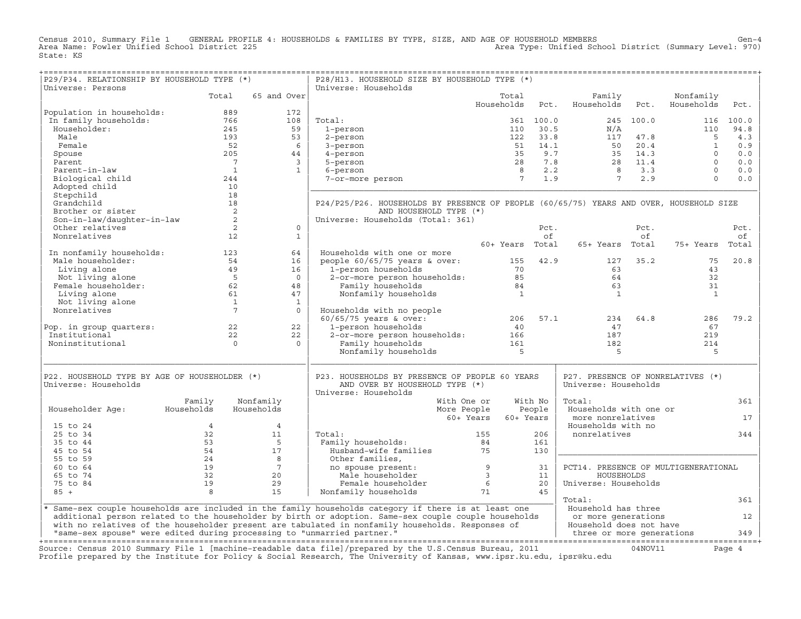Census 2010, Summary File 1 GENERAL PROFILE 4: HOUSEHOLDS & FAMILIES BY TYPE, SIZE, AND AGE OF HOUSEHOLD MEMBERS<br>Area Name: Fowler Unified School District 225 Area Type: Unified School District (Summary Level: 970) State: KS

+===================================================================================================================================================+

| P29/P34. RELATIONSHIP BY HOUSEHOLD TYPE (*)                             |                 |                | P28/H13. HOUSEHOLD SIZE BY HOUSEHOLD TYPE (*)                                                                          |                 |           |                                      |           |                         |        |
|-------------------------------------------------------------------------|-----------------|----------------|------------------------------------------------------------------------------------------------------------------------|-----------------|-----------|--------------------------------------|-----------|-------------------------|--------|
| Universe: Persons                                                       |                 |                | Universe: Households                                                                                                   |                 |           |                                      |           |                         |        |
|                                                                         | Total           | 65 and Over    |                                                                                                                        | Total           | Pct.      | Family<br>Households                 | Pct.      | Nonfamily<br>Households |        |
| Population in households:                                               | 889             | 172            |                                                                                                                        | Households      |           |                                      |           |                         | Pct.   |
| In family households:                                                   | 766             | 108            | Total:                                                                                                                 |                 | 361 100.0 |                                      | 245 100.0 | 116                     | 100.0  |
| Householder:                                                            | 245             | 59             | 1-person                                                                                                               | 110             | 30.5      | N/A                                  |           | 110                     | 94.8   |
| Male                                                                    | 193             | 53             | 2-person                                                                                                               | 122             | 33.8      | 117                                  | 47.8      | 5                       | 4.3    |
| Female                                                                  | 52              | 6              |                                                                                                                        | 51              | 14.1      | 50                                   | 20.4      | $\mathbf{1}$            | 0.9    |
|                                                                         | 205             |                | 3-person                                                                                                               | 35              | 9.7       | 35                                   | 14.3      | $\Omega$                | 0.0    |
| Spouse                                                                  |                 | 44             | 4-person                                                                                                               |                 |           |                                      |           |                         |        |
| Parent                                                                  | $\overline{7}$  | $\overline{3}$ | 5-person                                                                                                               | 28              | 7.8       | 28                                   | 11.4      | $\Omega$                | 0.0    |
| Parent-in-law                                                           | $\overline{1}$  | $\mathbf{1}$   | 6-person                                                                                                               | $\overline{8}$  | 2.2       | $\overline{8}$                       | 3.3       | $\Omega$                | 0.0    |
| Biological child                                                        | 244             |                | 7-or-more person                                                                                                       | $7^{\circ}$     | 1.9       | $7\overline{ }$                      | 2.9       | $\Omega$                | 0.0    |
| Adopted child                                                           | 10              |                |                                                                                                                        |                 |           |                                      |           |                         |        |
| Stepchild                                                               | 18              |                |                                                                                                                        |                 |           |                                      |           |                         |        |
| Grandchild                                                              | 18              |                | P24/P25/P26. HOUSEHOLDS BY PRESENCE OF PEOPLE (60/65/75) YEARS AND OVER, HOUSEHOLD SIZE                                |                 |           |                                      |           |                         |        |
| Brother or sister                                                       | 2               |                | AND HOUSEHOLD TYPE (*)                                                                                                 |                 |           |                                      |           |                         |        |
| Son-in-law/daughter-in-law                                              | 2               |                | Universe: Households (Total: 361)                                                                                      |                 |           |                                      |           |                         |        |
| Other relatives                                                         | 2               | $\circ$        |                                                                                                                        |                 | Pct.      |                                      | Pct.      |                         | Pct.   |
| Nonrelatives                                                            | 12              | $\mathbf{1}$   |                                                                                                                        |                 | of        |                                      | of        |                         | οf     |
|                                                                         |                 |                |                                                                                                                        | 60+ Years Total |           | 65+ Years Total                      |           | 75+ Years               | Total  |
| In nonfamily households:                                                | 123             | 64             | Households with one or more                                                                                            |                 |           |                                      |           |                         |        |
| Male householder:                                                       | 54              | 16             | people $60/65/75$ years & over:                                                                                        | 155             | 42.9      | 127                                  | 35.2      | 75                      | 20.8   |
| Living alone                                                            | 49              | 16             | 1-person households                                                                                                    | 70              |           | 63                                   |           | 43                      |        |
| Not living alone                                                        | $5^{\circ}$     | $\overline{0}$ | 2-or-more person households:                                                                                           | 85              |           | 64                                   |           | 32                      |        |
| Female householder:                                                     | 62              | 48             | Family households                                                                                                      | 84              |           | 63                                   |           | 31                      |        |
| Living alone                                                            | 61              | 47             | Nonfamily households                                                                                                   | $\mathbf{1}$    |           | <sup>1</sup>                         |           | $\mathbf{1}$            |        |
| Not living alone                                                        | $\mathbf{1}$    | $\mathbf{1}$   |                                                                                                                        |                 |           |                                      |           |                         |        |
| Nonrelatives                                                            | $7\overline{ }$ | $\Omega$       | Households with no people                                                                                              |                 |           |                                      |           |                         |        |
|                                                                         |                 |                | $60/65/75$ years & over:                                                                                               | 206             | 57.1      | 234                                  | 64.8      | 286                     | 79.2   |
| Pop. in group quarters:                                                 | 22              | 22             | 1-person households                                                                                                    | 40              |           | 47                                   |           | 67                      |        |
| Institutional                                                           | 22              | 22             | 2-or-more person households:                                                                                           | 166             |           | 187                                  |           | 219                     |        |
| Noninstitutional                                                        | $\Omega$        | $\Omega$       | Family households                                                                                                      | 161             |           | 182                                  |           | 214                     |        |
|                                                                         |                 |                | Nonfamily households                                                                                                   | $-5$            |           | 5                                    |           | 5                       |        |
|                                                                         |                 |                |                                                                                                                        |                 |           |                                      |           |                         |        |
|                                                                         |                 |                |                                                                                                                        |                 |           |                                      |           |                         |        |
| P22. HOUSEHOLD TYPE BY AGE OF HOUSEHOLDER (*)                           |                 |                | P23. HOUSEHOLDS BY PRESENCE OF PEOPLE 60 YEARS                                                                         |                 |           | P27. PRESENCE OF NONRELATIVES (*)    |           |                         |        |
| Universe: Households                                                    |                 |                | AND OVER BY HOUSEHOLD TYPE (*)                                                                                         |                 |           | Universe: Households                 |           |                         |        |
|                                                                         |                 |                | Universe: Households                                                                                                   |                 |           |                                      |           |                         |        |
|                                                                         | Family          | Nonfamily      | With One or                                                                                                            |                 | With No   | Total:                               |           |                         | 361    |
| Householder Age:                                                        | Households      | Households     | More People                                                                                                            |                 | People    | Households with one or               |           |                         |        |
|                                                                         |                 |                | 60+ Years                                                                                                              |                 | 60+ Years | more nonrelatives                    |           |                         | 17     |
| 15 to 24                                                                | $\overline{4}$  | $\overline{4}$ |                                                                                                                        |                 |           | Households with no                   |           |                         |        |
| 25 to 34                                                                | 32              | 11             | Total:                                                                                                                 | 155             | 206       | nonrelatives                         |           |                         | 344    |
| 35 to 44                                                                | 53              | $5^{\circ}$    | Family households:                                                                                                     | 84              | 161       |                                      |           |                         |        |
| 45 to 54                                                                | 54              | 17             | Husband-wife families                                                                                                  | 75              | 130       |                                      |           |                         |        |
| 55 to 59                                                                | 24              | 8              | Other families,                                                                                                        |                 |           |                                      |           |                         |        |
| 60 to 64                                                                | 19              | $7^{\circ}$    | no spouse present:                                                                                                     | 9               | 31        | PCT14. PRESENCE OF MULTIGENERATIONAL |           |                         |        |
| 65 to 74                                                                | 32              | 20             | Male householder                                                                                                       | $\overline{3}$  | 11        | HOUSEHOLDS                           |           |                         |        |
| 75 to 84                                                                | 19              | 29             | Female householder                                                                                                     | 6               | 20        | Universe: Households                 |           |                         |        |
| $85 +$                                                                  | 8               | 15             | Nonfamily households                                                                                                   | 71              | 45        |                                      |           |                         |        |
|                                                                         |                 |                |                                                                                                                        |                 |           | Total:                               |           |                         | 361    |
|                                                                         |                 |                | * Same-sex couple households are included in the family households category if there is at least one                   |                 |           | Household has three                  |           |                         |        |
|                                                                         |                 |                | additional person related to the householder by birth or adoption. Same-sex couple couple households                   |                 |           | or more generations                  |           |                         | 12     |
|                                                                         |                 |                | with no relatives of the householder present are tabulated in nonfamily households. Responses of                       |                 |           | Household does not have              |           |                         |        |
| "same-sex spouse" were edited during processing to "unmarried partner." |                 |                |                                                                                                                        |                 |           | three or more generations            |           |                         | 349    |
|                                                                         |                 |                |                                                                                                                        |                 |           |                                      |           |                         |        |
|                                                                         |                 |                | Source: Census 2010 Summary File 1 [machine-readable data file]/prepared by the U.S.Census Bureau, 2011                |                 |           |                                      | 04NOV11   |                         | Page 4 |
|                                                                         |                 |                | Profile prepared by the Institute for Policy & Social Research, The University of Kansas, www.ipsr.ku.edu, ipsr@ku.edu |                 |           |                                      |           |                         |        |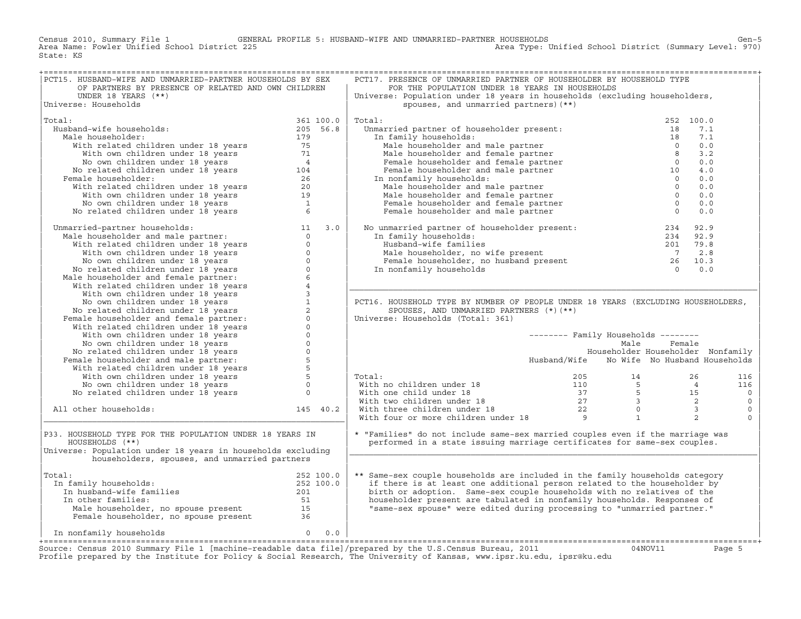Census 2010, Summary File 1 GENERAL PROFILE 5: HUSBAND−WIFE AND UNMARRIED−PARTNER HOUSEHOLDS Gen−5 Area Type: Unified School District (Summary Level: 970) State: KS

| PCT15. HUSBAND-WIFE AND UNMARRIED-PARTNER HOUSEHOLDS BY SEX                                                                                                                                                                                   |                                                                                                                                                                                                                                | PCT17. PRESENCE OF UNMARRIED PARTNER OF HOUSEHOLDER BY HOUSEHOLD TYPE                                                                                                                                                                                                                                                                                                                            |                                            |                |
|-----------------------------------------------------------------------------------------------------------------------------------------------------------------------------------------------------------------------------------------------|--------------------------------------------------------------------------------------------------------------------------------------------------------------------------------------------------------------------------------|--------------------------------------------------------------------------------------------------------------------------------------------------------------------------------------------------------------------------------------------------------------------------------------------------------------------------------------------------------------------------------------------------|--------------------------------------------|----------------|
| OF PARTNERS BY PRESENCE OF RELATED AND OWN CHILDREN                                                                                                                                                                                           |                                                                                                                                                                                                                                | FOR THE POPULATION UNDER 18 YEARS IN HOUSEHOLDS                                                                                                                                                                                                                                                                                                                                                  |                                            |                |
| UNDER 18 YEARS (**)                                                                                                                                                                                                                           |                                                                                                                                                                                                                                | Universe: Population under 18 years in households (excluding householders,                                                                                                                                                                                                                                                                                                                       |                                            |                |
| Universe: Households                                                                                                                                                                                                                          |                                                                                                                                                                                                                                | spouses, and unmarried partners) (**)                                                                                                                                                                                                                                                                                                                                                            |                                            |                |
|                                                                                                                                                                                                                                               |                                                                                                                                                                                                                                |                                                                                                                                                                                                                                                                                                                                                                                                  |                                            |                |
| Total:                                                                                                                                                                                                                                        |                                                                                                                                                                                                                                | Total:                                                                                                                                                                                                                                                                                                                                                                                           |                                            | 252 100.0      |
| Husband-wife households:                                                                                                                                                                                                                      |                                                                                                                                                                                                                                | rtal:<br>Unmarried partner of householder present:                                                                                                                                                                                                                                                                                                                                               | 18                                         | 7.1            |
| Male householder:                                                                                                                                                                                                                             |                                                                                                                                                                                                                                | In family households:                                                                                                                                                                                                                                                                                                                                                                            |                                            | 7.1            |
|                                                                                                                                                                                                                                               |                                                                                                                                                                                                                                |                                                                                                                                                                                                                                                                                                                                                                                                  |                                            | 0.0            |
|                                                                                                                                                                                                                                               |                                                                                                                                                                                                                                |                                                                                                                                                                                                                                                                                                                                                                                                  |                                            | 3.2            |
|                                                                                                                                                                                                                                               |                                                                                                                                                                                                                                |                                                                                                                                                                                                                                                                                                                                                                                                  |                                            | 0.0            |
|                                                                                                                                                                                                                                               |                                                                                                                                                                                                                                |                                                                                                                                                                                                                                                                                                                                                                                                  |                                            |                |
|                                                                                                                                                                                                                                               |                                                                                                                                                                                                                                |                                                                                                                                                                                                                                                                                                                                                                                                  |                                            | 4.0            |
| Female householder:                                                                                                                                                                                                                           |                                                                                                                                                                                                                                | In nonfamily households:                                                                                                                                                                                                                                                                                                                                                                         |                                            | 0.0            |
|                                                                                                                                                                                                                                               |                                                                                                                                                                                                                                |                                                                                                                                                                                                                                                                                                                                                                                                  |                                            | 0.0            |
|                                                                                                                                                                                                                                               |                                                                                                                                                                                                                                |                                                                                                                                                                                                                                                                                                                                                                                                  |                                            | 0.0            |
|                                                                                                                                                                                                                                               |                                                                                                                                                                                                                                |                                                                                                                                                                                                                                                                                                                                                                                                  |                                            | 0.0            |
| 361 100.0<br>band-wife households: 205 56.8<br>iale householder: 205 56.8<br>With related children under 18 years 75<br>With own children under 18 years 71<br>No own children under 18 years 4<br>No related children under 18 years 104<br> |                                                                                                                                                                                                                                | arried partner of householder present:<br>n family households:<br>Male householder and male partner<br>Male householder and female partner<br>Female householder and female partner<br>Female householder and male partner<br>Male househo                                                                                                                                                       |                                            | 0.0            |
|                                                                                                                                                                                                                                               |                                                                                                                                                                                                                                |                                                                                                                                                                                                                                                                                                                                                                                                  |                                            |                |
| No related children under 18 years<br>Unmarried-partner households:<br>Male householder and male partner:<br>With we chalder and male partner:<br>With we children under 18 years<br>No own children under 18 years<br>No own children und    |                                                                                                                                                                                                                                | No unmarried partner of householder present:<br>In family households:<br>Husband-wife families<br>Male householder, no wife present<br>Female householder, no husband present<br>The comparator of the comparator of the comparator of t                                                                                                                                                         |                                            |                |
|                                                                                                                                                                                                                                               |                                                                                                                                                                                                                                |                                                                                                                                                                                                                                                                                                                                                                                                  |                                            |                |
|                                                                                                                                                                                                                                               |                                                                                                                                                                                                                                |                                                                                                                                                                                                                                                                                                                                                                                                  |                                            |                |
|                                                                                                                                                                                                                                               |                                                                                                                                                                                                                                |                                                                                                                                                                                                                                                                                                                                                                                                  |                                            |                |
|                                                                                                                                                                                                                                               |                                                                                                                                                                                                                                |                                                                                                                                                                                                                                                                                                                                                                                                  |                                            |                |
|                                                                                                                                                                                                                                               |                                                                                                                                                                                                                                |                                                                                                                                                                                                                                                                                                                                                                                                  |                                            |                |
|                                                                                                                                                                                                                                               |                                                                                                                                                                                                                                |                                                                                                                                                                                                                                                                                                                                                                                                  |                                            |                |
|                                                                                                                                                                                                                                               |                                                                                                                                                                                                                                |                                                                                                                                                                                                                                                                                                                                                                                                  |                                            |                |
|                                                                                                                                                                                                                                               |                                                                                                                                                                                                                                |                                                                                                                                                                                                                                                                                                                                                                                                  |                                            |                |
|                                                                                                                                                                                                                                               |                                                                                                                                                                                                                                |                                                                                                                                                                                                                                                                                                                                                                                                  |                                            |                |
|                                                                                                                                                                                                                                               |                                                                                                                                                                                                                                | PCT16. HOUSEHOLD TYPE BY NUMBER OF PEOPLE UNDER 18 YEARS (EXCLUDING HOUSEHOLDERS,                                                                                                                                                                                                                                                                                                                |                                            |                |
|                                                                                                                                                                                                                                               |                                                                                                                                                                                                                                | SPOUSES, AND UNMARRIED PARTNERS (*) (**)                                                                                                                                                                                                                                                                                                                                                         |                                            |                |
|                                                                                                                                                                                                                                               |                                                                                                                                                                                                                                | Universe: Households (Total: 361)                                                                                                                                                                                                                                                                                                                                                                |                                            |                |
|                                                                                                                                                                                                                                               |                                                                                                                                                                                                                                |                                                                                                                                                                                                                                                                                                                                                                                                  |                                            |                |
|                                                                                                                                                                                                                                               |                                                                                                                                                                                                                                |                                                                                                                                                                                                                                                                                                                                                                                                  | -------- Family Households --------        |                |
|                                                                                                                                                                                                                                               |                                                                                                                                                                                                                                |                                                                                                                                                                                                                                                                                                                                                                                                  | Male                                       | Female         |
|                                                                                                                                                                                                                                               |                                                                                                                                                                                                                                |                                                                                                                                                                                                                                                                                                                                                                                                  | Householder Householder Nonfamily          |                |
|                                                                                                                                                                                                                                               |                                                                                                                                                                                                                                |                                                                                                                                                                                                                                                                                                                                                                                                  | Husband/Wife No Wife No Husband Households |                |
|                                                                                                                                                                                                                                               |                                                                                                                                                                                                                                |                                                                                                                                                                                                                                                                                                                                                                                                  |                                            |                |
|                                                                                                                                                                                                                                               |                                                                                                                                                                                                                                | Total:                                                                                                                                                                                                                                                                                                                                                                                           |                                            | 116            |
|                                                                                                                                                                                                                                               |                                                                                                                                                                                                                                |                                                                                                                                                                                                                                                                                                                                                                                                  |                                            | 116            |
|                                                                                                                                                                                                                                               |                                                                                                                                                                                                                                |                                                                                                                                                                                                                                                                                                                                                                                                  |                                            | $\overline{0}$ |
|                                                                                                                                                                                                                                               |                                                                                                                                                                                                                                |                                                                                                                                                                                                                                                                                                                                                                                                  |                                            | $\circ$        |
| All other households:                                                                                                                                                                                                                         |                                                                                                                                                                                                                                |                                                                                                                                                                                                                                                                                                                                                                                                  |                                            | $\mathbb O$    |
| 145 40.2                                                                                                                                                                                                                                      |                                                                                                                                                                                                                                | $\begin{tabular}{lllllllllllll} \multicolumn{3}{l} \textbf{Total:} & & & & & & 205 & & 14 & & 26 & & 11 \\ \textbf{With no children under 18} & & & & 110 & & 5 & & 4 & & 11 \\ \textbf{With two children under 18} & & & 37 & & 5 & & 15 & \\ \textbf{With three children under 18} & & & 22 & & 0 & & 3 \\ \textbf{With four or more children under 18} & & & 22 & & 0 & & 3 \\ \end{tabular}$ |                                            | $\Omega$       |
|                                                                                                                                                                                                                                               |                                                                                                                                                                                                                                |                                                                                                                                                                                                                                                                                                                                                                                                  |                                            |                |
| P33. HOUSEHOLD TYPE FOR THE POPULATION UNDER 18 YEARS IN                                                                                                                                                                                      |                                                                                                                                                                                                                                | * "Families" do not include same-sex married couples even if the marriage was                                                                                                                                                                                                                                                                                                                    |                                            |                |
| HOUSEHOLDS (**)                                                                                                                                                                                                                               |                                                                                                                                                                                                                                | performed in a state issuing marriage certificates for same-sex couples.                                                                                                                                                                                                                                                                                                                         |                                            |                |
|                                                                                                                                                                                                                                               |                                                                                                                                                                                                                                |                                                                                                                                                                                                                                                                                                                                                                                                  |                                            |                |
| Universe: Population under 18 years in households excluding                                                                                                                                                                                   |                                                                                                                                                                                                                                |                                                                                                                                                                                                                                                                                                                                                                                                  |                                            |                |
| householders, spouses, and unmarried partners                                                                                                                                                                                                 |                                                                                                                                                                                                                                |                                                                                                                                                                                                                                                                                                                                                                                                  |                                            |                |
|                                                                                                                                                                                                                                               |                                                                                                                                                                                                                                |                                                                                                                                                                                                                                                                                                                                                                                                  |                                            |                |
| Total:<br>$252 100.0$<br>$252 100.0$<br>$201$<br>$51$                                                                                                                                                                                         |                                                                                                                                                                                                                                | ** Same-sex couple households are included in the family households category                                                                                                                                                                                                                                                                                                                     |                                            |                |
| In family households:                                                                                                                                                                                                                         |                                                                                                                                                                                                                                | if there is at least one additional person related to the householder by                                                                                                                                                                                                                                                                                                                         |                                            |                |
| In husband-wife families                                                                                                                                                                                                                      |                                                                                                                                                                                                                                | birth or adoption. Same-sex couple households with no relatives of the                                                                                                                                                                                                                                                                                                                           |                                            |                |
| In other families:                                                                                                                                                                                                                            |                                                                                                                                                                                                                                | householder present are tabulated in nonfamily households. Responses of                                                                                                                                                                                                                                                                                                                          |                                            |                |
|                                                                                                                                                                                                                                               |                                                                                                                                                                                                                                | "same-sex spouse" were edited during processing to "unmarried partner."                                                                                                                                                                                                                                                                                                                          |                                            |                |
|                                                                                                                                                                                                                                               |                                                                                                                                                                                                                                |                                                                                                                                                                                                                                                                                                                                                                                                  |                                            |                |
|                                                                                                                                                                                                                                               |                                                                                                                                                                                                                                |                                                                                                                                                                                                                                                                                                                                                                                                  |                                            |                |
| $0 \t 0.0$<br>In nonfamily households                                                                                                                                                                                                         |                                                                                                                                                                                                                                |                                                                                                                                                                                                                                                                                                                                                                                                  |                                            |                |
|                                                                                                                                                                                                                                               | the set of the state of the state of the state of the state of the state of the state of the state of the state of the state of the state of the state of the state of the state of the state of the state of the state of the |                                                                                                                                                                                                                                                                                                                                                                                                  |                                            |                |

+===================================================================================================================================================+Source: Census 2010 Summary File 1 [machine−readable data file]/prepared by the U.S.Census Bureau, 2011 04NOV11 Page 5 Profile prepared by the Institute for Policy & Social Research, The University of Kansas, www.ipsr.ku.edu, ipsr@ku.edu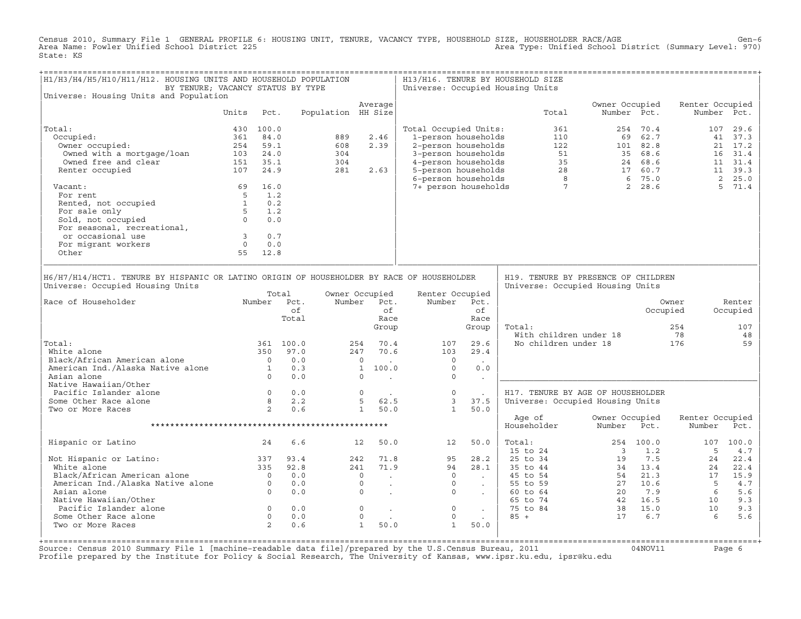Census 2010, Summary File 1 GENERAL PROFILE 6: HOUSING UNIT, TENURE, VACANCY TYPE, HOUSEHOLD SIZE, HOUSEHOLDER RACE/AGE<br>Area Name: Fowler Unified School District 225 State: KS

| H1/H3/H4/H5/H10/H11/H12. HOUSING UNITS AND HOUSEHOLD POPULATION<br>BY TENURE; VACANCY STATUS BY TYPE                                                                                                                                                |            |           |                                   |                                                                                       |                                                                                                                                                                                                                                                                                                                                                                                                                                                           |      |                                                                                                                                                 |                                                                                     | H13/H16. TENURE BY HOUSEHOLD SIZE<br>Universe: Occupied Housing Units                                                                                                                                                               |                          |           |                                |                                       |
|-----------------------------------------------------------------------------------------------------------------------------------------------------------------------------------------------------------------------------------------------------|------------|-----------|-----------------------------------|---------------------------------------------------------------------------------------|-----------------------------------------------------------------------------------------------------------------------------------------------------------------------------------------------------------------------------------------------------------------------------------------------------------------------------------------------------------------------------------------------------------------------------------------------------------|------|-------------------------------------------------------------------------------------------------------------------------------------------------|-------------------------------------------------------------------------------------|-------------------------------------------------------------------------------------------------------------------------------------------------------------------------------------------------------------------------------------|--------------------------|-----------|--------------------------------|---------------------------------------|
| Universe: Housing Units and Population                                                                                                                                                                                                              |            |           |                                   |                                                                                       | Average                                                                                                                                                                                                                                                                                                                                                                                                                                                   |      |                                                                                                                                                 |                                                                                     |                                                                                                                                                                                                                                     | Owner Occupied           |           | Renter Occupied                |                                       |
|                                                                                                                                                                                                                                                     | Units Pct. |           |                                   |                                                                                       | Population HH Size                                                                                                                                                                                                                                                                                                                                                                                                                                        |      |                                                                                                                                                 |                                                                                     | Total                                                                                                                                                                                                                               | Number Pct.              |           |                                | Number Pct.                           |
| Total:                                                                                                                                                                                                                                              |            | 430 100.0 |                                   |                                                                                       |                                                                                                                                                                                                                                                                                                                                                                                                                                                           |      | Total Occupied Units:                                                                                                                           |                                                                                     |                                                                                                                                                                                                                                     |                          |           |                                |                                       |
| Occupied:                                                                                                                                                                                                                                           |            | 361 84.0  |                                   | 889                                                                                   | 2.46                                                                                                                                                                                                                                                                                                                                                                                                                                                      |      |                                                                                                                                                 |                                                                                     |                                                                                                                                                                                                                                     |                          |           |                                |                                       |
| Jocupieu:<br>Owner occupied:                                                                                                                                                                                                                        |            | 254 59.1  |                                   | 608                                                                                   | 2.39                                                                                                                                                                                                                                                                                                                                                                                                                                                      |      |                                                                                                                                                 |                                                                                     |                                                                                                                                                                                                                                     |                          |           |                                |                                       |
|                                                                                                                                                                                                                                                     |            |           |                                   |                                                                                       |                                                                                                                                                                                                                                                                                                                                                                                                                                                           |      |                                                                                                                                                 |                                                                                     |                                                                                                                                                                                                                                     |                          |           |                                |                                       |
|                                                                                                                                                                                                                                                     |            |           |                                   |                                                                                       |                                                                                                                                                                                                                                                                                                                                                                                                                                                           |      |                                                                                                                                                 |                                                                                     |                                                                                                                                                                                                                                     |                          |           |                                |                                       |
| owned with a mortgage/loan and the comment of the comment of the comment of the comment of the comment of the c<br>Renter occupied and the comment of the comment of the comment of the comment of the comment of the comment of<br>Renter occupied |            |           |                                   | $304$<br>$304$<br>$281$                                                               | 281 2.63                                                                                                                                                                                                                                                                                                                                                                                                                                                  |      |                                                                                                                                                 |                                                                                     |                                                                                                                                                                                                                                     |                          |           |                                |                                       |
| Vacant:                                                                                                                                                                                                                                             | 69 16.0    |           |                                   |                                                                                       |                                                                                                                                                                                                                                                                                                                                                                                                                                                           |      |                                                                                                                                                 |                                                                                     |                                                                                                                                                                                                                                     |                          |           |                                |                                       |
|                                                                                                                                                                                                                                                     |            |           |                                   |                                                                                       |                                                                                                                                                                                                                                                                                                                                                                                                                                                           |      |                                                                                                                                                 |                                                                                     |                                                                                                                                                                                                                                     |                          |           |                                |                                       |
|                                                                                                                                                                                                                                                     |            |           |                                   |                                                                                       |                                                                                                                                                                                                                                                                                                                                                                                                                                                           |      |                                                                                                                                                 |                                                                                     |                                                                                                                                                                                                                                     |                          |           |                                |                                       |
|                                                                                                                                                                                                                                                     |            |           |                                   |                                                                                       |                                                                                                                                                                                                                                                                                                                                                                                                                                                           |      |                                                                                                                                                 |                                                                                     |                                                                                                                                                                                                                                     |                          |           |                                |                                       |
|                                                                                                                                                                                                                                                     |            |           |                                   |                                                                                       |                                                                                                                                                                                                                                                                                                                                                                                                                                                           |      |                                                                                                                                                 |                                                                                     |                                                                                                                                                                                                                                     |                          |           |                                |                                       |
|                                                                                                                                                                                                                                                     |            |           |                                   |                                                                                       |                                                                                                                                                                                                                                                                                                                                                                                                                                                           |      |                                                                                                                                                 |                                                                                     |                                                                                                                                                                                                                                     |                          |           |                                |                                       |
|                                                                                                                                                                                                                                                     |            |           |                                   |                                                                                       |                                                                                                                                                                                                                                                                                                                                                                                                                                                           |      |                                                                                                                                                 |                                                                                     |                                                                                                                                                                                                                                     |                          |           |                                |                                       |
|                                                                                                                                                                                                                                                     |            |           |                                   |                                                                                       |                                                                                                                                                                                                                                                                                                                                                                                                                                                           |      |                                                                                                                                                 |                                                                                     |                                                                                                                                                                                                                                     |                          |           |                                |                                       |
| vacant: 03<br>For rent<br>Rented, not occupied<br>5 1.2<br>For sale only<br>Sold, not occupied<br>For sasonal, recreational,<br>or occasional use<br>For migrant workers<br>0 0.0<br>Other<br>55 12.8                                               |            |           |                                   |                                                                                       |                                                                                                                                                                                                                                                                                                                                                                                                                                                           |      |                                                                                                                                                 |                                                                                     |                                                                                                                                                                                                                                     |                          |           |                                |                                       |
|                                                                                                                                                                                                                                                     |            |           |                                   |                                                                                       |                                                                                                                                                                                                                                                                                                                                                                                                                                                           |      |                                                                                                                                                 |                                                                                     |                                                                                                                                                                                                                                     |                          |           |                                |                                       |
| Universe: Occupied Housing Units<br>Number Pct.<br>Race of Householder<br>Total:<br>White alone<br>Black/African American alone 0 0.0<br>American Ind./Alaska Native alone 1 0.3<br>0 0.0<br>Native Hawaiian/Other                                  |            |           | Total<br>of<br>Total<br>361 100.0 |                                                                                       | Owner Occupied<br>Number Pct.<br>of<br>Group<br>254 70.4<br>247 70.6<br>$\begin{matrix} 0 & 0 & 0 \ 1 & 100 & 0 \ 0 & 0 & 0 \end{matrix}$                                                                                                                                                                                                                                                                                                                 | Race | Renter Occupied<br>Number Pct.<br>$\frac{107}{102}$<br>103<br>$\overline{0}$<br>$\overline{0}$<br>$\overline{0}$                                | of<br>Race<br>Group<br>29.6<br>29.4<br>$\sim 100$ km s $^{-1}$<br>0.0<br>$\sim 100$ | Universe: Occupied Housing Units<br>Total:<br>With children under 18<br>No children under 18 176                                                                                                                                    |                          |           | Owner<br>Occupied<br>254<br>78 | Renter<br>Occupied<br>107<br>48<br>59 |
| Pacific Islander alone                                                                                                                                                                                                                              |            |           |                                   |                                                                                       |                                                                                                                                                                                                                                                                                                                                                                                                                                                           |      | $\begin{array}{cccccc} 0 & 0.0 & & & 0 & . & & & 0 \ 8 & 2.2 & & & 5 & 62.5 & & 3 \ 2 & 0.6 & & & 1 & 50.0 & & 1 \end{array}$                   | $\sim$ $\sim$                                                                       | H17. TENURE BY AGE OF HOUSEHOLDER                                                                                                                                                                                                   |                          |           |                                |                                       |
| Some Other Race alone                                                                                                                                                                                                                               |            |           |                                   |                                                                                       |                                                                                                                                                                                                                                                                                                                                                                                                                                                           |      |                                                                                                                                                 | 37.5                                                                                | Universe: Occupied Housing Units                                                                                                                                                                                                    |                          |           |                                |                                       |
| Two or More Races                                                                                                                                                                                                                                   |            |           |                                   |                                                                                       |                                                                                                                                                                                                                                                                                                                                                                                                                                                           |      |                                                                                                                                                 | 1 50.0                                                                              |                                                                                                                                                                                                                                     |                          |           |                                |                                       |
|                                                                                                                                                                                                                                                     |            |           |                                   |                                                                                       |                                                                                                                                                                                                                                                                                                                                                                                                                                                           |      |                                                                                                                                                 |                                                                                     | Age of<br>Householder                                                                                                                                                                                                               | Owner Occupied<br>Number | Pct.      | Renter Occupied<br>Number      | Pct.                                  |
| Hispanic or Latino                                                                                                                                                                                                                                  | 24         |           | 6.6                               |                                                                                       | 12 50.0                                                                                                                                                                                                                                                                                                                                                                                                                                                   |      | 12 50.0                                                                                                                                         |                                                                                     | Total:                                                                                                                                                                                                                              |                          | 254 100.0 |                                | 107 100.0                             |
|                                                                                                                                                                                                                                                     |            |           |                                   |                                                                                       |                                                                                                                                                                                                                                                                                                                                                                                                                                                           |      |                                                                                                                                                 |                                                                                     | 50.0 Total:<br>28.2 25 to 24 3 1.2 5 to 34<br>28.1 35 to 44 34 13.4 24 22.4<br>45 to 54 54 21.3 17 15.9<br>55 to 64 20 7.9 6 5.6<br>66 to 64 20 7.9 6 5.6<br>55 to 84 38 15.0 10 9.3<br>85 + 17 6.7 6 5.6<br>50.0 85 + 17 6.7 6 5.6 |                          |           |                                |                                       |
|                                                                                                                                                                                                                                                     |            |           |                                   |                                                                                       |                                                                                                                                                                                                                                                                                                                                                                                                                                                           |      |                                                                                                                                                 |                                                                                     |                                                                                                                                                                                                                                     |                          |           |                                |                                       |
| Not Hispanic or Latino:<br>White alone 335<br>Black/African American alone 335<br>2.8<br>American Ind./Alaska Native alone 0 0.0<br>Asian alone 0 0.0<br>Asian alone 0 0.0                                                                          |            |           |                                   |                                                                                       |                                                                                                                                                                                                                                                                                                                                                                                                                                                           |      | $\begin{array}{cccc} 242 & 71.8 & & 95 & 28.2 \\ 241 & 71.9 & & 94 & 28.1 \\ 0 & . & & 0 & . \\ 0 & . & & 0 & . \\ 0 & . & & 0 & . \end{array}$ |                                                                                     |                                                                                                                                                                                                                                     |                          |           |                                |                                       |
|                                                                                                                                                                                                                                                     |            |           |                                   |                                                                                       |                                                                                                                                                                                                                                                                                                                                                                                                                                                           |      |                                                                                                                                                 |                                                                                     |                                                                                                                                                                                                                                     |                          |           |                                |                                       |
|                                                                                                                                                                                                                                                     |            |           |                                   |                                                                                       |                                                                                                                                                                                                                                                                                                                                                                                                                                                           |      |                                                                                                                                                 |                                                                                     |                                                                                                                                                                                                                                     |                          |           |                                |                                       |
|                                                                                                                                                                                                                                                     |            |           |                                   |                                                                                       |                                                                                                                                                                                                                                                                                                                                                                                                                                                           |      |                                                                                                                                                 |                                                                                     |                                                                                                                                                                                                                                     |                          |           |                                |                                       |
| Native Hawaiian/Other                                                                                                                                                                                                                               |            |           |                                   |                                                                                       |                                                                                                                                                                                                                                                                                                                                                                                                                                                           |      |                                                                                                                                                 |                                                                                     |                                                                                                                                                                                                                                     |                          |           |                                |                                       |
| Pacific Islander alone                                                                                                                                                                                                                              |            |           |                                   | $\begin{array}{cccc} 0 & 0.0 & & & 0 \ 0 & 0.0 & & & 0 \ 2 & 0.6 & & & 1 \end{array}$ | $\mathcal{L}^{\mathcal{L}}(\mathcal{L}^{\mathcal{L}}(\mathcal{L}^{\mathcal{L}}(\mathcal{L}^{\mathcal{L}}(\mathcal{L}^{\mathcal{L}}(\mathcal{L}^{\mathcal{L}}(\mathcal{L}^{\mathcal{L}}(\mathcal{L}^{\mathcal{L}}(\mathcal{L}^{\mathcal{L}}(\mathcal{L}^{\mathcal{L}}(\mathcal{L}^{\mathcal{L}}(\mathcal{L}^{\mathcal{L}}(\mathcal{L}^{\mathcal{L}}(\mathcal{L}^{\mathcal{L}}(\mathcal{L}^{\mathcal{L}}(\mathcal{L}^{\mathcal{L}}(\mathcal{L}^{\mathcal{L$ |      | $\overline{0}$                                                                                                                                  |                                                                                     |                                                                                                                                                                                                                                     |                          |           |                                |                                       |
| Some Other Race alone                                                                                                                                                                                                                               |            |           |                                   |                                                                                       |                                                                                                                                                                                                                                                                                                                                                                                                                                                           |      | $\mathsf{O}$                                                                                                                                    |                                                                                     |                                                                                                                                                                                                                                     |                          |           |                                |                                       |
| Two or More Races                                                                                                                                                                                                                                   |            |           |                                   |                                                                                       | 50.0                                                                                                                                                                                                                                                                                                                                                                                                                                                      |      | 1                                                                                                                                               | 50.0                                                                                |                                                                                                                                                                                                                                     |                          |           |                                |                                       |

+===================================================================================================================================================+Source: Census 2010 Summary File 1 [machine−readable data file]/prepared by the U.S.Census Bureau, 2011 04NOV11 Page 6 Profile prepared by the Institute for Policy & Social Research, The University of Kansas, www.ipsr.ku.edu, ipsr@ku.edu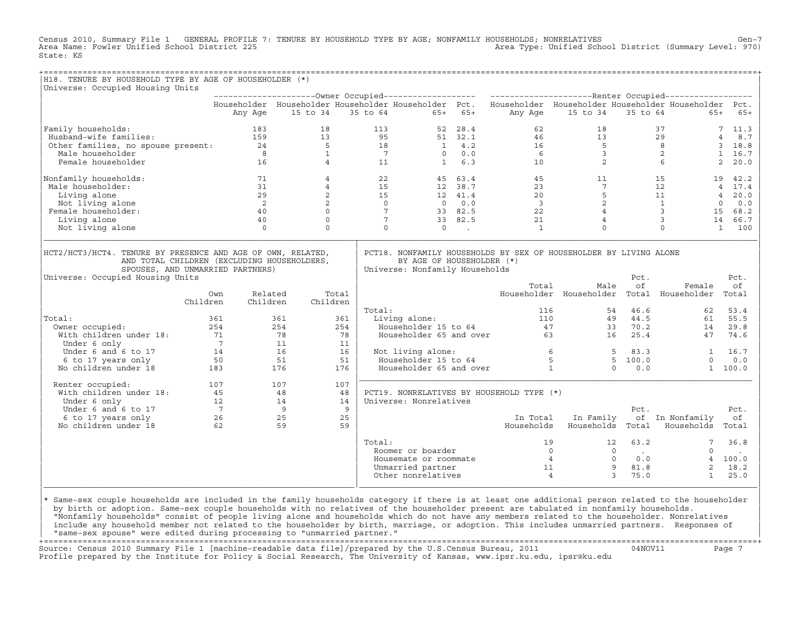Census 2010, Summary File 1 GENERAL PROFILE 7: TENURE BY HOUSEHOLD TYPE BY AGE; NONFAMILY HOUSEHOLDS; NONRELATIVES Gen−7<br>Area Name: Fowler Unified School District 225 Area Type: Unified School District (Summary Level: 970) State: KS

+===================================================================================================================================================+

| H18. TENURE BY HOUSEHOLD TYPE BY AGE OF HOUSEHOLDER (*)<br>Universe: Occupied Housing Units                                                    |                 |                |                |                 |                                                             |               |                                                                                                           |                                           |          |                         |                        |
|------------------------------------------------------------------------------------------------------------------------------------------------|-----------------|----------------|----------------|-----------------|-------------------------------------------------------------|---------------|-----------------------------------------------------------------------------------------------------------|-------------------------------------------|----------|-------------------------|------------------------|
|                                                                                                                                                |                 |                |                |                 |                                                             |               |                                                                                                           |                                           |          |                         |                        |
|                                                                                                                                                |                 |                |                |                 |                                                             |               | Householder Householder Householder Householder Pct. Householder Householder Householder Householder Pct. |                                           |          |                         |                        |
|                                                                                                                                                | Any Age         |                | 15 to 34       | 35 to 64        | $65+$                                                       | $65+$         | Any Age                                                                                                   | 15 to 34                                  | 35 to 64 | $65+$                   | $65+$                  |
| Family households:                                                                                                                             |                 | 183            | 18             | 113             | 52                                                          | 28.4          | 62                                                                                                        | 18                                        |          | 37                      | 7, 11.3                |
| Husband-wife families:                                                                                                                         | 159             |                | 13             | 95              |                                                             | 51 32.1       | 46                                                                                                        | 13                                        |          | 29                      | 8.7<br>$\overline{4}$  |
| Other families, no spouse present: 24                                                                                                          |                 |                | $\overline{5}$ | 18              |                                                             | $1 \quad 4.2$ | 16                                                                                                        | $5^{\circ}$                               |          | 8                       | 3 18.8                 |
| Male householder                                                                                                                               | 8               |                | $\mathbf{1}$   | $\overline{7}$  | $\Omega$                                                    | 0.0           | 6                                                                                                         | $\overline{\mathbf{3}}$                   |          | 2                       | 1, 16.7                |
| Female householder                                                                                                                             |                 | 16             | $\overline{4}$ | 11              | $\mathbf{1}$                                                | 6.3           | 10                                                                                                        | 2                                         |          | 6                       | $2^{\circ}$<br>20.0    |
| Nonfamily households:                                                                                                                          |                 | 71             | $\overline{4}$ | 22              |                                                             | 45 63.4       | 45                                                                                                        | 11                                        |          | 15<br>19                | 42.2                   |
| Male householder:                                                                                                                              |                 | 31             | $\overline{4}$ | 15              |                                                             | 12 38.7       | 23                                                                                                        | $7^{\circ}$                               |          | 12                      | 4 17.4                 |
| Living alone                                                                                                                                   |                 | 29             | $\overline{2}$ | 15              |                                                             | 12 41.4       | 20                                                                                                        | 5                                         |          | 11                      | 20.0<br>$\overline{4}$ |
| Not living alone                                                                                                                               |                 | $\overline{2}$ | $\overline{2}$ | $\overline{0}$  | $\overline{0}$                                              | 0.0           | $\overline{\phantom{a}}$                                                                                  | 2                                         |          | $\mathbf{1}$            | 0.0<br>$\circ$         |
| Female householder:                                                                                                                            |                 | 40             | $\Omega$       | $7\overline{ }$ |                                                             | 33 82.5       | 22                                                                                                        | $\overline{4}$                            |          | $\overline{\mathbf{3}}$ | 15 68.2                |
| Living alone                                                                                                                                   |                 | 40             | $\Omega$       | 7               |                                                             | 33 82.5       | 21                                                                                                        | $\overline{4}$                            |          | $\overline{3}$          | 14 66.7                |
| Not living alone                                                                                                                               |                 | $\Omega$       | $\Omega$       |                 | $\Omega$<br>$\Omega$                                        | $\sim$        | 1                                                                                                         | $\Omega$                                  |          | $\Omega$                | 100<br>$\mathbf{1}$    |
| HCT2/HCT3/HCT4. TENURE BY PRESENCE AND AGE OF OWN, RELATED,<br>AND TOTAL CHILDREN (EXCLUDING HOUSEHOLDERS,<br>SPOUSES, AND UNMARRIED PARTNERS) |                 |                |                |                 | BY AGE OF HOUSEHOLDER (*)<br>Universe: Nonfamily Households |               | PCT18. NONFAMILY HOUSEHOLDS BY SEX OF HOUSEHOLDER BY LIVING ALONE                                         |                                           |          |                         |                        |
| Universe: Occupied Housing Units                                                                                                               |                 |                |                |                 |                                                             |               |                                                                                                           |                                           | Pct.     |                         | Pct.                   |
|                                                                                                                                                |                 |                |                |                 |                                                             |               | Total                                                                                                     | Male                                      | of       | Female                  | οf                     |
|                                                                                                                                                | Own             | Related        | Total          |                 |                                                             |               |                                                                                                           | Householder Householder Total Householder |          |                         | Total                  |
|                                                                                                                                                | Children        | Children       | Children       |                 |                                                             |               |                                                                                                           |                                           |          |                         |                        |
|                                                                                                                                                |                 |                |                | Total:          |                                                             |               | 116                                                                                                       | 54                                        | 46.6     | 62                      | 53.4                   |
| Total:                                                                                                                                         | 361             | 361            |                | 361             | Living alone:                                               |               | 110                                                                                                       | 49                                        | 44.5     | 61                      | 55.5                   |
| Owner occupied:                                                                                                                                | 254             | 254            |                | 254             | Householder 15 to 64                                        |               | 47                                                                                                        | 33                                        | 70.2     | 14                      | 29.8                   |
| With children under 18:                                                                                                                        | 71              | 78             |                | 78              | Householder 65 and over                                     |               |                                                                                                           | 63 — 1<br>16                              | 25.4     | 47                      | 74.6                   |
| Under 6 only                                                                                                                                   | $7\overline{ }$ | 11             |                | 11              |                                                             |               |                                                                                                           |                                           |          |                         |                        |
| Under 6 and 6 to 17                                                                                                                            | 14              | 16             |                | 16              | Not living alone:                                           |               |                                                                                                           | 6<br>-5                                   | 83.3     |                         | 16.7                   |
| 6 to 17 years only                                                                                                                             | 50              | 51             |                | 51              | Householder 15 to 64                                        |               |                                                                                                           | 5                                         | 5, 100.0 | $\Omega$                | 0.0                    |
| No children under 18                                                                                                                           | 183             | 176            |                | 176             | Householder 65 and over                                     |               |                                                                                                           | $\mathbf{1}$<br>$\Omega$                  | 0.0      |                         | 1 100.0                |
| Renter occupied:                                                                                                                               | 107             | 107            |                | 107             |                                                             |               |                                                                                                           |                                           |          |                         |                        |
| With children under 18:                                                                                                                        | 45              | 48             |                | 48              |                                                             |               | PCT19. NONRELATIVES BY HOUSEHOLD TYPE (*)                                                                 |                                           |          |                         |                        |
| Under 6 only                                                                                                                                   | 12              | 14             |                | 14              | Universe: Nonrelatives                                      |               |                                                                                                           |                                           |          |                         |                        |
| Under 6 and 6 to 17                                                                                                                            | $7\overline{ }$ | 9              |                | 9               |                                                             |               |                                                                                                           |                                           | Pct.     |                         | Pct.                   |
| 6 to 17 years only                                                                                                                             | 26              | 25             |                | 25              |                                                             |               | In Total                                                                                                  | In Family                                 |          | of In Nonfamily         | оf                     |
| No children under 18                                                                                                                           | 62              | 59             |                | 59              |                                                             |               | Households                                                                                                | Households                                | Total    | Households              | Total                  |
|                                                                                                                                                |                 |                |                | Total:          |                                                             |               | 19                                                                                                        | 12                                        | 63.2     |                         | 36.8                   |
|                                                                                                                                                |                 |                |                |                 | Roomer or boarder                                           |               |                                                                                                           | $\Omega$<br>$\Omega$                      | $\sim$   | $\Omega$                |                        |
|                                                                                                                                                |                 |                |                |                 | Housemate or roommate                                       |               |                                                                                                           | $\overline{4}$<br>$\Omega$                | 0.0      | $\overline{4}$          | 100.0                  |
|                                                                                                                                                |                 |                |                |                 | Unmarried partner                                           |               | 11                                                                                                        | 9                                         | 81.8     | $\overline{2}$          | 18.2                   |

design to the control of the control of the control of the control of the control of the control of the control of the control of the control of the control of the control of the control of the control of the control of th |\* Same−sex couple households are included in the family households category if there is at least one additional person related to the householder | | by birth or adoption. Same−sex couple households with no relatives of the householder present are tabulated in nonfamily households. | | "Nonfamily households" consist of people living alone and households which do not have any members related to the householder. Nonrelatives | include any household member not related to the householder by birth, marriage, or adoption. This includes unmarried partners. Responses of | "same−sex spouse" were edited during processing to "unmarried partner." |

 $\begin{array}{|c|c|c|c|c|c|c|c|c|}\hline \text{Other nonrelatives} & & & 4 & & 3 & 75.0 & & 1 & 25.0 \ \hline \end{array}$ |\_\_\_\_\_\_\_\_\_\_\_\_\_\_\_\_\_\_\_\_\_\_\_\_\_\_\_\_\_\_\_\_\_\_\_\_\_\_\_\_\_\_\_\_\_\_\_\_\_\_\_\_\_\_\_\_\_\_\_\_\_\_\_\_|\_\_\_\_\_\_\_\_\_\_\_\_\_\_\_\_\_\_\_\_\_\_\_\_\_\_\_\_\_\_\_\_\_\_\_\_\_\_\_\_\_\_\_\_\_\_\_\_\_\_\_\_\_\_\_\_\_\_\_\_\_\_\_\_\_\_\_\_\_\_\_\_\_\_\_\_\_\_\_\_\_\_|

+===================================================================================================================================================+ Source: Census 2010 Summary File 1 [machine−readable data file]/prepared by the U.S.Census Bureau, 2011 04NOV11 Page 7 Profile prepared by the Institute for Policy & Social Research, The University of Kansas, www.ipsr.ku.edu, ipsr@ku.edu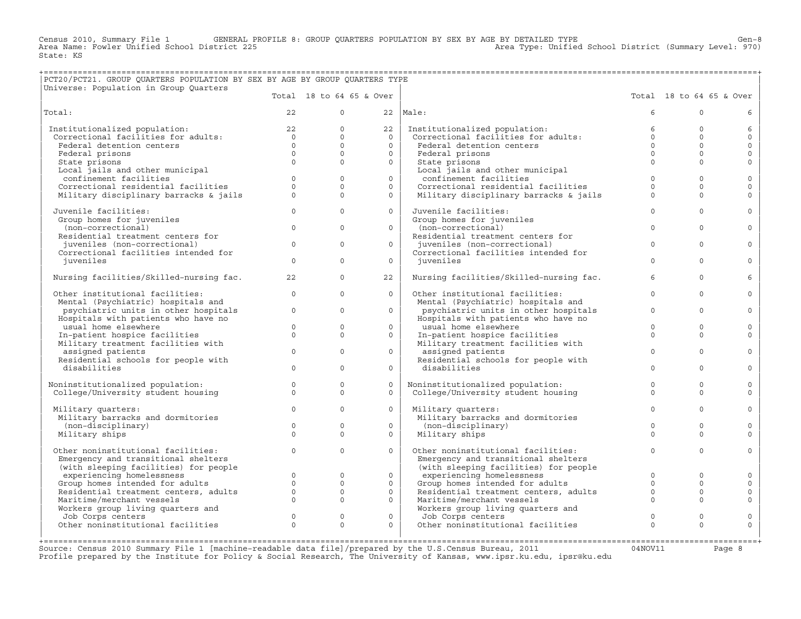Census 2010, Summary File 1 GENERAL PROFILE 8: GROUP QUARTERS POPULATION BY SEX BY AGE BY DETAILED TYPE Gen−8<br>Area Name: Fowler Unified School District 225 Area Type: Unified School District (Summary Level: 970) Area Type: Unified School District (Summary Level: 970) State: KS

## +===================================================================================================================================================+ |PCT20/PCT21. GROUP QUARTERS POPULATION BY SEX BY AGE BY GROUP QUARTERS TYPE |

| Universe: Population in Group Quarters                   |                |                          |              |                                                     |             |                          |              |
|----------------------------------------------------------|----------------|--------------------------|--------------|-----------------------------------------------------|-------------|--------------------------|--------------|
|                                                          |                | Total 18 to 64 65 & Over |              |                                                     |             | Total 18 to 64 65 & Over |              |
| Total:                                                   | 22             | $\Omega$                 |              | $22$   Male:                                        | 6           | $\Omega$                 | 6            |
| Institutionalized population:                            | 22             | $\Omega$                 | 22           | Institutionalized population:                       | 6           | $\Omega$                 | 6            |
| Correctional facilities for adults:                      | $\overline{0}$ | $\Omega$                 | $\Omega$     | Correctional facilities for adults:                 | $\Omega$    | $\Omega$                 | $\mathbf 0$  |
| Federal detention centers                                | $\Omega$       | $\Omega$                 | $\Omega$     | Federal detention centers                           | $\Omega$    | $\mathbf{0}$             | $\mathbf{0}$ |
| Federal prisons                                          | $\Omega$       | $\Omega$                 | $\Omega$     | Federal prisons                                     | $\Omega$    | $\Omega$                 | $\mathbf{0}$ |
| State prisons                                            | $\Omega$       | $\Omega$                 | $\Omega$     | State prisons                                       | $\Omega$    | $\Omega$                 | $\Omega$     |
| Local jails and other municipal                          |                |                          |              | Local jails and other municipal                     |             |                          |              |
| confinement facilities                                   | $\Omega$       | $\Omega$                 | $\Omega$     | confinement facilities                              | $\Omega$    | $\Omega$                 | $\mathbf 0$  |
| Correctional residential facilities                      | $\Omega$       | $\Omega$                 | $\Omega$     | Correctional residential facilities                 | $\Omega$    | $\Omega$                 | $\circ$      |
| Military disciplinary barracks & jails                   | $\Omega$       | $\Omega$                 | $\Omega$     | Military disciplinary barracks & jails              | $\Omega$    | $\Omega$                 | $\Omega$     |
| Juvenile facilities:                                     | $\Omega$       | $\Omega$                 | $\Omega$     | Juvenile facilities:                                | $\Omega$    | $\Omega$                 | $\Omega$     |
| Group homes for juveniles                                |                |                          |              | Group homes for juveniles                           |             |                          |              |
| (non-correctional)                                       | $\circ$        | $\Omega$                 | $\Omega$     | (non-correctional)                                  | $\Omega$    | $\Omega$                 | $\Omega$     |
| Residential treatment centers for                        |                |                          |              | Residential treatment centers for                   |             |                          |              |
| juveniles (non-correctional)                             | $\mathbf{0}$   | $\circ$                  | $\circ$      | juveniles (non-correctional)                        | $\mathbf 0$ | $\mathbf 0$              | $\mathbf 0$  |
| Correctional facilities intended for                     |                |                          |              | Correctional facilities intended for                |             |                          |              |
| iuveniles                                                | $\Omega$       | $\Omega$                 | $\Omega$     | iuveniles                                           | $\Omega$    | $\Omega$                 | $\Omega$     |
| Nursing facilities/Skilled-nursing fac.                  | 22             | $\Omega$                 | 22           | Nursing facilities/Skilled-nursing fac.             | 6           | $\Omega$                 | 6            |
| Other institutional facilities:                          | $\circ$        | $\Omega$                 | $\Omega$     | Other institutional facilities:                     | $\mathbf 0$ | $\mathbf 0$              | $\Omega$     |
| Mental (Psychiatric) hospitals and                       |                |                          |              | Mental (Psychiatric) hospitals and                  |             |                          |              |
| psychiatric units in other hospitals                     | $\Omega$       | $\Omega$                 | $\Omega$     | psychiatric units in other hospitals                | $\Omega$    | $\Omega$                 | $\Omega$     |
| Hospitals with patients who have no                      |                |                          |              | Hospitals with patients who have no                 |             |                          |              |
| usual home elsewhere                                     | $\Omega$       | $\Omega$                 | $\Omega$     | usual home elsewhere                                | $\Omega$    | $\Omega$                 | $\Omega$     |
| In-patient hospice facilities                            | $\circ$        | $\Omega$                 | $\circ$      | In-patient hospice facilities                       | $\Omega$    | $\Omega$                 | $\Omega$     |
| Military treatment facilities with                       | $\Omega$       | $\Omega$                 | $\Omega$     | Military treatment facilities with                  | $\Omega$    | $\Omega$                 | $\Omega$     |
| assigned patients<br>Residential schools for people with |                |                          |              | assigned patients                                   |             |                          |              |
| disabilities                                             | $\Omega$       | $\Omega$                 | $\Omega$     | Residential schools for people with<br>disabilities | $\Omega$    | $\Omega$                 | $\Omega$     |
|                                                          |                |                          |              |                                                     |             |                          |              |
| Noninstitutionalized population:                         | $\circ$        | $\circ$                  | $\Omega$     | Noninstitutionalized population:                    | $\Omega$    | $\Omega$                 | $\mathbf 0$  |
| College/University student housing                       | $\Omega$       | $\Omega$                 | $\Omega$     | College/University student housing                  | $\Omega$    | $\Omega$                 | $\Omega$     |
| Military quarters:                                       | $\Omega$       | $\Omega$                 | $\Omega$     | Military quarters:                                  | $\Omega$    | $\Omega$                 | $\mathbf 0$  |
| Military barracks and dormitories                        |                |                          |              | Military barracks and dormitories                   |             |                          |              |
| (non-disciplinary)                                       | $\Omega$       | $\Omega$                 | $\Omega$     | (non-disciplinary)                                  | $\Omega$    | $\Omega$                 | $\Omega$     |
| Military ships                                           | $\Omega$       | $\Omega$                 | $\Omega$     | Military ships                                      | $\Omega$    | $\Omega$                 | $\Omega$     |
|                                                          |                |                          |              |                                                     |             |                          |              |
| Other noninstitutional facilities:                       | $\circ$        | $\circ$                  | $\mathsf{O}$ | Other noninstitutional facilities:                  | $\mathbf 0$ | $\circ$                  | $\mathbf 0$  |
| Emergency and transitional shelters                      |                |                          |              | Emergency and transitional shelters                 |             |                          |              |
| (with sleeping facilities) for people                    |                |                          |              | (with sleeping facilities) for people               |             |                          |              |
| experiencing homelessness                                | $\circ$        | $\mathbf{0}$             | $\mathbf{0}$ | experiencing homelessness                           | $\Omega$    | $\mathbf{0}$             | $\mathbf 0$  |
| Group homes intended for adults                          | $\Omega$       | $\Omega$                 | $\Omega$     | Group homes intended for adults                     | $\Omega$    | $\Omega$                 | $\mathbf 0$  |
| Residential treatment centers, adults                    | $\circ$        | $\Omega$                 | $\Omega$     | Residential treatment centers, adults               | $\Omega$    | $\Omega$                 | $\mathbf 0$  |
| Maritime/merchant vessels                                | $\Omega$       | $\Omega$                 | $\Omega$     | Maritime/merchant vessels                           | $\Omega$    | $\Omega$                 | $\mathbf{0}$ |
| Workers group living quarters and                        |                |                          |              | Workers group living quarters and                   |             |                          |              |
| Job Corps centers                                        | $\Omega$       | $\Omega$                 | $\circ$      | Job Corps centers                                   | $\Omega$    | $\Omega$                 | $\mathbf 0$  |
| Other noninstitutional facilities                        | $\Omega$       | $\Omega$                 | $\Omega$     | Other noninstitutional facilities                   | $\Omega$    | $\Omega$                 | $\circ$      |
|                                                          |                |                          |              |                                                     |             |                          |              |
|                                                          |                |                          |              |                                                     |             |                          |              |

Source: Census 2010 Summary File 1 [machine-readable data file]/prepared by the U.S.Census Bureau, 2011 Page 8<br>Profile prepared by the Institute for Policy & Social Research, The University of Kansas, www.ip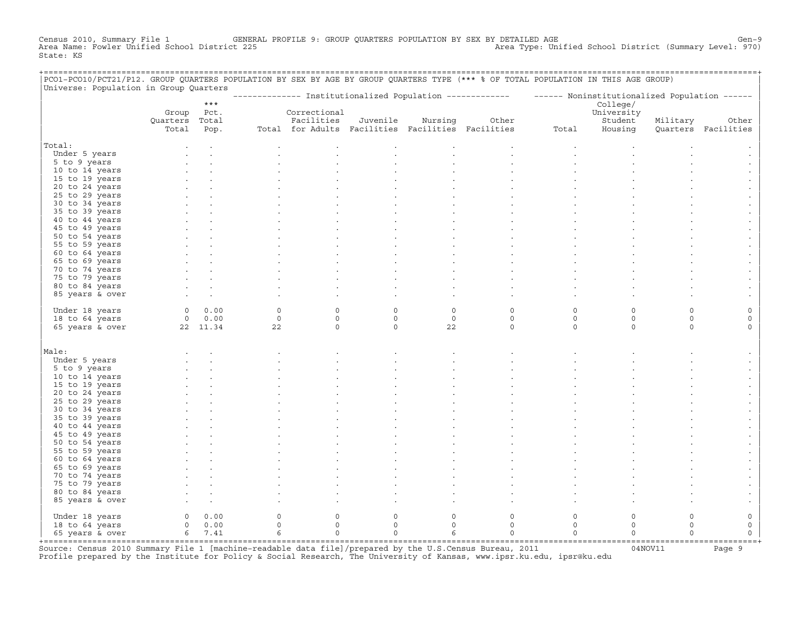Census 2010, Summary File 1 GENERAL PROFILE 9: GROUP QUARTERS POPULATION BY SEX BY DETAILED AGE GENOOL District (Summary Level: 970)<br>Area Name: Fowler Unified School District 225 Area Type: Unified School District (Summary Level: 970) State: KS

| Universe: Population in Group Quarters |                |             |            |                                                   |             |              |                                                                                                           |                     |             |             |                     |
|----------------------------------------|----------------|-------------|------------|---------------------------------------------------|-------------|--------------|-----------------------------------------------------------------------------------------------------------|---------------------|-------------|-------------|---------------------|
|                                        |                | $***$       |            |                                                   |             |              | -------------- Institutionalized Population ------------- - ------ Noninstitutionalized Population ------ |                     | College/    |             |                     |
|                                        | Group          | Pct.        |            | Correctional                                      |             |              |                                                                                                           |                     | University  |             |                     |
|                                        | Quarters Total |             |            | Facilities                                        | Juvenile    | Nursing      | Other                                                                                                     |                     | Student     | Military    | Other               |
|                                        | Total          | Pop.        |            | Total for Adults Facilities Facilities Facilities |             |              |                                                                                                           | Total               | Housing     |             | Quarters Facilities |
|                                        |                |             |            |                                                   |             |              |                                                                                                           |                     |             |             |                     |
| Total:                                 |                |             |            |                                                   |             |              |                                                                                                           |                     |             |             |                     |
| Under 5 years                          |                |             |            |                                                   |             |              |                                                                                                           |                     |             |             |                     |
| 5 to 9 years                           |                |             |            |                                                   |             |              |                                                                                                           |                     |             |             |                     |
| 10 to 14 years                         |                |             |            |                                                   |             |              |                                                                                                           |                     |             |             |                     |
| 15 to 19 years                         |                |             |            |                                                   |             |              |                                                                                                           |                     |             |             |                     |
| 20 to 24 years                         |                |             |            |                                                   |             |              |                                                                                                           |                     |             |             |                     |
| 25 to 29 years                         |                |             |            |                                                   |             |              |                                                                                                           |                     |             |             |                     |
| 30 to 34 years                         |                |             |            |                                                   |             |              |                                                                                                           |                     |             |             |                     |
| 35 to 39 years                         |                |             |            |                                                   |             |              |                                                                                                           |                     |             |             |                     |
| 40 to 44 years                         |                |             |            |                                                   |             |              |                                                                                                           |                     |             |             |                     |
| 45 to 49 years                         |                |             |            |                                                   |             |              |                                                                                                           |                     |             |             |                     |
| 50 to 54 years                         |                |             |            |                                                   |             |              |                                                                                                           |                     |             |             |                     |
| 55 to 59 years                         |                |             |            |                                                   |             |              |                                                                                                           |                     |             |             |                     |
| 60 to 64 years                         |                |             |            |                                                   |             |              |                                                                                                           |                     |             |             |                     |
| 65 to 69 years                         |                |             |            |                                                   |             |              |                                                                                                           |                     |             |             |                     |
| 70 to 74 years                         |                |             |            |                                                   |             |              |                                                                                                           |                     |             |             |                     |
| 75 to 79 years                         |                |             |            |                                                   |             |              |                                                                                                           |                     |             |             |                     |
| 80 to 84 years                         |                |             |            |                                                   |             |              |                                                                                                           |                     |             |             |                     |
| 85 years & over                        |                |             |            |                                                   |             |              |                                                                                                           |                     |             |             |                     |
| Under 18 years                         |                | 0 0.00      | $\Omega$   | 0                                                 | $\Omega$    | $\mathsf{O}$ | $\mathsf O$                                                                                               | 0                   | $\Omega$    | $\Omega$    |                     |
| 18 to 64 years                         |                | $0 \t 0.00$ | $\circ$    | $\mathbf 0$                                       | $\circ$     | $\circ$      | $\mathbf 0$                                                                                               | $\mathbf 0$         | $\mathbf 0$ | $\mathbf 0$ | $\mathbf 0$         |
| 65 years & over                        | 22 11.34       |             | 22         | $\mathbf 0$                                       | $\Omega$    | 22           | $\circ$                                                                                                   | $\Omega$            | $\Omega$    | $\Omega$    | $\Omega$            |
|                                        |                |             |            |                                                   |             |              |                                                                                                           |                     |             |             |                     |
| Male:                                  |                |             |            |                                                   |             |              |                                                                                                           |                     |             |             |                     |
| Under 5 years                          |                |             |            |                                                   |             |              |                                                                                                           |                     |             |             |                     |
| 5 to 9 years                           |                |             |            |                                                   |             |              |                                                                                                           |                     |             |             |                     |
| 10 to 14 years                         |                |             |            |                                                   |             |              |                                                                                                           |                     |             |             |                     |
| 15 to 19 years                         |                |             |            |                                                   |             |              |                                                                                                           |                     |             |             |                     |
| 20 to 24 years                         |                |             |            |                                                   |             |              |                                                                                                           |                     |             |             |                     |
| 25 to 29 years                         |                |             |            |                                                   |             |              |                                                                                                           |                     |             |             |                     |
| 30 to 34 years                         |                |             |            |                                                   |             |              |                                                                                                           |                     |             |             |                     |
| 35 to 39 years                         |                |             |            |                                                   |             |              |                                                                                                           |                     |             |             |                     |
| 40 to 44 years                         |                |             |            |                                                   |             |              |                                                                                                           |                     |             |             |                     |
| 45 to 49 years                         |                |             |            |                                                   |             |              |                                                                                                           |                     |             |             |                     |
| 50 to 54 years                         |                |             |            |                                                   |             |              |                                                                                                           |                     |             |             |                     |
| 55 to 59 years                         |                |             |            |                                                   |             |              |                                                                                                           |                     |             |             |                     |
| 60 to 64 years                         |                |             |            |                                                   |             |              |                                                                                                           |                     |             |             |                     |
| 65 to 69 years                         |                |             |            |                                                   |             |              |                                                                                                           |                     |             |             |                     |
| 70 to 74 years                         |                |             |            |                                                   |             |              |                                                                                                           |                     |             |             |                     |
| 75 to 79 years                         |                |             |            |                                                   |             |              |                                                                                                           |                     |             |             |                     |
| 80 to 84 years                         |                |             |            |                                                   |             |              |                                                                                                           |                     |             |             |                     |
| 85 years & over                        |                |             |            |                                                   |             |              |                                                                                                           |                     |             |             |                     |
|                                        |                |             |            |                                                   |             |              |                                                                                                           |                     |             |             |                     |
| Under 18 years                         | $\circ$        | 0.00        | $\circ$    | $\mathbf 0$                                       | $\mathbf 0$ | $\mathbf 0$  | $\mathbf 0$                                                                                               | $\circ$             | $\circ$     | $\mathbf 0$ | 0                   |
| 18 to 64 years                         |                | 0 0.00      | $\circ$    | $\circ$                                           | $\circ$     | $\circ$      | $\mathbf 0$                                                                                               | $\circ$             | $\mathbf 0$ | $\Omega$    | $\mathsf{O}\xspace$ |
| 65 years & over                        |                | 6 7.41      | $\epsilon$ | $\circ$                                           | $\circ$     | 6            | $\circ$                                                                                                   | $\mathsf{O}\xspace$ | $\circ$     | $\Omega$    | $\mathbf 0$         |

+===================================================================================================================================================+Source: Census 2010 Summary File 1 [machine−readable data file]/prepared by the U.S.Census Bureau, 2011 04NOV11 Page 9 Profile prepared by the Institute for Policy & Social Research, The University of Kansas, www.ipsr.ku.edu, ipsr@ku.edu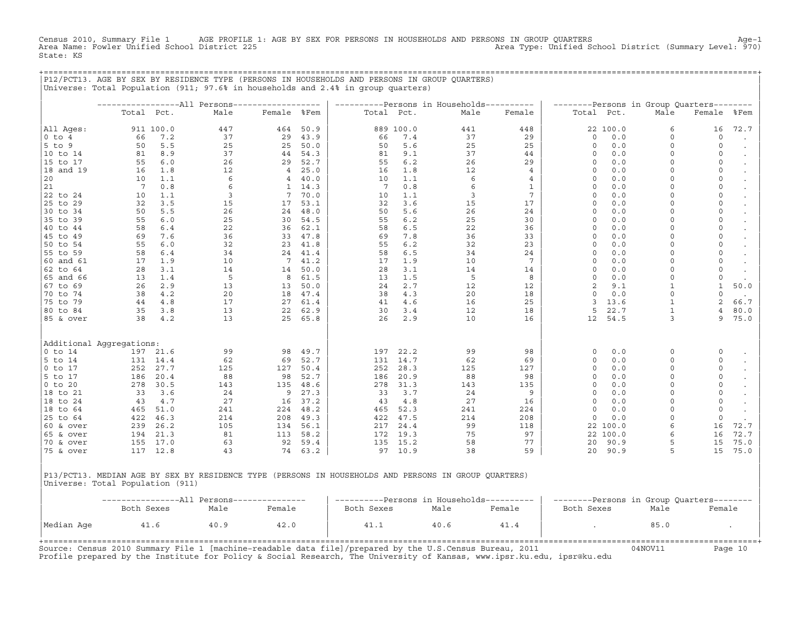Census 2010, Summary File 1 AGE PROFILE 1: AGE BY SEX FOR PERSONS IN HOUSEHOLDS AND PERSONS IN GROUP QUARTERS<br>Area Name: Fowler Unified School District 225 Area November 2001 Area Type: Unified School District (Summa State: KS

+===================================================================================================================================================+

|                          |            |           |      |                |      | ----------Persons in Households---------- |           |      |                 |             |          | --------Persons in Group Quarters-------- |                |           |
|--------------------------|------------|-----------|------|----------------|------|-------------------------------------------|-----------|------|-----------------|-------------|----------|-------------------------------------------|----------------|-----------|
|                          | Total Pct. |           | Male | Female %Fem    |      | Total Pct.                                |           | Male | Female          | Total Pct.  |          | Male                                      | Female         | %Fem      |
| All Aqes:                |            | 911 100.0 | 447  | 464            | 50.9 |                                           | 889 100.0 | 441  | 448             |             | 22 100.0 | 6                                         | 16             | 72.7      |
| 10 to 4                  | 66         | 7.2       | 37   | 29             | 43.9 | 66                                        | 7.4       | 37   | 29              | $\circ$     | 0.0      | $\circ$                                   | $\circ$        | $\bullet$ |
| $5$ to 9                 | 50         | 5.5       | 25   | 25             | 50.0 | 50                                        | 5.6       | 25   | 25              | $\circ$     | 0.0      | $\mathbf 0$                               | 0              | $\bullet$ |
| 10 to 14                 | 81         | 8.9       | 37   | 44             | 54.3 | 81                                        | 9.1       | 37   | 44              | $\circ$     | 0.0      | $\Omega$                                  | 0              | $\bullet$ |
| 15 to 17                 | 55         | 6.0       | 26   | 29             | 52.7 | 55                                        | 6.2       | 26   | 29              | $\circ$     | 0.0      | $\Omega$                                  | 0              | $\bullet$ |
| 18 and 19                | 16         | 1.8       | 12   | $\overline{4}$ | 25.0 | 16                                        | 1.8       | 12   | $\overline{4}$  | $\circ$     | 0.0      | $\Omega$                                  | 0              | $\bullet$ |
| 20                       | 10         | 1.1       | 6    | 4              | 40.0 | 10                                        | 1.1       | 6    | 4               | $\mathbf 0$ | 0.0      | $\Omega$                                  | 0              | $\cdot$   |
| 21                       | -7         | 0.8       | 6    | 1              | 14.3 | 7                                         | 0.8       | 6    | 1               | 0           | 0.0      | $\Omega$                                  | 0              | $\bullet$ |
| 22 to 24                 | 10         | 1.1       | 3    | 7              | 70.0 | 10                                        | 1.1       | 3    | $7\phantom{.0}$ | $\circ$     | 0.0      | $\Omega$                                  | 0              | $\bullet$ |
| 25 to 29                 | 32         | 3.5       | 15   | 17             | 53.1 | 32                                        | 3.6       | 15   | 17              | $\circ$     | 0.0      | $\Omega$                                  | 0              | $\bullet$ |
| 30 to 34                 | 50         | 5.5       | 26   | 24             | 48.0 | 50                                        | 5.6       | 26   | 24              | 0           | 0.0      | 0                                         | 0              | $\bullet$ |
| 35 to 39                 | 55         | 6.0       | 25   | 30             | 54.5 | 55                                        | $6.2$     | 25   | 30              | 0           | 0.0      | $\Omega$                                  | 0              | $\bullet$ |
| 40 to 44                 | 58         | 6.4       | 22   | 36             | 62.1 | 58                                        | 6.5       | 22   | 36              | 0           | 0.0      | $\mathbf 0$                               | 0              | $\bullet$ |
| 45 to 49                 | 69         | 7.6       | 36   | 33             | 47.8 | 69                                        | 7.8       | 36   | 33              | 0           | 0.0      | 0                                         | 0              | $\bullet$ |
| 50 to 54                 | 55         | 6.0       | 32   | 23             | 41.8 | 55                                        | 6.2       | 32   | 23              | 0           | 0.0      | $\Omega$                                  | 0              | $\bullet$ |
| 55 to 59                 | 58         | 6.4       | 34   | 24             | 41.4 | 58                                        | 6.5       | 34   | 24              | 0           | 0.0      | $\mathbf 0$                               | 0              | $\bullet$ |
| 60 and 61                | 17         | 1.9       | 10   | 7              | 41.2 | 17                                        | 1.9       | 10   | 7               | 0           | 0.0      | $\Omega$                                  | 0              | $\bullet$ |
| 62 to 64                 | 28         | 3.1       | 14   | 14             | 50.0 | 28                                        | 3.1       | 14   | 14              | 0           | 0.0      | $\Omega$                                  | 0              | $\bullet$ |
| 65 and 66                | 13         | 1.4       | -5   | 8              | 61.5 | 13                                        | 1.5       | 5    | 8               | 0           | 0.0      | $\Omega$                                  | $\mathbf 0$    | $\cdot$   |
| 67 to 69                 | 26         | 2.9       | 13   | 13             | 50.0 | 24                                        | 2.7       | 12   | 12              | 2           | 9.1      | $\mathbf{1}$                              | $\mathbf{1}$   | 50.0      |
| 70 to 74                 | 38         | 4.2       | 20   | 18             | 47.4 | 38                                        | 4.3       | 20   | 18              | 0           | 0.0      | $\Omega$                                  | 0              | $\bullet$ |
| 75 to 79                 | 44         | 4.8       | 17   | 27             | 61.4 | 41                                        | 4.6       | 16   | 25              | 3           | 13.6     | $\mathbf{1}$                              | $\overline{2}$ | 66.7      |
| 80 to 84                 | 35         | 3.8       | 13   | 22             | 62.9 | 30                                        | 3.4       | 12   | 18              | 5           | 22.7     | $\mathbf{1}$                              | $\overline{4}$ | 80.0      |
| 85 & over                | 38         | 4.2       | 13   | 25             | 65.8 | 26                                        | 2.9       | 10   | 16              | 12          | 54.5     | 3                                         | 9              | 75.0      |
| Additional Aggregations: |            |           |      |                |      |                                           |           |      |                 |             |          |                                           |                |           |
| O to 14                  |            | 197 21.6  | 99   | 98             | 49.7 | 197                                       | 22.2      | 99   | 98              | 0           | 0.0      | $\circ$                                   | 0              | $\bullet$ |
| 5 to 14                  | 131        | 14.4      | 62   | 69             | 52.7 | 131                                       | 14.7      | 62   | 69              | 0           | 0.0      | $\Omega$                                  | 0              | $\bullet$ |
| $0$ to 17                | 252        | 27.7      | 125  | 127            | 50.4 | 252                                       | 28.3      | 125  | 127             | $\circ$     | 0.0      | $\circ$                                   | 0              | $\bullet$ |
| 5 to 17                  | 186        | 20.4      | 88   | 98             | 52.7 | 186                                       | 20.9      | 88   | 98              | 0           | 0.0      | $\mathbf 0$                               | 0              | $\bullet$ |
| $ 0 \tto 20$             | 278        | 30.5      | 143  | 135            | 48.6 | 278                                       | 31.3      | 143  | 135             | $\circ$     | 0.0      | $\circ$                                   | 0              | $\bullet$ |
| 18 to 21                 | 33         | 3.6       | 24   | 9              | 27.3 | 33                                        | 3.7       | 24   | 9               | $\Omega$    | 0.0      | $\Omega$                                  | 0              | $\bullet$ |
| 18 to 24                 | 43         | 4.7       | 27   | 16             | 37.2 | 43                                        | 4.8       | 27   | 16              | $\mathbf 0$ | 0.0      | $\Omega$                                  | 0              |           |
| 18 to 64                 | 465        | 51.0      | 241  | 224            | 48.2 | 465                                       | 52.3      | 241  | 224             | 0           | 0.0      | $\Omega$                                  | 0              | $\bullet$ |
| 25 to 64                 | 422        | 46.3      | 214  | 208            | 49.3 | 422                                       | 47.5      | 214  | 208             | 0           | 0.0      | $\Omega$                                  | 0              | $\bullet$ |
| 60 & over                | 239        | 26.2      | 105  | 134            | 56.1 | 217                                       | 24.4      | 99   | 118             |             | 22 100.0 | 6                                         | 16             | 72.7      |
| 65 & over                | 194        | 21.3      | 81   | 113            | 58.2 | 172                                       | 19.3      | 75   | 97              |             | 22 100.0 | 6                                         | 16             | 72.7      |
| $70$ & over              | 155        | 17.0      | 63   | 92             | 59.4 | 135                                       | 15.2      | 58   | 77              | 20          | 90.9     | 5                                         | 15             | 75.0      |
| 75 & over                |            | 117 12.8  | 43   | 74             | 63.2 |                                           | 97 10.9   | 38   | 59              | 20          | 90.9     | 5                                         | 15             | 75.0      |

|Universe: Total Population (911) | | |

|            |            |      | -All Persons--------------- |            |      | --Persons in Households---------- | --------Persons in Group Quarters-------- |      |        |  |
|------------|------------|------|-----------------------------|------------|------|-----------------------------------|-------------------------------------------|------|--------|--|
|            | Both Sexes | Male | Female                      | Both Sexes | Male | Female                            | Both Sexes                                | Male | Female |  |
|            |            |      |                             |            |      |                                   |                                           |      |        |  |
| Median Age | 41.6       | 40.9 | 42.0                        | 41.⊥       | 40.6 | 41.4                              |                                           | 85.0 |        |  |
|            |            |      |                             |            |      |                                   |                                           |      |        |  |
|            |            |      |                             |            |      |                                   |                                           |      |        |  |

Source: Census 2010 Summary File 1 [machine-readable data file]/prepared by the U.S.Census Bureau, 2011 Page 10<br>Profile prepared by the Institute for Policy & Social Research, The University of Kansas, www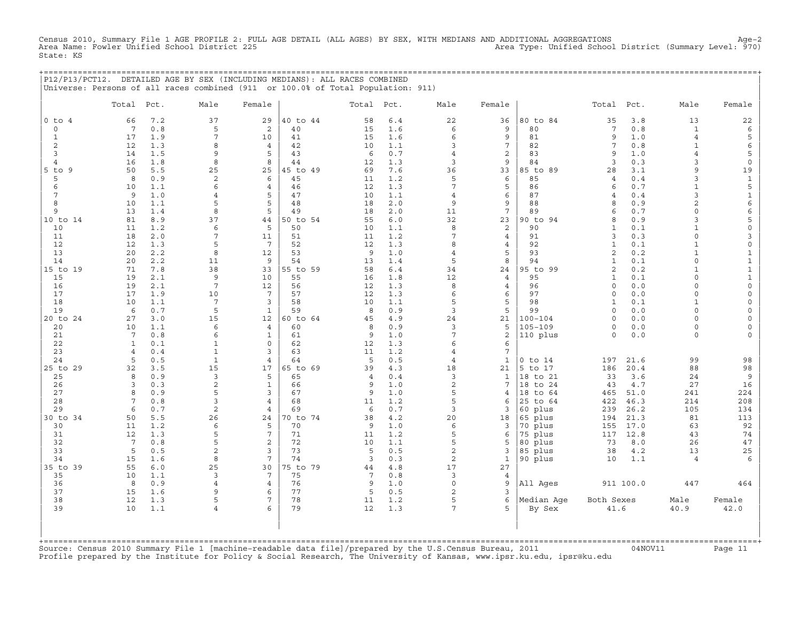Census 2010, Summary File 1 AGE PROFILE 2: FULL AGE DETAIL (ALL AGES) BY SEX, WITH MEDIANS AND ADDITIONAL AGGREGATIONS<br>Area Name: Fowler Unified School District 225 Area Type: Unified School State: KS

|  | P12/P13/PCT12. DETAILED AGE BY SEX (INCLUDING MEDIANS): ALL RACES COMBINED       |  |  |  |
|--|----------------------------------------------------------------------------------|--|--|--|
|  | Universe: Persons of all races combined (911 or 100.0% of Total Population: 911) |  |  |  |

|                      | Total Pct.      |            | Male                    | Female                            |                | Total Pct.     |            | Male                 | Female          |                    | Total               | Pct.        | Male                    | Female                              |
|----------------------|-----------------|------------|-------------------------|-----------------------------------|----------------|----------------|------------|----------------------|-----------------|--------------------|---------------------|-------------|-------------------------|-------------------------------------|
| $0$ to $4$           | 66              | 7.2        | 37                      | 29                                | 40 to 44       | 58             | $6.4$      | 22                   | 36              | 80 to 84           | 35                  | 3.8         | 13                      | 22                                  |
| $\mathbf 0$          | $7\phantom{.0}$ | 0.8        | 5                       | 2                                 | 40             | 15             | 1.6        | 6                    | 9               | 80                 | $7\phantom{.0}$     | 0.8         | $\mathbf{1}$            | $\epsilon$                          |
| $\mathbf{1}$         | 17              | 1.9        | 7                       | 10                                | 41             | 15             | 1.6        | 6                    | 9               | 81                 | 9                   | 1.0         | $\overline{4}$          | 5                                   |
| 2                    | 12              | 1.3        | 8                       | 4                                 | 42             | 10             | 1.1        | 3                    | $\overline{7}$  | 82                 | $7\phantom{.0}$     | 0.8         | $\mathbf{1}$            | $\epsilon$                          |
| $\overline{3}$       | 14              | 1.5        | 9                       | 5                                 | 43             | 6              | 0.7        | $\overline{4}$       | 2               | 83                 | 9                   | 1.0         | $\overline{\mathbf{4}}$ | 5                                   |
| $\overline{4}$       | 16              | 1.8        | 8                       | 8                                 | 44             | 12             | 1.3        | $\overline{3}$       | 9               | 84                 | $\overline{3}$      | 0.3         | 3                       | $\mathsf 0$                         |
| $5$ to $9$           | 50              | 5.5        | 25                      | 25                                | 45 to 49       | 69             | 7.6        | 36                   | 33              | 85 to 89           | 28                  | 3.1         | 9                       | 19                                  |
| 5                    | 8               | 0.9        | $\overline{\mathbf{c}}$ | 6                                 | 45             | 11             | 1.2        | 5<br>$7\phantom{.0}$ | 6               | 85                 | $\overline{4}$      | 0.4         | 3<br>$\mathbf{1}$       | $\,1\,$                             |
| 6<br>$7\phantom{.0}$ | 10<br>9         | 1.1<br>1.0 | 6<br>$\overline{4}$     | $\overline{4}$<br>5               | 46<br>47       | 12<br>10       | 1.3<br>1.1 | $\overline{4}$       | 5<br>6          | 86<br>87           | 6<br>$\overline{4}$ | 0.7<br>0.4  | 3                       | $\mathsf S$<br>$\mathbf{1}$         |
| 8                    | 10              | 1.1        | 5                       | 5                                 | 48             | 18             | 2.0        | 9                    | 9               | 88                 | 8                   | 0.9         | $\overline{2}$          | 6                                   |
| 9                    | 13              | 1.4        | 8                       | 5                                 | 49             | 18             | 2.0        | 11                   | $7\phantom{.0}$ | 89                 | 6                   | 0.7         | $\Omega$                | 6                                   |
| 10 to 14             | 81              | 8.9        | 37                      | 44                                | 50 to 54       | 55             | 6.0        | 32                   | 23              | 90 to 94           | 8                   | 0.9         | 3                       | 5                                   |
| 10                   | 11              | 1.2        | 6                       | 5                                 | 50             | 10             | 1.1        | 8                    | 2               | 90                 | $\mathbf{1}$        | 0.1         | $\mathbf{1}$            | $\mathsf{O}\xspace$                 |
| 11                   | 18              | 2.0        | 7                       | 11                                | 51             | 11             | 1.2        | $7\phantom{.0}$      | $\overline{4}$  | 91                 | 3                   | 0.3         | $\circ$                 | 3                                   |
| 12                   | 12              | 1.3        | 5                       | $7\phantom{.0}$                   | 52             | 12             | 1.3        | 8                    | 4               | 92                 | $\mathbf{1}$        | 0.1         | $\mathbf{1}$            | $\mathsf{O}\xspace$                 |
| 13                   | 20              | 2.2        | 8                       | 12                                | 53             | 9              | 1.0        | $\overline{4}$       | 5               | 93                 | 2                   | 0.2         | $\mathbf{1}$            | $\mathbf{1}$                        |
| 14                   | 20              | 2.2        | 11                      | 9                                 | 54             | 13             | 1.4        | 5                    | 8               | 94                 | $\mathbf{1}$        | 0.1         | $\Omega$                | $\mathbf 1$                         |
| 15 to 19             | 71              | 7.8        | 38                      | 33                                | 55 to 59       | 58             | $6.4$      | 34                   | 24              | 95 to 99           | $\overline{a}$      | 0.2         | $\mathbf{1}$            | $\mathbf{1}$                        |
| 15                   | 19              | 2.1        | 9                       | 10                                | 55             | 16             | 1.8        | 12                   | $\overline{4}$  | 95                 | $\mathbf{1}$        | 0.1         | $\Omega$                | $\mathbf 1$                         |
| 16                   | 19              | 2.1        | $\overline{7}$          | 12                                | 56             | 12             | 1.3        | 8                    | $\overline{4}$  | 96                 | $\Omega$            | 0.0         | $\Omega$                | $\mathsf{O}\xspace$                 |
| 17                   | 17              | 1.9        | 10                      | $7\overline{ }$                   | 57             | 12             | 1.3        | 6                    | 6               | 97                 | $\Omega$            | 0.0         | $\circ$                 | $\mathsf{O}\xspace$                 |
| 18                   | 10              | 1.1        | $\overline{7}$          | 3                                 | 58             | 10             | 1.1        | 5                    | 5               | 98                 | $\mathbf{1}$        | 0.1         | $\mathbf{1}$            | $\mathsf{O}\xspace$                 |
| 19<br>20 to 24       | 6<br>27         | 0.7<br>3.0 | 5<br>15                 | $\mathbf{1}$<br>$12 \overline{ }$ | 59<br>60 to 64 | 8<br>45        | 0.9<br>4.9 | 3<br>24              | 5<br>21         | 99<br>$100 - 104$  | $\circ$<br>$\Omega$ | 0.0<br>0.0  | $\circ$<br>$\Omega$     | $\mathsf{O}\xspace$<br>$\mathsf{O}$ |
| 20                   | 10              | 1.1        | 6                       | $\overline{4}$                    | 60             | 8              | 0.9        | $\overline{3}$       | 5               | $105 - 109$        | $\Omega$            | 0.0         | $\circ$                 | $\mathsf{O}\xspace$                 |
| 21                   | $7\overline{ }$ | 0.8        | 6                       | $\mathbf{1}$                      | 61             | 9              | 1.0        | $\overline{7}$       | 2               | 110 plus           | $\Omega$            | 0.0         | $\circ$                 | $\mathbf{0}$                        |
| 22                   | $\mathbf{1}$    | 0.1        | $\mathbf{1}$            | $\Omega$                          | 62             | 12             | 1.3        | 6                    | 6               |                    |                     |             |                         |                                     |
| 23                   | $\overline{4}$  | 0.4        | $\mathbf{1}$            | 3                                 | 63             | 11             | 1.2        | $\overline{4}$       | $7\overline{ }$ |                    |                     |             |                         |                                     |
| 24                   | 5               | 0.5        | $\mathbf{1}$            | $\overline{4}$                    | 64             | 5              | 0.5        | $\overline{4}$       | $\mathbf{1}$    | $0$ to $14$        | 197                 | 21.6        | 99                      | 98                                  |
| 25 to 29             | 32              | 3.5        | 15                      | 17                                | 65 to 69       | 39             | 4.3        | 18                   | 21              | 5 to 17            | 186                 | 20.4        | 88                      | 98                                  |
| 25                   | 8               | 0.9        | $\overline{3}$          | 5                                 | 65             | $\overline{4}$ | 0.4        | 3                    | $\mathbf{1}$    | 18 to 21           | 33                  | 3.6         | 24                      | 9                                   |
| 26                   | 3               | 0.3        | $\overline{c}$          | $\mathbf{1}$                      | 66             | 9              | 1.0        | $\overline{c}$       | $\overline{7}$  | 18 to 24           | 43                  | 4.7         | 27                      | 16                                  |
| 27                   | 8               | 0.9        | 5                       | 3                                 | 67             | 9              | 1.0        | 5                    | $\overline{4}$  | 18 to 64           | 465                 | 51.0        | 241                     | 224                                 |
| 28                   | $7\phantom{.0}$ | 0.8        | 3                       | $\overline{4}$                    | 68             | 11             | 1.2        | 5                    | 6               | 25 to 64           | 422                 | 46.3        | 214                     | 208                                 |
| 29                   | 6               | 0.7        | $\overline{a}$          | $\overline{4}$                    | 69             | 6              | 0.7        | 3                    | 3               | 60 plus            | 239                 | 26.2        | 105                     | 134                                 |
| 30 to 34             | 50              | 5.5        | 26                      | 24                                | 70 to 74       | 38             | 4.2        | 20                   | 18              | 65 plus            | 194                 | 21.3        | 81                      | 113                                 |
| 30                   | 11              | 1.2        | 6<br>5                  | 5<br>7                            | 70             | 9              | 1.0        | 6                    | 3               | 70 plus            | 155                 | 17.0        | 63                      | 92                                  |
| 31<br>32             | 12<br>7         | 1.3<br>0.8 | 5                       | $\overline{a}$                    | 71<br>72       | 11<br>10       | 1.2<br>1.1 | 5<br>5               | 6<br>5          | 75 plus<br>80 plus | 117<br>73           | 12.8<br>8.0 | 43<br>26                | 74<br>$4\,7$                        |
| 33                   | 5               | 0.5        | $\overline{c}$          | 3                                 | 73             | 5              | 0.5        | $\overline{c}$       | 3               | 85 plus            | 38                  | 4.2         | 13                      | $25\,$                              |
| 34                   | 15              | 1.6        | 8                       | 7                                 | 74             | 3              | 0.3        | $\boldsymbol{2}$     | $\mathbf{1}$    | 90 plus            | 10                  | 1.1         | $\overline{4}$          | 6                                   |
| 35 to 39             | 55              | 6.0        | 25                      | 30                                | 75 to 79       | 44             | $4.8$      | 17                   | 27              |                    |                     |             |                         |                                     |
| 35                   | 10              | 1.1        | 3                       | 7                                 | 75             | 7              | 0.8        | 3                    | $\overline{4}$  |                    |                     |             |                         |                                     |
| 36                   | 8               | 0.9        | 4                       | $\overline{4}$                    | 76             | 9              | 1.0        | $\circ$              | 9               | All Ages           |                     | 911 100.0   | 447                     | 464                                 |
| 37                   | 15              | 1.6        | 9                       | 6                                 | 77             | 5              | 0.5        | 2                    | $\overline{3}$  |                    |                     |             |                         |                                     |
| 38                   | 12              | 1.3        | 5                       | 7                                 | 78             | 11             | 1.2        | 5                    | 6               | Median Age         | Both Sexes          |             | Male                    | Female                              |
| 39                   | 10              | 1.1        | 4                       | 6                                 | 79             | 12             | 1.3        | $7\overline{ }$      | $\overline{5}$  | By Sex             | 41.6                |             | 40.9                    | 42.0                                |
|                      |                 |            |                         |                                   |                |                |            |                      |                 |                    |                     |             |                         |                                     |

+===================================================================================================================================================+Source: Census 2010 Summary File 1 [machine−readable data file]/prepared by the U.S.Census Bureau, 2011 04NOV11 Page 11 Profile prepared by the Institute for Policy & Social Research, The University of Kansas, www.ipsr.ku.edu, ipsr@ku.edu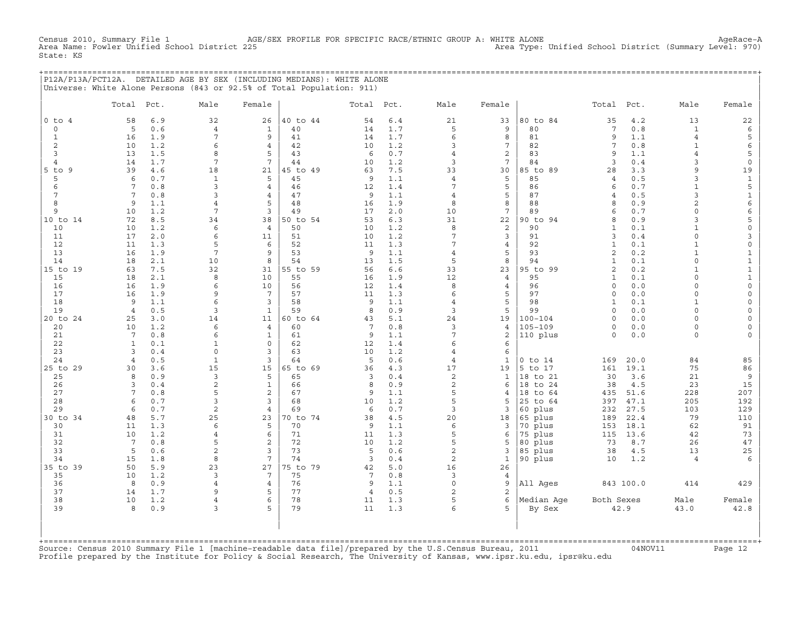Census 2010, Summary File 1 AGE/SEX PROFILE FOR SPECIFIC RACE/ETHNIC GROUP A: WHITE ALONE Agehace−A<br>Area Type: Unified School District (Summary Level: 970) Area Type: Unified School District (Sum Area Type: Unified School District (Summary Level: 970) State: KS

+===================================================================================================================================================+ |P12A/P13A/PCT12A. DETAILED AGE BY SEX (INCLUDING MEDIANS): WHITE ALONE | |Universe: White Alone Persons (843 or 92.5% of Total Population: 911) |

|                | Total                              | Pct.       | Male                | Female                           |                | Total Pct.     |            | Male                | Female          |                    | Total                   | Pct.         | Male              | Female                      |
|----------------|------------------------------------|------------|---------------------|----------------------------------|----------------|----------------|------------|---------------------|-----------------|--------------------|-------------------------|--------------|-------------------|-----------------------------|
| $0$ to $4$     | 58                                 | 6.9        | 32                  | 26                               | 40 to 44       | 54             | $6.4$      | 21                  | 33              | 80 to 84           | 35                      | 4.2          | 13                | 22                          |
| $\circ$        | 5                                  | 0.6        | $\overline{4}$      | $\mathbf{1}$                     | 40             | 14             | 1.7        | 5                   | 9               | 80                 | $7\phantom{.0}$         | 0.8          | $\mathbf{1}$      | 6                           |
| $\mathbf{1}$   | 16                                 | 1.9        | 7                   | 9                                | 41             | 14             | 1.7        | 6                   | 8               | 81                 | 9                       | 1.1          | $\overline{4}$    | 5                           |
| 2              | 10                                 | 1.2        | 6                   | $\overline{4}$                   | 42             | 10             | 1.2        | 3                   | 7               | 82                 | 7                       | 0.8          | $\mathbf{1}$      | $\epsilon$                  |
| 3              | 13                                 | 1.5        | 8                   | 5                                | 43             | 6              | 0.7        | $\overline{4}$      | 2               | 83                 | 9                       | 1.1          | $\overline{4}$    | 5                           |
| $\overline{4}$ | 14                                 | 1.7        | 7                   | $\overline{7}$                   | 44             | 10             | 1.2        | $\overline{3}$      | 7               | 84                 | 3                       | 0.4          | $\mathbf{z}$      | $\mathsf 0$                 |
| $5$ to $9$     | 39                                 | 4.6        | 18                  | 21                               | 45 to 49       | 63             | 7.5        | 33                  | 30              | 85 to 89           | 28                      | 3.3          | 9                 | 19                          |
| 5              | 6                                  | 0.7        | $\mathbf{1}$        | 5                                | 45             | 9              | 1.1        | $\overline{4}$<br>7 | 5               | 85                 | $\overline{4}$          | 0.5          | 3                 | $\mathbf 1$                 |
| 6<br>7         | $7\phantom{.0}$<br>$7\phantom{.0}$ | 0.8<br>0.8 | 3<br>3              | $\overline{4}$<br>$\overline{4}$ | 46<br>47       | 12<br>9        | 1.4<br>1.1 | $\overline{4}$      | 5<br>5          | 86<br>87           | 6<br>$\overline{4}$     | 0.7<br>0.5   | $\mathbf{1}$<br>3 | $\mathsf S$<br>$\mathbf{1}$ |
| 8              | 9                                  | 1.1        | $\overline{4}$      | 5                                | 48             | 16             | 1.9        | 8                   | 8               | 88                 | 8                       | 0.9          | $\overline{2}$    | 6                           |
| 9              | 10                                 | 1.2        | $\overline{7}$      | 3                                | 49             | 17             | 2.0        | 10                  | $7\phantom{.0}$ | 89                 | 6                       | 0.7          | $\Omega$          | 6                           |
| 10 to 14       | 72                                 | 8.5        | 34                  | 38                               | 50 to 54       | 53             | 6.3        | 31                  | 22              | 90 to 94           | 8                       | 0.9          | 3                 | 5                           |
| 10             | 10                                 | 1.2        | 6                   | $\overline{4}$                   | 50             | 10             | 1.2        | 8                   | 2               | 90                 | $\mathbf{1}$            | 0.1          | $\mathbf{1}$      | $\mathsf{O}$                |
| 11             | 17                                 | 2.0        | 6                   | 11                               | 51             | 10             | 1.2        | $\overline{7}$      | 3               | 91                 | $\overline{3}$          | 0.4          | $\circ$           | 3                           |
| 12             | 11                                 | 1.3        | 5                   | 6                                | 52             | 11             | 1.3        | 7                   | $\overline{4}$  | 92                 | $\mathbf{1}$            | 0.1          | $\mathbf{1}$      | $\mathsf{O}$                |
| 13             | 16                                 | 1.9        | 7                   | 9                                | 53             | 9              | 1.1        | $\overline{4}$      | 5               | 93                 | 2                       | 0.2          | $\mathbf{1}$      | $\mathbf{1}$                |
| 14             | 18                                 | 2.1        | 10                  | 8                                | 54             | 13             | 1.5        | 5                   | 8               | 94                 | $\mathbf{1}$            | 0.1          | $\Omega$          | $\mathbf{1}$                |
| 15 to 19       | 63                                 | 7.5        | 32                  | 31                               | 55 to 59       | 56             | 6.6        | 33                  | 23              | 95 to 99           | 2                       | 0.2          | $\mathbf{1}$      | $\mathbf 1$                 |
| 15             | 18                                 | 2.1        | 8                   | 10                               | 55             | 16             | 1.9        | 12                  | $\overline{4}$  | 95                 | $\mathbf{1}$            | 0.1          | $\Omega$          | $\mathbf 1$                 |
| 16             | 16                                 | 1.9        | 6                   | 10                               | 56             | 12             | 1.4        | 8                   | $\overline{4}$  | 96                 | $\Omega$                | 0.0          | $\Omega$          | $\mathsf{O}\xspace$         |
| 17             | 16                                 | 1.9        | 9                   | $7\phantom{.0}$                  | 57             | 11             | 1.3        | 6                   | 5               | 97                 | $\mathbf 0$             | 0.0          | $\circ$           | $\mathsf{O}$                |
| 18             | 9                                  | 1.1        | 6                   | 3                                | 58             | 9              | 1.1        | $\overline{4}$      | 5               | 98                 | $\mathbf{1}$            | 0.1          | $\mathbf{1}$      | $\circ$                     |
| 19<br>20 to 24 | $\overline{4}$<br>25               | 0.5<br>3.0 | 3<br>14             | $\mathbf{1}$<br>11               | 59<br>60 to 64 | 8<br>43        | 0.9<br>5.1 | 3<br>24             | 5<br>19         | 99<br>$100 - 104$  | $\mathbf 0$<br>$\Omega$ | 0.0<br>0.0   | $\circ$<br>$\cap$ | $\mathsf{O}$<br>$\circ$     |
| 20             | 10                                 | 1.2        | 6                   | $\overline{4}$                   | 60             | 7              | 0.8        | $\overline{3}$      | $\overline{4}$  | $105 - 109$        | $\mathbf 0$             | 0.0          | $\Omega$          | $\mathsf{O}\xspace$         |
| 21             | $7\phantom{.0}$                    | 0.8        | 6                   | $\mathbf{1}$                     | 61             | 9              | 1.1        | 7                   | 2               | 110 plus           | $\circ$                 | 0.0          | $\circ$           | $\circ$                     |
| 22             | $\mathbf{1}$                       | 0.1        | $\mathbf{1}$        | $\Omega$                         | 62             | 12             | 1.4        | 6                   | 6               |                    |                         |              |                   |                             |
| 23             | 3                                  | 0.4        | $\mathbf 0$         | $\overline{3}$                   | 63             | 10             | 1.2        | $\overline{4}$      | 6               |                    |                         |              |                   |                             |
| 24             | $\overline{4}$                     | 0.5        | $\mathbf{1}$        | 3                                | 64             | 5              | 0.6        | $\overline{4}$      | $\mathbf{1}$    | $0$ to $14$        | 169                     | 20.0         | 84                | 85                          |
| 25 to 29       | 30                                 | 3.6        | 15                  | 15                               | 65 to 69       | 36             | 4.3        | 17                  | 19              | 5 to 17            | 161                     | 19.1         | 75                | 86                          |
| 25             | 8                                  | 0.9        | $\overline{3}$      | 5                                | 65             | 3              | 0.4        | 2                   | $\mathbf{1}$    | 18 to 21           | 30                      | 3.6          | 21                | 9                           |
| 26             | 3                                  | 0.4        | 2                   | $\mathbf{1}$                     | 66             | 8              | 0.9        | $\overline{a}$      | 6               | 18 to 24           | 38                      | 4.5          | 23                | 15                          |
| 27             | 7                                  | 0.8        | 5                   | 2                                | 67             | 9              | 1.1        | 5                   | $\overline{4}$  | 18 to 64           | 435                     | 51.6         | 228               | 207                         |
| 28             | 6                                  | 0.7        | 3                   | 3                                | 68             | 10             | 1.2        | 5                   | 5               | 25 to 64           | 397                     | 47.1         | 205               | 192                         |
| 29             | 6                                  | 0.7        | $\overline{a}$      | $\overline{4}$                   | 69             | 6              | 0.7        | 3                   | 3               | 60 plus            | 232                     | 27.5         | 103               | 129                         |
| 30 to 34       | 48                                 | 5.7        | 25                  | 23                               | 70 to 74       | 38             | 4.5        | 20                  | 18              | 65 plus            | 189                     | 22.4         | 79                | 110                         |
| 30<br>31       | 11<br>10                           | 1.3<br>1.2 | 6<br>$\overline{4}$ | 5<br>6                           | 70<br>71       | 9<br>11        | 1.1<br>1.3 | 6<br>5              | 3<br>6          | 70 plus<br>75 plus | 153<br>115              | 18.1<br>13.6 | 62<br>42          | 91<br>73                    |
| 32             | $7\phantom{.0}$                    | 0.8        | 5                   | $\overline{c}$                   | 72             | 10             | 1.2        | 5                   | 5               | 80 plus            | 73                      | 8.7          | 26                | 47                          |
| 33             | 5                                  | 0.6        | $\overline{a}$      | $\overline{3}$                   | 73             | 5              | 0.6        | $\overline{a}$      | 3               | 85 plus            | 38                      | 4.5          | 13                | $25\,$                      |
| 34             | 15                                 | 1.8        | 8                   | 7                                | 74             | 3              | 0.4        | $\mathbf 2$         | $\mathbf{1}$    | 90 plus            | 10                      | 1.2          | $\overline{4}$    | 6                           |
| 35 to 39       | 50                                 | 5.9        | 23                  | 27                               | 75 to 79       | 42             | 5.0        | 16                  | 26              |                    |                         |              |                   |                             |
| 35             | 10                                 | 1.2        | 3                   | 7                                | 75             | 7              | 0.8        | 3                   | $\overline{4}$  |                    |                         |              |                   |                             |
| 36             | 8                                  | 0.9        | $\overline{4}$      | $\overline{4}$                   | 76             | 9              | 1.1        | $\circ$             | 9               | All Ages           |                         | 843 100.0    | 414               | 429                         |
| 37             | 14                                 | 1.7        | 9                   | 5                                | 77             | $\overline{4}$ | 0.5        | $\overline{a}$      | 2               |                    |                         |              |                   |                             |
| 38             | 10                                 | 1.2        | $\overline{4}$      | 6                                | 78             | 11             | 1.3        | 5                   | 6               | Median Age         | Both Sexes              |              | Male              | Female                      |
| 39             | 8                                  | 0.9        | 3                   | 5                                | 79             | 11             | 1.3        | 6                   | 5               | By Sex             |                         | 42.9         | 43.0              | 42.8                        |
|                |                                    |            |                     |                                  |                |                |            |                     |                 |                    |                         |              |                   |                             |

+===================================================================================================================================================+Source: Census 2010 Summary File 1 [machine−readable data file]/prepared by the U.S.Census Bureau, 2011 04NOV11 Page 12 Profile prepared by the Institute for Policy & Social Research, The University of Kansas, www.ipsr.ku.edu, ipsr@ku.edu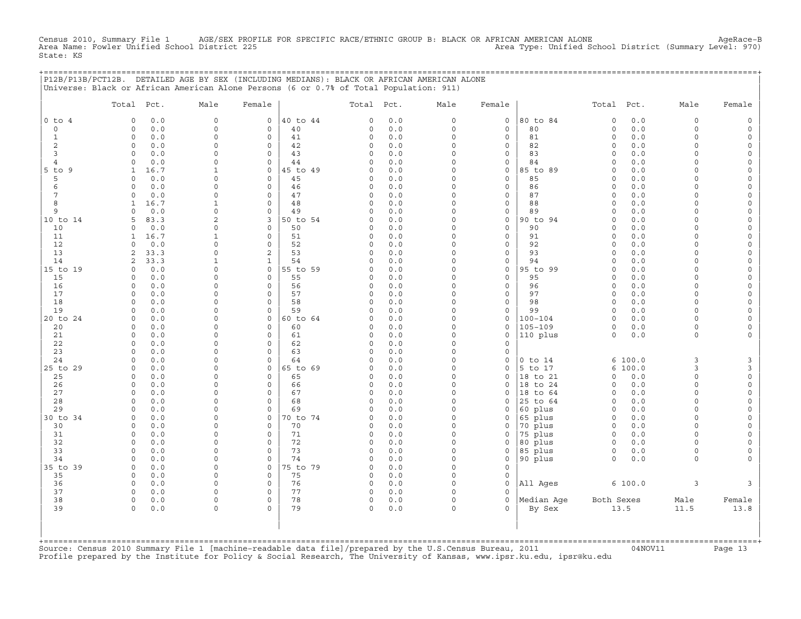Census 2010, Summary File 1 AGE/SEX PROFILE FOR SPECIFIC RACE/ETHNIC GROUP B: BLACK OR AFRICAN AMERICAN ALONE<br>Area Name: Fowler Unified School District 225 Area Name: Fowler Unified School District (Summary Level: 970 State: KS

|                           | P12B/P13B/PCT12B. DETAILED AGE BY SEX (INCLUDING MEDIANS): BLACK OR AFRICAN AMERICAN ALONE<br>Universe: Black or African American Alone Persons (6 or 0.7% of Total Population: 911) |                          |                             |                |                    |            |                      |                        | =========================== |                      |              |                      |          |
|---------------------------|--------------------------------------------------------------------------------------------------------------------------------------------------------------------------------------|--------------------------|-----------------------------|----------------|--------------------|------------|----------------------|------------------------|-----------------------------|----------------------|--------------|----------------------|----------|
|                           | Total Pct.                                                                                                                                                                           | Male                     | Female                      |                |                    | Total Pct. | Male                 | Female                 |                             | Total Pct.           |              | Male                 | Female   |
| $0$ to $4$                | 0.0<br>$\circ$                                                                                                                                                                       | $\circ$                  | $\circ$                     | 40 to 44       | $\circ$            | 0.0        | $\circ$              | $\mathsf{O}$           | 80 to 84                    | $\mathbf 0$          | 0.0          | $\circ$              |          |
| $\circ$<br>$\mathbf{1}$   | 0.0<br>$\circ$<br>0.0<br>$\circ$                                                                                                                                                     | $\circ$<br>$\Omega$      | $\circ$<br>$\circ$          | 40<br>41       | 0<br>0             | 0.0<br>0.0 | $\circ$<br>$\Omega$  | $\mathbf 0$<br>$\circ$ | 80<br>81                    | $\circ$<br>$\Omega$  | 0.0<br>$0.0$ | $\circ$<br>$\Omega$  | $\Omega$ |
| $\overline{c}$            | $\circ$<br>0.0                                                                                                                                                                       | $\Omega$                 | $\circ$                     | 42             | 0                  | 0.0        | $\circ$              | 0                      | 82                          | $\circ$              | 0.0          | $\Omega$             |          |
| 3                         | $\Omega$<br>0.0                                                                                                                                                                      | $\cap$                   | $\mathbf 0$                 | 43             | $\circ$            | 0.0        | $\circ$              | 0                      | 83                          | $\circ$              | 0.0          | $\cap$               |          |
| 4                         | 0.0<br>0                                                                                                                                                                             | $\cap$                   | $\mathsf{O}$                | 44             | 0                  | 0.0        | $\circ$              | 0                      | 84                          | $\Omega$             | 0.0          | $\cap$               |          |
| $5$ to $9$                | 16.7<br>$\mathbf{1}$                                                                                                                                                                 |                          | $\Omega$                    | 45 to 49       | $\Omega$           | 0.0        | $\Omega$             | 0                      | 85 to 89                    | $\Omega$             | 0.0          | $\cap$               |          |
| 5                         | 0.0<br>$\Omega$                                                                                                                                                                      | n                        | $\circ$                     | 45             | 0                  | 0.0        | $\Omega$             | $\mathbf 0$            | 85                          | $\Omega$             | 0.0          |                      |          |
| 6<br>7                    | 0.0<br>$\Omega$<br>0.0<br>$\Omega$                                                                                                                                                   | $\cap$<br>$\Omega$       | $\circ$<br>$\circ$          | 46<br>47       | $\circ$<br>$\circ$ | 0.0<br>0.0 | $\Omega$<br>$\Omega$ | 0<br>$\mathbf{0}$      | 86<br>87                    | $\Omega$<br>$\Omega$ | 0.0<br>0.0   | $\cap$<br>$\cap$     |          |
| 8                         | 16.7<br>$\mathbf{1}$                                                                                                                                                                 | $\mathbf{1}$             | $\mathbf{0}$                | 48             | $\circ$            | 0.0        | $\Omega$             | $\circ$                | 88                          | $\mathbf 0$          | 0.0          | $\Omega$             |          |
| 9                         | 0.0<br>$\Omega$                                                                                                                                                                      | $\Omega$                 | $\circ$                     | 49             | 0                  | 0.0        | $\circ$              | 0                      | 89                          | $\mathbf 0$          | 0.0          | $\Omega$             |          |
| 10 to 14                  | 83.3<br>5                                                                                                                                                                            | $\overline{a}$           | 3                           | 50 to 54       | 0                  | 0.0        | $\Omega$             | $\mathbf{0}$           | 90 to 94                    | $\Omega$             | 0.0          | $\Omega$             |          |
| 10                        | 0.0<br>0                                                                                                                                                                             | $\Omega$                 | $\mathsf{O}$                | 50             | 0                  | 0.0        | 0                    | $\circ$                | 90                          | $\mathbf 0$          | 0.0          | $\Omega$             |          |
| 11                        | 16.7<br>1                                                                                                                                                                            |                          | $\mathsf{O}$                | 51             | 0                  | 0.0        | 0                    | 0                      | 91                          | $\circ$              | 0.0          | $\cap$               |          |
| 12                        | 0.0<br>$\Omega$                                                                                                                                                                      |                          | $\Omega$                    | 52             | $\Omega$           | 0.0        | O                    | $\Omega$               | 92                          | $\Omega$             | 0.0          |                      |          |
| 13<br>14                  | 33.3<br>2<br>33.3<br>2                                                                                                                                                               | $\Omega$                 | 2<br>$\mathbf{1}$           | 53<br>54       | 0<br>0             | 0.0<br>0.0 | $\Omega$<br>$\Omega$ | 0<br>0                 | 93<br>94                    | $\Omega$<br>$\Omega$ | 0.0<br>0.0   | $\cap$               |          |
| 15 to 19                  | 0.0<br>$\Omega$                                                                                                                                                                      | $\Omega$                 | $\circ$                     | 55 to 59       | 0                  | 0.0        | 0                    | 0                      | 95 to 99                    | $\mathbf 0$          | 0.0          | $\cap$               |          |
| 15                        | 0.0<br>$\Omega$                                                                                                                                                                      | $\Omega$                 | $\mathbf{0}$                | 55             | 0                  | 0.0        | $\Omega$             | $\circ$                | 95                          | $\circ$              | 0.0          | $\Omega$             |          |
| 16                        | $\circ$<br>0.0                                                                                                                                                                       | $\Omega$                 | $\mathbf{0}$                | 56             | $\circ$            | 0.0        | $\circ$              | $\circ$                | 96                          | $\circ$              | 0.0          | $\Omega$             |          |
| 17                        | 0.0<br>0                                                                                                                                                                             | $\Omega$                 | $\mathbf 0$                 | 57             | 0                  | 0.0        | $\circ$              | 0                      | 97                          | $\circ$              | 0.0          | $\Omega$             |          |
| 18                        | 0.0<br>$\Omega$                                                                                                                                                                      | $\cap$                   | $\mathbf 0$                 | 58             | 0                  | 0.0        | $\circ$              | 0                      | 98                          | $\circ$              | 0.0          | $\Omega$             |          |
| 19                        | $\circ$<br>0.0                                                                                                                                                                       | $\Omega$                 | $\mathsf{O}$                | 59             | 0                  | 0.0        | $\circ$              | 0                      | 99                          | $\circ$              | 0.0          | $\Omega$             |          |
| 20 to 24                  | 0.0<br>$\Omega$<br>0.0<br>$\Omega$                                                                                                                                                   | <sup>0</sup><br>$\Omega$ | $\circ$<br>$\Omega$         | 60 to 64<br>60 | 0<br>$\Omega$      | 0.0<br>0.0 | $\Omega$<br>$\Omega$ | 0<br>0                 | 100-104<br>$105 - 109$      | $\Omega$<br>$\Omega$ | 0.0<br>0.0   | $\cap$<br>$\Omega$   |          |
| 20<br>21                  | 0.0<br>$\mathbf 0$                                                                                                                                                                   | $\cap$                   | $\mathbf 0$                 | 61             | 0                  | 0.0        | $\circ$              | 0                      | 110 plus                    | $\circ$              | 0.0          | $\Omega$             |          |
| 22                        | 0.0<br>$\Omega$                                                                                                                                                                      | n                        | $\mathbf 0$                 | 62             | 0                  | 0.0        | $\Omega$             | 0                      |                             |                      |              |                      |          |
| 23                        | 0.0<br>$\Omega$                                                                                                                                                                      | $\Omega$                 | $\circ$                     | 63             | 0                  | 0.0        | $\circ$              | $\circ$                |                             |                      |              |                      |          |
| 24                        | 0.0<br>$\Omega$                                                                                                                                                                      | $\Omega$                 | $\mathbf 0$                 | 64             | 0                  | 0.0        | 0                    | 0                      | $0$ to $14$                 |                      | 6100.0       | 3                    | 3        |
| 25 to 29                  | $\circ$<br>0.0                                                                                                                                                                       | $\Omega$                 | $\circ$                     | 65 to 69       | 0                  | 0.0        | $\circ$              | 0                      | 5 to 17                     |                      | 6 100.0      | 3                    | 3        |
| 25                        | 0.0<br>0                                                                                                                                                                             | $\Omega$<br>$\cap$       | $\mathsf{O}$                | 65             | 0                  | 0.0        | $\circ$              | 0                      | 18 to 21                    | $\circ$              | 0.0          | $\Omega$<br>$\cap$   | $\Omega$ |
| 26<br>27                  | $\circ$<br>0.0<br>$\Omega$<br>0.0                                                                                                                                                    | $\Omega$                 | $\mathbf 0$<br>$\mathbf{0}$ | 66<br>67       | 0<br>$\circ$       | 0.0<br>0.0 | $\circ$<br>$\Omega$  | $\mathbf{0}$<br>0      | 18 to 24<br>18 to 64        | $\circ$<br>$\circ$   | 0.0<br>0.0   | $\Omega$             | $\Omega$ |
| 28                        | 0.0<br>$\Omega$                                                                                                                                                                      | $\Omega$                 | $\circ$                     | 68             | 0                  | 0.0        | O                    | 0                      | 25 to 64                    | $\mathbf 0$          | 0.0          | $\Omega$             |          |
| 29                        | 0.0<br>$\Omega$                                                                                                                                                                      | $\cap$                   | $\Omega$                    | 69             | $\Omega$           | 0.0        | $\Omega$             | 0                      | 60 plus                     | $\Omega$             | 0.0          | $\cap$               |          |
| 30 to 34                  | $\circ$<br>0.0                                                                                                                                                                       | $\Omega$                 | 0                           | 70 to 74       | $\circ$            | 0.0        | 0                    | 0                      | 65 plus                     | $\mathbf 0$          | 0.0          | $\cap$               |          |
| 30                        | 0.0<br>$\circ$                                                                                                                                                                       | $\Omega$                 | $\mathbf 0$                 | 70             | 0                  | 0.0        | $\circ$              | 0                      | 70 plus                     | $\circ$              | 0.0          | $\Omega$             |          |
| 31                        | 0.0<br>0                                                                                                                                                                             |                          | $\mathbf 0$                 | 71             | 0                  | 0.0        | $\Omega$             | $\circ$                | 75 plus                     | $\circ$              | 0.0          | $\Omega$             |          |
| 32                        | $\circ$<br>0.0                                                                                                                                                                       | $\Omega$                 | $\mathbf 0$                 | 72             | 0                  | 0.0        | $\circ$              | 0                      | 80 plus                     | $\circ$              | 0.0          | $\Omega$             |          |
| 33<br>34                  | $\Omega$<br>0.0<br>0.0<br>$\Omega$                                                                                                                                                   | $\cap$<br>$\Omega$       | $\mathbf 0$<br>$\mathsf{O}$ | 73<br>74       | $\circ$<br>0       | 0.0<br>0.0 | $\circ$<br>$\Omega$  | 0<br>0                 | 85 plus<br>90 plus          | $\circ$<br>$\Omega$  | 0.0<br>0.0   | $\Omega$<br>$\Omega$ |          |
| 35 to 39                  | 0.0<br>$\Omega$                                                                                                                                                                      | $\Omega$                 | $\circ$                     | 75 to 79       | $\Omega$           | 0.0        | $\Omega$             | $\mathbf{0}$           |                             |                      |              |                      |          |
| 35                        | 0.0<br>$\Omega$                                                                                                                                                                      | $\Omega$                 | $\circ$                     | 75             | $\circ$            | 0.0        | $\Omega$             | 0                      |                             |                      |              |                      |          |
| 36                        | 0.0<br>$\mathbf 0$                                                                                                                                                                   | $\Omega$                 | $\mathbf 0$                 | 76             | $\circ$            | 0.0        | $\Omega$             | $\circ$                | All Ages                    |                      | 6 100.0      | 3                    | 3        |
| 37                        | $\Omega$<br>0.0                                                                                                                                                                      | $\Omega$                 | $\Omega$                    | 77             | $\circ$            | 0.0        | $\Omega$             | $\Omega$               |                             |                      |              |                      |          |
| 38                        | $\circ$<br>0.0                                                                                                                                                                       | $\circ$                  | $\mathsf{O}\xspace$         | 78             | $\circ$            | 0.0        | $\circ$              | $\circ$                | Median Aqe                  | Both Sexes           |              | Male                 | Female   |
| 39                        | 0.0<br>$\Omega$                                                                                                                                                                      | $\Omega$                 | $\Omega$                    | 79             | $\circ$            | 0.0        | $\Omega$             | $\Omega$               | By Sex                      |                      | 13.5         | 11.5                 | 13.8     |
|                           |                                                                                                                                                                                      |                          |                             |                |                    |            |                      |                        |                             |                      |              |                      |          |
|                           |                                                                                                                                                                                      |                          |                             |                |                    |            |                      |                        |                             |                      |              |                      |          |
| $+$ = = = = = = = = = = = |                                                                                                                                                                                      |                          |                             |                |                    |            |                      |                        |                             |                      |              |                      |          |

+===================================================================================================================================================+Source: Census 2010 Summary File 1 [machine−readable data file]/prepared by the U.S.Census Bureau, 2011 04NOV11 Page 13 Profile prepared by the Institute for Policy & Social Research, The University of Kansas, www.ipsr.ku.edu, ipsr@ku.edu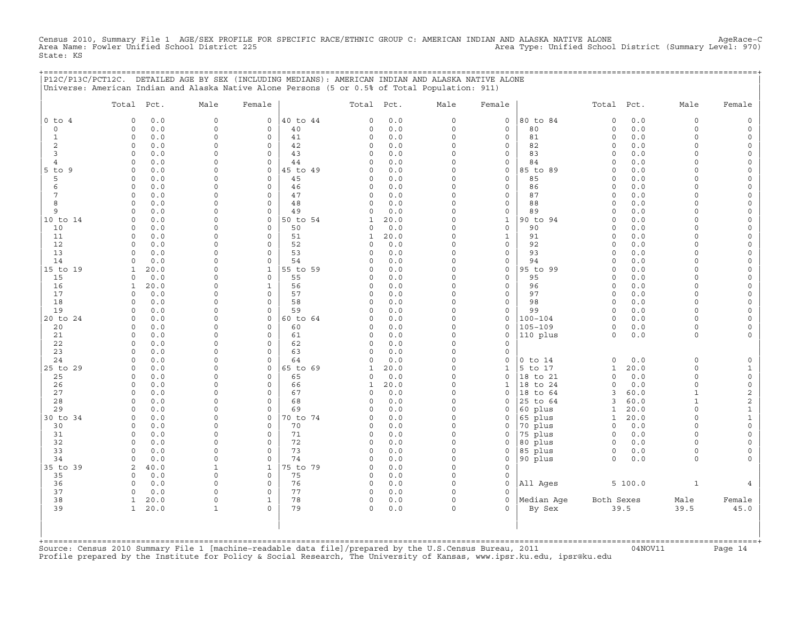Census 2010, Summary File 1 AGE/SEX PROFILE FOR SPECIFIC RACE/ETHNIC GROUP C: AMERICAN INDIAN AND ALASKA NATIVE ALONE AgeRace−C Area Name: Fowler Unified School District 225 Area Type: Unified School District (Summary Level: 970) State: KS

+===================================================================================================================================================+

|                          | P12C/P13C/PCT12C. DETAILED AGE BY SEX (INCLUDING MEDIANS): AMERICAN INDIAN AND ALASKA NATIVE ALONE<br>Universe: American Indian and Alaska Native Alone Persons (5 or 0.5% of Total Population: 911) |                      |                                    |                |                      |            |                      |                          |                    |                         |            |                      |                                            |
|--------------------------|------------------------------------------------------------------------------------------------------------------------------------------------------------------------------------------------------|----------------------|------------------------------------|----------------|----------------------|------------|----------------------|--------------------------|--------------------|-------------------------|------------|----------------------|--------------------------------------------|
|                          | Total<br>Pct.                                                                                                                                                                                        | Male                 | Female                             |                | Total                | Pct.       | Male                 | Female                   |                    | Total                   | Pct.       | Male                 | Female                                     |
| $0$ to<br>$\overline{4}$ | 0.0<br>$\mathbf 0$                                                                                                                                                                                   | $\mathsf O$          | $\mathbf 0$                        | 40 to 44       | $\mathbf 0$          | 0.0        | $\mathsf{O}\xspace$  | $\mathsf{O}\xspace$      | 80 to 84           | $\circ$                 | 0.0        | $\mathbf 0$          | $\mathsf O$                                |
| $\circ$                  | $0.0$<br>$\circ$                                                                                                                                                                                     | $\Omega$             | $\mathsf{O}\xspace$                | 40             | 0                    | 0.0        | $\mathsf{O}\xspace$  | $\mathsf{O}\xspace$      | 80                 | $\circ$                 | 0.0        | $\Omega$             | $\mathsf O$                                |
| $\mathbf{1}$             | $\circ$<br>0.0                                                                                                                                                                                       | $\Omega$             | $\Omega$                           | 41             | $\circ$              | 0.0        | $\Omega$             | $\mathbf 0$              | 81                 | $\circ$                 | 0.0        | $\Omega$             | 0                                          |
| $\overline{2}$           | 0.0<br>0                                                                                                                                                                                             | $\Omega$             | $\Omega$                           | 42             | 0                    | 0.0        | $\Omega$             | 0                        | 82                 | $\mathbf 0$             | 0.0        | $\Omega$             | 0                                          |
| 3                        | 0.0<br>$\circ$                                                                                                                                                                                       | $\Omega$             | $\circ$                            | 43             | $\circ$              | 0.0        | $\Omega$             | $\mathsf{O}\xspace$      | 83                 | $\circ$                 | 0.0        | $\Omega$             | $\mathsf{O}\xspace$                        |
| $\overline{4}$           | $\mathbf 0$<br>0.0                                                                                                                                                                                   | $\Omega$             | $\circ$                            | 44             | $\circ$              | 0.0        | $\circ$              | $\mathsf{O}\xspace$      | 84                 | $\circ$                 | 0.0        | $\Omega$             | $\mathsf{O}\xspace$                        |
| $5$ to<br>9<br>5         | 0.0<br>0<br>0.0<br>0                                                                                                                                                                                 | $\Omega$<br>$\Omega$ | $\mathbf 0$<br>$\Omega$            | 45 to 49<br>45 | $\Omega$<br>$\Omega$ | 0.0<br>0.0 | $\Omega$<br>$\Omega$ | 0<br>0                   | 85 to 89<br>85     | $\mathbf 0$<br>$\Omega$ | 0.0<br>0.0 | O<br>$\Omega$        | 0<br>0                                     |
| 6                        | 0<br>0.0                                                                                                                                                                                             | $\Omega$             | $\mathbf 0$                        | 46             | 0                    | 0.0        | $\mathsf{O}\xspace$  | $\mathsf{O}\xspace$      | 86                 | $\circ$                 | 0.0        | $\Omega$             | $\mathsf{O}\xspace$                        |
| 7                        | 0.0<br>0                                                                                                                                                                                             | $\Omega$             | $\Omega$                           | 47             | 0                    | 0.0        | $\Omega$             | 0                        | 87                 | $\circ$                 | 0.0        | O                    | 0                                          |
| 8                        | 0.0<br>$\Omega$                                                                                                                                                                                      | $\Omega$             | $\circ$                            | 48             | $\Omega$             | 0.0        | $\Omega$             | 0                        | 88                 | $\Omega$                | 0.0        | $\Omega$             | 0                                          |
| 9                        | $\circ$<br>0.0                                                                                                                                                                                       | $\Omega$             | $\mathbf 0$                        | 49             | 0                    | 0.0        | $\mathsf{O}\xspace$  | $\mathsf{O}\xspace$      | 89                 | $\mathbf 0$             | 0.0        | $\Omega$             | $\mathsf{O}\xspace$                        |
| 10 to 14                 | $\Omega$<br>0.0                                                                                                                                                                                      | $\Omega$             | 0                                  | 50 to 54       | $\mathbf{1}$         | 20.0       | $\Omega$             | $\mathbf{1}$             | 90 to 94           | $\circ$                 | 0.0        | $\Omega$             | $\mathsf{O}\xspace$                        |
| 10                       | 0.0<br>$\Omega$                                                                                                                                                                                      | $\Omega$             | $\Omega$                           | 50             | $\Omega$             | 0.0        | $\Omega$             | $\mathbf 0$              | 90                 | $\Omega$                | 0.0        | $\Omega$             | $\mathsf{O}\xspace$                        |
| 11                       | 0.0<br>$\circ$                                                                                                                                                                                       | $\Omega$             | $\circ$                            | 51             | 1                    | 20.0       | $\Omega$             | $\mathbf{1}$             | 91                 | $\circ$                 | 0.0        | $\Omega$             | 0                                          |
| 12                       | 0.0<br>$\circ$                                                                                                                                                                                       | $\Omega$             | $\circ$                            | 52             | $\Omega$             | 0.0        | $\Omega$             | $\mathsf{O}\xspace$      | 92                 | $\circ$                 | 0.0        | $\Omega$             | $\mathsf{O}\xspace$                        |
| 13                       | 0.0<br>0                                                                                                                                                                                             | $\Omega$             | $\mathsf{O}\xspace$                | 53             | 0                    | 0.0        | $\Omega$             | $\mathsf{O}\xspace$      | 93                 | $\circ$                 | 0.0        | $\Omega$             | $\mathsf{O}\xspace$                        |
| 14                       | 0.0<br>$\Omega$<br>20.0                                                                                                                                                                              | $\Omega$<br>$\Omega$ | $\Omega$<br>$\mathbf{1}$           | 54<br>55 to 59 | $\Omega$<br>$\Omega$ | 0.0<br>0.0 | $\Omega$<br>$\Omega$ | 0<br>$\mathsf{O}\xspace$ | 94<br>95 to 99     | $\circ$<br>$\circ$      | 0.0<br>0.0 | $\Omega$<br>$\Omega$ | 0<br>0                                     |
| 15 to 19<br>15           | 1<br>0.0<br>$\circ$                                                                                                                                                                                  | $\Omega$             | $\mathbf 0$                        | 55             | 0                    | 0.0        | $\Omega$             | $\mathsf{O}\xspace$      | 95                 | $\circ$                 | 0.0        | $\Omega$             | $\mathsf{O}\xspace$                        |
| 16                       | 20.0<br>1                                                                                                                                                                                            | $\Omega$             | $\mathbf{1}$                       | 56             | 0                    | 0.0        | $\Omega$             | $\mathsf{O}\xspace$      | 96                 | $\circ$                 | 0.0        | $\Omega$             | $\mathsf{O}\xspace$                        |
| 17                       | 0.0<br>$\circ$                                                                                                                                                                                       | $\Omega$             | $\Omega$                           | 57             | 0                    | 0.0        | $\Omega$             | 0                        | 97                 | $\mathbf 0$             | 0.0        | $\Omega$             | 0                                          |
| 18                       | 0.0<br>$\Omega$                                                                                                                                                                                      | $\Omega$             | $\circ$                            | 58             | 0                    | 0.0        | $\Omega$             | 0                        | 98                 | $\mathbf 0$             | 0.0        | $\Omega$             | 0                                          |
| 19                       | 0.0<br>$\circ$                                                                                                                                                                                       | $\Omega$             | $\circ$                            | 59             | $\Omega$             | 0.0        | $\Omega$             | $\mathsf{O}\xspace$      | 99                 | $\circ$                 | 0.0        | $\Omega$             | $\mathsf{O}\xspace$                        |
| 20 to 24                 | 0.0<br>0                                                                                                                                                                                             | $\Omega$             | $\mathsf{O}\xspace$                | 60 to 64       | 0                    | 0.0        | $\mathsf{O}\xspace$  | 0                        | $100 - 104$        | $\circ$                 | 0.0        | $\Omega$             | $\mathsf{O}\xspace$                        |
| 20                       | 0.0<br>$\Omega$                                                                                                                                                                                      | $\Omega$             | $\Omega$                           | 60             | $\Omega$             | 0.0        | $\Omega$             | 0                        | $105 - 109$        | $\circ$                 | 0.0        | $\Omega$             | 0                                          |
| 21                       | 0.0<br>0                                                                                                                                                                                             | $\Omega$             | $\circ$                            | 61             | $\Omega$             | 0.0        | $\Omega$             | $\mathsf{O}\xspace$      | 110 plus           | $\Omega$                | 0.0        | $\Omega$             | $\mathbf 0$                                |
| 22                       | $\circ$<br>0.0                                                                                                                                                                                       | $\Omega$             | $\mathsf{O}\xspace$                | 62             | 0                    | 0.0        | $\Omega$             | $\mathsf{O}\xspace$      |                    |                         |            |                      |                                            |
| 23<br>24                 | 0.0<br>$\Omega$<br>0.0<br>$\Omega$                                                                                                                                                                   | $\Omega$<br>$\Omega$ | $\Omega$<br>$\Omega$               | 63<br>64       | $\Omega$<br>$\Omega$ | 0.0<br>0.0 | $\Omega$<br>$\Omega$ | 0<br>$\Omega$            | $0$ to $14$        | $\circ$                 | 0.0        | $\Omega$             |                                            |
| 25 to 29                 | $\mathbf 0$<br>0.0                                                                                                                                                                                   | $\Omega$             | $\mathbf 0$                        | 65 to 69       | 1                    | 20.0       | $\Omega$             | $\mathbf{1}$             | 5 to 17            | 1                       | 20.0       | $\Omega$             | $\mathsf{O}$<br>$\mathbf{1}$               |
| 25                       | $\circ$<br>0.0                                                                                                                                                                                       | $\Omega$             | $\mathsf{O}\xspace$                | 65             | 0                    | 0.0        | $\Omega$             | $\mathsf{O}\xspace$      | 18 to 21           | $\circ$                 | 0.0        | $\circ$              | $\mathsf{O}\xspace$                        |
| 26                       | 0.0<br>0                                                                                                                                                                                             | $\Omega$             | $\mathbf 0$                        | 66             | 1                    | 20.0       | $\Omega$             | $\mathbf{1}$             | 18 to 24           | $\circ$                 | 0.0        | $\Omega$             | $\mathsf{O}\xspace$                        |
| 27                       | $\mathbf 0$<br>0.0                                                                                                                                                                                   | $\Omega$             | $\Omega$                           | 67             | 0                    | 0.0        | $\Omega$             | 0                        | 18 to 64           | 3                       | 60.0       | $\mathbf{1}$         | 2                                          |
| 28                       | $\circ$<br>0.0                                                                                                                                                                                       | $\Omega$             | $\circ$                            | 68             | $\Omega$             | 0.0        | $\Omega$             | $\mathbf 0$              | 25 to 64           | 3                       | 60.0       | $\mathbf{1}$         | $\overline{c}$                             |
| 29                       | $0.0$<br>0                                                                                                                                                                                           | $\Omega$             | $\mathbf 0$                        | 69             | 0                    | 0.0        | $\Omega$             | 0                        | 60 plus            | $\mathbf{1}$            | 20.0       | $\Omega$             | $\mathbf 1$                                |
| 30 to 34                 | 0.0<br>0                                                                                                                                                                                             | $\Omega$             | $\circ$                            | 70 to 74       | $\Omega$             | 0.0        | $\Omega$             | $\mathbf 0$              | 65 plus            | $\mathbf{1}$            | 20.0       | $\Omega$             | $\mathbf{1}$                               |
| 30                       | $\mathbf 0$<br>0.0                                                                                                                                                                                   | $\Omega$             | $\circ$                            | 70             | 0                    | 0.0        | $\Omega$             | 0                        | 70 plus            | $\circ$                 | 0.0        | $\Omega$             | $\mathsf{O}\xspace$                        |
| 31<br>32                 | 0.0<br>0<br>$\circ$                                                                                                                                                                                  | $\Omega$<br>$\Omega$ | $\mathsf O$<br>$\mathsf{O}\xspace$ | 71<br>72       | 0<br>0               | 0.0<br>0.0 | $\Omega$<br>$\Omega$ | 0                        | 75 plus            | $\circ$                 | 0.0        | $\Omega$<br>$\Omega$ | $\mathsf{O}\xspace$<br>$\mathsf{O}\xspace$ |
| 33                       | 0.0<br>0.0<br>$\Omega$                                                                                                                                                                               | $\Omega$             | $\circ$                            | 73             | $\circ$              | 0.0        | $\Omega$             | 0<br>$\mathbf 0$         | 80 plus<br>85 plus | $\circ$<br>$\circ$      | 0.0<br>0.0 | $\Omega$             | 0                                          |
| 34                       | 0.0<br>$\Omega$                                                                                                                                                                                      | $\Omega$             | $\mathsf O$                        | 74             | 0                    | 0.0        | $\Omega$             | 0                        | 90 plus            | $\circ$                 | 0.0        | $\Omega$             | $\Omega$                                   |
| 35 to 39                 | 40.0<br>2                                                                                                                                                                                            | $\mathbf{1}$         | $\mathbf{1}$                       | 75 to 79       | $\Omega$             | 0.0        | $\Omega$             | $\mathsf{O}\xspace$      |                    |                         |            |                      |                                            |
| 35                       | 0<br>0.0                                                                                                                                                                                             | $\mathbf 0$          | $\mathsf{O}\xspace$                | 75             | 0                    | 0.0        | $\circ$              | $\mathsf{O}\xspace$      |                    |                         |            |                      |                                            |
| 36                       | 0.0<br>$\Omega$                                                                                                                                                                                      | $\Omega$             | $\mathbf 0$                        | 76             | 0                    | 0.0        | $\Omega$             | $\mathbf 0$              | All Ages           |                         | 5100.0     | $\mathbf{1}$         | 4                                          |
| 37                       | 0<br>0.0                                                                                                                                                                                             | $\Omega$             | $\mathbf 0$                        | 77             | 0                    | 0.0        | $\Omega$             | $\Omega$                 |                    |                         |            |                      |                                            |
| 38                       | $\mathbf{1}$<br>20.0                                                                                                                                                                                 | $\mathbf 0$          | $\mathbf{1}$                       | 78             | 0                    | 0.0        | $\mathsf{O}\xspace$  | $\mathsf{O}\xspace$      | Median Aqe         | Both Sexes              |            | Male                 | Female                                     |
| 39                       | 20.0<br>1                                                                                                                                                                                            | 1                    | $\Omega$                           | 79             | $\Omega$             | 0.0        | $\Omega$             | $\Omega$                 | By Sex             |                         | 39.5       | 39.5                 | 45.0                                       |
|                          |                                                                                                                                                                                                      |                      |                                    |                |                      |            |                      |                          |                    |                         |            |                      |                                            |

+===================================================================================================================================================+Source: Census 2010 Summary File 1 [machine−readable data file]/prepared by the U.S.Census Bureau, 2011 04NOV11 Page 14 Profile prepared by the Institute for Policy & Social Research, The University of Kansas, www.ipsr.ku.edu, ipsr@ku.edu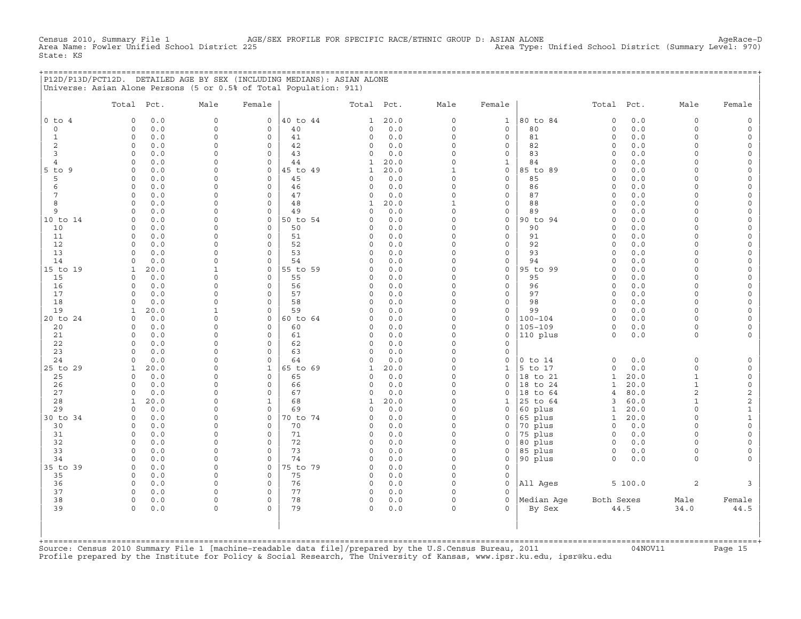Census 2010, Summary File 1 AGE/SEX PROFILE FOR SPECIFIC RACE/ETHNIC GROUP D: ASIAN ALONE AgeRace−D Area Type: Unified School District (Summary Level: 970) State: KS

|  | P12D/P13D/PCT12D. DETAILED AGE BY SEX (INCLUDING MEDIANS): ASIAN ALONE |  |  |
|--|------------------------------------------------------------------------|--|--|
|  | Universe: Asian Alone Persons (5 or 0.5% of Total Population: 911)     |  |  |

|                 | Total Pct.           |            | Male                 | Female                  |          | Total Pct.              |            | Male                    | Female                             |                      | Total Pct.                   |              | Male                         | Female                                     |
|-----------------|----------------------|------------|----------------------|-------------------------|----------|-------------------------|------------|-------------------------|------------------------------------|----------------------|------------------------------|--------------|------------------------------|--------------------------------------------|
| $0$ to $4$      | $\circ$              | 0.0        | $\mathbf 0$          | $\mathbf{0}$            | 40 to 44 | $\mathbf{1}$            | 20.0       | $\circ$                 | $\mathbf{1}$                       | 80 to 84             | $\circ$                      | 0.0          | $\circ$                      | $\mathbb O$                                |
| $\mathbf 0$     | $\circ$              | 0.0        | $\circ$              | $\mathbf 0$             | 40       | $\mathbf 0$             | $0.0$      | $\mathbf 0$             | $\mathbf 0$                        | 80                   | $\circ$                      | 0.0          | $\circ$                      | $\mathsf{O}\xspace$                        |
| $\mathbf{1}$    | $\circ$              | 0.0        | $\Omega$             | $\mathbf 0$             | 41       | $\mathbf 0$             | 0.0        | $\mathbf 0$             | $\mathbf 0$                        | 81                   | $\circ$                      | 0.0          | $\circ$                      | $\mathsf{O}\xspace$                        |
| 2               | $\circ$              | 0.0        | 0                    | $\mathbf 0$             | 42       | $\mathsf{O}$            | 0.0        | $\mathsf O$             | $\mathsf{O}\xspace$                | 82                   | $\mathbf 0$                  | 0.0          | $\circ$                      | $\mathsf{O}\xspace$                        |
| $\overline{3}$  | $\Omega$             | 0.0        | 0                    | $\Omega$                | 43       | $\mathbf 0$             | 0.0        | $\Omega$                | $\mathbf 0$                        | 83                   | $\Omega$                     | 0.0          | $\Omega$                     | $\mathsf{O}\xspace$                        |
| $\overline{4}$  | $\Omega$             | 0.0        | $\Omega$             | $\Omega$                | 44       | $\mathbf{1}$            | 20.0       | $\Omega$                | $\mathbf{1}$                       | 84                   | $\Omega$                     | 0.0          | $\Omega$                     | $\mathsf{O}\xspace$                        |
| $5$ to $9$      | $\circ$              | 0.0        | $\Omega$             | $\mathbf 0$             | 45 to 49 | $\mathbf{1}$            | 20.0       | $\mathbf{1}$            | $\circ$                            | 85 to 89             | $\circ$                      | 0.0          | $\Omega$                     | $\mathsf O$                                |
| 5<br>6          | $\circ$<br>$\circ$   | 0.0<br>0.0 | $\Omega$<br>$\Omega$ | $\mathbf 0$<br>$\Omega$ | 45<br>46 | 0<br>0                  | 0.0<br>0.0 | $\mathbf 0$<br>$\Omega$ | $\mathbf 0$<br>$\mathsf{O}\xspace$ | 85<br>86             | $\circ$<br>$\Omega$          | 0.0<br>0.0   | $\Omega$<br>$\Omega$         | $\mathsf{O}\xspace$<br>$\mathsf{O}\xspace$ |
| $7\phantom{.0}$ | $\circ$              | 0.0        | $\Omega$             | $\Omega$                | 47       | $\mathsf{O}$            | 0.0        | $\Omega$                | $\circ$                            | 87                   | $\circ$                      | 0.0          | $\Omega$                     | $\mathsf{O}\xspace$                        |
| 8               | $\Omega$             | 0.0        | $\Omega$             | $\Omega$                | 48       | $\mathbf{1}$            | 20.0       | $\mathbf{1}$            | $\mathbf 0$                        | 88                   | $\Omega$                     | 0.0          | $\Omega$                     | $\mathsf O$                                |
| 9               | $\Omega$             | 0.0        | $\Omega$             | $\Omega$                | 49       | $\Omega$                | 0.0        | $\Omega$                | $\mathbf{0}$                       | 89                   | $\Omega$                     | 0.0          | $\Omega$                     | $\circ$                                    |
| 10 to 14        | $\Omega$             | 0.0        | $\Omega$             | $\mathbf 0$             | 50 to 54 | $\Omega$                | 0.0        | $\Omega$                | $\circ$                            | 90 to 94             | $\Omega$                     | 0.0          | $\circ$                      | $\circ$                                    |
| 10              | $\Omega$             | 0.0        | $\Omega$             | $\Omega$                | 50       | $\Omega$                | 0.0        | $\Omega$                | $\mathbf 0$                        | 90                   | $\Omega$                     | 0.0          | $\Omega$                     | $\mathsf{O}\xspace$                        |
| 11              | $\circ$              | 0.0        | $\Omega$             | $\mathbf 0$             | 51       | $\mathbf 0$             | 0.0        | $\Omega$                | $\mathsf O$                        | 91                   | $\circ$                      | 0.0          | $\circ$                      | $\mathsf{O}\xspace$                        |
| 12              | $\circ$              | 0.0        | 0                    | $\mathbf 0$             | 52       | $\circ$                 | 0.0        | $\Omega$                | $\mathsf O$                        | 92                   | $\circ$                      | 0.0          | $\Omega$                     | $\mathsf O$                                |
| 13              | $\Omega$             | 0.0        | $\Omega$             | $\mathbf 0$             | 53       | $\mathbf 0$             | 0.0        | $\Omega$                | $\mathbf{0}$                       | 93                   | $\Omega$                     | 0.0          | $\Omega$                     | $\mathsf{O}\xspace$                        |
| 14              | $\Omega$             | 0.0        | $\Omega$             | $\Omega$                | 54       | $\Omega$                | 0.0        | $\Omega$                | $\mathbf 0$                        | 94                   | $\Omega$                     | 0.0          | $\Omega$                     | $\mathsf O$                                |
| 15 to 19        | $\mathbf{1}$         | 20.0       | $\mathbf{1}$         | $\mathbf 0$             | 55 to 59 | $\circ$                 | 0.0        | $\Omega$                | $\mathbf 0$                        | 95 to 99             | $\Omega$                     | 0.0          | $\Omega$                     | $\mathsf{O}\xspace$                        |
| 15              | $\Omega$<br>$\Omega$ | 0.0        | $\Omega$<br>$\Omega$ | $\Omega$<br>$\Omega$    | 55<br>56 | $\Omega$<br>$\circ$     | 0.0        | $\Omega$<br>$\Omega$    | $\circ$<br>$\mathbf{0}$            | 95<br>96             | $\Omega$<br>$\Omega$         | 0.0          | $\Omega$<br>$\Omega$         | $\circ$                                    |
| 16<br>17        | $\Omega$             | 0.0<br>0.0 | $\Omega$             | $\Omega$                | 57       | $\circ$                 | 0.0<br>0.0 | $\Omega$                | $\mathbf{0}$                       | 97                   | $\mathbf 0$                  | 0.0<br>0.0   | $\circ$                      | $\mathsf{O}\xspace$<br>$\mathsf{O}\xspace$ |
| 18              | $\circ$              | 0.0        | $\Omega$             | $\mathbf 0$             | 58       | $\circ$                 | 0.0        | $\Omega$                | $\mathsf{O}\xspace$                | 98                   | $\mathbf 0$                  | 0.0          | $\circ$                      | $\circ$                                    |
| 19              | 1                    | 20.0       | $\mathbf{1}$         | $\mathbf 0$             | 59       | $\circ$                 | 0.0        | $\Omega$                | $\mathsf{O}$                       | 99                   | $\mathbf 0$                  | 0.0          | $\circ$                      | $\mathsf{O}\xspace$                        |
| 20 to 24        | $\Omega$             | 0.0        | $\Omega$             | $\Omega$                | 60 to 64 | $\Omega$                | 0.0        | $\Omega$                | $\Omega$                           | $100 - 104$          | $\Omega$                     | 0.0          | $\Omega$                     | $\mathsf{O}\xspace$                        |
| 20              | $\circ$              | 0.0        | $\Omega$             | $\Omega$                | 60       | $\circ$                 | 0.0        | $\Omega$                | $\mathbf 0$                        | 105-109              | $\circ$                      | 0.0          | $\circ$                      | $\mathsf{O}\xspace$                        |
| 21              | $\circ$              | 0.0        | $\Omega$             | $\mathbf 0$             | 61       | $\circ$                 | 0.0        | $\Omega$                | $\circ$                            | 110 plus             | $\circ$                      | 0.0          | $\circ$                      | $\circ$                                    |
| 22              | $\Omega$             | 0.0        | 0                    | $\Omega$                | 62       | $\circ$                 | 0.0        | $\Omega$                | $\mathbf 0$                        |                      |                              |              |                              |                                            |
| 23              | $\Omega$             | 0.0        | $\Omega$             | $\Omega$                | 63       | $\mathbf 0$             | 0.0        | $\Omega$                | $\mathbf 0$                        |                      |                              |              |                              |                                            |
| 24              | $\Omega$             | 0.0        | $\Omega$             | $\mathbf 0$             | 64       | $\mathbf 0$             | 0.0        | $\Omega$                | $\circ$                            | $0$ to $14$          | $\circ$                      | 0.0          | 0                            | $\mathsf O$                                |
| 25 to 29        | 1                    | 20.0       | $\Omega$             | $\mathbf 1$             | 65 to 69 | $\mathbf{1}$            | 20.0       | $\Omega$                | $\mathbf{1}$                       | 5 to 17              | $\mathbf 0$                  | 0.0          | $\circ$                      | $\mathsf{O}\xspace$                        |
| 25<br>26        | $\Omega$<br>$\Omega$ | 0.0<br>0.0 | $\Omega$<br>$\Omega$ | $\Omega$<br>$\Omega$    | 65<br>66 | $\mathbf 0$<br>$\Omega$ | 0.0<br>0.0 | $\Omega$<br>$\Omega$    | $\mathbf 0$<br>$\Omega$            | 18 to 21             | $\mathbf{1}$<br>$\mathbf{1}$ | 20.0<br>20.0 | $\mathbf{1}$<br>$\mathbf{1}$ | $\mathsf{O}\xspace$                        |
| 27              | $\circ$              | 0.0        | $\Omega$             | $\Omega$                | 67       | $\circ$                 | 0.0        | $\Omega$                | $\mathbf 0$                        | 18 to 24<br>18 to 64 | $\overline{4}$               | 80.0         | $\overline{c}$               | $\mathsf{O}\xspace$<br>$\overline{c}$      |
| 28              | $\mathbf{1}$         | 20.0       | $\Omega$             | $\mathbf{1}$            | 68       | $\mathbf{1}$            | 20.0       | $\Omega$                | $\mathbf{1}$                       | 25 to 64             | 3                            | 60.0         | $\mathbf{1}$                 | $\overline{c}$                             |
| 29              | $\Omega$             | 0.0        | $\Omega$             | $\mathbf 0$             | 69       | 0                       | 0.0        | $\Omega$                | $\mathbf 0$                        | 60 plus              | $\mathbf{1}$                 | 20.0         | $\circ$                      | $\mathbf{1}$                               |
| 30 to 34        | $\circ$              | 0.0        | $\Omega$             | $\mathbf 0$             | 70 to 74 | $\mathbf 0$             | 0.0        | $\Omega$                | $\mathsf{O}$                       | 65 plus              | $\mathbf{1}$                 | 20.0         | $\circ$                      | $\mathbf{1}$                               |
| 30              | $\circ$              | 0.0        | 0                    | $\mathbf 0$             | 70       | $\mathbf 0$             | 0.0        | $\Omega$                | $\circ$                            | 70 plus              | $\circ$                      | 0.0          | $\circ$                      | $\mathsf{O}\xspace$                        |
| 31              | $\Omega$             | 0.0        | $\Omega$             | $\Omega$                | 71       | 0                       | 0.0        | $\Omega$                | $\mathbf 0$                        | 75 plus              | $\Omega$                     | 0.0          | $\Omega$                     | $\mathsf{O}\xspace$                        |
| 32              | $\Omega$             | 0.0        | $\Omega$             | $\mathbf 0$             | 72       | $\circ$                 | 0.0        | $\Omega$                | $\mathsf O$                        | 80 plus              | $\Omega$                     | 0.0          | $\Omega$                     | $\mathsf O$                                |
| 33              | $\Omega$             | 0.0        | $\Omega$             | $\Omega$                | 73       | $\Omega$                | 0.0        | $\Omega$                | $\mathbf 0$                        | 85 plus              | $\circ$                      | 0.0          | $\Omega$                     | $\mathsf{O}\xspace$                        |
| 34              | $\circ$              | 0.0        | $\Omega$             | $\mathbf 0$             | 74       | $\mathbf 0$             | 0.0        | $\Omega$                | $\mathsf{O}$                       | 90 plus              | $\Omega$                     | 0.0          | $\Omega$                     | $\circ$                                    |
| 35 to 39        | $\circ$              | 0.0        | 0                    | $\mathbf 0$             | 75 to 79 | $\circ$                 | 0.0        | $\Omega$                | $\mathbf{0}$                       |                      |                              |              |                              |                                            |
| 35              | $\Omega$             | 0.0        | $\Omega$             | $\mathbf 0$             | 75       | $\mathbf 0$             | 0.0        | $\Omega$                | $\mathsf{O}$                       |                      |                              |              |                              |                                            |
| 36<br>37        | $\circ$<br>$\Omega$  | 0.0<br>0.0 | $\Omega$<br>$\Omega$ | $\mathbf 0$<br>$\Omega$ | 76<br>77 | $\circ$<br>$\circ$      | 0.0<br>0.0 | $\Omega$<br>$\Omega$    | $\mathbb O$<br>$\Omega$            | All Ages             |                              | 5 100.0      | $\overline{a}$               | 3                                          |
| 38              | $\Omega$             | 0.0        | 0                    | $\mathbf 0$             | 78       | $\circ$                 | 0.0        | $\Omega$                | $\Omega$                           | Median Age           | Both Sexes                   |              | Male                         | Female                                     |
| 39              | $\Omega$             | 0.0        | 0                    | $\Omega$                | 79       | $\mathbf 0$             | 0.0        | $\Omega$                | $\Omega$                           | By Sex               |                              | 44.5         | 34.0                         | 44.5                                       |
|                 |                      |            |                      |                         |          |                         |            |                         |                                    |                      |                              |              |                              |                                            |

+===================================================================================================================================================+Source: Census 2010 Summary File 1 [machine−readable data file]/prepared by the U.S.Census Bureau, 2011 04NOV11 Page 15 Profile prepared by the Institute for Policy & Social Research, The University of Kansas, www.ipsr.ku.edu, ipsr@ku.edu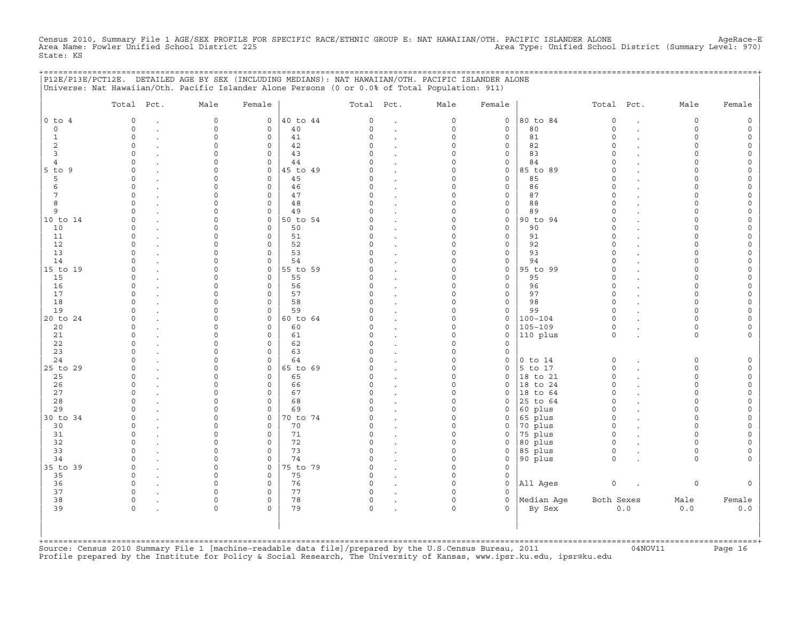Census 2010, Summary File 1 AGE/SEX PROFILE FOR SPECIFIC RACE/ETHNIC GROUP E: NAT HAWAIIAN/OTH. PACIFIC ISLANDER ALONE AgeRace-E<br>Area Name: Fowler Unified School District 225 State: KS

+===================================================================================================================================================+

|                | Total Pct.  | Male                | Female              |          | Total Pct.   |                      | Male        | Female              |             | Total Pct.          |                      | Male     | Female              |
|----------------|-------------|---------------------|---------------------|----------|--------------|----------------------|-------------|---------------------|-------------|---------------------|----------------------|----------|---------------------|
| $0$ to $4$     | $\mathbf 0$ | $\mathsf{O}\xspace$ | $\circ$             | 40 to 44 | 0            | $\cdot$              | $\mathsf O$ | $\mathsf O$         | 80 to 84    | $\mathbb O$         | $\ddot{\phantom{a}}$ | 0        | $\mathsf{O}\xspace$ |
| $\circ$        | $\Omega$    | $\Omega$            | $\Omega$            | 40       | $\Omega$     | $\ddot{\phantom{a}}$ | $\mathbf 0$ | $\mathbf 0$         | 80          | $\Omega$            | $\overline{a}$       | $\Omega$ | $\mathsf{O}\xspace$ |
| $\mathbf{1}$   | $\circ$     | $\Omega$            | 0                   | 41       | $\Omega$     |                      | $\mathbf 0$ | $\mathbf 0$         | 81          | $\circ$             |                      | $\circ$  | 0                   |
| 2              | $\circ$     | $\Omega$            | $\mathbf 0$         | 42       | $\Omega$     | $\cdot$              | $\Omega$    | $\mathsf{O}\xspace$ | 82          | $\Omega$            |                      | $\circ$  | $\circ$             |
| $\overline{3}$ | $\Omega$    | $\Omega$            | $\mathsf{O}\xspace$ | 43       | $\cap$       | $\cdot$              | $\Omega$    | $\mathsf{O}\xspace$ | 83          | $\circ$             |                      | $\circ$  | $\mathsf{O}$        |
| 4              | $\Omega$    | $\Omega$            | $\mathbf 0$         | 44       | C            |                      | $\Omega$    | $\mathbf 0$         | 84          | $\Omega$            |                      | $\Omega$ | $\mathsf{O}\xspace$ |
| $5$ to $9$     | $\Omega$    | $\Omega$            | $\mathbf 0$         | 45 to 49 | U            | $\ddot{\phantom{a}}$ | $\Omega$    | $\mathsf{O}$        | 85 to 89    | $\Omega$            |                      | $\Omega$ | $\mathsf{O}\xspace$ |
| 5              | $\Omega$    | $\Omega$            | $\mathsf{O}\xspace$ | 45       | C)           | $\ddot{\phantom{a}}$ | $\Omega$    | $\mathsf O$         | 85          | $\Omega$            |                      | $\Omega$ | $\mathsf{O}\xspace$ |
| 6              | $\Omega$    | $\Omega$            | $\mathbf 0$         | 46       | $\cap$       | $\ddot{\phantom{a}}$ | $\Omega$    | $\mathbf{0}$        | 86          | $\Omega$            |                      | $\cap$   | $\mathsf{O}\xspace$ |
| 7              | $\Omega$    | $\Omega$            | $\mathbf 0$         | 47       | $\Omega$     | $\ddot{\phantom{a}}$ | $\Omega$    | $\mathbf 0$         | 87          | $\Omega$            |                      | $\Omega$ | 0                   |
| 8              | $\Omega$    | $\Omega$            | $\mathbf 0$         | 48       | $\Omega$     | $\ddot{\phantom{a}}$ | $\Omega$    | $\mathsf{O}\xspace$ | 88          | $\Omega$            |                      | $\Omega$ | $\mathsf{O}\xspace$ |
| 9              | $\cap$      | $\cap$              | $\mathbf 0$         | 49       | $\cap$       | $\ddot{\phantom{a}}$ | $\Omega$    | $\mathsf O$         | 89          | $\Omega$            |                      | $\Omega$ | $\circ$             |
| 10 to 14       | $\Omega$    | $\Omega$            | $\mathbf{0}$        | 50 to 54 | C)           | $\sim$               | $\Omega$    | $\mathbf 0$         | 90 to 94    | $\circ$             |                      | $\Omega$ | $\mathsf O$         |
| 10             | $\Omega$    | $\Omega$            | $\mathbf 0$         | 50       | C)           |                      | $\Omega$    | $\mathbf 0$         | 90          | $\Omega$            |                      | $\Omega$ | $\mathsf{O}\xspace$ |
| 11             | $\Omega$    | $\Omega$            | $\mathbf 0$         | 51       | $\Omega$     | $\ddot{\phantom{a}}$ | $\Omega$    | $\mathsf{O}\xspace$ | 91          | $\Omega$            |                      | $\Omega$ | $\mathsf{O}\xspace$ |
| 12             | $\Omega$    | $\Omega$            | $\mathbf 0$         | 52       | $\Omega$     | $\ddot{\phantom{a}}$ | $\Omega$    | $\mathbf 0$         | 92          | $\Omega$            |                      | $\Omega$ | $\mathsf{O}\xspace$ |
| 13             | $\Omega$    | $\Omega$            | $\mathbf 0$         | 53       | C)           | $\ddot{\phantom{a}}$ | $\Omega$    | $\mathbf 0$         | 93          | $\Omega$            |                      | $\Omega$ | $\mathsf{O}\xspace$ |
| 14             | $\Omega$    | $\Omega$            | $\circ$             | 54       |              |                      | $\Omega$    | $\mathsf{O}\xspace$ | 94          | $\Omega$            |                      | $\Omega$ | $\mathsf{O}\xspace$ |
| 15 to 19       | $\Omega$    | $\Omega$            | $\mathsf{O}\xspace$ | 55 to 59 | $\Omega$     |                      | $\mathbf 0$ | $\mathsf O$         | 95 to 99    | $\Omega$            |                      | $\Omega$ | $\mathsf{O}\xspace$ |
| 15             | $\Omega$    | $\Omega$            | $\mathbf 0$         | 55       | C            | $\ddot{\phantom{a}}$ | $\Omega$    | $\mathbf 0$         | 95          | $\Omega$            |                      | $\cap$   | $\mathsf{O}\xspace$ |
| 16             | $\Omega$    | $\Omega$            | $\mathbf 0$         | 56       |              | $\cdot$              | $\Omega$    | $\mathbf 0$         | 96          | $\circ$             |                      | $\Omega$ | $\mathsf{O}$        |
| 17             | $\Omega$    | 0                   | $\mathbf 0$         | 57       | $\Omega$     |                      | $\mathbf 0$ | $\mathsf{O}\xspace$ | 97          | $\Omega$            |                      | $\Omega$ | $\mathsf{O}\xspace$ |
| 18             | $\cap$      | $\Omega$            | $\Omega$            | 58       | $\cap$       | $\cdot$              | $\Omega$    | $\mathbf 0$         | 98          | $\Omega$            |                      | $\Omega$ | $\mathsf{O}\xspace$ |
| 19             | $\Omega$    | $\Omega$            | $\mathbf 0$         | 59       |              | $\ddot{\phantom{a}}$ | $\Omega$    | $\mathbf 0$         | 99          | $\Omega$            |                      | $\Omega$ | $\mathsf{O}\xspace$ |
| 20 to 24       | $\Omega$    | $\Omega$            | $\mathbf{0}$        | 60 to 64 |              | $\ddot{\phantom{a}}$ | $\Omega$    | $\mathsf O$         | $100 - 104$ | $\circ$             |                      | $\Omega$ | $\mathsf{O}\xspace$ |
| 20             | $\Omega$    | $\Omega$            | $\mathbf 0$         | 60       | C)           | $\ddot{\phantom{a}}$ | $\Omega$    | $\mathsf{O}$        | $105 - 109$ | $\mathsf{O}\xspace$ |                      | $\circ$  | $\mathsf{O}\xspace$ |
| 21             | $\Omega$    | $\Omega$            | $\mathbf 0$         | 61       | $\Omega$     | $\ddot{\phantom{a}}$ | $\Omega$    | $\mathbf 0$         | 110 plus    | $\circ$             |                      | $\Omega$ | $\mathbf{0}$        |
| 22             | $\Omega$    | $\Omega$            | $\mathbf 0$         | 62       | $\Omega$     | $\sim$               | $\Omega$    | $\mathbf 0$         |             |                     |                      |          |                     |
| 23             | $\Omega$    | $\Omega$            | $\mathbf 0$         | 63       | $\Omega$     | $\ddot{\phantom{a}}$ | $\Omega$    | $\mathsf O$         |             |                     |                      |          |                     |
| 24             | $\cap$      | $\Omega$            | 0                   | 64       | U            |                      | $\Omega$    | $\mathsf O$         | $0$ to $14$ | $\mathbb O$         |                      | 0        | $\mathsf{O}\xspace$ |
| 25 to 29       | $\Omega$    | $\Omega$            | $\mathbf 0$         | 65 to 69 | U            | $\sim$               | $\Omega$    | $\mathbf 0$         | 5 to 17     | $\circ$             |                      | $\Omega$ | $\mathsf{O}$        |
| 25             | $\Omega$    | 0                   | $\mathbf 0$         | 65       | C)           | $\cdot$              | $\Omega$    | $\mathbf 0$         | 18 to 21    | $\mathbf 0$         |                      | $\Omega$ | $\mathbb O$         |
| 26             | $\Omega$    | 0                   | 0                   | 66       | C)           |                      | $\mathbf 0$ | $\mathbf 0$         | 18 to 24    | $\circ$             |                      | $\circ$  | $\mathsf O$         |
| 27             | $\cap$      | $\cap$              | $\Omega$            | 67       | $\cap$       |                      | $\Omega$    | $\Omega$            | 18 to 64    | $\Omega$            |                      | $\Omega$ | $\circ$             |
| 28             | $\Omega$    | 0                   | $\mathsf{O}\xspace$ | 68       | C)           |                      | $\Omega$    | $\mathbf 0$         | 25 to 64    | $\Omega$            |                      | $\Omega$ | 0                   |
| 29             |             | 0                   | $\mathbf 0$         | 69       |              | $\cdot$              | $\mathbf 0$ | $\mathbf 0$         | 60 plus     | $\Omega$            |                      | $\Omega$ | $\mathsf{O}\xspace$ |
| 30 to 34       | $\cap$      | $\Omega$            | $\circ$             | 70 to 74 |              | $\cdot$              | $\Omega$    | $\mathsf{O}$        | 65 plus     | $\Omega$            |                      | $\cap$   | $\mathsf{O}\xspace$ |
| 30             | $\Omega$    | $\Omega$            | $\mathbf 0$         | 70       | C)           |                      | $\Omega$    | $\mathbf 0$         | 70 plus     | $\Omega$            |                      | $\Omega$ | $\mathsf{O}\xspace$ |
| 31             | $\Omega$    | $\Omega$            | $\mathbf 0$         | 71       | C)           | $\ddot{\phantom{a}}$ | $\mathbf 0$ | 0                   | 75 plus     | $\circ$             |                      | $\Omega$ | $\mathsf{O}\xspace$ |
| 32             | $\Omega$    | $\Omega$            | $\mathbf 0$         | 72       | $\Omega$     | $\ddot{\phantom{a}}$ | $\Omega$    | $\mathbf 0$         | 80 plus     | $\circ$             |                      | $\Omega$ | $\mathsf O$         |
| 33             | $\Omega$    | $\Omega$            | $\mathbf 0$         | 73       | $\cap$       |                      | $\Omega$    | $\mathbf 0$         | 85 plus     | $\Omega$            |                      | $\Omega$ | 0                   |
| 34             | $\Omega$    | $\Omega$            | $\Omega$            | 74       | $\cap$       | $\ddot{\phantom{a}}$ | $\Omega$    | $\mathbf 0$         | 90 plus     | $\Omega$            |                      | $\Omega$ | $\mathbf{0}$        |
| 35 to 39       | $\Omega$    | $\mathbf 0$         | $\circ$             | 75 to 79 | $\Omega$     | $\ddot{\phantom{a}}$ | $\mathbf 0$ | $\mathbf 0$         |             |                     |                      |          |                     |
| 35             | $\Omega$    | $\Omega$            | $\mathbf 0$         | 75       | $\Omega$     |                      | $\mathbf 0$ | $\mathsf{O}$        |             |                     |                      |          |                     |
| 36             | $\Omega$    | $\Omega$            | $\mathbf 0$         | 76       | $\Omega$     |                      | $\Omega$    | $\mathbf 0$         | All Ages    | $\mathsf O$         |                      | 0        | $\circ$             |
| 37             | $\Omega$    | $\Omega$            | $\mathbf 0$         | 77       | <sup>o</sup> |                      | $\Omega$    | $\Omega$            |             |                     |                      |          |                     |
| 38             | $\Omega$    | $\Omega$            | $\mathbf 0$         | 78       | $\circ$      | $\bullet$            | $\Omega$    | $\mathbf 0$         | Median Aqe  | Both Sexes          |                      | Male     | Female              |
| 39             | $\Omega$    | $\Omega$            | $\Omega$            | 79       | $\Omega$     |                      | $\Omega$    | $\Omega$            | By Sex      |                     | 0.0                  | 0.0      | $0.0$               |
|                |             |                     |                     |          |              |                      |             |                     |             |                     |                      |          |                     |

+===================================================================================================================================================+Source: Census 2010 Summary File 1 [machine−readable data file]/prepared by the U.S.Census Bureau, 2011 04NOV11 Page 16 Profile prepared by the Institute for Policy & Social Research, The University of Kansas, www.ipsr.ku.edu, ipsr@ku.edu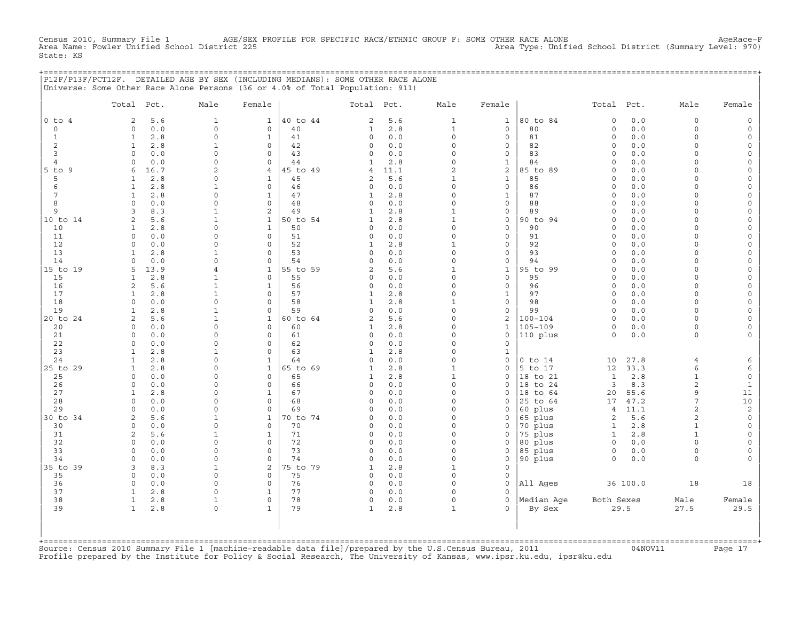Census 2010, Summary File 1 AGE/SEX PROFILE FOR SPECIFIC RACE/ETHNIC GROUP F: SOME OTHER RACE ALONE AgeRace−F<br>Area Name: Fowler Unified School District 225 Area Type: Unified School District (Summary Level: 970) Area Type: Unified School District (Summary Level: 970) State: KS

|               |                              | P12F/P13F/PCT12F. DETAILED AGE BY SEX (INCLUDING MEDIANS): SOME OTHER RACE ALONE<br>Universe: Some Other Race Alone Persons (36 or 4.0% of Total Population: 911) |                                     |                |                        |            |                   |                              |                      |                          |            |                      |                          |
|---------------|------------------------------|-------------------------------------------------------------------------------------------------------------------------------------------------------------------|-------------------------------------|----------------|------------------------|------------|-------------------|------------------------------|----------------------|--------------------------|------------|----------------------|--------------------------|
|               |                              |                                                                                                                                                                   |                                     |                |                        |            |                   |                              |                      |                          |            |                      |                          |
|               | Total Pct.                   | Male                                                                                                                                                              | Female                              |                | Total Pct.             |            | Male              | Female                       |                      | Total Pct.               |            | Male                 | Female                   |
| $0$ to $4$    | 2                            | 5.6<br>$\mathbf{1}$                                                                                                                                               | $\mathbf{1}$                        | 40 to 44       | 2                      | 5.6        | $\mathbf{1}$      | $\mathbf{1}$                 | 80 to 84             | $\mathsf{O}\xspace$      | 0.0        | $\mathsf{O}\xspace$  | $\circ$                  |
| $\mathsf{O}$  | $\Omega$                     | 0.0<br>$\mathbf 0$                                                                                                                                                | $\mathbf 0$                         | 40             | 1                      | 2.8        | $\mathbf{1}$      | $\circ$                      | 80                   | $\circ$                  | 0.0        | $\circ$              | $\Omega$                 |
| 1<br>2        | $\mathbf{1}$<br>$\mathbf{1}$ | 2.8<br>$\Omega$<br>2.8<br>1                                                                                                                                       | $\mathbf{1}$<br>$\mathsf{O}\xspace$ | 41<br>42       | $\mathbf 0$<br>0       | 0.0<br>0.0 | $\Omega$<br>0     | $\mathbf{0}$<br>0            | 81<br>82             | $\Omega$<br>$\circ$      | 0.0<br>0.0 | $\Omega$<br>$\Omega$ | $\Omega$<br>$\Omega$     |
| 3             | $\circ$                      | 0.0<br>$\mathbf 0$                                                                                                                                                | $\mathbf 0$                         | 43             | 0                      | 0.0        | 0                 | 0                            | 83                   | $\circ$                  | 0.0        | $\Omega$             | $\circ$                  |
| 4             | $\circ$                      | 0.0<br>$\mathbf 0$                                                                                                                                                | $\mathbf 0$                         | 44             | 1                      | 2.8        | $\circ$           | $\mathbf{1}$                 | 84                   | $\Omega$                 | 0.0        | $\Omega$             |                          |
| $5$ to<br>9   | 6<br>16.7                    | $\overline{a}$                                                                                                                                                    | $\overline{4}$                      | 45 to 49       | $\overline{4}$         | 11.1       | $\overline{c}$    | 2                            | 85 to 89             | $\Omega$                 | 0.0        | $\Omega$             | $\Omega$                 |
| 5             | 1                            | 2.8<br>0                                                                                                                                                          | 1                                   | 45             | 2                      | 5.6        | 1                 | $\mathbf{1}$                 | 85                   | $\Omega$                 | 0.0        | $\cap$               | $\Omega$                 |
| 6             | $\mathbf{1}$                 | 2.8<br>1                                                                                                                                                          | $\mathbf 0$                         | 46             | 0                      | 0.0        | $\circ$           | 0                            | 86                   | $\circ$                  | 0.0        | $\Omega$             | $\Omega$                 |
| 7             | $\mathbf{1}$                 | 2.8<br>$\circ$                                                                                                                                                    | $\mathbf{1}$                        | 47             | 1                      | 2.8        | 0                 | $\mathbf{1}$                 | 87                   | $\circ$                  | 0.0        | $\Omega$             |                          |
| 8             | $\circ$                      | 0.0<br>$\mathbf 0$                                                                                                                                                | $\mathbf 0$                         | 48             | $\circ$                | 0.0        | 0                 | 0                            | 88                   | $\circ$                  | 0.0        | $\Omega$             | $\Omega$                 |
| 9<br>10 to 14 | 3<br>2                       | 8.3<br>$\mathbf{1}$<br>5.6<br>$\mathbf{1}$                                                                                                                        | 2<br>$\mathbf{1}$                   | 49<br>50 to 54 | 1<br>1                 | 2.8<br>2.8 | 1<br>$\mathbf{1}$ | 0<br>$\mathsf{O}$            | 89<br>90 to 94       | $\Omega$<br>$\Omega$     | 0.0<br>0.0 | $\Omega$<br>$\Omega$ | $\Omega$<br>$\Omega$     |
| 10            | 1                            | 2.8<br>$\mathbf 0$                                                                                                                                                | $\mathbf{1}$                        | 50             | $\mathbf 0$            | 0.0        | $\circ$           | $\mathbf{0}$                 | 90                   | $\circ$                  | 0.0        | $\Omega$             | $\Omega$                 |
| 11            | $\circ$                      | 0.0<br>$\mathbf 0$                                                                                                                                                | $\mathbf 0$                         | 51             | $\circ$                | 0.0        | 0                 | 0                            | 91                   | $\circ$                  | 0.0        | $\Omega$             | $\Omega$                 |
| 12            | $\circ$                      | 0.0<br>$\mathbf 0$                                                                                                                                                | $\mathbf 0$                         | 52             | 1                      | 2.8        | $\mathbf{1}$      | 0                            | 92                   | $\circ$                  | 0.0        | $\Omega$             | $\Omega$                 |
| 13            | $\mathbf{1}$                 | 2.8<br>$\mathbf{1}$                                                                                                                                               | $\mathbf 0$                         | 53             | $\mathbf 0$            | 0.0        | 0                 | $\mathsf{O}$                 | 93                   | $\circ$                  | 0.0        | $\Omega$             | $\Omega$                 |
| 14            | $\Omega$                     | 0.0<br>$\mathbf 0$                                                                                                                                                | $\mathbf 0$                         | 54             | $\Omega$               | 0.0        | $\circ$           | 0                            | 94                   | $\Omega$                 | 0.0        | $\Omega$             | $\Omega$                 |
| 15 to 19      | 13.9<br>5                    | 4                                                                                                                                                                 | 1                                   | 55 to 59       | 2                      | 5.6        | 1                 | 1                            | 95 to 99             | $\Omega$                 | 0.0        | $\Omega$             | $\Omega$                 |
| 15            | $\mathbf{1}$                 | 2.8<br>$\mathbf{1}$                                                                                                                                               | $\mathbf 0$                         | 55             | $\mathbf 0$            | 0.0        | 0                 | 0                            | 95                   | $\circ$                  | 0.0        | $\Omega$             | $\Omega$                 |
| 16            | 2                            | 5.6<br>$\mathbf{1}$                                                                                                                                               | $\mathbf{1}$                        | 56             | $\circ$                | 0.0        | 0                 | 0                            | 96                   | $\circ$                  | 0.0        | $\Omega$<br>$\Omega$ | $\Omega$<br>$\Omega$     |
| 17<br>18      | $\mathbf{1}$<br>$\Omega$     | 2.8<br>$\mathbf{1}$<br>0.0<br>$\Omega$                                                                                                                            | 0<br>$\mathbf 0$                    | 57<br>58       | 1<br>1                 | 2.8<br>2.8 | $\Omega$<br>1     | $\mathbf{1}$<br>$\mathsf{O}$ | 97<br>98             | $\Omega$<br>$\Omega$     | 0.0<br>0.0 | $\Omega$             |                          |
| 19            | $\mathbf{1}$                 | 2.8<br>$\mathbf{1}$                                                                                                                                               | $\mathbf 0$                         | 59             | $\Omega$               | 0.0        | $\circ$           | 0                            | 99                   | $\Omega$                 | 0.0        | $\Omega$             | $\Omega$                 |
| 20 to 24      | $\overline{c}$               | 5.6<br>$\mathbf{1}$                                                                                                                                               | $\mathbf{1}$                        | 60 to 64       | $\overline{a}$         | 5.6        | 0                 | $\overline{a}$               | $100 - 104$          | $\circ$                  | 0.0        | $\Omega$             | $\Omega$                 |
| 20            | $\circ$                      | 0.0<br>$\mathbf 0$                                                                                                                                                | $\mathbf 0$                         | 60             | 1                      | 2.8        | 0                 | $\mathbf{1}$                 | $105 - 109$          | $\circ$                  | 0.0        | $\circ$              |                          |
| 21            | $\Omega$                     | 0.0<br>$\Omega$                                                                                                                                                   | $\Omega$                            | 61             | 0                      | 0.0        | 0                 | $\Omega$                     | 110 plus             | $\Omega$                 | 0.0        | $\Omega$             |                          |
| 22            | $\Omega$                     | 0.0<br>0                                                                                                                                                          | 0                                   | 62             | $\mathbf 0$            | 0.0        | $\Omega$          | 0                            |                      |                          |            |                      |                          |
| 23            | -1.                          | 2.8<br>1                                                                                                                                                          | $\mathbf 0$                         | 63             | 1                      | 2.8        | $\Omega$          | $\mathbf{1}$                 |                      |                          |            |                      |                          |
| 24            | $\mathbf{1}$                 | 2.8<br>$\circ$                                                                                                                                                    | $\mathbf{1}$                        | 64             | $\circ$                | 0.0        | 0                 | 0                            | $0$ to $14$          | 10                       | 27.8       | $\overline{4}$       | 6                        |
| 25 to 29      | $\mathbf{1}$<br>$\circ$      | 2.8<br>$\Omega$<br>$\mathbf 0$                                                                                                                                    | $\mathbf{1}$<br>$\mathbf 0$         | 65 to 69       | 1                      | 2.8        | $\mathbf{1}$      | 0<br>0                       | 5 to 17              | 12                       | 33.3       | 6                    | 6                        |
| 25<br>26      | $\circ$                      | 0.0<br>0.0<br>0                                                                                                                                                   | $\mathbf 0$                         | 65<br>66       | 1<br>0                 | 2.8<br>0.0 | $\mathbf{1}$<br>0 | 0                            | 18 to 21<br>18 to 24 | 1<br>3                   | 2.8<br>8.3 | $\mathbf{1}$<br>2    | $\mathsf{O}\xspace$<br>1 |
| 27            | 1                            | 2.8<br>0                                                                                                                                                          | $\mathbf{1}$                        | 67             | 0                      | 0.0        | $\circ$           | 0                            | 18 to 64             | 20                       | 55.6       | 9                    | 11                       |
| 28            | $\circ$                      | 0.0<br>$\mathbf 0$                                                                                                                                                | $\mathbf 0$                         | 68             | $\Omega$               | 0.0        | $\circ$           | $\Omega$                     | 25 to 64             | 17                       | 47.2       | 7                    | 10                       |
| 29            | $\circ$                      | 0.0<br>$\mathbf 0$                                                                                                                                                | 0                                   | 69             | 0                      | 0.0        | 0                 | 0                            | 60 plus              | $\overline{4}$           | 11.1       | $\sqrt{2}$           | $\sqrt{2}$               |
| 30 to 34      | 2                            | 5.6<br>$\mathbf{1}$                                                                                                                                               | $\mathbf{1}$                        | 70 to 74       | 0                      | 0.0        | 0                 | 0                            | 65 plus              | $\overline{\mathbf{c}}$  | 5.6        | $\sqrt{2}$           | $\mathsf O$              |
| 30            | $\circ$                      | 0.0<br>$\mathbf 0$                                                                                                                                                | $\mathbf 0$                         | 70             | 0                      | 0.0        | $\circ$           | 0                            | 70 plus              | $\mathbf{1}$             | 2.8        | $\mathbf{1}$         | $\Omega$                 |
| 31            | 2                            | 5.6<br>$\mathbf{1}$                                                                                                                                               | $\mathbf{1}$                        | 71             | $\Omega$               | 0.0        | $\Omega$          | $\Omega$                     | 75 plus              | $\mathbf{1}$             | 2.8        | $\mathbf{1}$         | $\Omega$                 |
| 32            | $\circ$                      | 0.0<br>$\mathbf 0$                                                                                                                                                | $\mathbf 0$                         | 72             | $\circ$                | 0.0        | $\circ$           | 0                            | 80 plus              | $\circ$                  | 0.0        | $\Omega$             | $\Omega$                 |
| 33<br>34      | $\circ$<br>$\circ$           | 0.0<br>$\mathbf 0$<br>0.0<br>$\mathbf 0$                                                                                                                          | $\mathbf 0$<br>$\mathbf 0$          | 73<br>74       | $\circ$<br>$\mathbf 0$ | 0.0<br>0.0 | 0<br>$\circ$      | 0<br>0                       | 85 plus<br>90 plus   | $\mathsf{O}$<br>$\Omega$ | 0.0<br>0.0 | $\circ$<br>$\circ$   | $\Omega$                 |
| 35 to 39      | 3                            | 8.3<br>$\mathbf{1}$                                                                                                                                               | 2                                   | 75 to 79       | 1                      | 2.8        | $\mathbf{1}$      | 0                            |                      |                          |            |                      |                          |
| 35            | $\mathbf 0$                  | 0.0<br>0                                                                                                                                                          | 0                                   | 75             | $\circ$                | 0.0        | 0                 | 0                            |                      |                          |            |                      |                          |
| 36            | $\circ$                      | 0.0<br>$\Omega$                                                                                                                                                   | $\mathbf 0$                         | 76             | $\circ$                | 0.0        | $\Omega$          | 0                            | All Ages             |                          | 36 100.0   | 18                   | 18                       |
| 37            | $\mathbf{1}$                 | 2.8<br>0                                                                                                                                                          | $\mathbf{1}$                        | 77             | $\circ$                | 0.0        | $\circ$           | 0                            |                      |                          |            |                      |                          |
| 38            | $\mathbf{1}$                 | 2.8<br>$\mathbf{1}$                                                                                                                                               | 0                                   | 78             | $\circ$                | 0.0        | 0                 | 0                            | Median Age           | Both Sexes               |            | Male                 | Female                   |
| 39            | $\mathbf{1}$                 | 2.8<br>$\Omega$                                                                                                                                                   | $\mathbf{1}$                        | 79             | 1                      | 2.8        | 1                 | $\Omega$                     | By Sex               |                          | 29.5       | 27.5                 | 29.5                     |
|               |                              |                                                                                                                                                                   |                                     |                |                        |            |                   |                              |                      |                          |            |                      |                          |
|               |                              |                                                                                                                                                                   |                                     |                |                        |            |                   |                              |                      |                          |            |                      |                          |
|               |                              |                                                                                                                                                                   |                                     |                |                        |            |                   |                              |                      |                          |            |                      |                          |

+===================================================================================================================================================+Source: Census 2010 Summary File 1 [machine−readable data file]/prepared by the U.S.Census Bureau, 2011 04NOV11 Page 17 Profile prepared by the Institute for Policy & Social Research, The University of Kansas, www.ipsr.ku.edu, ipsr@ku.edu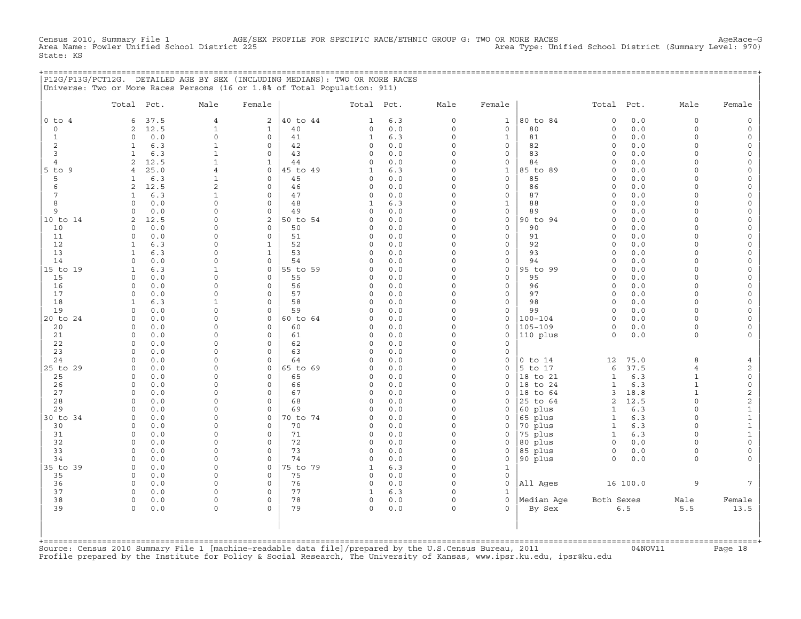Census 2010, Summary File 1 AGE/SEX PROFILE FOR SPECIFIC RACE/ETHNIC GROUP G: TWO OR MORE RACES AgeRace−G Area Name: Fowler Unified School District 225 Area Type: Unified School District (Summary Level: 970) State: KS

|                | P12G/P13G/PCT12G. DETAILED AGE BY SEX (INCLUDING MEDIANS): TWO OR MORE RACES |                |              |          |              |       |                     |              |             |                |          |                |                     |
|----------------|------------------------------------------------------------------------------|----------------|--------------|----------|--------------|-------|---------------------|--------------|-------------|----------------|----------|----------------|---------------------|
|                | Universe: Two or More Races Persons (16 or 1.8% of Total Population: 911)    |                |              |          |              |       |                     |              |             |                |          |                |                     |
|                |                                                                              |                |              |          |              |       |                     |              |             |                |          |                |                     |
|                | Total Pct.                                                                   | Male           | Female       |          | Total Pct.   |       | Male                | Female       |             | Total Pct.     |          | Male           | Female              |
| $0$ to $4$     | 37.5<br>6                                                                    | $\overline{4}$ | 2            | 40 to 44 | $\mathbf{1}$ | 6.3   | $\circ$             | $\mathbf{1}$ | 80 to 84    | $\circ$        | 0.0      | $\circ$        | 0                   |
| $\circ$        | 12.5<br>2                                                                    | $\mathbf{1}$   | $\mathbf{1}$ | 40       | $\circ$      | 0.0   | $\Omega$            | $\mathbf{0}$ | 80          | 0              | 0.0      | $\Omega$       | $\mathsf{O}\xspace$ |
| $\mathbf{1}$   | 0.0<br>$\circ$                                                               | $\mathbf 0$    | $\mathbf{0}$ | 41       | $\mathbf{1}$ | 6.3   | $\circ$             | $\mathbf{1}$ | 81          | $\circ$        | 0.0      | $\Omega$       | $\mathsf{O}\xspace$ |
| 2              | 6.3<br>$\mathbf{1}$                                                          | $\mathbf{1}$   | $\mathbf{0}$ | 42       | $\circ$      | 0.0   | 0                   | $\mathbf{0}$ | 82          | $\circ$        | 0.0      | $\circ$        | $\mathbb O$         |
| 3              | 6.3<br>$\mathbf{1}$                                                          | $\mathbf{1}$   | $\Omega$     | 43       | $\Omega$     | 0.0   | $\Omega$            | $\mathbf{0}$ | 83          | $\Omega$       | 0.0      | $\Omega$       | $\mathsf{O}\xspace$ |
| $\overline{4}$ | $\mathbf{2}$<br>12.5                                                         | $\mathbf{1}$   | $\mathbf{1}$ | 44       | $\circ$      | 0.0   | $\Omega$            | $\circ$      | 84          | $\circ$        | 0.0      | $\circ$        | $\mathsf{O}\xspace$ |
| $5$ to $9$     | 25.0<br>$\overline{4}$                                                       | $\overline{4}$ | $\mathbf{0}$ | 45 to 49 | $\mathbf{1}$ | 6.3   | 0                   | $\mathbf{1}$ | 85 to 89    | $\circ$        | 0.0      | $\Omega$       | $\mathsf{O}\xspace$ |
| 5              | 6.3<br>$\mathbf{1}$                                                          | $\mathbf{1}$   | $\Omega$     | 45       | $\mathsf{O}$ | 0.0   | $\Omega$            | $\mathbf{0}$ | 85          | $\Omega$       | 0.0      | $\Omega$       | $\mathsf{O}\xspace$ |
| 6              | 12.5<br>2                                                                    | 2              | $\Omega$     | 46       | $\mathsf{O}$ | 0.0   | $\Omega$            | $\mathbf{0}$ | 86          | $\Omega$       | 0.0      | $\Omega$       | $\mathsf{O}\xspace$ |
| 7              | 6.3<br>$\mathbf{1}$                                                          | $\mathbf{1}$   | $\Omega$     | 47       | $\mathsf{O}$ | 0.0   | $\Omega$            | $\mathbf{0}$ | 87          | $\Omega$       | 0.0      | $\Omega$       | $\mathsf{O}\xspace$ |
| 8              | 0.0<br>$\Omega$                                                              | $\circ$        | $\mathbf{0}$ | 48       | $\mathbf{1}$ | 6.3   | $\Omega$            | $\mathbf{1}$ | 88          | $\mathsf{O}$   | 0.0      | $\circ$        | $\mathsf{O}\xspace$ |
| 9              | $\Omega$<br>0.0                                                              | $\mathbf 0$    | $\mathbf 0$  | 49       | $\circ$      | 0.0   | $\Omega$            | $\mathbf{0}$ | 89          | $\circ$        | 0.0      | $\Omega$       | $\mathsf{O}\xspace$ |
| 10 to 14       | 2<br>12.5                                                                    | $\mathbf 0$    | 2            | 50 to 54 | $\circ$      | 0.0   | $\circ$             | $\mathbf{0}$ | 90 to 94    | $\circ$        | 0.0      | $\circ$        | $\mathsf{O}\xspace$ |
| 10             | 0.0<br>$\circ$                                                               | $\Omega$       | $\mathbf{0}$ | 50       | 0            | 0.0   | $\Omega$            | $\mathsf{O}$ | 90          | $\circ$        | 0.0      | $\Omega$       | $\mathsf{O}\xspace$ |
| 11             | 0.0<br>$\Omega$                                                              | $\Omega$       | $\mathbf 0$  | 51       | $\circ$      | 0.0   | $\cap$              | $\mathbf{0}$ | 91          | $\circ$        | 0.0      | $\cap$         | $\mathsf{O}\xspace$ |
| 12             | $\mathbf{1}$<br>6.3                                                          | $\Omega$       | $\mathbf{1}$ | 52       | $\circ$      | 0.0   | $\circ$             | $\mathbf{0}$ | 92          | $\Omega$       | 0.0      | $\Omega$       | $\mathsf{O}\xspace$ |
| 13             | 6.3<br>$\mathbf{1}$                                                          | $\Omega$       | $\mathbf{1}$ | 53       | $\mathsf{O}$ | 0.0   | 0                   | $\mathbf{0}$ | 93          | $\Omega$       | 0.0      | $\Omega$       | $\mathsf{O}\xspace$ |
| 14             | 0.0<br>$\Omega$                                                              | $\Omega$       | $\Omega$     | 54       | $\Omega$     | 0.0   | $\Omega$            | $\Omega$     | 94          | $\Omega$       | 0.0      | $\Omega$       | $\mathsf{O}\xspace$ |
| 15 to 19       | $\mathbf{1}$<br>6.3                                                          | $\mathbf{1}$   | $\mathbf{0}$ | 55 to 59 | $\circ$      | 0.0   | $\Omega$            | $\mathbf{0}$ | 95 to 99    | $\circ$        | 0.0      | $\Omega$       | $\mathsf{O}\xspace$ |
| 15             | $\Omega$<br>0.0                                                              | $\mathbf 0$    | $\mathbf{0}$ | 55       | $\circ$      | 0.0   | $\circ$             | $\mathbf{0}$ | 95          | $\circ$        | 0.0      | $\Omega$       | $\mathbb O$         |
| 16             | $\circ$<br>0.0                                                               | $\mathbf 0$    | $\mathbf{0}$ | 56       | 0            | 0.0   | $\circ$             | $\mathbf{0}$ | 96          | $\circ$        | 0.0      | $\circ$        | $\mathsf{O}\xspace$ |
| 17             | 0.0<br>$\circ$                                                               | $\circ$        | $\mathbf{0}$ | 57       | $\circ$      | 0.0   | $\Omega$            | $\mathbf{0}$ | 97          | $\circ$        | 0.0      | $\circ$        | $\mathsf{O}\xspace$ |
| 18             | 6.3<br>$\mathbf{1}$                                                          | $\mathbf{1}$   | $\Omega$     | 58       | $\Omega$     | $0.0$ | $\Omega$            | $\mathsf{O}$ | 98          | $\Omega$       | 0.0      | $\Omega$       | $\mathsf{O}\xspace$ |
| 19             | 0.0<br>$\Omega$                                                              | $\Omega$       | $\mathbf 0$  | 59       | $\mathbf 0$  | 0.0   | $\Omega$            | $\mathbf{0}$ | 99          | $\Omega$       | 0.0      | $\Omega$       | $\mathsf{O}\xspace$ |
| 20 to 24       | $\Omega$<br>0.0                                                              | $\Omega$       | $\circ$      | 60 to 64 | $\Omega$     | 0.0   | $\Omega$            | 0            | $100 - 104$ | $\Omega$       | 0.0      | $\Omega$       | $\mathsf{O}\xspace$ |
| 20             | $\Omega$<br>0.0                                                              | $\Omega$       | $\mathbf{0}$ | 60       | $\circ$      | 0.0   | $\circ$             | $\mathbf 0$  | $105 - 109$ | $\circ$        | 0.0      | $\circ$        | $\mathsf{O}\xspace$ |
| 21             | 0.0<br>$\Omega$                                                              | $\Omega$       | $\mathbf{0}$ | 61       | $\circ$      | 0.0   | $\circ$             | $\mathbf 0$  | 110 plus    | $\Omega$       | 0.0      | $\Omega$       | $\mathsf{O}\xspace$ |
| 22             | $\Omega$<br>0.0                                                              | $\Omega$       | $\Omega$     | 62       | $\Omega$     | 0.0   | $\Omega$            | 0            |             |                |          |                |                     |
| 23             | 0.0<br>$\circ$                                                               | $\mathbf 0$    | $\mathbf{0}$ | 63       | 0            | $0.0$ | 0                   | 0            |             |                |          |                |                     |
| 24             | 0.0<br>$\Omega$                                                              | $\mathbf 0$    | $\mathbf{0}$ | 64       | $\mathsf{O}$ | 0.0   | $\circ$             | $\mathsf{O}$ | $0$ to $14$ | 12             | 75.0     | 8              | $\overline{4}$      |
| 25 to 29       | 0.0<br>$\Omega$                                                              | $\Omega$       | $\Omega$     | 65 to 69 | $\Omega$     | 0.0   | $\Omega$            | $\Omega$     | 5 to 17     | 6              | 37.5     | $\overline{4}$ | $\mathbf 2$         |
| 25             | $\Omega$<br>0.0                                                              | $\Omega$       | $\Omega$     | 65       | 0            | 0.0   | $\Omega$            | 0            | 18 to 21    | $\mathbf{1}$   | 6.3      | $\mathbf{1}$   | $\mathsf{O}\xspace$ |
| 26             | $\Omega$<br>0.0                                                              | $\Omega$       | $\Omega$     | 66       | $\circ$      | 0.0   | 0                   | 0            | 18 to 24    | $\mathbf{1}$   | 6.3      | $\mathbf{1}$   | $\mathsf{O}\xspace$ |
| 27             | $\Omega$<br>0.0                                                              | $\Omega$       | $\mathbf{0}$ | 67       | $\circ$      | 0.0   | $\Omega$            | $\mathbf 0$  | 18 to 64    | 3              | 18.8     | $\mathbf{1}$   | $\overline{a}$      |
| 28             | $\Omega$<br>0.0                                                              | $\Omega$       | $\mathbf{0}$ | 68       | $\circ$      | 0.0   | $\overline{0}$      | $\Omega$     | 25 to 64    | $\overline{a}$ | 12.5     | $\Omega$       | $\mathbf 2$         |
| 29             | $\Omega$<br>0.0                                                              | $\Omega$       | $\Omega$     | 69       | $\circ$      | 0.0   | $\circ$             | 0            | 60 plus     | $\mathbf{1}$   | 6.3      | $\Omega$       | $\mathbf 1$         |
| 30 to 34       | $\circ$<br>0.0                                                               | $\Omega$       | $\mathbf{0}$ | 70 to 74 | 0            | 0.0   | 0                   | 0            | 65 plus     | $\mathbf{1}$   | 6.3      | $\circ$        | $\mathtt 1$         |
| 30             | 0.0<br>$\Omega$                                                              | $\mathbf 0$    | $\Omega$     | 70       | $\circ$      | 0.0   | $\Omega$            | 0            | 70 plus     | $\mathbf{1}$   | 6.3      | $\Omega$       | $\mathbf 1$         |
| 31             | $\Omega$<br>0.0                                                              | $\mathbf 0$    | $\mathbf{0}$ | 71       | $\mathsf{O}$ | 0.0   | $\circ$             | 0            | 75 plus     | $\mathbf{1}$   | 6.3      | $\Omega$       | $\mathbf 1$         |
| 32             | 0.0<br>$\Omega$                                                              | $\Omega$       | $\circ$      | 72       | $\circ$      | 0.0   | $\Omega$            | 0            | 80 plus     | $\Omega$       | 0.0      | $\Omega$       | $\mathsf{O}\xspace$ |
| 33             | 0.0<br>$\Omega$                                                              | $\Omega$       | $\Omega$     | 73       | $\Omega$     | 0.0   | $\Omega$            | 0            | $85$ plus   | $\Omega$       | 0.0      | $\Omega$       | $\mathbb O$         |
| 34             | 0.0<br>$\Omega$                                                              | $\circ$        | $\mathbf 0$  | 74       | $\circ$      | 0.0   | $\mathsf{O}\xspace$ | 0            | 90 plus     | $\circ$        | 0.0      | $\circ$        | $\Omega$            |
| 35 to 39       | $\Omega$<br>0.0                                                              | $\circ$        | $\mathbf{0}$ | 75 to 79 | $\mathbf{1}$ | 6.3   | $\circ$             | $\mathbf{1}$ |             |                |          |                |                     |
| 35             | 0.0<br>$\Omega$                                                              | $\mathbf 0$    | $\mathbf{0}$ | 75       | $\circ$      | 0.0   | $\circ$             | $\mathbf 0$  |             |                |          |                |                     |
| 36             | $\circ$<br>0.0                                                               | $\circ$        | $\mathbf{0}$ | 76       | $\circ$      | 0.0   | $\mathsf{O}\xspace$ | $\mathbf 0$  | All Ages    |                | 16 100.0 | 9              | $7\phantom{.0}$     |
| 37             | $\Omega$<br>0.0                                                              | $\Omega$       | $\Omega$     | 77       | $\mathbf{1}$ | 6.3   | $\Omega$            | $\mathbf{1}$ |             |                |          |                |                     |
| 38             | $\circ$<br>0.0                                                               | $\circ$        | $\mathbf 0$  | 78       | $\mathsf{O}$ | 0.0   | $\circ$             | $\Omega$     | Median Age  | Both Sexes     |          | Male           | Female              |
| 39             | $\Omega$<br>0.0                                                              | $\circ$        | $\Omega$     | 79       | $\mathsf{O}$ | 0.0   | 0                   | $\Omega$     | By Sex      |                | 6.5      | 5.5            | 13.5                |
|                |                                                                              |                |              |          |              |       |                     |              |             |                |          |                |                     |
|                |                                                                              |                |              |          |              |       |                     |              |             |                |          |                |                     |
|                |                                                                              |                |              |          |              |       |                     |              |             |                |          |                |                     |

| | +===================================================================================================================================================+Source: Census 2010 Summary File 1 [machine−readable data file]/prepared by the U.S.Census Bureau, 2011 04NOV11 Page 18 Profile prepared by the Institute for Policy & Social Research, The University of Kansas, www.ipsr.ku.edu, ipsr@ku.edu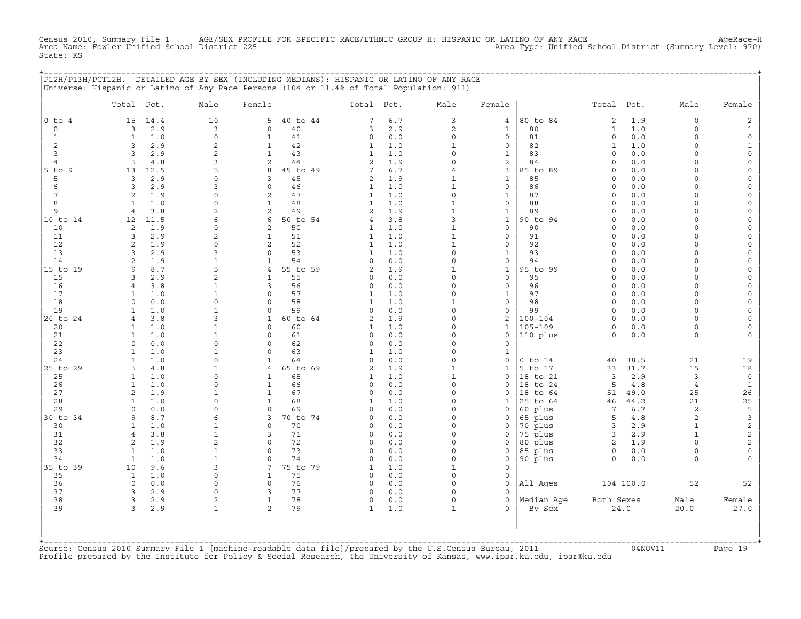Census 2010, Summary File 1 AGE/SEX PROFILE FOR SPECIFIC RACE/ETHNIC GROUP H: HISPANIC OR LATINO OF ANY RACE<br>Area Name: Fowler Unified School District 225 Area Type: Unified School District (Summary Level: 970) State: KS

+===================================================================================================================================================+

|                | P12H/P13H/PCT12H. DETAILED AGE BY SEX (INCLUDING MEDIANS): HISPANIC OR LATINO OF ANY RACE<br>Universe: Hispanic or Latino of Any Race Persons (104 or 11.4% of Total Population: 911) |                          |                          |          |                              |            |                              |                             |                     |                     |             |                      |                          |
|----------------|---------------------------------------------------------------------------------------------------------------------------------------------------------------------------------------|--------------------------|--------------------------|----------|------------------------------|------------|------------------------------|-----------------------------|---------------------|---------------------|-------------|----------------------|--------------------------|
|                | Total<br>Pct.                                                                                                                                                                         | Male                     | Female                   |          | Total                        | Pct.       | Male                         | Female                      |                     | Total               | Pct.        | Male                 | Female                   |
| $0$ to $4$     | 15<br>14.4                                                                                                                                                                            | 10                       | 5                        | 40 to 44 | 7                            | 6.7        | 3                            | $\overline{4}$              | 80 to 84            | $\overline{c}$      | 1.9         | 0                    | $\mathbf{2}$             |
| $\mathbf 0$    | 3<br>2.9                                                                                                                                                                              | 3                        | $\mathbf 0$              | 40       | 3                            | 2.9        | 2                            | $\mathbf{1}$                | 80                  | $\mathbf{1}$        | 1.0         | $\Omega$             | $\mathbf{1}$             |
| $\mathbf{1}$   | $\mathbf{1}$<br>1.0                                                                                                                                                                   | $\circ$                  | $\mathbf{1}$             | 41       | 0                            | 0.0        | $\circ$                      | $\mathbf 0$                 | 81                  | $\circ$             | 0.0         | $\Omega$             | $\mathsf{O}\xspace$      |
| 2              | 2.9<br>3                                                                                                                                                                              | $\overline{2}$           | $\mathbf{1}$             | 42       | $\mathbf{1}$                 | 1.0        | $\mathbf{1}$                 | $\mathsf{O}$                | 82                  | $\mathbf{1}$        | 1.0         | $\circ$              | $\mathbf{1}$             |
| 3              | 2.9<br>3                                                                                                                                                                              | 2                        | $\mathbf{1}$             | 43       | $\mathbf{1}$                 | 1.0        | $\Omega$                     | $\mathbf{1}$                | 83                  | $\Omega$            | 0.0         | $\Omega$             | $\mathsf{O}\xspace$      |
| $\overline{4}$ | 4.8<br>5                                                                                                                                                                              | 3                        | 2                        | 44       | 2                            | 1.9        | $\Omega$                     | $\mathbf{2}$                | 84                  | $\circ$             | 0.0         | $\Omega$             | 0                        |
| $5$ to $9$     | 13<br>12.5                                                                                                                                                                            | 5                        | 8                        | 45 to 49 | 7                            | 6.7        | $\overline{4}$               | 3                           | 85 to 89            | $\circ$             | 0.0         | $\Omega$             | $\mathsf{O}\xspace$      |
| 5              | 3<br>2.9                                                                                                                                                                              | $\Omega$                 | 3<br>$\mathbf 0$         | 45       | 2                            | 1.9        | $\mathbf{1}$<br>$\mathbf{1}$ | $\mathbf{1}$<br>$\mathbf 0$ | 85                  | $\circ$             | 0.0         | $\Omega$<br>$\Omega$ | 0                        |
| 6<br>7         | 3<br>2.9<br>1.9<br>2                                                                                                                                                                  | 3<br>$\Omega$            | 2                        | 46<br>47 | 1<br>1                       | 1.0<br>1.0 | $\Omega$                     |                             | 86<br>87            | $\circ$<br>$\Omega$ | 0.0<br>0.0  | $\Omega$             | $\mathsf{O}\xspace$<br>0 |
| 8              | 1.0<br>$\mathbf{1}$                                                                                                                                                                   | $\Omega$                 | $\mathbf{1}$             | 48       | $\mathbf{1}$                 | 1.0        | $\mathbf{1}$                 | 1<br>$\mathbf 0$            | 88                  | $\circ$             | 0.0         | $\Omega$             | $\mathsf{O}\xspace$      |
| 9              | $\overline{4}$<br>3.8                                                                                                                                                                 | 2                        | 2                        | 49       | $\overline{2}$               | 1.9        | $\mathbf{1}$                 | $\mathbf{1}$                | 89                  | $\circ$             | 0.0         | $\circ$              | $\mathbf 0$              |
| 10 to 14       | 12<br>11.5                                                                                                                                                                            | 6                        | 6                        | 50 to 54 | 4                            | 3.8        | 3                            | $\mathbf{1}$                | 90 to 94            | $\circ$             | 0.0         | $\Omega$             | 0                        |
| 10             | 1.9<br>2                                                                                                                                                                              | $\Omega$                 | 2                        | 50       | $\mathbf{1}$                 | 1.0        | $\mathbf{1}$                 | $\mathbf 0$                 | 90                  | $\Omega$            | 0.0         | $\Omega$             | $\mathsf{O}\xspace$      |
| 11             | 2.9<br>3                                                                                                                                                                              | $\overline{2}$           | $\mathbf{1}$             | 51       | $\mathbf{1}$                 | 1.0        | $\mathbf{1}$                 | $\mathsf{O}\xspace$         | 91                  | $\circ$             | 0.0         | $\Omega$             | $\mathsf{O}\xspace$      |
| 12             | 1.9<br>2                                                                                                                                                                              | $\Omega$                 | 2                        | 52       | 1                            | 1.0        | $\mathbf{1}$                 | $\mathbf 0$                 | 92                  | $\circ$             | 0.0         | $\Omega$             | 0                        |
| 13             | 2.9<br>3                                                                                                                                                                              | 3                        | $\mathbf 0$              | 53       | $\mathbf{1}$                 | 1.0        | $\Omega$                     | $\mathbf 1$                 | 93                  | $\circ$             | 0.0         | $\Omega$             | $\mathsf O$              |
| 14             | 1.9<br>2                                                                                                                                                                              | $\mathbf{1}$             | $\mathbf{1}$             | 54       | 0                            | 0.0        | $\mathbf 0$                  | $\mathsf{O}\xspace$         | 94                  | $\Omega$            | 0.0         | $\Omega$             | $\mathsf{O}\xspace$      |
| 15 to 19       | 8.7<br>9                                                                                                                                                                              | 5                        | $\overline{4}$           | 55 to 59 | 2                            | 1.9        | $\mathbf{1}$                 | $\mathbf{1}$                | 95 to 99            | $\circ$             | 0.0         | $\Omega$             | 0                        |
| 15             | 2.9<br>3                                                                                                                                                                              | $\overline{a}$           | $\mathbf{1}$             | 55       | 0                            | 0.0        | $\Omega$                     | $\mathbf 0$                 | 95                  | $\circ$             | 0.0         | $\Omega$             | $\mathsf{O}$             |
| 16             | 3.8<br>4                                                                                                                                                                              | $\mathbf{1}$             | $\overline{3}$           | 56       | 0                            | 0.0        | $\Omega$<br>$\Omega$         | $\mathsf{O}\xspace$         | 96                  | $\circ$             | 0.0         | $\Omega$             | $\mathsf{O}\xspace$      |
| 17<br>18       | 1.0<br>$\mathbf{1}$<br>$\Omega$<br>0.0                                                                                                                                                | $\mathbf{1}$<br>$\Omega$ | $\Omega$<br>$\Omega$     | 57<br>58 | $\mathbf{1}$<br>$\mathbf{1}$ | 1.0<br>1.0 | $\mathbf{1}$                 | $\mathbf{1}$<br>$\mathbf 0$ | 97<br>98            | $\Omega$<br>$\circ$ | 0.0<br>0.0  | $\Omega$<br>$\circ$  | 0<br>0                   |
| 19             | 1.0<br>$\mathbf{1}$                                                                                                                                                                   | $\mathbf{1}$             | $\mathbf 0$              | 59       | $\circ$                      | 0.0        | $\Omega$                     | $\mathsf{O}\xspace$         | 99                  | $\circ$             | 0.0         | $\Omega$             | $\mathsf{O}\xspace$      |
| 20 to 24       | 3.8<br>$\overline{4}$                                                                                                                                                                 | 3                        | $\mathbf{1}$             | 60 to 64 | $\overline{c}$               | 1.9        | $\Omega$                     | $\mathbf{2}$                | $100 - 104$         | $\circ$             | 0.0         | $\Omega$             | $\mathsf{O}$             |
| 20             | 1.0<br>1                                                                                                                                                                              | $\mathbf{1}$             | 0                        | 60       | 1                            | 1.0        | $\Omega$                     | $\mathbf{1}$                | $105 - 109$         | $\circ$             | 0.0         | $\circ$              | $\mathbf 0$              |
| 21             | $\mathbf{1}$<br>1.0                                                                                                                                                                   | $\mathbf{1}$             | $\mathbf 0$              | 61       | $\circ$                      | 0.0        | $\Omega$                     | $\mathsf{O}\xspace$         | 110 plus            | $\circ$             | 0.0         | $\circ$              | $\circ$                  |
| 22             | 0.0<br>$\mathbf 0$                                                                                                                                                                    | $\Omega$                 | $\mathbf 0$              | 62       | 0                            | 0.0        | $\Omega$                     | $\mathsf{O}\xspace$         |                     |                     |             |                      |                          |
| 23             | 1.0<br>1                                                                                                                                                                              | 1                        | $\mathbf 0$              | 63       | 1                            | 1.0        | $\Omega$                     | $\mathbf{1}$                |                     |                     |             |                      |                          |
| 24             | 1.0<br>1                                                                                                                                                                              | $\Omega$                 | $\mathbf 1$              | 64       | $\Omega$                     | 0.0        | $\Omega$                     | $\mathbf 0$                 | $0$ to $14$         | 40                  | 38.5        | 21                   | 19                       |
| 25 to 29       | 4.8<br>5                                                                                                                                                                              | $\mathbf{1}$             | $\overline{4}$           | 65 to 69 | $\overline{c}$               | 1.9        | $\mathbf{1}$                 | $\mathbf{1}$                | 5 to 17             | 33                  | 31.7        | 15                   | 18                       |
| 25             | 1.0<br>1                                                                                                                                                                              | $\Omega$                 | 1                        | 65       | 1                            | 1.0        | $\mathbf{1}$                 | $\mathbf 0$                 | 18 to 21            | 3                   | 2.9         | 3                    | $\mathbb O$              |
| 26             | $\mathbf{1}$<br>1.0                                                                                                                                                                   | $\Omega$                 | $\mathbf{1}$             | 66       | 0                            | 0.0        | $\Omega$                     | $\Omega$                    | 18 to 24            | 5                   | 4.8         | $\overline{4}$       | $\mathbf{1}$             |
| 27             | 2<br>1.9                                                                                                                                                                              | $\mathbf{1}$             | $\mathbf{1}$             | 67       | 0                            | 0.0        | $\Omega$<br>$\Omega$         | $\mathbf 0$                 | 18<br>to 64         | 51                  | 49.0        | 25                   | 26                       |
| 28<br>29       | 1.0<br>$\mathbf{1}$<br>0.0<br>$\Omega$                                                                                                                                                | 0<br>$\Omega$            | $\mathbf{1}$<br>$\Omega$ | 68<br>69 | $\mathbf{1}$<br>$\Omega$     | 1.0<br>0.0 | $\Omega$                     | 1<br>$\Omega$               | 25 to 64<br>60 plus | 46<br>7             | 44.2<br>6.7 | 21<br>$\overline{c}$ | $25$<br>5                |
| 30 to 34       | 8.7<br>9                                                                                                                                                                              | 6                        | 3                        | 70 to 74 | 0                            | 0.0        | $\Omega$                     | $\mathbf 0$                 | 65 plus             | 5                   | 4.8         | 2                    | $\mathbf{3}$             |
| 30             | 1.0<br>$\mathbf{1}$                                                                                                                                                                   | 1                        | $\circ$                  | 70       | 0                            | 0.0        | $\Omega$                     | $\mathbf 0$                 | 70 plus             | $\overline{3}$      | 2.9         | $\mathbf 1$          | $\overline{c}$           |
| 31             | 3.8<br>$\overline{4}$                                                                                                                                                                 | $\mathbf{1}$             | 3                        | 71       | 0                            | 0.0        | $\Omega$                     | $\Omega$                    | 75 plus             | 3                   | 2.9         | $\mathbf{1}$         | 2                        |
| 32             | 2<br>1.9                                                                                                                                                                              | $\overline{2}$           | $\mathbf 0$              | 72       | 0                            | 0.0        | $\Omega$                     | $\mathbf 0$                 | 80 plus             | 2                   | 1.9         | $\Omega$             | $\overline{a}$           |
| 33             | $\mathbf{1}$<br>1.0                                                                                                                                                                   | $\mathbf{1}$             | $\Omega$                 | 73       | $\circ$                      | 0.0        | $\Omega$                     | $\mathbf 0$                 | 85 plus             | $\mathsf O$         | 0.0         | $\circ$              | $\mathsf{O}\xspace$      |
| 34             | $\mathbf{1}$<br>1.0                                                                                                                                                                   | $\mathbf{1}$             | $\mathbf 0$              | 74       | 0                            | 0.0        | $\Omega$                     | $\mathbf 0$                 | 90 plus             | $\Omega$            | 0.0         | $\Omega$             | $\Omega$                 |
| 35 to 39       | 9.6<br>10                                                                                                                                                                             | 3                        | 7                        | 75 to 79 | 1                            | 1.0        | $\mathbf{1}$                 | $\mathbf 0$                 |                     |                     |             |                      |                          |
| 35             | $\mathbf{1}$<br>1.0                                                                                                                                                                   | $\Omega$                 | $\mathbf{1}$             | 75       | 0                            | 0.0        | $\Omega$                     | $\mathbf 0$                 |                     |                     |             |                      |                          |
| 36             | $\circ$<br>0.0                                                                                                                                                                        | $\Omega$                 | 0                        | 76       | 0                            | 0.0        | $\Omega$                     | $\mathbf 0$                 | All Ages            |                     | 104 100.0   | 52                   | 52                       |
| 37             | 3<br>2.9                                                                                                                                                                              | $\Omega$                 | 3                        | 77       | 0                            | 0.0        | $\Omega$                     | $\Omega$                    |                     |                     |             |                      |                          |
| 38<br>39       | 3<br>2.9<br>3                                                                                                                                                                         | $\overline{c}$           | $\mathbf{1}$<br>2        | 78<br>79 | 0                            | 0.0        | $\mathsf{O}$                 | $\mathbf 0$                 | Median Age          | Both Sexes          |             | Male                 | Female                   |
|                | 2.9                                                                                                                                                                                   | $\mathbf{1}$             |                          |          | $\mathbf{1}$                 | 1.0        | $\mathbf{1}$                 |                             | By Sex              |                     | 24.0        | 20.0                 | 27.0                     |
|                |                                                                                                                                                                                       |                          |                          |          |                              |            |                              |                             |                     |                     |             |                      |                          |
|                |                                                                                                                                                                                       |                          |                          |          |                              |            |                              |                             |                     |                     |             |                      |                          |
|                |                                                                                                                                                                                       |                          |                          |          |                              |            |                              |                             |                     |                     |             |                      |                          |

+===================================================================================================================================================+Source: Census 2010 Summary File 1 [machine−readable data file]/prepared by the U.S.Census Bureau, 2011 04NOV11 Page 19 Profile prepared by the Institute for Policy & Social Research, The University of Kansas, www.ipsr.ku.edu, ipsr@ku.edu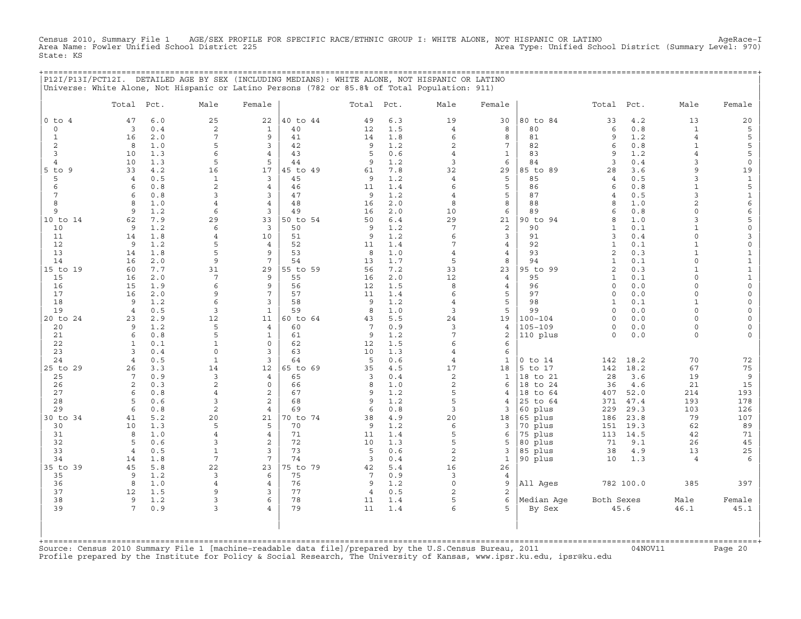Census 2010, Summary File 1 AGE/SEX PROFILE FOR SPECIFIC RACE/ETHNIC GROUP I: WHITE ALONE, NOT HISPANIC OR LATINO AgeRace−I Area Name: Fowler Unified School District 225 Area Type: Unified School District (Summary Level: 970) State: KS

+===================================================================================================================================================+

|                              | P12I/P13I/PCT12I. DETAILED AGE BY SEX (INCLUDING MEDIANS): WHITE ALONE, NOT HISPANIC OR LATINO<br>Universe: White Alone, Not Hispanic or Latino Persons (782 or 85.8% of Total Population: 911) |                 |                                |                |                     |            |                     |                     |                      |                     |                |                              |                             |
|------------------------------|-------------------------------------------------------------------------------------------------------------------------------------------------------------------------------------------------|-----------------|--------------------------------|----------------|---------------------|------------|---------------------|---------------------|----------------------|---------------------|----------------|------------------------------|-----------------------------|
|                              | Total<br>Pct.                                                                                                                                                                                   | Male            | Female                         |                | Total               | Pct.       | Male                | Female              |                      | Total               | Pct.           | Male                         | Female                      |
| $0$ to $4$                   | 6.0<br>47                                                                                                                                                                                       | 25              | 22                             | 40 to 44       | 49                  | 6.3        | 19                  | 30                  | 80 to 84             | 33                  | 4.2            | 13                           | 20                          |
| 0                            | 0.4<br>3                                                                                                                                                                                        | $\overline{c}$  | $\mathbf{1}$                   | 40             | 12                  | 1.5        | $\overline{4}$      | 8                   | 80                   | $\epsilon$          | $0.8$          | $\mathbf 1$                  | $\mathsf S$                 |
| $\mathbf{1}$                 | 2.0<br>16                                                                                                                                                                                       | 7               | 9                              | 41             | 14                  | 1.8        | 6                   | 8                   | 81                   | 9                   | 1.2            | $\overline{4}$               | 5                           |
| 2                            | 8<br>1.0                                                                                                                                                                                        | 5               | 3                              | 42             | 9                   | 1.2        | $\overline{2}$      | $7\phantom{.0}$     | 82                   | 6                   | 0.8            | $\mathbf{1}$                 | 5                           |
| 3                            | 1.3<br>10                                                                                                                                                                                       | 6               | $\overline{4}$                 | 43<br>44       | 5                   | 0.6        | $\overline{4}$<br>3 | $\mathbf{1}$<br>6   | 83<br>84             | 9<br>$\overline{3}$ | 1.2            | $\overline{4}$<br>3          | 5                           |
| $\overline{4}$<br>$5$ to $9$ | 1.3<br>10<br>33<br>4.2                                                                                                                                                                          | 5<br>16         | 5<br>17                        | 45 to 49       | 9<br>61             | 1.2<br>7.8 | 32                  | 29                  | 85 to 89             | 28                  | $0.4\,$<br>3.6 | 9                            | $\mathsf O$<br>19           |
| 5                            | 0.5<br>$\overline{4}$                                                                                                                                                                           | $\mathbf{1}$    | 3                              | 45             | 9                   | 1.2        | $\overline{4}$      | 5                   | 85                   | $\overline{4}$      | 0.5            | 3                            | $\mathbf{1}$                |
| 6                            | 0.8<br>6                                                                                                                                                                                        | 2               | $\overline{4}$                 | 46             | 11                  | 1.4        | 6                   | 5                   | 86                   | 6                   | 0.8            | $\mathbf{1}$                 | 5                           |
| 7                            | 0.8<br>6                                                                                                                                                                                        | 3               | 3                              | 47             | 9                   | 1.2        | $\overline{4}$      | 5                   | 87                   | $\overline{4}$      | 0.5            | 3                            | $\mathbf{1}$                |
| 8                            | 8<br>1.0                                                                                                                                                                                        | $\overline{4}$  | $\overline{4}$                 | 48             | 16                  | 2.0        | 8                   | 8                   | 88                   | 8                   | 1.0            | $\overline{2}$               | 6                           |
| 9                            | 1.2<br>9                                                                                                                                                                                        | 6               | 3                              | 49             | 16                  | 2.0        | 10                  | 6                   | 89                   | 6                   | 0.8            | $\circ$                      | 6                           |
| 10 to 14                     | 7.9<br>62                                                                                                                                                                                       | 29              | 33                             | 50 to 54       | 50                  | 6.4        | 29                  | 21                  | 90 to 94             | 8                   | 1.0            | 3                            | 5                           |
| 10                           | 1.2<br>9                                                                                                                                                                                        | 6               | $\overline{3}$                 | 50             | 9                   | 1.2        | $7\overline{ }$     | 2                   | 90                   | $\mathbf{1}$        | 0.1            | $\mathbf{1}$                 | $\circ$                     |
| 11                           | 1.8<br>14                                                                                                                                                                                       | $\overline{4}$  | 10                             | 51             | 9                   | 1.2        | 6                   | 3                   | 91                   | 3                   | 0.4            | $\circ$                      | 3                           |
| 12<br>13                     | 9<br>1.2<br>14<br>1.8                                                                                                                                                                           | 5<br>5          | $\overline{4}$<br>9            | 52<br>53       | 11<br>8             | 1.4<br>1.0 | 7<br>$\overline{4}$ | 4<br>4              | 92<br>93             | $\mathbf{1}$<br>2   | 0.1<br>0.3     | $\mathbf{1}$<br>$\mathbf{1}$ | $\mathsf{O}\xspace$         |
| 14                           | 2.0<br>16                                                                                                                                                                                       | 9               | $7\phantom{.0}$                | 54             | 13                  | 1.7        | 5                   | 8                   | 94                   | $\mathbf{1}$        | 0.1            | 0                            | $\mathbf{1}$<br>$\mathbf 1$ |
| 15 to 19                     | 7.7<br>60                                                                                                                                                                                       | 31              | 29                             | 55 to 59       | 56                  | 7.2        | 33                  | 23                  | 95 to 99             | $\overline{c}$      | 0.3            | $\mathbf{1}$                 | $\mathbf 1$                 |
| 15                           | 16<br>2.0                                                                                                                                                                                       | $7\phantom{.0}$ | 9                              | 55             | 16                  | 2.0        | 12                  | $\overline{4}$      | 95                   | $\mathbf{1}$        | 0.1            | $\Omega$                     | $\mathbf 1$                 |
| 16                           | 15<br>1.9                                                                                                                                                                                       | 6               | 9                              | 56             | 12                  | 1.5        | 8                   | $\overline{4}$      | 96                   | $\mathsf{O}\xspace$ | 0.0            | 0                            | $\mathsf{O}\xspace$         |
| 17                           | 2.0<br>16                                                                                                                                                                                       | 9               | $7\overline{ }$                | 57             | 11                  | 1.4        | 6                   | 5                   | 97                   | $\circ$             | 0.0            | $\circ$                      | $\mathsf{O}\xspace$         |
| 18                           | 1.2<br>9                                                                                                                                                                                        | 6               | $\overline{3}$                 | 58             | 9                   | 1.2        | $\overline{4}$      | 5                   | 98                   | $\mathbf{1}$        | 0.1            | $\mathbf{1}$                 | $\mathsf{O}\xspace$         |
| 19                           | 0.5<br>$\overline{4}$                                                                                                                                                                           | 3               | $\mathbf{1}$                   | 59             | 8                   | 1.0        | 3                   | 5                   | 99                   | $\circ$             | 0.0            | $\circ$                      | $\mathsf{O}\xspace$         |
| 20 to 24                     | 23<br>2.9                                                                                                                                                                                       | 12              | 11                             | 60 to 64       | 43                  | 5.5        | 24                  | 19                  | $100 - 104$          | $\circ$             | 0.0            | $\circ$                      | 0                           |
| 20<br>21                     | 1.2<br>9<br>6<br>0.8                                                                                                                                                                            | 5<br>5          | $\overline{4}$<br>$\mathbf{1}$ | 60<br>61       | $\overline{7}$<br>9 | 0.9<br>1.2 | 3<br>$\overline{7}$ | $\overline{4}$<br>2 | $105 - 109$          | $\circ$<br>$\circ$  | 0.0<br>0.0     | $\circ$<br>$\circ$           | $\mathsf{O}\xspace$<br>0    |
| 22                           | $\mathbf{1}$<br>0.1                                                                                                                                                                             | $\mathbf{1}$    | $\circ$                        | 62             | 12                  | 1.5        | 6                   | 6                   | 110 plus             |                     |                |                              |                             |
| 23                           | 3<br>0.4                                                                                                                                                                                        | $\circ$         | $\overline{3}$                 | 63             | 10                  | 1.3        | $\overline{4}$      | 6                   |                      |                     |                |                              |                             |
| 24                           | 0.5<br>$\overline{4}$                                                                                                                                                                           | $\mathbf{1}$    | 3                              | 64             | 5                   | 0.6        | $\overline{4}$      | $\mathbf{1}$        | $0$ to $14$          | 142                 | 18.2           | 70                           | 72                          |
| 25 to 29                     | 26<br>3.3                                                                                                                                                                                       | 14              | 12                             | 65 to 69       | 35                  | 4.5        | 17                  | 18                  | 5 to 17              | 142                 | 18.2           | 67                           | 75                          |
| 25                           | 7<br>0.9                                                                                                                                                                                        | 3               | $\overline{4}$                 | 65             | 3                   | 0.4        | 2                   | $\mathbf{1}$        | 18 to 21             | 28                  | 3.6            | 19                           | 9                           |
| 26                           | 2<br>0.3                                                                                                                                                                                        | $\overline{c}$  | $\circ$                        | 66             | 8                   | 1.0        | 2                   | 6                   | 18 to 24             | 36                  | 4.6            | 21                           | 15                          |
| 27                           | 0.8<br>6                                                                                                                                                                                        | $\overline{4}$  | $\overline{c}$                 | 67             | 9                   | 1.2        | 5                   | 4                   | 18 to 64             | 407                 | 52.0           | 214                          | 193                         |
| 28                           | 5<br>0.6                                                                                                                                                                                        | 3               | 2                              | 68             | 9                   | 1.2        | 5                   | $\overline{4}$      | 25 to 64             | 371                 | 47.4           | 193                          | 178                         |
| 29                           | 6<br>0.8<br>5.2                                                                                                                                                                                 | 2               | $\overline{4}$<br>21           | 69<br>70 to 74 | 6                   | 0.8        | 3<br>20             | 3                   | 60 plus              | 229                 | 29.3<br>23.8   | 103<br>79                    | 126                         |
| 30 to 34<br>30               | 41<br>10<br>1.3                                                                                                                                                                                 | 20<br>5         | 5                              | 70             | 38<br>9             | 4.9<br>1.2 | 6                   | 18<br>3             | 65 plus<br>70 plus   | 186<br>151          | 19.3           | 62                           | 107<br>89                   |
| 31                           | 8<br>1.0                                                                                                                                                                                        | $\overline{4}$  | $\overline{4}$                 | 71             | 11                  | 1.4        | 5                   | 6                   | 75 plus              | 113                 | 14.5           | 42                           | 71                          |
| 32                           | 5<br>0.6                                                                                                                                                                                        | 3               | 2                              | 72             | 10                  | 1.3        | 5                   | 5                   | 80 plus              | 71                  | 9.1            | 26                           | 45                          |
| 33                           | $\overline{4}$<br>0.5                                                                                                                                                                           | $\mathbf{1}$    | 3                              | 73             | 5                   | 0.6        | $\overline{c}$      | 3                   | 85 plus              | 38                  | 4.9            | 13                           | $25\,$                      |
| 34                           | 1.8<br>14                                                                                                                                                                                       | 7               | 7                              | 74             | $\overline{3}$      | 0.4        | 2                   | $\mathbf{1}$        | 90 plus              | 10                  | 1.3            | $\overline{4}$               | 6                           |
| 35 to 39                     | 45<br>5.8                                                                                                                                                                                       | 22              | 23                             | 75 to 79       | 42                  | 5.4        | 16                  | 26                  |                      |                     |                |                              |                             |
| 35                           | 9<br>1.2                                                                                                                                                                                        | 3               | 6                              | 75             | $\overline{7}$      | 0.9        | 3                   | $\overline{4}$      |                      |                     |                |                              |                             |
| 36                           | 8<br>1.0                                                                                                                                                                                        | $\overline{4}$  | $\overline{4}$                 | 76             | 9                   | 1.2        | $\circ$             | 9                   | All Ages             |                     | 782 100.0      | 385                          | 397                         |
| 37                           | 12<br>1.5                                                                                                                                                                                       | 9               | 3                              | 77<br>78       | $\overline{4}$      | 0.5        | 2<br>5              | 2                   |                      |                     |                |                              |                             |
| 38<br>39                     | 9<br>1.2<br>7<br>0.9                                                                                                                                                                            | 3<br>3          | 6<br>$\overline{4}$            | 79             | 11<br>11            | 1.4<br>1.4 | 6                   | 6<br>5              | Median Age<br>By Sex | Both Sexes          | 45.6           | Male<br>46.1                 | Female<br>45.1              |
|                              |                                                                                                                                                                                                 |                 |                                |                |                     |            |                     |                     |                      |                     |                |                              |                             |
|                              |                                                                                                                                                                                                 |                 |                                |                |                     |            |                     |                     |                      |                     |                |                              |                             |
|                              |                                                                                                                                                                                                 |                 |                                |                |                     |            |                     |                     |                      |                     |                |                              |                             |

+===================================================================================================================================================+Source: Census 2010 Summary File 1 [machine−readable data file]/prepared by the U.S.Census Bureau, 2011 04NOV11 Page 20 Profile prepared by the Institute for Policy & Social Research, The University of Kansas, www.ipsr.ku.edu, ipsr@ku.edu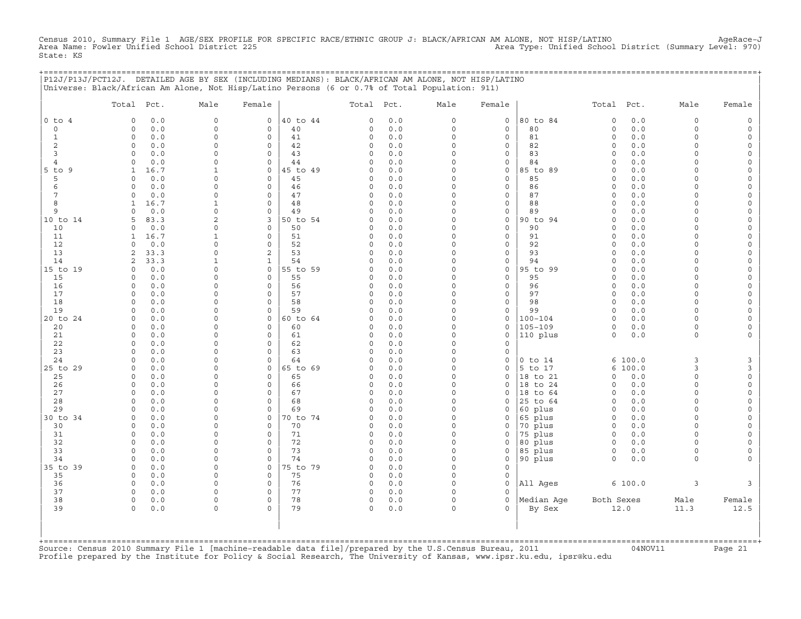Census 2010, Summary File 1 AGE/SEX PROFILE FOR SPECIFIC RACE/ETHNIC GROUP J: BLACK/AFRICAN AM ALONE, NOT HISP/LATINO<br>Area Name: Fowler Unified School District 225 State: KS

+===================================================================================================================================================+

| $0$ to $4$<br>$\Omega$<br>$\circ$<br>$\circ$<br>$\mathbf{1}$<br>$\circ$<br>$\overline{c}$<br>0<br>3<br>$\circ$<br>$\circ$<br>4<br>9<br>1<br>5<br>0<br>6<br>$\Omega$<br>$\overline{7}$<br>$\circ$<br>8<br>$\mathbf{1}$<br>9<br>$\Omega$<br>5<br>10<br>0<br>11<br>1<br>12<br>$\circ$<br>13<br>2<br>14<br>2<br>$\mathbf 0$<br>15<br>0<br>16<br>$\circ$<br>17<br>$\circ$<br>18<br>$\Omega$<br>19<br>$\circ$<br>$\mathbf 0$<br>20<br>$\Omega$<br>21<br>$\circ$<br>22<br>$\circ$<br>23<br>0<br>24<br>$\Omega$<br>0<br>25<br>$\circ$<br>26<br>0<br>27<br>$\Omega$<br>28<br>$\circ$ | 0.0<br>$\Omega$<br>$0.0$<br>$\Omega$<br>0.0<br>$\Omega$<br>0.0<br>$\Omega$<br>0.0<br>$\Omega$<br>0.0<br>$\Omega$<br>16.7<br>1<br>0.0<br>$\Omega$<br>0.0<br>$\Omega$<br>0.0<br>$\Omega$<br>16.7<br>$\mathbf{1}$<br>0.0<br>$\Omega$<br>$\overline{2}$<br>83.3<br>0.0<br>$\Omega$<br>16.7<br>$\mathbf{1}$<br>0.0<br>$\mathbf 0$<br>33.3<br>$\Omega$<br>33.3<br>$\mathbf{1}$<br>0.0<br>$\mathbf 0$<br>0.0<br>$\Omega$<br>0.0<br>$\Omega$<br>0.0<br>$\Omega$<br>0.0<br>$\Omega$<br>$0.0$<br>$\Omega$<br>0.0<br>$\Omega$<br>0.0<br>$\Omega$<br>0.0<br>$\Omega$ | 0<br>$\mathbf 0$<br>$\circ$<br>$\mathbf 0$<br>$\circ$<br>$\circ$<br>0<br>$\mathsf{O}\xspace$<br>$\circ$<br>$\circ$<br>0<br>$\circ$<br>3<br>$\mathbf 0$<br>$\circ$<br>$\circ$<br>2<br>$\mathbf{1}$<br>$\mathsf{O}\xspace$<br>$\mathbf 0$<br>$\circ$<br>$\mathbf 0$<br>$\Omega$<br>$\circ$<br>$\mathbf 0$<br>0 | 40 to 44<br>40<br>41<br>42<br>43<br>44<br>45 to 49<br>45<br>46<br>47<br>48<br>49<br>50 to 54<br>50<br>51<br>52<br>53<br>54<br>55 to 59<br>55<br>56<br>57<br>58<br>59<br>60 to 64<br>60 | $\Omega$<br>0<br>$\circ$<br>0<br>$\Omega$<br>$\Omega$<br>$\Omega$<br>0<br>$\mathbf 0$<br>0<br>$\Omega$<br>$\Omega$<br>0<br>$\Omega$<br>$\Omega$<br>0<br>$\circ$<br>$\Omega$<br>0<br>$\Omega$<br>$\Omega$<br>$\circ$<br>$\Omega$<br>$\Omega$<br>0<br>$\Omega$ | 0.0<br>0.0<br>0.0<br>0.0<br>0.0<br>0.0<br>0.0<br>$0.0$<br>0.0<br>0.0<br>0.0<br>0.0<br>0.0<br>0.0<br>0.0<br>0.0<br>0.0<br>0.0<br>0.0<br>0.0<br>0.0<br>0.0<br>0.0<br>0.0<br>0.0 | $\circ$<br>$\circ$<br>$\circ$<br>$\Omega$<br>$\Omega$<br>$\Omega$<br>$\Omega$<br>$\Omega$<br>$\Omega$<br>$\Omega$<br>$\Omega$<br>$\Omega$<br>$\Omega$<br>$\Omega$<br>$\Omega$<br>$\Omega$<br>$\Omega$<br>$\Omega$<br>$\mathsf{O}\xspace$<br>$\Omega$<br>$\Omega$<br>$\circ$<br>$\Omega$<br>$\Omega$<br>$\circ$ | 0<br>$\mathsf{O}\xspace$<br>0<br>0<br>$\mathsf{O}\xspace$<br>0<br>0<br>$\mathsf{O}\xspace$<br>$\mathsf{O}\xspace$<br>$\mathsf{O}\xspace$<br>$\mathsf{O}\xspace$<br>0<br>$\mathbb O$<br>$\mathbf 0$<br>0<br>0<br>0<br>0<br>$\mathsf{O}\xspace$<br>0<br>$\mathsf{O}\xspace$<br>$\mathbf 0$<br>0<br>$\mathsf{O}\xspace$<br>0 | 80 to 84<br>80<br>81<br>82<br>83<br>84<br>85 to 89<br>85<br>86<br>87<br>88<br>89<br>90 to 94<br>90<br>91<br>92<br>93<br>94<br>95 to 99<br>95<br>96<br>97<br>98<br>99 | $\circ$<br>$\circ$<br>$\circ$<br>$\mathbf 0$<br>$\circ$<br>$\circ$<br>$\mathbf 0$<br>$\circ$<br>$\circ$<br>$\circ$<br>$\Omega$<br>$\circ$<br>$\circ$<br>$\circ$<br>$\circ$<br>$\circ$<br>$\Omega$<br>$\circ$<br>$\circ$<br>$\mathbf 0$<br>$\circ$<br>$\circ$<br>$\mathbf 0$<br>$\circ$ | 0.0<br>0.0<br>0.0<br>0.0<br>0.0<br>0.0<br>0.0<br>0.0<br>0.0<br>0.0<br>0.0<br>0.0<br>0.0<br>0.0<br>0.0<br>0.0<br>0.0<br>0.0<br>0.0<br>0.0<br>0.0<br>0.0<br>0.0<br>0.0 | 0<br>$\Omega$<br>$\Omega$<br>$\Omega$<br>$\Omega$<br>$\Omega$<br>$\Omega$<br>$\Omega$<br>$\Omega$<br>$\Omega$<br>$\Omega$<br>$\Omega$<br>$\Omega$<br>$\Omega$<br>$\Omega$<br>$\Omega$<br>$\Omega$<br>$\circ$<br>$\mathbf 0$<br>$\Omega$<br>$\Omega$<br>$\Omega$<br>$\Omega$<br>$\Omega$ | $\mathsf{O}\xspace$<br>$\mathsf{O}$<br>$\mathsf O$<br>0<br>$\mathsf O$<br>0<br>0<br>$\mathsf{O}\xspace$<br>0<br>$\mathsf{O}\xspace$<br>$\mathsf{O}\xspace$<br>0<br>$\mathsf{O}\xspace$<br>$\mathsf{O}\xspace$<br>0<br>$\mathsf{O}\xspace$<br>0<br>0<br>$\mathsf{O}\xspace$<br>0<br>$\mathsf{O}\xspace$<br>$\mathsf{O}\xspace$<br>0<br>$\mathsf{O}\xspace$ |
|-----------------------------------------------------------------------------------------------------------------------------------------------------------------------------------------------------------------------------------------------------------------------------------------------------------------------------------------------------------------------------------------------------------------------------------------------------------------------------------------------------------------------------------------------------------------------------|----------------------------------------------------------------------------------------------------------------------------------------------------------------------------------------------------------------------------------------------------------------------------------------------------------------------------------------------------------------------------------------------------------------------------------------------------------------------------------------------------------------------------------------------------------|--------------------------------------------------------------------------------------------------------------------------------------------------------------------------------------------------------------------------------------------------------------------------------------------------------------|----------------------------------------------------------------------------------------------------------------------------------------------------------------------------------------|--------------------------------------------------------------------------------------------------------------------------------------------------------------------------------------------------------------------------------------------------------------|-------------------------------------------------------------------------------------------------------------------------------------------------------------------------------|----------------------------------------------------------------------------------------------------------------------------------------------------------------------------------------------------------------------------------------------------------------------------------------------------------------|---------------------------------------------------------------------------------------------------------------------------------------------------------------------------------------------------------------------------------------------------------------------------------------------------------------------------|----------------------------------------------------------------------------------------------------------------------------------------------------------------------|----------------------------------------------------------------------------------------------------------------------------------------------------------------------------------------------------------------------------------------------------------------------------------------|----------------------------------------------------------------------------------------------------------------------------------------------------------------------|-----------------------------------------------------------------------------------------------------------------------------------------------------------------------------------------------------------------------------------------------------------------------------------------|-----------------------------------------------------------------------------------------------------------------------------------------------------------------------------------------------------------------------------------------------------------------------------------------------------------------------------------------------------------|
|                                                                                                                                                                                                                                                                                                                                                                                                                                                                                                                                                                             |                                                                                                                                                                                                                                                                                                                                                                                                                                                                                                                                                          |                                                                                                                                                                                                                                                                                                              |                                                                                                                                                                                        |                                                                                                                                                                                                                                                              |                                                                                                                                                                               |                                                                                                                                                                                                                                                                                                                |                                                                                                                                                                                                                                                                                                                           |                                                                                                                                                                      |                                                                                                                                                                                                                                                                                        |                                                                                                                                                                      |                                                                                                                                                                                                                                                                                         |                                                                                                                                                                                                                                                                                                                                                           |
|                                                                                                                                                                                                                                                                                                                                                                                                                                                                                                                                                                             |                                                                                                                                                                                                                                                                                                                                                                                                                                                                                                                                                          |                                                                                                                                                                                                                                                                                                              |                                                                                                                                                                                        |                                                                                                                                                                                                                                                              |                                                                                                                                                                               |                                                                                                                                                                                                                                                                                                                |                                                                                                                                                                                                                                                                                                                           |                                                                                                                                                                      |                                                                                                                                                                                                                                                                                        |                                                                                                                                                                      |                                                                                                                                                                                                                                                                                         |                                                                                                                                                                                                                                                                                                                                                           |
|                                                                                                                                                                                                                                                                                                                                                                                                                                                                                                                                                                             |                                                                                                                                                                                                                                                                                                                                                                                                                                                                                                                                                          |                                                                                                                                                                                                                                                                                                              |                                                                                                                                                                                        |                                                                                                                                                                                                                                                              |                                                                                                                                                                               |                                                                                                                                                                                                                                                                                                                |                                                                                                                                                                                                                                                                                                                           |                                                                                                                                                                      |                                                                                                                                                                                                                                                                                        |                                                                                                                                                                      |                                                                                                                                                                                                                                                                                         |                                                                                                                                                                                                                                                                                                                                                           |
|                                                                                                                                                                                                                                                                                                                                                                                                                                                                                                                                                                             |                                                                                                                                                                                                                                                                                                                                                                                                                                                                                                                                                          |                                                                                                                                                                                                                                                                                                              |                                                                                                                                                                                        |                                                                                                                                                                                                                                                              |                                                                                                                                                                               |                                                                                                                                                                                                                                                                                                                |                                                                                                                                                                                                                                                                                                                           |                                                                                                                                                                      |                                                                                                                                                                                                                                                                                        |                                                                                                                                                                      |                                                                                                                                                                                                                                                                                         |                                                                                                                                                                                                                                                                                                                                                           |
| $5$ to                                                                                                                                                                                                                                                                                                                                                                                                                                                                                                                                                                      |                                                                                                                                                                                                                                                                                                                                                                                                                                                                                                                                                          |                                                                                                                                                                                                                                                                                                              |                                                                                                                                                                                        |                                                                                                                                                                                                                                                              |                                                                                                                                                                               |                                                                                                                                                                                                                                                                                                                |                                                                                                                                                                                                                                                                                                                           |                                                                                                                                                                      |                                                                                                                                                                                                                                                                                        |                                                                                                                                                                      |                                                                                                                                                                                                                                                                                         |                                                                                                                                                                                                                                                                                                                                                           |
| 10 to 14<br>15 to 19<br>20 to 24<br>25 to 29                                                                                                                                                                                                                                                                                                                                                                                                                                                                                                                                |                                                                                                                                                                                                                                                                                                                                                                                                                                                                                                                                                          |                                                                                                                                                                                                                                                                                                              |                                                                                                                                                                                        |                                                                                                                                                                                                                                                              |                                                                                                                                                                               |                                                                                                                                                                                                                                                                                                                |                                                                                                                                                                                                                                                                                                                           |                                                                                                                                                                      |                                                                                                                                                                                                                                                                                        |                                                                                                                                                                      |                                                                                                                                                                                                                                                                                         |                                                                                                                                                                                                                                                                                                                                                           |
|                                                                                                                                                                                                                                                                                                                                                                                                                                                                                                                                                                             |                                                                                                                                                                                                                                                                                                                                                                                                                                                                                                                                                          |                                                                                                                                                                                                                                                                                                              |                                                                                                                                                                                        |                                                                                                                                                                                                                                                              |                                                                                                                                                                               |                                                                                                                                                                                                                                                                                                                |                                                                                                                                                                                                                                                                                                                           |                                                                                                                                                                      |                                                                                                                                                                                                                                                                                        |                                                                                                                                                                      |                                                                                                                                                                                                                                                                                         |                                                                                                                                                                                                                                                                                                                                                           |
|                                                                                                                                                                                                                                                                                                                                                                                                                                                                                                                                                                             |                                                                                                                                                                                                                                                                                                                                                                                                                                                                                                                                                          |                                                                                                                                                                                                                                                                                                              |                                                                                                                                                                                        |                                                                                                                                                                                                                                                              |                                                                                                                                                                               |                                                                                                                                                                                                                                                                                                                |                                                                                                                                                                                                                                                                                                                           |                                                                                                                                                                      |                                                                                                                                                                                                                                                                                        |                                                                                                                                                                      |                                                                                                                                                                                                                                                                                         |                                                                                                                                                                                                                                                                                                                                                           |
|                                                                                                                                                                                                                                                                                                                                                                                                                                                                                                                                                                             |                                                                                                                                                                                                                                                                                                                                                                                                                                                                                                                                                          |                                                                                                                                                                                                                                                                                                              |                                                                                                                                                                                        |                                                                                                                                                                                                                                                              |                                                                                                                                                                               |                                                                                                                                                                                                                                                                                                                |                                                                                                                                                                                                                                                                                                                           |                                                                                                                                                                      |                                                                                                                                                                                                                                                                                        |                                                                                                                                                                      |                                                                                                                                                                                                                                                                                         |                                                                                                                                                                                                                                                                                                                                                           |
|                                                                                                                                                                                                                                                                                                                                                                                                                                                                                                                                                                             |                                                                                                                                                                                                                                                                                                                                                                                                                                                                                                                                                          |                                                                                                                                                                                                                                                                                                              |                                                                                                                                                                                        |                                                                                                                                                                                                                                                              |                                                                                                                                                                               |                                                                                                                                                                                                                                                                                                                |                                                                                                                                                                                                                                                                                                                           |                                                                                                                                                                      |                                                                                                                                                                                                                                                                                        |                                                                                                                                                                      |                                                                                                                                                                                                                                                                                         |                                                                                                                                                                                                                                                                                                                                                           |
|                                                                                                                                                                                                                                                                                                                                                                                                                                                                                                                                                                             |                                                                                                                                                                                                                                                                                                                                                                                                                                                                                                                                                          |                                                                                                                                                                                                                                                                                                              |                                                                                                                                                                                        |                                                                                                                                                                                                                                                              |                                                                                                                                                                               |                                                                                                                                                                                                                                                                                                                |                                                                                                                                                                                                                                                                                                                           |                                                                                                                                                                      |                                                                                                                                                                                                                                                                                        |                                                                                                                                                                      |                                                                                                                                                                                                                                                                                         |                                                                                                                                                                                                                                                                                                                                                           |
|                                                                                                                                                                                                                                                                                                                                                                                                                                                                                                                                                                             |                                                                                                                                                                                                                                                                                                                                                                                                                                                                                                                                                          |                                                                                                                                                                                                                                                                                                              |                                                                                                                                                                                        |                                                                                                                                                                                                                                                              |                                                                                                                                                                               |                                                                                                                                                                                                                                                                                                                |                                                                                                                                                                                                                                                                                                                           |                                                                                                                                                                      |                                                                                                                                                                                                                                                                                        |                                                                                                                                                                      |                                                                                                                                                                                                                                                                                         |                                                                                                                                                                                                                                                                                                                                                           |
|                                                                                                                                                                                                                                                                                                                                                                                                                                                                                                                                                                             |                                                                                                                                                                                                                                                                                                                                                                                                                                                                                                                                                          |                                                                                                                                                                                                                                                                                                              |                                                                                                                                                                                        |                                                                                                                                                                                                                                                              |                                                                                                                                                                               |                                                                                                                                                                                                                                                                                                                |                                                                                                                                                                                                                                                                                                                           |                                                                                                                                                                      |                                                                                                                                                                                                                                                                                        |                                                                                                                                                                      |                                                                                                                                                                                                                                                                                         |                                                                                                                                                                                                                                                                                                                                                           |
|                                                                                                                                                                                                                                                                                                                                                                                                                                                                                                                                                                             |                                                                                                                                                                                                                                                                                                                                                                                                                                                                                                                                                          |                                                                                                                                                                                                                                                                                                              |                                                                                                                                                                                        |                                                                                                                                                                                                                                                              |                                                                                                                                                                               |                                                                                                                                                                                                                                                                                                                |                                                                                                                                                                                                                                                                                                                           |                                                                                                                                                                      |                                                                                                                                                                                                                                                                                        |                                                                                                                                                                      |                                                                                                                                                                                                                                                                                         |                                                                                                                                                                                                                                                                                                                                                           |
|                                                                                                                                                                                                                                                                                                                                                                                                                                                                                                                                                                             |                                                                                                                                                                                                                                                                                                                                                                                                                                                                                                                                                          |                                                                                                                                                                                                                                                                                                              |                                                                                                                                                                                        |                                                                                                                                                                                                                                                              |                                                                                                                                                                               |                                                                                                                                                                                                                                                                                                                |                                                                                                                                                                                                                                                                                                                           |                                                                                                                                                                      |                                                                                                                                                                                                                                                                                        |                                                                                                                                                                      |                                                                                                                                                                                                                                                                                         |                                                                                                                                                                                                                                                                                                                                                           |
|                                                                                                                                                                                                                                                                                                                                                                                                                                                                                                                                                                             |                                                                                                                                                                                                                                                                                                                                                                                                                                                                                                                                                          |                                                                                                                                                                                                                                                                                                              |                                                                                                                                                                                        |                                                                                                                                                                                                                                                              |                                                                                                                                                                               |                                                                                                                                                                                                                                                                                                                |                                                                                                                                                                                                                                                                                                                           |                                                                                                                                                                      |                                                                                                                                                                                                                                                                                        |                                                                                                                                                                      |                                                                                                                                                                                                                                                                                         |                                                                                                                                                                                                                                                                                                                                                           |
|                                                                                                                                                                                                                                                                                                                                                                                                                                                                                                                                                                             |                                                                                                                                                                                                                                                                                                                                                                                                                                                                                                                                                          |                                                                                                                                                                                                                                                                                                              |                                                                                                                                                                                        |                                                                                                                                                                                                                                                              |                                                                                                                                                                               |                                                                                                                                                                                                                                                                                                                |                                                                                                                                                                                                                                                                                                                           |                                                                                                                                                                      |                                                                                                                                                                                                                                                                                        |                                                                                                                                                                      |                                                                                                                                                                                                                                                                                         |                                                                                                                                                                                                                                                                                                                                                           |
|                                                                                                                                                                                                                                                                                                                                                                                                                                                                                                                                                                             |                                                                                                                                                                                                                                                                                                                                                                                                                                                                                                                                                          |                                                                                                                                                                                                                                                                                                              |                                                                                                                                                                                        |                                                                                                                                                                                                                                                              |                                                                                                                                                                               |                                                                                                                                                                                                                                                                                                                |                                                                                                                                                                                                                                                                                                                           |                                                                                                                                                                      |                                                                                                                                                                                                                                                                                        |                                                                                                                                                                      |                                                                                                                                                                                                                                                                                         |                                                                                                                                                                                                                                                                                                                                                           |
|                                                                                                                                                                                                                                                                                                                                                                                                                                                                                                                                                                             |                                                                                                                                                                                                                                                                                                                                                                                                                                                                                                                                                          |                                                                                                                                                                                                                                                                                                              |                                                                                                                                                                                        |                                                                                                                                                                                                                                                              |                                                                                                                                                                               |                                                                                                                                                                                                                                                                                                                |                                                                                                                                                                                                                                                                                                                           |                                                                                                                                                                      |                                                                                                                                                                                                                                                                                        |                                                                                                                                                                      |                                                                                                                                                                                                                                                                                         |                                                                                                                                                                                                                                                                                                                                                           |
|                                                                                                                                                                                                                                                                                                                                                                                                                                                                                                                                                                             |                                                                                                                                                                                                                                                                                                                                                                                                                                                                                                                                                          |                                                                                                                                                                                                                                                                                                              |                                                                                                                                                                                        |                                                                                                                                                                                                                                                              |                                                                                                                                                                               |                                                                                                                                                                                                                                                                                                                |                                                                                                                                                                                                                                                                                                                           |                                                                                                                                                                      |                                                                                                                                                                                                                                                                                        |                                                                                                                                                                      |                                                                                                                                                                                                                                                                                         |                                                                                                                                                                                                                                                                                                                                                           |
|                                                                                                                                                                                                                                                                                                                                                                                                                                                                                                                                                                             |                                                                                                                                                                                                                                                                                                                                                                                                                                                                                                                                                          |                                                                                                                                                                                                                                                                                                              |                                                                                                                                                                                        |                                                                                                                                                                                                                                                              |                                                                                                                                                                               |                                                                                                                                                                                                                                                                                                                |                                                                                                                                                                                                                                                                                                                           |                                                                                                                                                                      |                                                                                                                                                                                                                                                                                        |                                                                                                                                                                      |                                                                                                                                                                                                                                                                                         |                                                                                                                                                                                                                                                                                                                                                           |
|                                                                                                                                                                                                                                                                                                                                                                                                                                                                                                                                                                             |                                                                                                                                                                                                                                                                                                                                                                                                                                                                                                                                                          |                                                                                                                                                                                                                                                                                                              |                                                                                                                                                                                        |                                                                                                                                                                                                                                                              |                                                                                                                                                                               |                                                                                                                                                                                                                                                                                                                |                                                                                                                                                                                                                                                                                                                           |                                                                                                                                                                      |                                                                                                                                                                                                                                                                                        |                                                                                                                                                                      |                                                                                                                                                                                                                                                                                         |                                                                                                                                                                                                                                                                                                                                                           |
|                                                                                                                                                                                                                                                                                                                                                                                                                                                                                                                                                                             |                                                                                                                                                                                                                                                                                                                                                                                                                                                                                                                                                          |                                                                                                                                                                                                                                                                                                              |                                                                                                                                                                                        |                                                                                                                                                                                                                                                              |                                                                                                                                                                               |                                                                                                                                                                                                                                                                                                                |                                                                                                                                                                                                                                                                                                                           |                                                                                                                                                                      |                                                                                                                                                                                                                                                                                        |                                                                                                                                                                      |                                                                                                                                                                                                                                                                                         |                                                                                                                                                                                                                                                                                                                                                           |
|                                                                                                                                                                                                                                                                                                                                                                                                                                                                                                                                                                             |                                                                                                                                                                                                                                                                                                                                                                                                                                                                                                                                                          |                                                                                                                                                                                                                                                                                                              |                                                                                                                                                                                        |                                                                                                                                                                                                                                                              |                                                                                                                                                                               | $\Omega$                                                                                                                                                                                                                                                                                                       | 0                                                                                                                                                                                                                                                                                                                         | $100 - 104$<br>$105 - 109$                                                                                                                                           | $\circ$<br>$\circ$                                                                                                                                                                                                                                                                     | 0.0                                                                                                                                                                  | $\Omega$<br>$\Omega$                                                                                                                                                                                                                                                                    | 0                                                                                                                                                                                                                                                                                                                                                         |
|                                                                                                                                                                                                                                                                                                                                                                                                                                                                                                                                                                             |                                                                                                                                                                                                                                                                                                                                                                                                                                                                                                                                                          | $\circ$                                                                                                                                                                                                                                                                                                      |                                                                                                                                                                                        | 0                                                                                                                                                                                                                                                            | 0.0<br>0.0                                                                                                                                                                    | $\Omega$                                                                                                                                                                                                                                                                                                       | $\mathsf{O}\xspace$                                                                                                                                                                                                                                                                                                       | 110 plus                                                                                                                                                             | $\circ$                                                                                                                                                                                                                                                                                | 0.0<br>0.0                                                                                                                                                           | $\circ$                                                                                                                                                                                                                                                                                 | 0<br>$\mathsf{O}\xspace$                                                                                                                                                                                                                                                                                                                                  |
|                                                                                                                                                                                                                                                                                                                                                                                                                                                                                                                                                                             | 0.0<br>$\Omega$                                                                                                                                                                                                                                                                                                                                                                                                                                                                                                                                          | $\mathbf 0$                                                                                                                                                                                                                                                                                                  | 61<br>62                                                                                                                                                                               | 0                                                                                                                                                                                                                                                            | 0.0                                                                                                                                                                           | $\Omega$                                                                                                                                                                                                                                                                                                       | 0                                                                                                                                                                                                                                                                                                                         |                                                                                                                                                                      |                                                                                                                                                                                                                                                                                        |                                                                                                                                                                      |                                                                                                                                                                                                                                                                                         |                                                                                                                                                                                                                                                                                                                                                           |
|                                                                                                                                                                                                                                                                                                                                                                                                                                                                                                                                                                             | 0.0<br>$\Omega$                                                                                                                                                                                                                                                                                                                                                                                                                                                                                                                                          | $\circ$                                                                                                                                                                                                                                                                                                      | 63                                                                                                                                                                                     | 0                                                                                                                                                                                                                                                            | 0.0                                                                                                                                                                           | $\Omega$                                                                                                                                                                                                                                                                                                       | $\mathsf{O}\xspace$                                                                                                                                                                                                                                                                                                       |                                                                                                                                                                      |                                                                                                                                                                                                                                                                                        |                                                                                                                                                                      |                                                                                                                                                                                                                                                                                         |                                                                                                                                                                                                                                                                                                                                                           |
|                                                                                                                                                                                                                                                                                                                                                                                                                                                                                                                                                                             | 0.0<br>$\Omega$                                                                                                                                                                                                                                                                                                                                                                                                                                                                                                                                          | $\Omega$                                                                                                                                                                                                                                                                                                     | 64                                                                                                                                                                                     | $\Omega$                                                                                                                                                                                                                                                     | 0.0                                                                                                                                                                           | $\Omega$                                                                                                                                                                                                                                                                                                       | 0                                                                                                                                                                                                                                                                                                                         | $0$ to $14$                                                                                                                                                          | 6 100.0                                                                                                                                                                                                                                                                                |                                                                                                                                                                      | 3                                                                                                                                                                                                                                                                                       | $\mathbf{3}$                                                                                                                                                                                                                                                                                                                                              |
|                                                                                                                                                                                                                                                                                                                                                                                                                                                                                                                                                                             | 0.0<br>$\Omega$                                                                                                                                                                                                                                                                                                                                                                                                                                                                                                                                          | $\mathbf 0$                                                                                                                                                                                                                                                                                                  | 65 to 69                                                                                                                                                                               | 0                                                                                                                                                                                                                                                            | 0.0                                                                                                                                                                           | $\Omega$                                                                                                                                                                                                                                                                                                       | 0                                                                                                                                                                                                                                                                                                                         | 5 to 17                                                                                                                                                              | 100.0<br>6                                                                                                                                                                                                                                                                             |                                                                                                                                                                      | 3                                                                                                                                                                                                                                                                                       | 3                                                                                                                                                                                                                                                                                                                                                         |
|                                                                                                                                                                                                                                                                                                                                                                                                                                                                                                                                                                             | 0.0<br>$\Omega$                                                                                                                                                                                                                                                                                                                                                                                                                                                                                                                                          | $\mathbf 0$                                                                                                                                                                                                                                                                                                  | 65                                                                                                                                                                                     | 0                                                                                                                                                                                                                                                            | 0.0                                                                                                                                                                           | $\Omega$                                                                                                                                                                                                                                                                                                       | $\mathsf{O}\xspace$                                                                                                                                                                                                                                                                                                       | 18 to 21                                                                                                                                                             | $\Omega$                                                                                                                                                                                                                                                                               | 0.0                                                                                                                                                                  | $\circ$                                                                                                                                                                                                                                                                                 | $\mathsf{O}\xspace$                                                                                                                                                                                                                                                                                                                                       |
|                                                                                                                                                                                                                                                                                                                                                                                                                                                                                                                                                                             | 0.0<br>$\Omega$                                                                                                                                                                                                                                                                                                                                                                                                                                                                                                                                          | $\mathbf 0$                                                                                                                                                                                                                                                                                                  | 66                                                                                                                                                                                     | $\Omega$                                                                                                                                                                                                                                                     | 0.0                                                                                                                                                                           | $\Omega$                                                                                                                                                                                                                                                                                                       | $\circ$                                                                                                                                                                                                                                                                                                                   | 18 to 24                                                                                                                                                             | $\Omega$                                                                                                                                                                                                                                                                               | 0.0                                                                                                                                                                  | $\Omega$                                                                                                                                                                                                                                                                                | $\mathsf O$                                                                                                                                                                                                                                                                                                                                               |
|                                                                                                                                                                                                                                                                                                                                                                                                                                                                                                                                                                             | $\Omega$<br>0.0                                                                                                                                                                                                                                                                                                                                                                                                                                                                                                                                          | $\Omega$                                                                                                                                                                                                                                                                                                     | 67                                                                                                                                                                                     | 0                                                                                                                                                                                                                                                            | 0.0                                                                                                                                                                           | $\Omega$                                                                                                                                                                                                                                                                                                       | 0                                                                                                                                                                                                                                                                                                                         | 18 to 64                                                                                                                                                             | $\mathbf 0$                                                                                                                                                                                                                                                                            | 0.0                                                                                                                                                                  | $\Omega$                                                                                                                                                                                                                                                                                | 0                                                                                                                                                                                                                                                                                                                                                         |
|                                                                                                                                                                                                                                                                                                                                                                                                                                                                                                                                                                             | $0.0$<br>$\Omega$                                                                                                                                                                                                                                                                                                                                                                                                                                                                                                                                        | $\circ$                                                                                                                                                                                                                                                                                                      | 68                                                                                                                                                                                     | 0                                                                                                                                                                                                                                                            | 0.0                                                                                                                                                                           | $\Omega$                                                                                                                                                                                                                                                                                                       | 0                                                                                                                                                                                                                                                                                                                         | 25 to 64                                                                                                                                                             | $\circ$                                                                                                                                                                                                                                                                                | 0.0                                                                                                                                                                  | $\Omega$                                                                                                                                                                                                                                                                                | $\mathsf{O}\xspace$                                                                                                                                                                                                                                                                                                                                       |
| 29<br>$\Omega$                                                                                                                                                                                                                                                                                                                                                                                                                                                                                                                                                              | 0.0<br>$\Omega$                                                                                                                                                                                                                                                                                                                                                                                                                                                                                                                                          | $\Omega$                                                                                                                                                                                                                                                                                                     | 69                                                                                                                                                                                     | $\Omega$                                                                                                                                                                                                                                                     | 0.0                                                                                                                                                                           | $\Omega$                                                                                                                                                                                                                                                                                                       | $\circ$                                                                                                                                                                                                                                                                                                                   | 60 plus                                                                                                                                                              | $\mathbf 0$                                                                                                                                                                                                                                                                            | $0.0$                                                                                                                                                                | $\Omega$                                                                                                                                                                                                                                                                                | $\mathsf{O}\xspace$                                                                                                                                                                                                                                                                                                                                       |
| 30 to 34<br>$\Omega$                                                                                                                                                                                                                                                                                                                                                                                                                                                                                                                                                        | 0.0<br>$\Omega$                                                                                                                                                                                                                                                                                                                                                                                                                                                                                                                                          | $\Omega$                                                                                                                                                                                                                                                                                                     | 70 to 74                                                                                                                                                                               | $\Omega$                                                                                                                                                                                                                                                     | 0.0                                                                                                                                                                           | $\Omega$                                                                                                                                                                                                                                                                                                       | 0                                                                                                                                                                                                                                                                                                                         | 65 plus                                                                                                                                                              | $\mathbf 0$                                                                                                                                                                                                                                                                            | 0.0                                                                                                                                                                  | $\Omega$                                                                                                                                                                                                                                                                                | 0                                                                                                                                                                                                                                                                                                                                                         |
| 30<br>$\circ$                                                                                                                                                                                                                                                                                                                                                                                                                                                                                                                                                               | 0.0<br>$\mathbf 0$                                                                                                                                                                                                                                                                                                                                                                                                                                                                                                                                       | $\circ$                                                                                                                                                                                                                                                                                                      | 70                                                                                                                                                                                     | 0                                                                                                                                                                                                                                                            | 0.0                                                                                                                                                                           | $\Omega$                                                                                                                                                                                                                                                                                                       | 0                                                                                                                                                                                                                                                                                                                         | 70 plus                                                                                                                                                              | $\circ$                                                                                                                                                                                                                                                                                | 0.0                                                                                                                                                                  | $\mathbf 0$                                                                                                                                                                                                                                                                             | $\mathsf{O}\xspace$                                                                                                                                                                                                                                                                                                                                       |
| 31<br>0                                                                                                                                                                                                                                                                                                                                                                                                                                                                                                                                                                     | 0.0<br>$\Omega$                                                                                                                                                                                                                                                                                                                                                                                                                                                                                                                                          | $\Omega$                                                                                                                                                                                                                                                                                                     | 71                                                                                                                                                                                     | 0                                                                                                                                                                                                                                                            | 0.0                                                                                                                                                                           | $\Omega$                                                                                                                                                                                                                                                                                                       | $\circ$                                                                                                                                                                                                                                                                                                                   | 75 plus                                                                                                                                                              | $\mathbf 0$                                                                                                                                                                                                                                                                            | 0.0                                                                                                                                                                  | $\Omega$                                                                                                                                                                                                                                                                                | 0                                                                                                                                                                                                                                                                                                                                                         |
| 32<br>$\circ$                                                                                                                                                                                                                                                                                                                                                                                                                                                                                                                                                               | $\Omega$<br>0.0                                                                                                                                                                                                                                                                                                                                                                                                                                                                                                                                          | $\Omega$                                                                                                                                                                                                                                                                                                     | 72                                                                                                                                                                                     | $\circ$                                                                                                                                                                                                                                                      | 0.0                                                                                                                                                                           | $\Omega$                                                                                                                                                                                                                                                                                                       | $\mathbf 0$                                                                                                                                                                                                                                                                                                               | 80 plus                                                                                                                                                              | $\circ$                                                                                                                                                                                                                                                                                | 0.0                                                                                                                                                                  | $\Omega$                                                                                                                                                                                                                                                                                | $\mathsf{O}\xspace$                                                                                                                                                                                                                                                                                                                                       |
| 33<br>$\circ$                                                                                                                                                                                                                                                                                                                                                                                                                                                                                                                                                               | 0.0<br>$\mathbf 0$                                                                                                                                                                                                                                                                                                                                                                                                                                                                                                                                       | $\circ$                                                                                                                                                                                                                                                                                                      | 73                                                                                                                                                                                     | 0                                                                                                                                                                                                                                                            | 0.0                                                                                                                                                                           | $\mathsf{O}\xspace$                                                                                                                                                                                                                                                                                            | 0                                                                                                                                                                                                                                                                                                                         | 85 plus                                                                                                                                                              | $\circ$                                                                                                                                                                                                                                                                                | 0.0                                                                                                                                                                  | 0                                                                                                                                                                                                                                                                                       | 0                                                                                                                                                                                                                                                                                                                                                         |
| 34<br>0<br>$\circ$                                                                                                                                                                                                                                                                                                                                                                                                                                                                                                                                                          | 0.0<br>$\Omega$<br>0.0<br>$\Omega$                                                                                                                                                                                                                                                                                                                                                                                                                                                                                                                       | $\circ$<br>$\mathsf{O}\xspace$                                                                                                                                                                                                                                                                               | 74<br>75 to 79                                                                                                                                                                         | $\Omega$<br>$\Omega$                                                                                                                                                                                                                                         | 0.0<br>0.0                                                                                                                                                                    | $\Omega$<br>$\Omega$                                                                                                                                                                                                                                                                                           | 0<br>$\mathsf{O}\xspace$                                                                                                                                                                                                                                                                                                  | 90 plus                                                                                                                                                              | $\circ$                                                                                                                                                                                                                                                                                | 0.0                                                                                                                                                                  | $\circ$                                                                                                                                                                                                                                                                                 | $\mathbf 0$                                                                                                                                                                                                                                                                                                                                               |
| 35 to 39<br>$\mathbf 0$                                                                                                                                                                                                                                                                                                                                                                                                                                                                                                                                                     | 0.0<br>$\Omega$                                                                                                                                                                                                                                                                                                                                                                                                                                                                                                                                          | $\circ$                                                                                                                                                                                                                                                                                                      | 75                                                                                                                                                                                     | 0                                                                                                                                                                                                                                                            | 0.0                                                                                                                                                                           | $\circ$                                                                                                                                                                                                                                                                                                        | $\mathsf{O}\xspace$                                                                                                                                                                                                                                                                                                       |                                                                                                                                                                      |                                                                                                                                                                                                                                                                                        |                                                                                                                                                                      |                                                                                                                                                                                                                                                                                         |                                                                                                                                                                                                                                                                                                                                                           |
| 35<br>0                                                                                                                                                                                                                                                                                                                                                                                                                                                                                                                                                                     | $\Omega$                                                                                                                                                                                                                                                                                                                                                                                                                                                                                                                                                 |                                                                                                                                                                                                                                                                                                              | 76                                                                                                                                                                                     |                                                                                                                                                                                                                                                              | 0.0                                                                                                                                                                           | $\Omega$                                                                                                                                                                                                                                                                                                       | $\mathsf O$                                                                                                                                                                                                                                                                                                               |                                                                                                                                                                      |                                                                                                                                                                                                                                                                                        |                                                                                                                                                                      | 3                                                                                                                                                                                                                                                                                       | 3                                                                                                                                                                                                                                                                                                                                                         |
| 36<br>37<br>$\circ$                                                                                                                                                                                                                                                                                                                                                                                                                                                                                                                                                         | 0.0<br>0.0<br>$\Omega$                                                                                                                                                                                                                                                                                                                                                                                                                                                                                                                                   | 0<br>$\circ$                                                                                                                                                                                                                                                                                                 | 77                                                                                                                                                                                     | 0<br>0                                                                                                                                                                                                                                                       | $0.0$                                                                                                                                                                         | $\circ$                                                                                                                                                                                                                                                                                                        | $\circ$                                                                                                                                                                                                                                                                                                                   | All Ages                                                                                                                                                             | 6 100.0                                                                                                                                                                                                                                                                                |                                                                                                                                                                      |                                                                                                                                                                                                                                                                                         |                                                                                                                                                                                                                                                                                                                                                           |
| 38<br>$\circ$                                                                                                                                                                                                                                                                                                                                                                                                                                                                                                                                                               | 0.0<br>$\Omega$                                                                                                                                                                                                                                                                                                                                                                                                                                                                                                                                          | $\mathbf 0$                                                                                                                                                                                                                                                                                                  | 78                                                                                                                                                                                     | $\circ$                                                                                                                                                                                                                                                      | 0.0                                                                                                                                                                           | $\circ$                                                                                                                                                                                                                                                                                                        | $\mathbf 0$                                                                                                                                                                                                                                                                                                               | Median Age                                                                                                                                                           | Both Sexes                                                                                                                                                                                                                                                                             |                                                                                                                                                                      | Male                                                                                                                                                                                                                                                                                    | Female                                                                                                                                                                                                                                                                                                                                                    |
| 39<br>0                                                                                                                                                                                                                                                                                                                                                                                                                                                                                                                                                                     | 0.0<br>$\Omega$                                                                                                                                                                                                                                                                                                                                                                                                                                                                                                                                          | $\Omega$                                                                                                                                                                                                                                                                                                     | 79                                                                                                                                                                                     | 0                                                                                                                                                                                                                                                            | 0.0                                                                                                                                                                           | $\Omega$                                                                                                                                                                                                                                                                                                       | $\Omega$                                                                                                                                                                                                                                                                                                                  | By Sex                                                                                                                                                               | 12.0                                                                                                                                                                                                                                                                                   |                                                                                                                                                                      | 11.3                                                                                                                                                                                                                                                                                    | 12.5                                                                                                                                                                                                                                                                                                                                                      |

+===================================================================================================================================================+Source: Census 2010 Summary File 1 [machine−readable data file]/prepared by the U.S.Census Bureau, 2011 04NOV11 Page 21 Profile prepared by the Institute for Policy & Social Research, The University of Kansas, www.ipsr.ku.edu, ipsr@ku.edu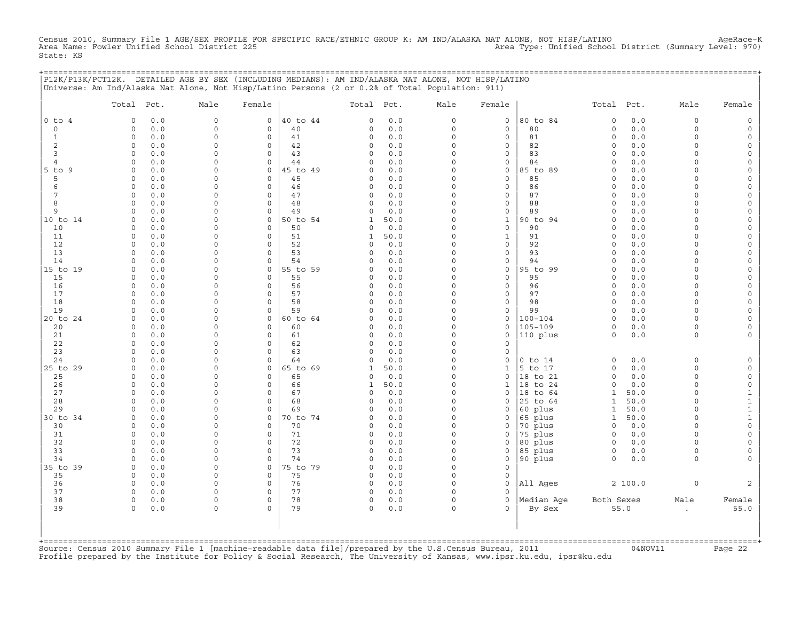Census 2010, Summary File 1 AGE/SEX PROFILE FOR SPECIFIC RACE/ETHNIC GROUP K: AM IND/ALASKA NAT ALONE, NOT HISP/LATINO AgeRace-K<br>Area Name: Fowler Unified School District 225 State: KS

+===================================================================================================================================================+

|                | P12K/P13K/PCT12K. DETAILED AGE BY SEX (INCLUDING MEDIANS): AM IND/ALASKA NAT ALONE, NOT HISP/LATINO<br>Universe: Am Ind/Alaska Nat Alone, Not Hisp/Latino Persons (2 or 0.2% of Total Population: 911) |                      |                                    |          |              |            |                         |                                    |             |                         |            |                     |                          |
|----------------|--------------------------------------------------------------------------------------------------------------------------------------------------------------------------------------------------------|----------------------|------------------------------------|----------|--------------|------------|-------------------------|------------------------------------|-------------|-------------------------|------------|---------------------|--------------------------|
|                | Total Pct.                                                                                                                                                                                             | Male                 | Female                             |          | Total        | Pct.       | Male                    | Female                             |             | Total                   | Pct.       | Male                | Female                   |
| $0$ to $4$     | 0.0<br>$\Omega$                                                                                                                                                                                        | $\circ$              | 0                                  | 40 to 44 | $\Omega$     | $0.0$      | $\mathbf 0$             | $\mathbf 0$                        | 80 to 84    | $\mathbf 0$             | $0.0$      | 0                   | $\mathsf{O}$             |
| 0              | 0.0<br>$\Omega$                                                                                                                                                                                        | $\Omega$             | 0                                  | 40       | 0            | 0.0        | $\mathbf 0$             | $\mathbf 0$                        | 80          | $\mathsf{O}\xspace$     | 0.0        | $\circ$             | $\mathsf O$              |
| $\mathbf{1}$   | 0.0<br>$\circ$                                                                                                                                                                                         | $\Omega$             | $\mathbf 0$                        | 41       | 0            | 0.0        | $\Omega$                | $\mathbf 0$                        | 81          | $\mathsf{O}\xspace$     | 0.0        | $\circ$             | $\mathsf{O}\xspace$      |
| 2              | 0.0<br>0                                                                                                                                                                                               | $\Omega$             | 0                                  | 42       | 0            | $0.0$      | $\Omega$                | $\mathbf 0$                        | 82          | $\circ$                 | 0.0        | $\Omega$            | $\mathbf 0$              |
| 3              | $\Omega$<br>0.0                                                                                                                                                                                        | $\Omega$             | $\mathbf 0$                        | 43       | 0            | 0.0        | $\Omega$                | $\mathbf 0$                        | 83          | $\circ$                 | 0.0        | $\circ$             | 0                        |
| $\overline{4}$ | 0.0<br>$\Omega$                                                                                                                                                                                        | $\Omega$             | $\mathbf 0$                        | 44       | 0            | 0.0        | $\Omega$                | $\mathsf{O}\xspace$                | 84          | $\mathbf 0$             | $0.0$      | $\Omega$            | $\mathsf{O}\xspace$      |
| 5 to 9         | 0.0<br>$\Omega$                                                                                                                                                                                        | $\Omega$             | 0                                  | 45 to 49 | 0            | $0.0$      | $\Omega$                | $\mathsf{O}$                       | 85 to 89    | $\Omega$                | $0.0$      | $\Omega$            | $\mathsf{O}\xspace$      |
| 5              | 0.0<br>0                                                                                                                                                                                               | $\Omega$             | $\mathbf 0$                        | 45       | 0            | 0.0        | $\Omega$                | $\mathbf 0$                        | 85          | $\circ$                 | 0.0        | $\Omega$            | 0                        |
| 6              | 0.0<br>$\mathbf 0$                                                                                                                                                                                     | 0                    | $\mathbf 0$                        | 46       | 0            | 0.0        | $\mathbf 0$             | $\mathsf{O}\xspace$                | 86          | $\circ$                 | 0.0        | $\Omega$            | $\mathsf{O}\xspace$      |
| 7              | 0.0<br>$\Omega$                                                                                                                                                                                        | $\Omega$             | $\Omega$                           | 47       | 0            | 0.0        | $\Omega$                | $\mathsf{O}$                       | 87          | $\Omega$                | $0.0$      | $\Omega$            | $\mathsf{O}\xspace$      |
| 8              | $\Omega$<br>0.0                                                                                                                                                                                        | $\Omega$             | $\mathbf 0$                        | 48       | 0            | 0.0        | $\Omega$                | $\mathsf{O}$                       | 88          | $\Omega$                | 0.0        | $\Omega$            | 0                        |
| 9              | $\mathbf 0$<br>0.0                                                                                                                                                                                     | $\Omega$             | $\mathsf{O}\xspace$                | 49       | 0            | 0.0        | $\mathbf 0$             | $\mathsf{O}\xspace$                | 89          | $\mathbf 0$             | 0.0        | $\Omega$            | $\mathsf{O}\xspace$      |
| 10 to 14       | 0.0<br>$\Omega$                                                                                                                                                                                        | $\Omega$             | 0                                  | 50 to 54 | 1            | 50.0       | $\Omega$                | $\mathbf 1$                        | 90 to 94    | $\Omega$                | $0.0$      | $\Omega$            | $\mathsf{O}\xspace$      |
| 10             | 0.0<br>$\Omega$                                                                                                                                                                                        | $\Omega$             | $\Omega$                           | 50       | 0            | 0.0        | $\Omega$                | $\mathbf 0$                        | 90          | $\Omega$                | 0.0        | $\Omega$            | 0                        |
| 11             | 0.0<br>$\mathsf{O}$                                                                                                                                                                                    | $\Omega$             | $\mathsf{O}\xspace$                | 51       | $\mathbf{1}$ | 50.0       | $\mathbf 0$             | $1\,$                              | 91          | $\mathsf{O}\xspace$     | 0.0        | $\Omega$            | $\mathsf{O}\xspace$      |
| 12             | 0.0<br>$\Omega$                                                                                                                                                                                        | $\Omega$             | 0                                  | 52       | C)           | 0.0        | $\Omega$                | $\mathsf{O}$                       | 92          | $\Omega$                | $0.0$      | $\Omega$            | $\mathsf{O}\xspace$      |
| 13             | 0.0<br>$\Omega$                                                                                                                                                                                        | $\Omega$<br>$\Omega$ | $\Omega$                           | 53       | C)           | 0.0        | $\Omega$                | $\mathbf 0$                        | 93          | $\Omega$                | 0.0        | $\Omega$            | 0                        |
| 14             | 0.0<br>$\Omega$<br>$\Omega$                                                                                                                                                                            | 0                    | $\mathbf 0$                        | 54       | 0            | 0.0        | $\mathbf 0$<br>$\Omega$ | $\mathsf{O}\xspace$                | 94          | $\mathbf 0$             | 0.0        | $\circ$<br>$\Omega$ | $\mathsf{O}\xspace$      |
| 15 to 19       | 0.0<br>$\Omega$                                                                                                                                                                                        | $\Omega$             | 0                                  | 55 to 59 | 0            | 0.0<br>0.0 | $\Omega$                | $\mathsf{O}\xspace$                | 95 to 99    | $\circ$                 | 0.0        | $\Omega$            | $\mathsf{O}\xspace$      |
| 15<br>16       | 0.0<br>$\Omega$<br>0.0                                                                                                                                                                                 | $\Omega$             | $\mathbf 0$<br>$\mathsf{O}\xspace$ | 55<br>56 | 0<br>0       | 0.0        | $\mathbf 0$             | $\mathbf 0$<br>$\mathsf{O}\xspace$ | 95<br>96    | $\Omega$<br>$\mathbf 0$ | 0.0<br>0.0 | $\Omega$            | 0<br>$\mathsf{O}\xspace$ |
| 17             | $\Omega$<br>0.0                                                                                                                                                                                        | $\Omega$             | $\mathsf{O}$                       | 57       | 0            | 0.0        | $\Omega$                | $\mathsf{O}\xspace$                | 97          | $\circ$                 | 0.0        | 0                   | 0                        |
| 18             | 0.0<br>$\Omega$                                                                                                                                                                                        | $\Omega$             | $\mathbf 0$                        | 58       | 0            | 0.0        | $\Omega$                | $\mathbf 0$                        | 98          | $\circ$                 | 0.0        | $\circ$             | $\mathsf O$              |
| 19             | 0.0<br>$\Omega$                                                                                                                                                                                        | $\Omega$             | 0                                  | 59       | 0            | 0.0        | $\mathbf 0$             | $\mathsf{O}\xspace$                | 99          | $\Omega$                | $0.0$      | $\Omega$            | $\mathsf{O}\xspace$      |
| 20 to 24       | 0.0<br>$\Omega$                                                                                                                                                                                        | $\Omega$             | $\Omega$                           | 60 to 64 | 0            | 0.0        | $\Omega$                | $\mathsf{O}\xspace$                | $100 - 104$ | $\circ$                 | 0.0        | $\Omega$            | 0                        |
| 20             | 0.0<br>$\Omega$                                                                                                                                                                                        | 0                    | $\mathbf 0$                        | 60       | 0            | 0.0        | $\Omega$                | $\mathbf 0$                        | $105 - 109$ | $\circ$                 | 0.0        | $\circ$             | 0                        |
| 21             | 0.0<br>$\Omega$                                                                                                                                                                                        | $\Omega$             | $\mathbf 0$                        | 61       | 0            | 0.0        | $\Omega$                | $\mathsf{O}\xspace$                | 110 plus    | $\mathsf{O}\xspace$     | $0.0$      | $\circ$             | $\mathsf{O}\xspace$      |
| 22             | $\Omega$<br>0.0                                                                                                                                                                                        | $\Omega$             | 0                                  | 62       | 0            | 0.0        | $\Omega$                | $\mathbf 0$                        |             |                         |            |                     |                          |
| 23             | 0.0<br>$\Omega$                                                                                                                                                                                        | $\Omega$             | $\Omega$                           | 63       | 0            | 0.0        | $\Omega$                | $\mathbf 0$                        |             |                         |            |                     |                          |
| 24             | 0.0<br>$\Omega$                                                                                                                                                                                        | $\Omega$             | $\Omega$                           | 64       | $\circ$      | 0.0        | $\Omega$                | $\mathbf 0$                        | $0$ to $14$ | $\circ$                 | 0.0        | $\circ$             | $\mathsf O$              |
| 25 to 29       | $\mathbf 0$<br>0.0                                                                                                                                                                                     | $\Omega$             | $\mathsf{O}\xspace$                | 65 to 69 | $\mathbf{1}$ | 50.0       | $\mathbf 0$             | $\mathbf 1$                        | 5 to 17     | $\mathsf{O}\xspace$     | 0.0        | $\Omega$            | $\mathsf{O}\xspace$      |
| 25             | 0.0<br>$\Omega$                                                                                                                                                                                        | $\Omega$             | 0                                  | 65       | 0            | 0.0        | $\Omega$                | $\mathbf 0$                        | 18 to 21    | $\Omega$                | 0.0        | $\circ$             | $\circ$                  |
| 26             | 0.0<br>$\circ$                                                                                                                                                                                         | $\Omega$             | $\Omega$                           | 66       | $\mathbf{1}$ | 50.0       | $\Omega$                | $\mathbf{1}$                       | 18 to 24    | $\Omega$                | 0.0        | $\circ$             | $\mathsf{O}\xspace$      |
| 27             | $\mathsf{O}$<br>0.0                                                                                                                                                                                    | $\Omega$             | $\mathsf{O}\xspace$                | 67       | 0            | $0.0$      | $\Omega$                | $\mathsf{O}\xspace$                | 18 to 64    | $\mathbf{1}$            | 50.0       | 0                   | $\mathbf{1}$             |
| 28             | 0.0<br>$\Omega$                                                                                                                                                                                        | $\Omega$             | 0                                  | 68       | 0            | 0.0        | $\Omega$                | $\Omega$                           | 25 to 64    | $\mathbf{1}$            | 50.0       | $\Omega$            | $\mathbf 1$              |
| 29             | 0.0<br>$\Omega$                                                                                                                                                                                        | $\Omega$             | $\Omega$                           | 69       | 0            | 0.0        | $\Omega$                | $\mathbf 0$                        | 60 plus     | $\mathbf{1}$            | 50.0       | $\circ$             | $\mathbf 1$              |
| 30 to 34       | $\circ$<br>0.0                                                                                                                                                                                         | $\Omega$             | 0                                  | 70 to 74 | 0            | 0.0        | $\Omega$                | $\mathsf{O}$                       | 65 plus     | $\mathbf{1}$            | 50.0       | 0                   | $\mathbf{1}$             |
| 30             | 0.0<br>$\Omega$                                                                                                                                                                                        | 0                    | $\mathbf 0$                        | 70       | 0            | 0.0        | $\Omega$                | $\circ$                            | 70 plus     | $\circ$                 | 0.0        | $\circ$             | $\mathsf O$              |
| 31             | 0.0<br>$\Omega$                                                                                                                                                                                        | $\Omega$             | $\Omega$                           | 71       | 0            | 0.0        | $\Omega$                | $\mathbf 0$                        | 75 plus     | $\circ$                 | 0.0        | $\Omega$            | $\mathsf{O}\xspace$      |
| 32             | $\mathbf 0$<br>0.0                                                                                                                                                                                     | $\mathbf 0$          | $\mathbf 0$                        | 72       | 0            | $0.0$      | $\mathbf 0$             | $\mathsf{O}$                       | 80 plus     | $\circ$                 | 0.0        | 0                   | $\mathsf{O}\xspace$      |
| 33             | 0.0<br>$\Omega$                                                                                                                                                                                        | 0                    | $\mathbf 0$                        | 73       | 0            | 0.0        | $\Omega$                | $\mathbf 0$                        | 85 plus     | 0                       | 0.0        | $\circ$             | 0                        |
| 34             | 0.0<br>$\Omega$                                                                                                                                                                                        | $\Omega$             | $\mathbf 0$                        | 74       | 0            | 0.0        | $\Omega$                | $\mathsf{O}\xspace$                | 90 plus     | $\circ$                 | 0.0        | $\circ$             | $\mathsf{O}\xspace$      |
| 35 to 39       | $\mathbf 0$<br>0.0                                                                                                                                                                                     | $\Omega$             | 0                                  | 75 to 79 | 0            | 0.0        | $\mathbf 0$             | $\mathsf{O}\xspace$                |             |                         |            |                     |                          |
| 35             | $\Omega$<br>0.0                                                                                                                                                                                        | $\Omega$             | $\mathbf 0$                        | 75       | 0            | 0.0        | $\Omega$                | $\mathbf 0$                        |             |                         |            |                     |                          |
| 36             | 0.0<br>$\circ$<br>$\Omega$                                                                                                                                                                             | $\Omega$<br>$\Omega$ | $\mathbf 0$                        | 76       | 0            | 0.0        | $\Omega$                | $\Omega$                           | All Ages    |                         | 2 100.0    | $\mathsf{O}\xspace$ | 2                        |
| 37<br>38       | 0.0<br>$\circ$                                                                                                                                                                                         | $\Omega$             | 0<br>$\mathbf 0$                   | 77<br>78 | 0<br>0       | 0.0<br>0.0 | $\mathbf 0$<br>$\Omega$ | $\mathbf 0$<br>$\Omega$            | Median Age  | Both Sexes              |            |                     |                          |
| 39             | 0.0<br>$\circ$                                                                                                                                                                                         | $\Omega$             | $\circ$                            | 79       | $\circ$      | 0.0        | $\Omega$                | $\Omega$                           |             |                         | 55.0       | Male                | Female<br>55.0           |
|                | 0.0<br>+=============================                                                                                                                                                                  |                      |                                    |          |              |            |                         |                                    | By Sex      |                         |            | $\bullet$           |                          |

+===================================================================================================================================================+Source: Census 2010 Summary File 1 [machine−readable data file]/prepared by the U.S.Census Bureau, 2011 04NOV11 Page 22 Profile prepared by the Institute for Policy & Social Research, The University of Kansas, www.ipsr.ku.edu, ipsr@ku.edu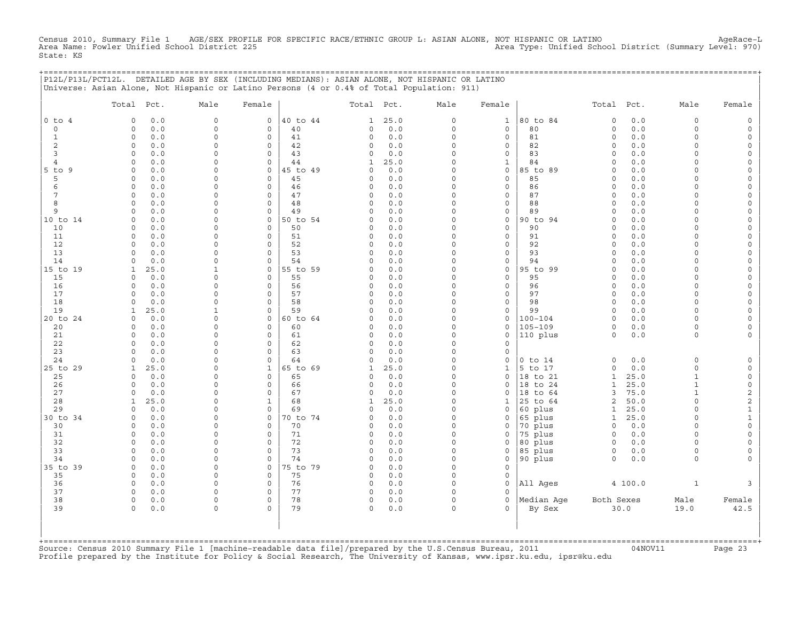Census 2010, Summary File 1 AGE/SEX PROFILE FOR SPECIFIC RACE/ETHNIC GROUP L: ASIAN ALONE, NOT HISPANIC OR LATINO<br>Area Name: Fowler Unified School District 225 Area Type: Unified School State: KS

+===================================================================================================================================================+

|                | P12L/P13L/PCT12L. DETAILED AGE BY SEX (INCLUDING MEDIANS): ASIAN ALONE, NOT HISPANIC OR LATINO<br>Universe: Asian Alone, Not Hispanic or Latino Persons (4 or 0.4% of Total Population: 911) |                          |                     |          |              |            |                         |                                    |             |                      |                                                       |                     |                          |
|----------------|----------------------------------------------------------------------------------------------------------------------------------------------------------------------------------------------|--------------------------|---------------------|----------|--------------|------------|-------------------------|------------------------------------|-------------|----------------------|-------------------------------------------------------|---------------------|--------------------------|
|                | Total Pct.                                                                                                                                                                                   | Male                     | Female              |          | Total        | Pct.       | Male                    | Female                             |             | Total                | Pct.                                                  | Male                | Female                   |
| $0$ to $4$     | 0.0<br>$\Omega$                                                                                                                                                                              | $\circ$                  | 0                   | 40 to 44 | 1            | 25.0       | $\circ$                 | $1\,$                              | 80 to 84    | $\mathbf 0$          | $0.0$                                                 | $\circ$             | $\mathsf O$              |
| 0              | 0.0<br>$\Omega$                                                                                                                                                                              | $\Omega$                 | $\mathbf 0$         | 40       | 0            | $0.0$      | $\circ$                 | $\mathbf 0$                        | 80          | $\mathsf{O}\xspace$  | 0.0                                                   | $\circ$             | $\mathsf{O}\xspace$      |
| $\mathbf{1}$   | 0.0<br>$\circ$                                                                                                                                                                               | $\Omega$                 | $\mathbf 0$         | 41       | 0            | 0.0        | $\mathbf 0$             | $\mathbf 0$                        | 81          | $\mathsf{O}\xspace$  | 0.0                                                   | $\circ$             | $\mathsf{O}\xspace$      |
| 2              | $\circ$<br>0.0                                                                                                                                                                               | $\Omega$                 | $\mathbf 0$         | 42       | 0            | $0.0$      | $\Omega$                | $\mathbf 0$                        | 82          | $\circ$              | 0.0                                                   | $\Omega$            | $\mathbf{0}$             |
| 3              | $\Omega$<br>0.0                                                                                                                                                                              | $\Omega$                 | $\mathbf 0$         | 43       | 0            | 0.0        | $\Omega$                | $\mathbf 0$                        | 83          | $\circ$              | 0.0                                                   | $\circ$             | 0                        |
| $\overline{4}$ | 0.0<br>$\Omega$                                                                                                                                                                              | $\Omega$                 | $\mathbf 0$         | 44       | $\mathbf{1}$ | 25.0       | $\Omega$                | $1\,$                              | 84          | $\mathbf 0$          | 0.0                                                   | $\circ$             | $\mathsf{O}\xspace$      |
| 5 to 9         | 0.0<br>$\Omega$                                                                                                                                                                              | $\Omega$                 | 0                   | 45 to 49 | 0            | $0.0$      | $\Omega$                | $\mathsf O$                        | 85 to 89    | $\Omega$             | $0.0$                                                 | $\Omega$            | $\mathsf{O}\xspace$      |
| 5              | 0.0<br>0                                                                                                                                                                                     | $\Omega$                 | $\mathbf 0$         | 45       | 0            | 0.0        | $\circ$                 | $\mathbf 0$                        | 85          | $\circ$              | 0.0                                                   | $\Omega$            | 0                        |
| 6              | 0.0<br>$\mathbf 0$                                                                                                                                                                           | $\Omega$                 | $\mathbf 0$         | 46       | 0            | 0.0        | $\mathbf 0$             | $\mathsf{O}\xspace$                | 86          | $\circ$              | 0.0                                                   | $\Omega$            | $\mathsf{O}$             |
| 7              | 0.0<br>$\Omega$                                                                                                                                                                              | $\Omega$                 | 0                   | 47       | 0            | 0.0        | $\Omega$                | $\mathsf{O}$                       | 87          | $\Omega$             | $0.0$                                                 | $\Omega$            | $\mathsf{O}\xspace$      |
| 8              | $\Omega$<br>0.0                                                                                                                                                                              | $\Omega$                 | $\mathbf 0$         | 48       | 0            | 0.0        | $\Omega$                | $\mathbf 0$                        | 88          | $\circ$              | 0.0                                                   | $\Omega$            | 0                        |
| 9              | $\mathbf 0$<br>0.0                                                                                                                                                                           | $\Omega$                 | $\mathsf{O}\xspace$ | 49       | $\circ$      | 0.0        | $\mathbf 0$             | $\mathsf{O}\xspace$                | 89          | $\circ$              | 0.0                                                   | $\circ$             | $\mathsf{O}\xspace$      |
| 10 to 14       | 0.0<br>$\Omega$                                                                                                                                                                              | 0                        | 0                   | 50 to 54 | C)           | 0.0        | $\Omega$                | $\mathsf O$                        | 90 to 94    | $\Omega$             | $0.0$                                                 | $\Omega$            | $\mathsf{O}\xspace$      |
| 10             | 0.0<br>$\Omega$                                                                                                                                                                              | $\Omega$                 | $\Omega$            | 50       | 0            | 0.0        | $\Omega$                | $\mathbf 0$                        | 90          | $\Omega$             | 0.0                                                   | $\Omega$            | 0                        |
| 11             | 0.0<br>$\circ$                                                                                                                                                                               | $\Omega$                 | $\mathsf{O}\xspace$ | 51       | 0            | 0.0        | $\mathbf 0$             | $\mathsf{O}\xspace$                | 91          | $\mathsf{O}\xspace$  | 0.0                                                   | $\circ$             | $\mathsf{O}\xspace$      |
| 12             | 0.0<br>$\Omega$                                                                                                                                                                              | $\Omega$                 | 0                   | 52       | 0            | 0.0        | $\Omega$                | $\mathsf{O}$                       | 92          | $\Omega$             | 0.0                                                   | $\Omega$            | $\mathsf{O}\xspace$      |
| 13             | 0.0<br>$\Omega$                                                                                                                                                                              | $\Omega$<br>$\Omega$     | $\Omega$            | 53       | $\Omega$     | 0.0        | $\Omega$                | $\mathbf 0$                        | 93          | $\Omega$<br>$\Omega$ | 0.0                                                   | $\Omega$            | 0                        |
| 14             | 0.0<br>$\Omega$                                                                                                                                                                              |                          | $\mathbf 0$         | 54       | 0            | 0.0        | $\mathbf 0$<br>$\Omega$ | $\mathsf{O}\xspace$                | 94          |                      | 0.0                                                   | $\circ$<br>$\Omega$ | $\mathsf{O}\xspace$      |
| 15 to 19       | 25.0<br>$\mathbf{1}$<br>$\Omega$                                                                                                                                                             | $\mathbf{1}$<br>$\Omega$ | 0<br>$\Omega$       | 55 to 59 | 0            | 0.0<br>0.0 | $\Omega$                | $\mathsf O$                        | 95 to 99    | $\circ$              | 0.0                                                   | $\Omega$            | $\mathsf{O}\xspace$      |
| 15<br>16       | 0.0<br>$\Omega$<br>0.0                                                                                                                                                                       | $\Omega$                 | $\mathsf{O}\xspace$ | 55<br>56 | 0<br>0       | 0.0        | $\mathbf 0$             | $\mathbf 0$<br>$\mathsf{O}\xspace$ | 95<br>96    | $\Omega$<br>$\circ$  | 0.0<br>0.0                                            | $\circ$             | 0<br>$\mathsf{O}\xspace$ |
| 17             | $\Omega$<br>0.0                                                                                                                                                                              | $\Omega$                 | 0                   | 57       | 0            | 0.0        | $\Omega$                | $\mathsf{O}$                       | 97          | $\circ$              | 0.0                                                   | 0                   | 0                        |
| 18             | 0.0<br>$\Omega$                                                                                                                                                                              | $\Omega$                 | $\mathbf 0$         | 58       | 0            | 0.0        | $\Omega$                | $\mathbf 0$                        | 98          | $\circ$              | 0.0                                                   | $\circ$             | $\mathsf O$              |
| 19             | 25.0<br>$\mathbf{1}$                                                                                                                                                                         | $\mathbf{1}$             | 0                   | 59       | 0            | 0.0        | $\mathbf 0$             | $\mathsf{O}\xspace$                | 99          | $\circ$              | 0.0                                                   | $\circ$             | $\mathsf{O}\xspace$      |
| 20 to 24       | 0.0<br>$\Omega$                                                                                                                                                                              | $\Omega$                 | 0                   | 60 to 64 | 0            | 0.0        | $\Omega$                | $\mathsf{O}$                       | $100 - 104$ | $\circ$              | 0.0                                                   | $\Omega$            | 0                        |
| 20             | 0.0<br>$\Omega$                                                                                                                                                                              | $\Omega$                 | $\mathbf 0$         | 60       | 0            | 0.0        | $\Omega$                | $\mathbf 0$                        | $105 - 109$ | $\circ$              | 0.0                                                   | $\circ$             | 0                        |
| 21             | 0.0<br>$\Omega$                                                                                                                                                                              | $\Omega$                 | $\mathbf 0$         | 61       | 0            | 0.0        | $\Omega$                | $\mathsf{O}\xspace$                | 110 plus    | $\circ$              | $0.0$                                                 | $\circ$             | $\circ$                  |
| 22             | $\Omega$<br>0.0                                                                                                                                                                              | $\Omega$                 | 0                   | 62       | 0            | 0.0        | $\Omega$                | $\mathbf 0$                        |             |                      |                                                       |                     |                          |
| 23             | 0.0<br>$\Omega$                                                                                                                                                                              | $\Omega$                 | 0                   | 63       | 0            | 0.0        | $\Omega$                | $\mathbf 0$                        |             |                      |                                                       |                     |                          |
| 24             | 0.0<br>$\Omega$                                                                                                                                                                              | $\Omega$                 | $\Omega$            | 64       | $\circ$      | 0.0        | $\Omega$                | $\mathbf 0$                        | $0$ to $14$ | $\mathbf 0$          | 0.0                                                   | $\circ$             | $\mathsf O$              |
| 25 to 29       | 25.0<br>$\mathbf{1}$                                                                                                                                                                         | $\Omega$                 | $\mathbf{1}$        | 65 to 69 | $\mathbf{1}$ | 25.0       | $\Omega$                | $\mathbf 1$                        | 5 to 17     | $\mathsf{O}\xspace$  | $\ensuremath{\mathsf{0}}$ . $\ensuremath{\mathsf{0}}$ | 0                   | $\mathsf{O}\xspace$      |
| 25             | 0.0<br>$\Omega$                                                                                                                                                                              | $\Omega$                 | 0                   | 65       | 0            | 0.0        | $\Omega$                | $\mathbf 0$                        | 18 to 21    | $\mathbf{1}$         | 25.0                                                  | $\mathbf{1}$        | $\circ$                  |
| 26             | 0.0<br>$\Omega$                                                                                                                                                                              | $\Omega$                 | $\Omega$            | 66       | $\circ$      | 0.0        | $\Omega$                | $\Omega$                           | 18 to 24    | $\mathbf{1}$         | 25.0                                                  | $\mathbf{1}$        | $\mathsf{O}\xspace$      |
| 27             | 0<br>0.0                                                                                                                                                                                     | $\Omega$                 | $\mathsf{O}\xspace$ | 67       | 0            | $0.0$      | $\Omega$                | $\mathsf{O}\xspace$                | 18 to 64    | 3                    | 75.0                                                  | $\mathbf{1}$        | $\mathbf{2}$             |
| 28             | 25.0<br>1                                                                                                                                                                                    | $\Omega$                 | 1                   | 68       | $\mathbf{1}$ | 25.0       | $\Omega$                | 1                                  | 25 to 64    | 2                    | 50.0                                                  | $\Omega$            | $\overline{c}$           |
| 29             | 0.0<br>$\Omega$                                                                                                                                                                              | $\Omega$                 | $\Omega$            | 69       | 0            | 0.0        | $\Omega$                | $\mathbf 0$                        | 60 plus     | $\mathbf{1}$         | 25.0                                                  | $\circ$             | $\mathbf 1$              |
| 30 to 34       | 0.0<br>0                                                                                                                                                                                     | $\Omega$                 | 0                   | 70 to 74 | 0            | $0.0$      | $\Omega$                | $\mathsf{O}\xspace$                | 65 plus     | $\mathbf{1}$         | 25.0                                                  | 0                   | $\mathbf{1}$             |
| 30             | 0.0<br>$\Omega$                                                                                                                                                                              | 0                        | $\mathbf 0$         | 70       | 0            | 0.0        | $\Omega$                | $\Omega$                           | 70 plus     | $\mathbf 0$          | 0.0                                                   | $\circ$             | $\mathsf{O}\xspace$      |
| 31             | 0.0<br>$\Omega$                                                                                                                                                                              | $\Omega$                 | $\circ$             | 71       | 0            | 0.0        | $\Omega$                | $\mathbf 0$                        | 75 plus     | $\circ$              | 0.0                                                   | $\Omega$            | $\mathsf{O}\xspace$      |
| 32             | 0<br>0.0                                                                                                                                                                                     | $\mathbf 0$              | $\mathsf{O}\xspace$ | 72       | 0            | $0.0$      | $\mathbf 0$             | $\mathsf{O}\xspace$                | 80 plus     | $\circ$              | 0.0                                                   | 0                   | $\mathsf{O}\xspace$      |
| 33             | 0.0<br>$\Omega$                                                                                                                                                                              | 0                        | $\mathbf 0$         | 73       | 0            | 0.0        | $\Omega$                | $\mathbf 0$                        | 85 plus     | 0                    | 0.0                                                   | $\circ$             | 0                        |
| 34             | 0.0<br>$\Omega$                                                                                                                                                                              | $\Omega$                 | $\mathbf 0$         | 74       | 0            | 0.0        | $\Omega$                | $\mathbf 0$                        | 90 plus     | $\circ$              | 0.0                                                   | $\circ$             | $\mathsf{O}\xspace$      |
| 35 to 39       | $\mathbf 0$<br>0.0                                                                                                                                                                           | $\Omega$                 | 0                   | 75 to 79 | 0            | 0.0        | $\mathbf 0$             | $\mathsf{O}\xspace$                |             |                      |                                                       |                     |                          |
| 35             | $\circ$<br>0.0                                                                                                                                                                               | $\Omega$                 | $\mathbf 0$         | 75       | 0            | 0.0        | $\Omega$                | $\mathbf 0$                        |             |                      |                                                       |                     |                          |
| 36             | 0.0<br>$\circ$<br>$\Omega$                                                                                                                                                                   | $\Omega$<br>$\Omega$     | $\mathbf 0$         | 76       | $\circ$      | 0.0        | $\Omega$<br>$\mathbf 0$ | $\Omega$                           | All Ages    |                      | 4 100.0                                               | $\mathbf{1}$        | 3                        |
| 37<br>38       | 0.0<br>$\circ$                                                                                                                                                                               | $\Omega$                 | 0<br>$\Omega$       | 77<br>78 | 0<br>0       | 0.0<br>0.0 | $\Omega$                | $\mathbf 0$<br>$\Omega$            | Median Age  | Both Sexes           |                                                       |                     |                          |
| 39             | 0.0<br>0.0<br>$\circ$                                                                                                                                                                        | $\Omega$                 | $\circ$             | 79       | $\circ$      | 0.0        | $\Omega$                | $\Omega$                           | By Sex      |                      | 30.0                                                  | Male<br>19.0        | Female<br>42.5           |
|                |                                                                                                                                                                                              |                          |                     |          |              |            |                         |                                    |             |                      |                                                       |                     |                          |

+===================================================================================================================================================+Source: Census 2010 Summary File 1 [machine−readable data file]/prepared by the U.S.Census Bureau, 2011 04NOV11 Page 23 Profile prepared by the Institute for Policy & Social Research, The University of Kansas, www.ipsr.ku.edu, ipsr@ku.edu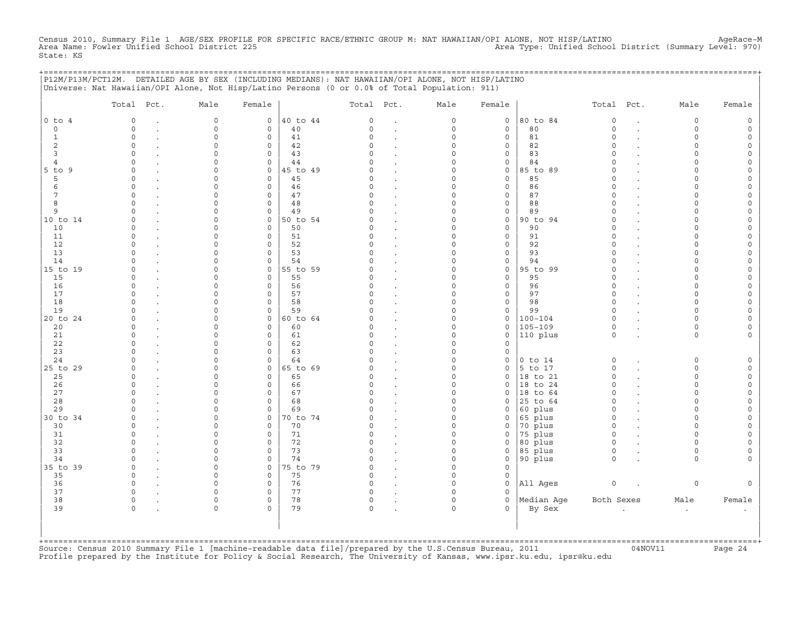Census 2010, Summary File 1 AGE/SEX PROFILE FOR SPECIFIC RACE/ETHNIC GROUP M: NAT HAWAIIAN/OPI ALONE, NOT HISP/LATINO<br>Area Name: Fowler Unified School District 225 (Summary Level: 970) Area Type: Unified School District (S State: KS

+===================================================================================================================================================+

|                | Total Pct.          | Male                | Female              |          | Total Pct. |                      | Male        | Female              |             | Total Pct.  |                      | Male      | Female              |
|----------------|---------------------|---------------------|---------------------|----------|------------|----------------------|-------------|---------------------|-------------|-------------|----------------------|-----------|---------------------|
| $0$ to $4$     | $\mathbf 0$         | $\mathsf{O}\xspace$ | $\mathsf{O}\xspace$ | 40 to 44 | 0          | $\bullet$            | $\circ$     | $\mathsf O$         | 80 to 84    | $\circ$     | $\ddot{\phantom{a}}$ | 0         | $\mathsf{O}\xspace$ |
| $\circ$        | $\Omega$<br>$\cdot$ | $\mathbf 0$         | $\circ$             | 40       | $\Omega$   | $\ddot{\phantom{a}}$ | $\circ$     | $\mathbf 0$         | 80          | $\Omega$    | $\ddot{\phantom{a}}$ | $\Omega$  | $\mathsf{O}\xspace$ |
| $\mathbf{1}$   | $\circ$             | $\mathbf 0$         | $\mathsf{O}$        | 41       | $\Omega$   |                      | $\circ$     | $\mathsf{O}$        | 81          | $\circ$     |                      | $\circ$   | $\circ$             |
| 2              | $\Omega$            | $\mathbf 0$         | $\mathsf{O}$        | 42       | $\Omega$   |                      | $\Omega$    | $\mathsf O$         | 82          | $\Omega$    |                      | $\circ$   | 0                   |
| 3              | $\circ$             | $\mathbf 0$         | $\mathsf{O}$        | 43       | $\cap$     | $\bullet$            | $\Omega$    | $\mathsf{O}\xspace$ | 83          | $\circ$     |                      | $\circ$   | $\mathsf O$         |
| $\overline{4}$ | $\Omega$            | $\Omega$            | $\mathbf 0$         | 44       | U          |                      | $\Omega$    | $\mathsf{O}$        | 84          | $\Omega$    |                      | $\Omega$  | 0                   |
| $5$ to $9$     | $\Omega$            | $\Omega$            | $\mathsf O$         | 45 to 49 | U          |                      | $\Omega$    | $\mathsf{O}$        | 85 to 89    | $\Omega$    |                      | $\Omega$  | $\mathsf{O}\xspace$ |
| 5              | $\circ$             | $\Omega$            | $\mathsf O$         | 45       | O          |                      | $\Omega$    | $\mathsf O$         | 85          | $\Omega$    |                      | $\Omega$  | $\mathsf{O}\xspace$ |
| 6              | $\Omega$            | $\Omega$            | $\mathbf{0}$        | 46       | $\cap$     | $\ddot{\phantom{a}}$ | $\Omega$    | $\mathsf{O}\xspace$ | 86          | $\Omega$    |                      | $\cap$    | $\mathsf{O}\xspace$ |
| 7              | $\Omega$            | $\Omega$            | $\mathbf 0$         | 47       | $\Omega$   |                      | $\Omega$    | $\mathsf O$         | 87          | $\Omega$    |                      | O         | 0                   |
| 8              | $\Omega$            | $\Omega$            | $\mathsf O$         | 48       | $\Omega$   |                      | $\Omega$    | $\mathsf O$         | 88          | $\Omega$    |                      | $\Omega$  | $\mathsf{O}\xspace$ |
| 9              | $\Omega$            | $\Omega$            | $\circ$             | 49       | $\cap$     |                      | $\cap$      | $\mathsf{O}$        | 89          | $\Omega$    |                      | $\cap$    | 0                   |
| 10 to 14       | $\Omega$            | $\Omega$            | $\mathbf 0$         | 50 to 54 | O          | $\ddot{\phantom{a}}$ | $\Omega$    | $\mathsf O$         | 90 to 94    | $\Omega$    |                      | $\Omega$  | $\mathsf{O}\xspace$ |
| 10             | $\Omega$            | $\Omega$            | $\mathsf{O}$        | 50       | O          |                      | $\Omega$    | $\mathsf{O}$        | 90          | $\Omega$    |                      | $\Omega$  | 0                   |
| 11             | $\Omega$            | $\Omega$            | $\mathbf 0$         | 51       | $\Omega$   |                      | $\Omega$    | $\mathsf O$         | 91          | $\Omega$    |                      | $\Omega$  | $\mathsf{O}\xspace$ |
| 12             | $\Omega$            | $\Omega$            | $\mathbf 0$         | 52       | $\Omega$   | $\cdot$              | $\Omega$    | $\mathbf 0$         | 92          | $\Omega$    |                      | $\Omega$  | $\circ$             |
| 13             | $\Omega$            | $\Omega$            | $\mathbf 0$         | 53       | $\Omega$   | $\cdot$              | $\Omega$    | $\mathsf{O}$        | 93          | $\Omega$    |                      | $\Omega$  | 0                   |
| 14             | $\Omega$            | $\Omega$            | $\mathbf 0$         | 54       | $\Omega$   |                      | $\Omega$    | $\mathsf O$         | 94          | $\Omega$    |                      | $\Omega$  | $\mathsf{O}\xspace$ |
| 15 to 19       | $\circ$             | $\mathbf 0$         | $\mathsf O$         | 55 to 59 | $\Omega$   |                      | $\mathbf 0$ | $\mathsf O$         | 95 to 99    | $\Omega$    |                      | $\Omega$  | $\mathsf{O}\xspace$ |
| 15             | $\Omega$            | $\Omega$            | $\circ$             | 55       | 0          | $\cdot$              | $\Omega$    | $\mathbf 0$         | 95          | $\circ$     |                      | $\Omega$  | $\mathsf{O}\xspace$ |
| 16             | $\Omega$            | $\Omega$            | $\circ$             | 56       | O          | $\cdot$              | $\Omega$    | $\mathsf{O}$        | 96          | $\circ$     |                      | $\Omega$  | 0                   |
| 17             | $\Omega$            | $\mathbf 0$         | $\mathsf O$         | 57       | $\Omega$   |                      | $\Omega$    | $\mathsf{O}\xspace$ | 97          | $\Omega$    |                      | $\Omega$  | $\mathsf{O}\xspace$ |
| 18             | $\Omega$            | $\Omega$            | $\mathbf 0$         | 58       | $\Omega$   |                      | $\Omega$    | $\circ$             | 98          | $\Omega$    |                      | $\Omega$  | $\mathsf{O}\xspace$ |
| 19             | $\Omega$            | $\Omega$            | $\mathbf 0$         | 59       |            | $\ddot{\phantom{a}}$ | $\Omega$    | $\mathbf 0$         | 99          | $\Omega$    |                      | $\Omega$  | 0                   |
| 20 to 24       | $\Omega$            | $\mathbf 0$         | $\mathsf O$         | 60 to 64 | $\Omega$   | $\bullet$            | $\Omega$    | $\mathsf O$         | $100 - 104$ | $\circ$     |                      | $\Omega$  | $\mathsf{O}\xspace$ |
| 20             | $\Omega$            | $\Omega$            | $\mathbf 0$         | 60       | $\Omega$   |                      | $\Omega$    | $\mathsf{O}$        | $105 - 109$ | $\circ$     |                      | $\circ$   | 0                   |
| 21             | $\Omega$            | $\Omega$            | $\mathbf 0$         | 61       | O          |                      | $\Omega$    | $\mathsf{O}$        | 110 plus    | $\circ$     |                      | $\Omega$  | $\mathbf 0$         |
| 22             | $\Omega$            | $\Omega$            | $\mathbf 0$         | 62       | $\Omega$   | $\ddot{\phantom{a}}$ | $\Omega$    | $\mathsf{O}$        |             |             |                      |           |                     |
| 23             | $\Omega$            | $\Omega$            | $\mathbf 0$         | 63       | $\Omega$   |                      | $\Omega$    | $\mathsf O$         |             |             |                      |           |                     |
| 24             | $\cap$              | $\Omega$            | $\mathsf{O}$        | 64       |            |                      | $\Omega$    | $\mathsf{O}$        | $0$ to $14$ | $\Omega$    |                      | 0         | $\mathsf{O}$        |
| 25 to 29       | $\Omega$            | $\Omega$            | $\mathbf 0$         | 65 to 69 | U          | $\ddot{\phantom{a}}$ | $\Omega$    | $\mathbf 0$         | 5 to 17     | $\Omega$    |                      | $\Omega$  | $\mathsf{O}$        |
| 25             | $\Omega$            | $\Omega$            | $\mathbf{0}$        | 65       | O          | $\bullet$            | $\Omega$    | $\mathbf 0$         | 18 to 21    | $\mathbf 0$ |                      | $\Omega$  | $\mathsf{O}$        |
| 26             | $\circ$             | $\Omega$            | $\mathsf{O}$        | 66       | O          | $\blacksquare$       | $\Omega$    | 0                   | 18 to 24    | $\Omega$    |                      | $\Omega$  | $\mathsf{O}\xspace$ |
| 27             | $\Omega$            | $\Omega$            | $\mathbf 0$         | 67       | $\Omega$   |                      | $\cap$      | $\Omega$            | 18 to 64    | $\Omega$    |                      | $\Omega$  | $\mathsf{O}\xspace$ |
| 28             | $\Omega$            | $\mathbf 0$         | $\mathsf{O}$        | 68       | $\Omega$   |                      | $\Omega$    | $\mathbf 0$         | 25 to 64    | $\Omega$    |                      | $\Omega$  | 0                   |
| 29             | $\Omega$            | $\Omega$            | $\mathsf{O}$        | 69       | $\Omega$   | $\bullet$            | $\Omega$    | 0                   | 60 plus     | $\circ$     | $\cdot$              | $\Omega$  | $\mathsf{O}\xspace$ |
| 30 to 34       | $\Omega$            | $\Omega$            | $\mathsf{O}$        | 70 to 74 | U          | $\ddot{\phantom{a}}$ | $\Omega$    | $\Omega$            | 65 plus     | $\Omega$    |                      | $\cap$    | $\mathsf{O}\xspace$ |
| 30             | $\Omega$            | $\Omega$            | $\mathbf 0$         | 70       | $\Omega$   |                      | $\Omega$    | $\mathsf{O}$        | 70 plus     | $\Omega$    |                      | $\Omega$  | $\mathbf 0$         |
| 31             | $\Omega$            | $\mathbf 0$         | $\mathsf O$         | 71       | $\Omega$   | $\cdot$              | $\Omega$    | $\mathsf O$         | 75 plus     | $\circ$     |                      | $\Omega$  | $\mathsf{O}\xspace$ |
| 32             | $\Omega$            | $\mathbf 0$         | $\mathsf O$         | 72       | 0          | $\bullet$            | $\Omega$    | $\mathbf 0$         | 80 plus     | $\circ$     |                      | $\Omega$  | $\mathsf{O}\xspace$ |
| 33             | $\Omega$            | $\Omega$            | $\mathbf 0$         | 73       | $\Omega$   |                      | $\Omega$    | $\mathsf{O}$        | 85 plus     | $\Omega$    |                      | $\Omega$  | 0                   |
| 34             | $\Omega$            | $\Omega$            | $\mathbf 0$         | 74       | $\Omega$   | $\cdot$              | $\Omega$    | $\mathsf{O}$        | 90 plus     | $\Omega$    |                      | $\Omega$  | $\mathbf{0}$        |
| 35 to 39       | $\circ$             | $\mathbf 0$         | $\mathsf{O}\xspace$ | 75 to 79 | $\Omega$   | $\cdot$              | $\Omega$    | $\mathsf O$         |             |             |                      |           |                     |
| 35             | $\circ$             | $\Omega$            | $\mathsf{O}$        | 75       | 0          |                      | $\mathbf 0$ | $\mathsf{O}$        |             |             |                      |           |                     |
| 36             | $\Omega$            | $\Omega$            | $\mathbf 0$         | 76       | $\Omega$   |                      | $\Omega$    | $\mathbf 0$         | All Ages    | $\mathsf O$ |                      | 0         | $\mathbf{0}$        |
| 37             | $\Omega$            | $\Omega$            | 0                   | 77       | $\Omega$   |                      | $\Omega$    | $\Omega$            |             |             |                      |           |                     |
| 38             | $\circ$             | $\mathbf 0$         | $\mathsf O$         | 78       | 0          | $\bullet$            | $\circ$     | $\mathbf 0$         | Median Aqe  | Both Sexes  |                      | Male      | Female              |
| 39             | $\Omega$            | $\Omega$            | $\Omega$            | 79       | $\Omega$   |                      | $\Omega$    | $\Omega$            | By Sex      |             | $\cdot$              | $\bullet$ | $\bullet$           |
|                |                     |                     |                     |          |            |                      |             |                     |             |             |                      |           |                     |

+===================================================================================================================================================+Source: Census 2010 Summary File 1 [machine−readable data file]/prepared by the U.S.Census Bureau, 2011 04NOV11 Page 24 Profile prepared by the Institute for Policy & Social Research, The University of Kansas, www.ipsr.ku.edu, ipsr@ku.edu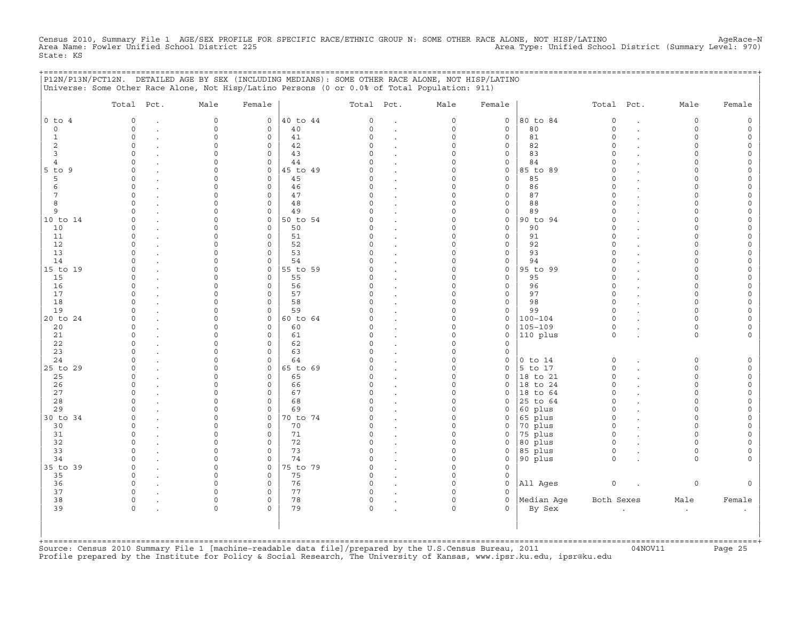Census 2010, Summary File 1 AGE/SEX PROFILE FOR SPECIFIC RACE/ETHNIC GROUP N: SOME OTHER RACE ALONE, NOT HISP/LATINO<br>Area Name: Fowler Unified School District 225 (Summary Level: 970) Area Type: Unified School District (Su State: KS

+===================================================================================================================================================+

|                | Total Pct.  | Male                | Female              |          | Total Pct.   |                      | Male        | Female              |             | Total Pct.          |                      | Male      | Female              |
|----------------|-------------|---------------------|---------------------|----------|--------------|----------------------|-------------|---------------------|-------------|---------------------|----------------------|-----------|---------------------|
| $0$ to $4$     | $\mathbf 0$ | $\mathsf{O}\xspace$ | $\circ$             | 40 to 44 | 0            | $\cdot$              | $\mathsf O$ | $\mathsf O$         | 80 to 84    | $\mathsf{O}\xspace$ | $\ddot{\phantom{a}}$ | 0         | $\mathsf{O}\xspace$ |
| $\circ$        | $\Omega$    | $\Omega$            | $\Omega$            | 40       | $\Omega$     | $\bullet$            | $\mathbf 0$ | $\mathbf 0$         | 80          | $\Omega$            | $\overline{a}$       | $\Omega$  | $\mathsf{O}\xspace$ |
| $\mathbf{1}$   | $\circ$     | $\Omega$            | 0                   | 41       | $\Omega$     |                      | $\mathbf 0$ | $\mathbf 0$         | 81          | $\circ$             |                      | $\Omega$  | $\mathsf{O}$        |
| $\overline{c}$ | $\circ$     | $\Omega$            | $\mathbf 0$         | 42       | $\Omega$     | $\cdot$              | $\Omega$    | $\mathsf{O}\xspace$ | 82          | $\circ$             |                      | $\circ$   | $\circ$             |
| $\overline{3}$ | $\circ$     | $\Omega$            | 0                   | 43       | $\cap$       | $\cdot$              | $\Omega$    | $\mathsf{O}\xspace$ | 83          | $\circ$             |                      | $\Omega$  | $\mathsf{O}$        |
| 4              | $\Omega$    | $\Omega$            | $\mathbf 0$         | 44       | U            |                      | $\Omega$    | $\mathbf 0$         | 84          | $\Omega$            |                      | $\Omega$  | $\mathsf{O}\xspace$ |
| $5$ to $9$     | $\Omega$    | $\Omega$            | $\mathbf 0$         | 45 to 49 | U            | $\ddot{\phantom{a}}$ | $\Omega$    | $\mathsf{O}$        | 85 to 89    | $\Omega$            |                      | $\Omega$  | $\mathsf{O}\xspace$ |
| 5              | $\Omega$    | $\Omega$            | $\circ$             | 45       | <sup>o</sup> | $\ddot{\phantom{a}}$ | $\Omega$    | $\mathsf O$         | 85          | $\Omega$            |                      | $\Omega$  | $\mathsf{O}\xspace$ |
| 6              | $\Omega$    | $\cap$              | $\mathbf 0$         | 46       | $\cap$       | $\ddot{\phantom{a}}$ | $\Omega$    | $\mathbf{0}$        | 86          | $\Omega$            |                      | $\cap$    | $\mathsf{O}\xspace$ |
| 7              | $\Omega$    | $\Omega$            | $\mathbf 0$         | 47       | $\Omega$     | $\ddot{\phantom{a}}$ | $\Omega$    | $\mathbf 0$         | 87          | $\Omega$            |                      | $\Omega$  | 0                   |
| 8              | $\Omega$    | $\Omega$            | $\mathbf 0$         | 48       | $\Omega$     | $\ddot{\phantom{a}}$ | $\Omega$    | $\mathsf{O}\xspace$ | 88          | $\Omega$            |                      | $\Omega$  | $\mathsf{O}\xspace$ |
| 9              | $\cap$      | $\cap$              | $\mathbf 0$         | 49       | $\cap$       | $\ddot{\phantom{a}}$ | $\Omega$    | $\mathsf{O}\xspace$ | 89          | $\Omega$            |                      | $\Omega$  | $\mathsf{O}\xspace$ |
| 10 to 14       | $\Omega$    | $\Omega$            | $\mathbf{0}$        | 50 to 54 | C)           | $\sim$               | $\Omega$    | $\mathbf 0$         | 90 to 94    | $\circ$             |                      | $\Omega$  | $\mathsf{O}\xspace$ |
| 10             | $\Omega$    | $\Omega$            | $\mathbf 0$         | 50       | O.           |                      | $\Omega$    | $\mathbf 0$         | 90          | $\Omega$            |                      | $\Omega$  | 0                   |
| 11             | $\Omega$    | $\Omega$            | $\mathbf 0$         | 51       | $\Omega$     | $\ddot{\phantom{a}}$ | $\Omega$    | $\mathsf{O}\xspace$ | 91          | $\Omega$            |                      | $\Omega$  | $\mathsf{O}\xspace$ |
| 12             | $\Omega$    | $\Omega$            | $\mathbf 0$         | 52       | $\Omega$     | $\cdot$              | $\Omega$    | $\mathbf 0$         | 92          | $\Omega$            |                      | $\Omega$  | $\mathsf{O}\xspace$ |
| 13             | $\Omega$    | $\Omega$            | $\mathbf 0$         | 53       | C)           | $\ddot{\phantom{a}}$ | $\Omega$    | $\mathbf 0$         | 93          | $\Omega$            |                      | $\Omega$  | 0                   |
| 14             | $\Omega$    | $\Omega$            | $\mathbf 0$         | 54       |              |                      | $\Omega$    | $\mathsf{O}\xspace$ | 94          | $\Omega$            |                      | $\Omega$  | $\mathsf{O}\xspace$ |
| 15 to 19       | $\Omega$    | $\Omega$            | $\mathsf{O}\xspace$ | 55 to 59 | $\Omega$     |                      | $\mathbf 0$ | $\mathsf O$         | 95 to 99    | $\Omega$            |                      | $\Omega$  | $\mathsf{O}\xspace$ |
| 15             | $\Omega$    | $\Omega$            | $\mathbf 0$         | 55       | C            | $\ddot{\phantom{a}}$ | $\Omega$    | $\mathbf 0$         | 95          | $\Omega$            |                      | $\cap$    | $\mathsf{O}\xspace$ |
| 16             | $\Omega$    | $\Omega$            | $\mathbf 0$         | 56       |              | $\cdot$              | $\Omega$    | $\mathbf 0$         | 96          | $\circ$             |                      | $\Omega$  | $\mathsf{O}$        |
| 17             | $\Omega$    | $\Omega$            | $\mathsf{O}\xspace$ | 57       | $\Omega$     |                      | $\mathbf 0$ | $\mathsf{O}\xspace$ | 97          | $\Omega$            |                      | $\Omega$  | $\mathsf{O}\xspace$ |
| 18             | $\cap$      | $\cap$              | $\Omega$            | 58       | $\cap$       | $\cdot$              | $\Omega$    | $\mathbf 0$         | 98          | $\Omega$            |                      | $\Omega$  | $\circ$             |
| 19             | $\Omega$    | $\Omega$            | $\mathbf 0$         | 59       |              | $\ddot{\phantom{a}}$ | $\Omega$    | $\mathbf 0$         | 99          | $\Omega$            |                      | $\Omega$  | $\mathsf{O}\xspace$ |
| 20 to 24       | $\Omega$    | $\Omega$            | $\mathbf{0}$        | 60 to 64 |              | $\ddot{\phantom{a}}$ | $\Omega$    | $\mathsf O$         | $100 - 104$ | $\circ$             |                      | $\Omega$  | $\mathsf{O}\xspace$ |
| 20             | $\Omega$    | $\Omega$            | $\mathbf 0$         | 60       | <sup>o</sup> | $\ddot{\phantom{a}}$ | $\Omega$    | $\mathsf{O}$        | $105 - 109$ | $\circ$             |                      | $\circ$   | 0                   |
| 21             | $\Omega$    | $\Omega$            | $\mathbf 0$         | 61       | <sup>o</sup> | $\ddot{\phantom{a}}$ | $\Omega$    | $\mathbf 0$         | 110 plus    | $\circ$             |                      | $\Omega$  | $\mathbf{0}$        |
| 22             | $\Omega$    | $\Omega$            | $\mathbf 0$         | 62       | $\Omega$     | $\sim$               | $\Omega$    | $\mathbf 0$         |             |                     |                      |           |                     |
| 23             | $\Omega$    | $\Omega$            | $\mathbf 0$         | 63       | $\Omega$     | $\ddot{\phantom{a}}$ | $\Omega$    | $\mathsf O$         |             |                     |                      |           |                     |
| 24             | $\cap$      | $\Omega$            | 0                   | 64       | U            |                      | $\Omega$    | $\mathsf{O}$        | $0$ to $14$ | $\mathsf{O}\xspace$ |                      | 0         | $\mathsf{O}\xspace$ |
| 25 to 29       | $\Omega$    | $\cap$              | $\mathbf 0$         | 65 to 69 | U            | $\ddot{\phantom{a}}$ | $\circ$     | $\mathbf 0$         | 5 to 17     | $\circ$             |                      | $\Omega$  | $\mathsf{O}$        |
| 25             | $\Omega$    | $\Omega$            | $\mathbf 0$         | 65       | <sup>o</sup> | $\cdot$              | $\Omega$    | $\mathbf 0$         | 18 to 21    | $\circ$             |                      | $\Omega$  | $\mathbb O$         |
| 26             | $\Omega$    | 0                   | 0                   | 66       | <sup>o</sup> |                      | $\mathbf 0$ | $\mathbf 0$         | 18 to 24    | $\circ$             |                      | $\circ$   | $\mathsf O$         |
| 27             | $\cap$      | $\cap$              | $\Omega$            | 67       | $\cap$       |                      | $\Omega$    | $\Omega$            | 18 to 64    | $\Omega$            |                      | $\Omega$  | $\circ$             |
| 28             | $\Omega$    | 0                   | $\mathsf{O}\xspace$ | 68       | C)           |                      | $\Omega$    | $\mathbf 0$         | 25 to 64    | $\circ$             |                      | $\Omega$  | 0                   |
| 29             |             | 0                   | $\mathbf 0$         | 69       |              | $\cdot$              | $\mathbf 0$ | $\mathbf 0$         | 60 plus     | $\circ$             |                      | $\Omega$  | $\mathsf{O}\xspace$ |
| 30 to 34       | $\cap$      | $\Omega$            | $\mathsf{O}$        | 70 to 74 |              | $\cdot$              | $\Omega$    | 0                   | 65 plus     | $\Omega$            |                      | $\cap$    | $\mathsf{O}\xspace$ |
| 30             | $\Omega$    | $\Omega$            | $\mathbf 0$         | 70       | U            |                      | $\Omega$    | $\mathbf 0$         | 70 plus     | $\circ$             |                      | $\Omega$  | $\mathbf 0$         |
| 31             | $\Omega$    | $\Omega$            | $\mathbf 0$         | 71       | C)           | $\ddot{\phantom{a}}$ | $\mathbf 0$ | 0                   | 75 plus     | $\circ$             |                      | $\Omega$  | $\mathsf{O}\xspace$ |
| 32             | $\Omega$    | $\Omega$            | $\mathbf 0$         | 72       | $\Omega$     | $\ddot{\phantom{a}}$ | $\Omega$    | $\mathbf 0$         | 80 plus     | $\circ$             |                      | $\Omega$  | $\mathsf O$         |
| 33             | $\Omega$    | $\Omega$            | $\mathbf 0$         | 73       | $\cap$       |                      | $\Omega$    | $\mathbf 0$         | 85 plus     | $\circ$             |                      | $\Omega$  | $\mathbf 0$         |
| 34             | $\Omega$    | $\Omega$            | $\Omega$            | 74       | $\Omega$     | $\ddot{\phantom{a}}$ | $\Omega$    | $\mathbf 0$         | 90 plus     | $\Omega$            |                      | $\Omega$  | $\mathbf{0}$        |
| 35 to 39       | $\Omega$    | $\circ$             | $\circ$             | 75 to 79 | $\Omega$     | $\ddot{\phantom{a}}$ | $\Omega$    | $\mathbf 0$         |             |                     |                      |           |                     |
| 35             | $\Omega$    | $\Omega$            | $\mathbf 0$         | 75       | $\Omega$     |                      | $\mathbf 0$ | $\mathsf{O}$        |             |                     |                      |           |                     |
| 36             | $\Omega$    | $\cap$              | $\mathbf 0$         | 76       | $\Omega$     |                      | $\Omega$    | $\mathbf 0$         | All Ages    | $\circ$             |                      | 0         | $\mathbf{0}$        |
| 37             | $\Omega$    | $\Omega$            | 0                   | 77       | C)           |                      | $\Omega$    | $\Omega$            |             |                     |                      |           |                     |
| 38             | $\Omega$    | $\Omega$            | $\mathbf 0$         | 78       | $\circ$      | $\bullet$            | $\circ$     | $\mathbf 0$         | Median Aqe  | Both Sexes          |                      | Male      | Female              |
| 39             | $\Omega$    | $\Omega$            | $\Omega$            | 79       | $\Omega$     |                      | $\Omega$    | $\Omega$            | By Sex      |                     | $\cdot$              | $\bullet$ | $\bullet$           |
|                |             |                     |                     |          |              |                      |             |                     |             |                     |                      |           |                     |

+===================================================================================================================================================+Source: Census 2010 Summary File 1 [machine−readable data file]/prepared by the U.S.Census Bureau, 2011 04NOV11 Page 25 Profile prepared by the Institute for Policy & Social Research, The University of Kansas, www.ipsr.ku.edu, ipsr@ku.edu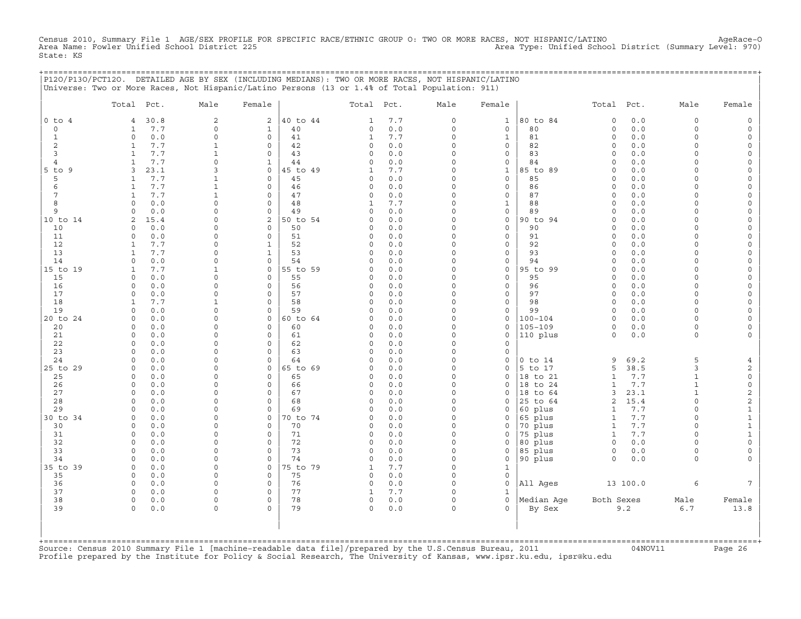Census 2010, Summary File 1 AGE/SEX PROFILE FOR SPECIFIC RACE/ETHNIC GROUP O: TWO OR MORE RACES, NOT HISPANIC/LATINO AgeRace-O<br>Area Name: Fowler Unified School District 225 State: KS

+===================================================================================================================================================+

|                | P12O/P13O/PCT12O. DETAILED AGE BY SEX (INCLUDING MEDIANS): TWO OR MORE RACES, NOT HISPANIC/LATINO<br>Universe: Two or More Races, Not Hispanic/Latino Persons (13 or 1.4% of Total Population: 911) |                      |                            |          |              |            |                         |                             |                      |                     |            |                              |                          |
|----------------|-----------------------------------------------------------------------------------------------------------------------------------------------------------------------------------------------------|----------------------|----------------------------|----------|--------------|------------|-------------------------|-----------------------------|----------------------|---------------------|------------|------------------------------|--------------------------|
|                | Total Pct.                                                                                                                                                                                          | Male                 | Female                     |          | Total        | Pct.       | Male                    | Female                      |                      | Total               | Pct.       | Male                         | Female                   |
| $0$ to $4$     | 30.8<br>4                                                                                                                                                                                           | $\sqrt{2}$           | $\overline{c}$             | 40 to 44 | $\mathbf{1}$ | 7.7        | 0                       | $\mathbf{1}$                | 80 to 84             | $\circ$             | 0.0        | 0                            | $\mathsf O$              |
| 0              | 7.7<br>$\mathbf{1}$                                                                                                                                                                                 | $\Omega$             | $\mathbf{1}$               | 40       | 0            | 0.0        | $\circ$                 | $\mathsf O$                 | 80                   | $\circ$             | 0.0        | $\Omega$                     | $\mathsf{O}$             |
| $\mathbf{1}$   | 0.0<br>$\Omega$                                                                                                                                                                                     | $\Omega$             | $\Omega$                   | 41       | $\mathbf{1}$ | 7.7        | $\Omega$                | $\mathbf{1}$                | 81                   | $\circ$             | 0.0        | $\circ$                      | $\mathsf{O}$             |
| 2              | 7.7<br>$\mathbf{1}$                                                                                                                                                                                 | $\mathbf{1}$         | $\Omega$                   | 42       | 0            | 0.0        | $\Omega$                | $\mathbf 0$                 | 82                   | $\circ$             | 0.0        | $\circ$                      | $\mathsf{O}\xspace$      |
| 3              | $\mathbf{1}$<br>7.7                                                                                                                                                                                 | $\mathbf{1}$         | $\mathbf 0$                | 43       | $\circ$      | 0.0        | $\Omega$                | $\mathsf{O}\xspace$         | 83                   | $\circ$             | 0.0        | $\circ$                      | $\mathsf{O}\xspace$      |
| $\overline{4}$ | $\mathbf{1}$<br>7.7                                                                                                                                                                                 | $\Omega$             | $\mathbf{1}$               | 44       | 0            | 0.0        | $\Omega$                | $\mathbf 0$                 | 84                   | $\circ$             | 0.0        | $\Omega$                     | 0                        |
| $5$ to $9$     | 3<br>23.1                                                                                                                                                                                           | 3                    | $\mathbf 0$                | 45 to 49 | 1            | 7.7        | $\Omega$                | $\mathbf{1}$                | 85 to 89             | $\Omega$            | 0.0        | $\Omega$                     | 0                        |
| 5              | $\mathbf{1}$<br>7.7                                                                                                                                                                                 | $\mathbf{1}$         | $\Omega$                   | 45       | 0            | 0.0        | $\Omega$<br>$\mathbf 0$ | $\mathbf 0$                 | 85                   | $\circ$             | 0.0        | $\Omega$                     | 0                        |
| 6<br>7         | $\mathbf{1}$<br>7.7<br>7.7<br>$\mathbf{1}$                                                                                                                                                          | $\mathbf{1}$<br>1    | $\mathsf{O}\xspace$<br>0   | 46<br>47 | 0<br>0       | 0.0<br>0.0 | $\Omega$                | $\mathsf O$<br>$\mathsf{O}$ | 86<br>87             | $\circ$<br>$\Omega$ | 0.0<br>0.0 | $\circ$<br>$\Omega$          | $\mathsf{O}\xspace$<br>0 |
| 8              | $\Omega$<br>0.0                                                                                                                                                                                     | $\Omega$             | $\Omega$                   | 48       | 1            | 7.7        | $\Omega$                | $\mathbf{1}$                | 88                   | $\Omega$            | 0.0        | $\Omega$                     | 0                        |
| 9              | 0<br>0.0                                                                                                                                                                                            | $\Omega$             | $\mathsf{O}\xspace$        | 49       | 0            | 0.0        | $\mathbf 0$             | $\mathsf{O}\xspace$         | 89                   | $\mathbf 0$         | 0.0        | $\Omega$                     | 0                        |
| 10 to 14       | $\overline{a}$<br>15.4                                                                                                                                                                              | 0                    | 2                          | 50 to 54 | 0            | 0.0        | $\Omega$                | $\mathbf 0$                 | 90 to 94             | $\Omega$            | 0.0        | $\Omega$                     | 0                        |
| 10             | 0.0<br>$\Omega$                                                                                                                                                                                     | $\Omega$             | $\Omega$                   | 50       | 0            | 0.0        | $\Omega$                | $\mathbf 0$                 | 90                   | $\Omega$            | 0.0        | $\Omega$                     | 0                        |
| 11             | 0.0<br>$\mathbf 0$                                                                                                                                                                                  | $\Omega$             | $\mathbf 0$                | 51       | 0            | 0.0        | $\Omega$                | $\mathbf 0$                 | 91                   | $\Omega$            | 0.0        | $\circ$                      | $\mathsf{O}\xspace$      |
| 12             | 7.7<br>$\mathbf{1}$                                                                                                                                                                                 | $\Omega$             | $\mathbf{1}$               | 52       | 0            | 0.0        | $\mathbf 0$             | $\mathsf{O}\xspace$         | 92                   | $\circ$             | 0.0        | $\circ$                      | $\mathsf{O}\xspace$      |
| 13             | 7.7<br>$\mathbf{1}$                                                                                                                                                                                 | $\Omega$             | $\mathbf{1}$               | 53       | $\Omega$     | 0.0        | $\Omega$                | $\mathbf 0$                 | 93                   | $\circ$             | 0.0        | $\Omega$                     | 0                        |
| 14             | 0.0<br>$\Omega$                                                                                                                                                                                     | $\Omega$             | $\mathbf 0$                | 54       | 0            | 0.0        | $\Omega$                | $\mathbf 0$                 | 94                   | $\Omega$            | 0.0        | $\Omega$                     | 0                        |
| 15 to 19       | 7.7<br>$\mathbf{1}$                                                                                                                                                                                 | $\mathbf{1}$         | $\mathsf{O}\xspace$        | 55 to 59 | 0            | 0.0        | $\Omega$                | $\mathsf O$                 | 95 to 99             | $\circ$             | 0.0        | $\circ$                      | $\mathsf{O}\xspace$      |
| 15             | 0.0<br>$\Omega$                                                                                                                                                                                     | $\Omega$             | $\mathbf 0$                | 55       | 0            | 0.0        | $\Omega$                | $\mathbf 0$                 | 95                   | $\circ$             | 0.0        | $\Omega$                     | $\mathbf 0$              |
| 16<br>17       | 0.0<br>$\mathbf 0$<br>0.0<br>$\mathbf 0$                                                                                                                                                            | $\Omega$<br>$\Omega$ | $\mathbf 0$<br>$\mathbf 0$ | 56<br>57 | 0<br>0       | 0.0<br>0.0 | $\Omega$<br>$\Omega$    | $\mathbf 0$<br>$\mathbf 0$  | 96<br>97             | $\circ$<br>$\circ$  | 0.0<br>0.0 | $\Omega$<br>$\circ$          | 0<br>$\mathsf{O}\xspace$ |
| 18             | $7.7$<br>$\mathbf{1}$                                                                                                                                                                               | 1                    | $\mathsf{O}$               | 58       | 0            | 0.0        | $\Omega$                | $\mathsf{O}$                | 98                   | $\circ$             | 0.0        | $\circ$                      | $\mathsf{O}\xspace$      |
| 19             | 0.0<br>$\Omega$                                                                                                                                                                                     | $\Omega$             | $\Omega$                   | 59       | $\Omega$     | 0.0        | $\Omega$                | $\mathbf 0$                 | 99                   | $\circ$             | 0.0        | $\Omega$                     | $\mathbf 0$              |
| 20 to 24       | 0.0<br>$\mathbf 0$                                                                                                                                                                                  | $\Omega$             | $\mathbf 0$                | 60 to 64 | 0            | 0.0        | $\Omega$                | $\mathbf 0$                 | $100 - 104$          | $\circ$             | 0.0        | 0                            | $\mathsf{O}$             |
| 20             | 0.0<br>$\Omega$                                                                                                                                                                                     | $\Omega$             | 0                          | 60       | 0            | 0.0        | $\Omega$                | $\mathsf{O}$                | $105 - 109$          | $\circ$             | 0.0        | $\circ$                      | 0                        |
| 21             | 0.0<br>$\Omega$                                                                                                                                                                                     | $\cap$               | $\Omega$                   | 61       | $\Omega$     | 0.0        | $\Omega$                | $\mathbf 0$                 | 110 plus             | $\Omega$            | 0.0        | $\Omega$                     | $\mathbf{0}$             |
| 22             | $\circ$<br>0.0                                                                                                                                                                                      | $\Omega$             | $\mathbf 0$                | 62       | 0            | 0.0        | $\Omega$                | $\mathbf 0$                 |                      |                     |            |                              |                          |
| 23             | 0.0<br>$\Omega$                                                                                                                                                                                     | 0                    | $\mathbf 0$                | 63       | 0            | 0.0        | $\Omega$                | $\mathbf 0$                 |                      |                     |            |                              |                          |
| 24             | 0.0<br>$\Omega$                                                                                                                                                                                     | $\Omega$             | $\Omega$                   | 64       | $\Omega$     | 0.0        | $\Omega$                | $\mathsf{O}$                | $0$ to $14$          | 9                   | 69.2       | 5                            | $\overline{4}$           |
| 25 to 29       | $\circ$<br>0.0                                                                                                                                                                                      | $\Omega$             | 0                          | 65 to 69 | 0            | 0.0        | $\Omega$                | $\mathbf 0$                 | 5 to 17              | 5                   | 38.5       | 3                            | 2                        |
| 25             | 0.0<br>$\Omega$<br>0.0<br>$\circ$                                                                                                                                                                   | $\Omega$<br>$\Omega$ | $\mathbf 0$<br>$\mathbf 0$ | 65       | 0<br>0       | 0.0<br>0.0 | $\Omega$<br>$\Omega$    | $\mathbf 0$<br>$\mathbf 0$  | 18 to 21<br>18 to 24 | $\mathbf{1}$        | 7.7<br>7.7 | $\mathbf{1}$<br>$\mathbf{1}$ | $\mathsf{O}\xspace$      |
| 26<br>27       | $\Omega$<br>0.0                                                                                                                                                                                     | $\Omega$             | $\Omega$                   | 66<br>67 | 0            | 0.0        | $\Omega$                | $\Omega$                    | 18 to 64             | $\mathbf{1}$<br>3   | 23.1       | $\mathbf{1}$                 | $\mathsf O$<br>2         |
| 28             | $\Omega$<br>0.0                                                                                                                                                                                     | $\Omega$             | $\mathbf 0$                | 68       | 0            | 0.0        | $\Omega$                | $\mathbf 0$                 | 25 to 64             | 2                   | 15.4       | $\Omega$                     | 2                        |
| 29             | 0.0<br>$\Omega$                                                                                                                                                                                     | $\Omega$             | $\mathbf 0$                | 69       | 0            | 0.0        | $\Omega$                | $\Omega$                    | 60 plus              | 1                   | 7.7        | $\Omega$                     | $\mathbf{1}$             |
| 30 to 34       | 0.0<br>$\Omega$                                                                                                                                                                                     | $\Omega$             | $\mathbf 0$                | 70 to 74 | 0            | 0.0        | $\Omega$                | 0                           | 65 plus              | $\mathbf{1}$        | 7.7        | $\circ$                      | $\mathbf 1$              |
| 30             | $\Omega$<br>0.0                                                                                                                                                                                     | $\Omega$             | $\Omega$                   | 70       | 0            | 0.0        | $\Omega$                | $\mathbf 0$                 | 70 plus              | $\mathbf{1}$        | 7.7        | $\Omega$                     | $\mathbf{1}$             |
| 31             | 0.0<br>0                                                                                                                                                                                            | $\Omega$             | $\mathbf 0$                | 71       | 0            | 0.0        | $\Omega$                | $\mathbf 0$                 | 75 plus              | $\mathbf{1}$        | 7.7        | $\circ$                      | $\mathbf{1}$             |
| 32             | 0.0<br>$\Omega$                                                                                                                                                                                     | $\Omega$             | $\mathbf 0$                | 72       | 0            | 0.0        | $\Omega$                | $\Omega$                    | 80 plus              | $\mathbf 0$         | 0.0        | $\Omega$                     | $\mathsf{O}\xspace$      |
| 33             | $\Omega$<br>0.0                                                                                                                                                                                     | $\Omega$             | $\mathbf 0$                | 73       | 0            | 0.0        | $\Omega$                | $\mathsf{O}$                | 85 plus              | $\mathsf{O}$        | 0.0        | $\circ$                      | 0                        |
| 34             | 0.0<br>$\Omega$                                                                                                                                                                                     | $\Omega$             | $\Omega$                   | 74       | 0            | 0.0        | $\Omega$                | $\mathsf{O}$                | 90 plus              | $\circ$             | 0.0        | $\Omega$                     | $\Omega$                 |
| 35 to 39       | 0.0<br>0                                                                                                                                                                                            | $\Omega$             | $\mathbf 0$                | 75 to 79 | 1            | 7.7        | $\Omega$                | $\mathbf{1}$                |                      |                     |            |                              |                          |
| 35             | 0.0<br>$\circ$                                                                                                                                                                                      | $\Omega$             | $\mathbf 0$                | 75       | 0            | 0.0        | $\Omega$                | $\mathsf{O}\xspace$         |                      |                     |            |                              |                          |
| 36<br>37       | 0.0<br>$\Omega$<br>0.0<br>$\Omega$                                                                                                                                                                  | $\Omega$<br>$\Omega$ | $\mathbf 0$<br>$\Omega$    | 76<br>77 | 0<br>1       | 0.0<br>7.7 | $\Omega$<br>$\Omega$    | $\Omega$<br>$\mathbf 1$     | All Ages             |                     | 13 100.0   | 6                            | $7^{\circ}$              |
| 38             | $\circ$<br>0.0                                                                                                                                                                                      | $\Omega$             | $\mathsf{O}\xspace$        | 78       | 0            | 0.0        | $\mathbf 0$             | $\mathbf 0$                 | Median Age           | Both Sexes          |            | Male                         | Female                   |
| 39             | $\Omega$<br>0.0                                                                                                                                                                                     | $\Omega$             | $\Omega$                   | 79       | 0            | 0.0        | $\Omega$                | $\Omega$                    | By Sex               |                     | 9.2        | $6.7$                        | 13.8                     |
|                |                                                                                                                                                                                                     |                      |                            |          |              |            |                         |                             |                      |                     |            |                              |                          |

+===================================================================================================================================================+Source: Census 2010 Summary File 1 [machine−readable data file]/prepared by the U.S.Census Bureau, 2011 04NOV11 Page 26 Profile prepared by the Institute for Policy & Social Research, The University of Kansas, www.ipsr.ku.edu, ipsr@ku.edu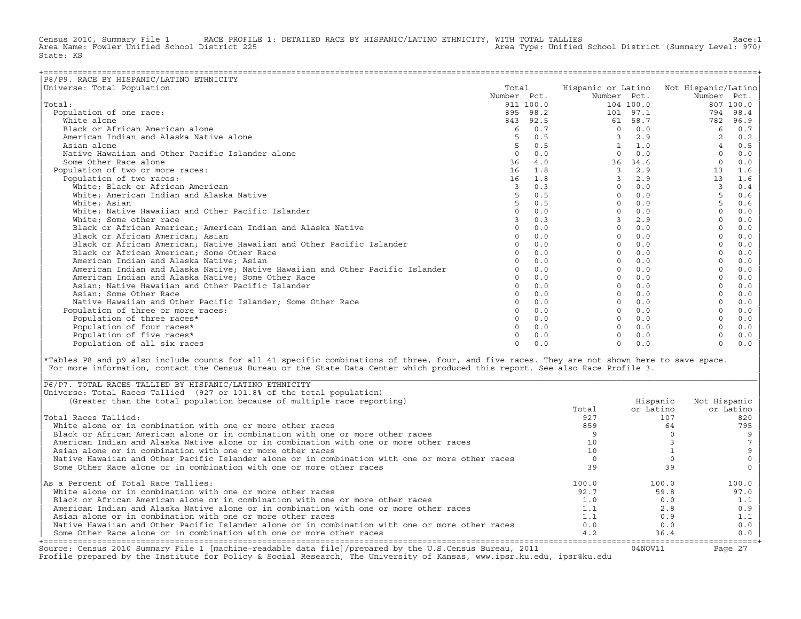Census 2010, Summary File 1 RACE PROFILE 1: DETAILED RACE BY HISPANIC/LATINO ETHNICITY, WITH TOTAL TALLIES Race:1<br>Area Name: Fowler Unified School District 225 area Type: Unified School District (Summary Level: 970) Area Type: Unified School District (Summary Level: 970) State: KS

| P8/P9. RACE BY HISPANIC/LATINO ETHNICITY                                      |                |           |                    |           |                     |           |
|-------------------------------------------------------------------------------|----------------|-----------|--------------------|-----------|---------------------|-----------|
| Universe: Total Population                                                    | Total          |           | Hispanic or Latino |           | Not Hispanic/Latino |           |
|                                                                               | Number Pct.    |           | Number Pct.        |           | Number Pct.         |           |
| Total:                                                                        |                | 911 100.0 |                    | 104 100.0 |                     | 807 100.0 |
| Population of one race:                                                       | 895            | 98.2      |                    | 101 97.1  | 794                 | 98.4      |
| White alone                                                                   | 843            | 92.5      | 61                 | 58.7      | 782                 | 96.9      |
| Black or African American alone                                               | 6              | 0.7       | $\Omega$           | 0.0       | 6                   | 0.7       |
| American Indian and Alaska Native alone                                       |                | 0.5       |                    | 2.9       |                     | 0.2       |
| Asian alone                                                                   | 5              | 0.5       |                    | 1.0       |                     | 0.5       |
| Native Hawaiian and Other Pacific Islander alone                              | $\Omega$       | 0.0       | $\Omega$           | 0.0       | $\Omega$            | 0.0       |
| Some Other Race alone                                                         | 36             | 4.0       | 36                 | 34.6      | $\Omega$            | 0.0       |
| Population of two or more races:                                              | 16             | 1.8       | $\mathcal{L}$      | 2.9       | 13                  | 1.6       |
| Population of two races:                                                      | 16             | 1.8       | $\mathcal{L}$      | 2.9       | 13                  | 1.6       |
| White; Black or African American                                              | $\overline{3}$ | 0.3       | $\Omega$           | 0.0       | 3                   | 0.4       |
| White; American Indian and Alaska Native                                      | 5              | 0.5       | $\Omega$           | 0.0       | 5                   | 0.6       |
| White: Asian                                                                  | 5 <sub>1</sub> | 0.5       | $\Omega$           | 0.0       | $\overline{5}$      | 0.6       |
| White; Native Hawaiian and Other Pacific Islander                             |                | 0.0       | $\Omega$           | 0.0       | $\Omega$            | 0.0       |
| White; Some other race                                                        |                | 0.3       |                    | 2.9       |                     | 0.0       |
| Black or African American; American Indian and Alaska Native                  | $\circ$        | 0.0       | $\Omega$           | 0.0       |                     | 0.0       |
| Black or African American; Asian                                              | $\Omega$       | 0.0       | $\Omega$           | 0.0       |                     | 0.0       |
| Black or African American; Native Hawaiian and Other Pacific Islander         | $\Omega$       | 0.0       | $\cap$             | 0.0       |                     | 0.0       |
| Black or African American; Some Other Race                                    |                | 0.0       | $\Omega$           | 0.0       |                     | 0.0       |
| American Indian and Alaska Native; Asian                                      |                | 0.0       | $\Omega$           | 0.0       |                     | 0.0       |
| American Indian and Alaska Native; Native Hawaiian and Other Pacific Islander |                | 0.0       | $\Omega$           | 0.0       |                     | 0.0       |
| American Indian and Alaska Native; Some Other Race                            | $\Omega$       | 0.0       | <sup>n</sup>       | 0.0       |                     | 0.0       |
| Asian; Native Hawaiian and Other Pacific Islander                             | $\Omega$       | 0.0       |                    | 0.0       |                     | 0.0       |
| Asian; Some Other Race                                                        |                | 0.0       |                    | 0.0       |                     | 0.0       |
| Native Hawaiian and Other Pacific Islander: Some Other Race                   |                | 0.0       |                    | 0.0       |                     | 0.0       |
| Population of three or more races:                                            |                | 0.0       |                    | 0.0       |                     | 0.0       |
| Population of three races*                                                    | $\Omega$       | 0.0       |                    | 0.0       |                     | 0.0       |
| Population of four races*                                                     |                | 0.0       |                    | 0.0       |                     | 0.0       |
| Population of five races*                                                     |                | 0.0       |                    | 0.0       |                     | 0.0       |
| Population of all six races                                                   | $\Omega$       | 0.0       | $\cap$             | 0.0       | $\Omega$            | 0.0       |

|\*Tables P8 and p9 also include counts for all 41 specific combinations of three, four, and five races. They are not shown here to save space. | For more information, contact the Census Bureau or the State Data Center which produced this report. See also Race Profile 3.

| |

|\_\_\_\_\_\_\_\_\_\_\_\_\_\_\_\_\_\_\_\_\_\_\_\_\_\_\_\_\_\_\_\_\_\_\_\_\_\_\_\_\_\_\_\_\_\_\_\_\_\_\_\_\_\_\_\_\_\_\_\_\_\_\_\_\_\_\_\_\_\_\_\_\_\_\_\_\_\_\_\_\_\_\_\_\_\_\_\_\_\_\_\_\_\_\_\_\_\_\_\_\_\_\_\_\_\_\_\_\_\_\_\_\_\_\_\_\_\_\_\_\_\_\_\_\_\_\_\_\_\_\_\_\_\_\_\_\_\_\_\_\_\_\_\_\_\_\_|

| Source: Census 2010 Summary File 1 [machine-readable data file]/prepared by the U.S.Census Bureau, 2011<br>Profile prepared by the Institute for Policy & Social Research, The University of Kansas, www.ipsr.ku.edu, ipsr@ku.edu |       | 04NOV11   | Page 27      |
|-----------------------------------------------------------------------------------------------------------------------------------------------------------------------------------------------------------------------------------|-------|-----------|--------------|
| Some Other Race alone or in combination with one or more other races                                                                                                                                                              | 4.2   | 36.4      | $0.0$        |
| Native Hawaiian and Other Pacific Islander alone or in combination with one or more other races                                                                                                                                   | 0.0   | 0.0       | 0.0          |
| Asian alone or in combination with one or more other races                                                                                                                                                                        | 1.1   | 0.9       | 1.1          |
| American Indian and Alaska Native alone or in combination with one or more other races                                                                                                                                            | 1.1   | 2.8       | 0.9          |
| Black or African American alone or in combination with one or more other races                                                                                                                                                    | 1.0   | 0.0       | 1.1          |
| White alone or in combination with one or more other races                                                                                                                                                                        | 92.7  | 59.8      | 97.0         |
| As a Percent of Total Race Tallies:                                                                                                                                                                                               | 100.0 | 100.0     | 100.0        |
| Some Other Race alone or in combination with one or more other races                                                                                                                                                              | 39    | 39        |              |
| Native Hawaiian and Other Pacific Islander alone or in combination with one or more other races                                                                                                                                   |       |           |              |
| Asian alone or in combination with one or more other races                                                                                                                                                                        | 1 O   |           |              |
| American Indian and Alaska Native alone or in combination with one or more other races                                                                                                                                            |       |           |              |
| Black or African American alone or in combination with one or more other races                                                                                                                                                    |       |           |              |
| White alone or in combination with one or more other races                                                                                                                                                                        | 859   | 64        | 795          |
| Total Races Tallied:                                                                                                                                                                                                              | 927   | 107       | 820          |
|                                                                                                                                                                                                                                   | Total | or Latino | or Latino    |
| (Greater than the total population because of multiple race reporting)                                                                                                                                                            |       | Hispanic  | Not Hispanic |
| Universe: Total Races Tallied (927 or 101.8% of the total population)                                                                                                                                                             |       |           |              |
| P6/P7. TOTAL RACES TALLIED BY HISPANIC/LATINO ETHNICITY                                                                                                                                                                           |       |           |              |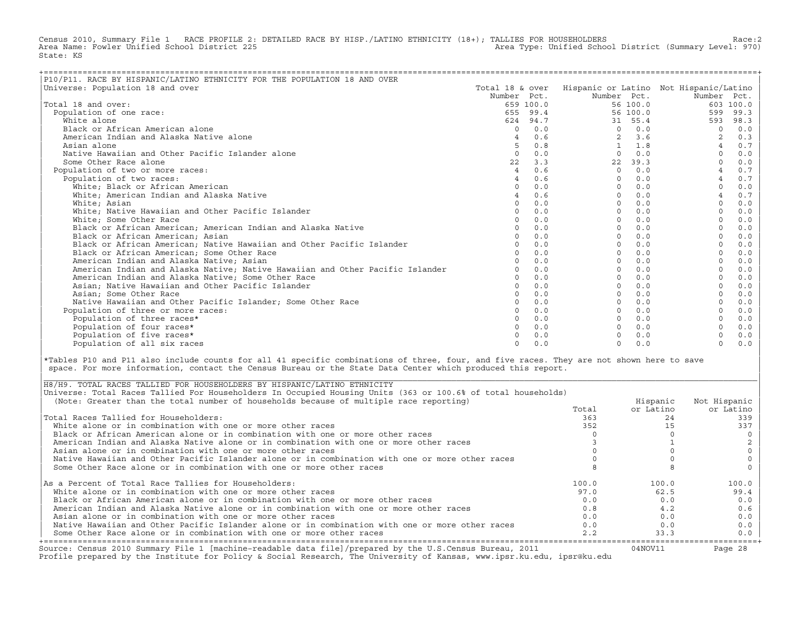Census 2010, Summary File 1 RACE PROFILE 2: DETAILED RACE BY HISP./LATINO ETHNICITY (18+); TALLIES FOR HOUSEHOLDERS Race:2<br>Area Name: Fowler Unified School District 225 Area Type: Unified School District (Summary Level: 970) State: KS

| P10/P11. RACE BY HISPANIC/LATINO ETHNICITY FOR THE POPULATION 18 AND OVER     |                 |           |                |          |                                        |           |
|-------------------------------------------------------------------------------|-----------------|-----------|----------------|----------|----------------------------------------|-----------|
| Universe: Population 18 and over                                              | Total 18 & over |           |                |          | Hispanic or Latino Not Hispanic/Latino |           |
|                                                                               | Number Pct.     |           | Number Pct.    |          | Number Pct.                            |           |
| Total 18 and over:                                                            |                 | 659 100.0 |                | 56 100.0 |                                        | 603 100.0 |
| Population of one race:                                                       |                 | 655 99.4  |                | 56 100.0 | 599                                    | 99.3      |
| White alone                                                                   |                 | 624 94.7  |                | 31 55.4  | 593                                    | 98.3      |
| Black or African American alone                                               | $\Omega$        | 0.0       | $\Omega$       | 0.0      | $\Omega$                               | 0.0       |
| American Indian and Alaska Native alone                                       |                 | 0.6       | $\overline{2}$ | 3.6      |                                        | 0.3       |
| Asian alone                                                                   |                 | 0.8       |                | 1.8      | $\overline{4}$                         | 0.7       |
| Native Hawaiian and Other Pacific Islander alone                              | $\Omega$        | 0.0       | $\Omega$       | 0.0      | $\Omega$                               | 0.0       |
| Some Other Race alone                                                         | 22              | 3.3       | 22             | 39.3     |                                        | 0.0       |
| Population of two or more races:                                              | $\overline{4}$  | 0.6       | $\Omega$       | 0.0      |                                        | 0.7       |
| Population of two races:                                                      |                 | 0.6       | $\Omega$       | 0.0      |                                        | $0.7$     |
| White; Black or African American                                              |                 | 0.0       | $\Omega$       | 0.0      | $\Omega$                               | 0.0       |
| White; American Indian and Alaska Native                                      |                 | 0.6       | $\Omega$       | 0.0      | $\overline{4}$                         | 0.7       |
| White; Asian                                                                  | $\Omega$        | 0.0       | $\Omega$       | 0.0      | $\Omega$                               | 0.0       |
| White; Native Hawaiian and Other Pacific Islander                             | $\cap$          | 0.0       | $\cap$         | 0.0      |                                        | 0.0       |
| White; Some Other Race                                                        |                 | 0.0       | $\Omega$       | 0.0      |                                        | 0.0       |
| Black or African American; American Indian and Alaska Native                  |                 | 0.0       | $\Omega$       | 0.0      |                                        | 0.0       |
| Black or African American; Asian                                              |                 | 0.0       | $\Omega$       | 0.0      |                                        | 0.0       |
| Black or African American; Native Hawaiian and Other Pacific Islander         |                 | 0.0       | $\Omega$       | 0.0      |                                        | 0.0       |
| Black or African American; Some Other Race                                    |                 | 0.0       | $\Omega$       | 0.0      |                                        | 0.0       |
| American Indian and Alaska Native; Asian                                      |                 | 0.0       | $\Omega$       | 0.0      |                                        | 0.0       |
| American Indian and Alaska Native; Native Hawaiian and Other Pacific Islander |                 | 0.0       | $\Omega$       | 0.0      |                                        | 0.0       |
| American Indian and Alaska Native; Some Other Race                            | $\Omega$        | 0.0       | $\Omega$       | 0.0      | $\Omega$                               | 0.0       |
| Asian; Native Hawaiian and Other Pacific Islander                             | $\Omega$        | 0.0       | $\Omega$       | 0.0      | $\Omega$                               | 0.0       |
| Asian; Some Other Race                                                        |                 | 0.0       | $\Omega$       | 0.0      |                                        | 0.0       |
| Native Hawaiian and Other Pacific Islander: Some Other Race                   |                 | 0.0       | $\Omega$       | 0.0      |                                        | 0.0       |
| Population of three or more races:                                            |                 | 0.0       | $\Omega$       | 0.0      |                                        | 0.0       |
| Population of three races*                                                    |                 | 0.0       | $\Omega$       | 0.0      |                                        | 0.0       |
| Population of four races*                                                     |                 | 0.0       | $\cap$         | 0.0      |                                        | 0.0       |
| Population of five races*                                                     |                 | 0.0       |                | 0.0      |                                        | $0.0$     |
| Population of all six races                                                   | $\cap$          | 0.0       | $\Omega$       | 0.0      | $\Omega$                               | 0.0       |

|\*Tables P10 and P11 also include counts for all 41 specific combinations of three, four, and five races. They are not shown here to save | space. For more information, contact the Census Bureau or the State Data Center which produced this report.

| Source: Census 2010 Summary File 1 [machine-readable data file]/prepared by the U.S.Census Bureau, 2011<br>Profile prepared by the Institute for Policy & Social Research, The University of Kansas, www.ipsr.ku.edu, ipsr@ku.edu |       | 04NOV11   | Page 28      |
|-----------------------------------------------------------------------------------------------------------------------------------------------------------------------------------------------------------------------------------|-------|-----------|--------------|
| Some Other Race alone or in combination with one or more other races                                                                                                                                                              | 2.2   | 33.3      | $0.0$        |
| Native Hawaiian and Other Pacific Islander alone or in combination with one or more other races                                                                                                                                   | 0.0   | 0.0       | 0.0          |
| Asian alone or in combination with one or more other races                                                                                                                                                                        | 0.0   | 0.0       | 0.0          |
| American Indian and Alaska Native alone or in combination with one or more other races                                                                                                                                            | 0.8   | 4.2       | 0.6          |
| Black or African American alone or in combination with one or more other races                                                                                                                                                    | 0.0   | 0.0       | 0.0          |
| White alone or in combination with one or more other races                                                                                                                                                                        | 97.0  | 62.5      | 99.4         |
| As a Percent of Total Race Tallies for Householders:                                                                                                                                                                              | 100.0 | 100.0     | 100.0        |
| Some Other Race alone or in combination with one or more other races                                                                                                                                                              |       |           |              |
| Native Hawaiian and Other Pacific Islander alone or in combination with one or more other races                                                                                                                                   |       |           |              |
| Asian alone or in combination with one or more other races                                                                                                                                                                        |       |           |              |
| American Indian and Alaska Native alone or in combination with one or more other races                                                                                                                                            |       |           |              |
| Black or African American alone or in combination with one or more other races                                                                                                                                                    |       |           |              |
| White alone or in combination with one or more other races                                                                                                                                                                        | 352   |           | 337          |
| Total Races Tallied for Householders:                                                                                                                                                                                             | 363   | 24        | 339          |
|                                                                                                                                                                                                                                   | Total | or Latino | or Latino    |
| (Note: Greater than the total number of households because of multiple race reporting)                                                                                                                                            |       | Hispanic  | Not Hispanic |
| Universe: Total Races Tallied For Householders In Occupied Housing Units (363 or 100.6% of total households)                                                                                                                      |       |           |              |
| H8/H9. TOTAL RACES TALLIED FOR HOUSEHOLDERS BY HISPANIC/LATINO ETHNICITY                                                                                                                                                          |       |           |              |

| |

|\_\_\_\_\_\_\_\_\_\_\_\_\_\_\_\_\_\_\_\_\_\_\_\_\_\_\_\_\_\_\_\_\_\_\_\_\_\_\_\_\_\_\_\_\_\_\_\_\_\_\_\_\_\_\_\_\_\_\_\_\_\_\_\_\_\_\_\_\_\_\_\_\_\_\_\_\_\_\_\_\_\_\_\_\_\_\_\_\_\_\_\_\_\_\_\_\_\_\_\_\_\_\_\_\_\_\_\_\_\_\_\_\_\_\_\_\_\_\_\_\_\_\_\_\_\_\_\_\_\_\_\_\_\_\_\_\_\_\_\_\_\_\_\_\_\_\_|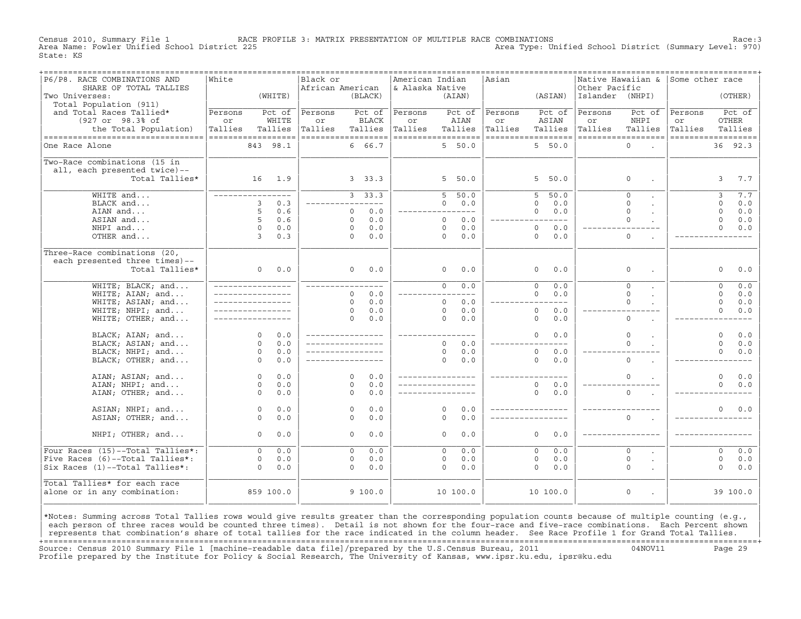Census 2010, Summary File 1 RACE PROFILE 3: MATRIX PRESENTATION OF MULTIPLE RACE COMBINATIONS Race:3 Area Type: Unified School District (Summary Level: 970) State: KS

| P6/P8. RACE COMBINATIONS AND          | White              |                            | Black or           |                     |            | American Indian    |                |            | ==================================<br>Asian |                       |                 | Native Hawaiian & Some other race   |                    |              |          |
|---------------------------------------|--------------------|----------------------------|--------------------|---------------------|------------|--------------------|----------------|------------|---------------------------------------------|-----------------------|-----------------|-------------------------------------|--------------------|--------------|----------|
| SHARE OF TOTAL TALLIES                |                    |                            | African American   |                     |            | & Alaska Native    |                |            |                                             |                       | Other Pacific   |                                     |                    |              |          |
| Two Universes:                        |                    | (WHITE)                    |                    | (BLACK)             |            |                    |                | (AIAN)     |                                             | (ASIAN)               | Islander (NHPI) |                                     |                    |              | (OTHER)  |
| Total Population (911)                |                    |                            |                    |                     |            |                    |                |            |                                             |                       |                 |                                     |                    |              |          |
| and Total Races Tallied*              | Persons            | Pct of                     | Persons            | Pct of              |            | Persons            |                | Pct of     | Persons                                     | Pct of                | Persons         | Pct of                              | Persons            |              | Pct of   |
| (927 or 98.3% of                      | or                 | WHITE                      | or                 | <b>BLACK</b>        |            | or                 |                | AIAN       | or                                          | ASIAN                 | or              | NHPI                                | or                 | OTHER        |          |
| the Total Population)                 | Tallies            | Tallies                    | Tallies            | Tallies             |            | Tallies            |                | Tallies    | Tallies                                     | Tallies               | Tallies         | Tallies                             | Tallies            |              | Tallies  |
| ----------------------------------    | ================== |                            | ================== |                     |            | ------------------ |                |            |                                             | ------------------    |                 | ==================                  | ------------------ |              |          |
| One Race Alone                        |                    | 843 98.1                   |                    | 6 66.7              |            |                    |                | 5, 50.0    |                                             | 5, 50.0               |                 | $\Omega$<br>$\sim$                  |                    |              | 36 92.3  |
|                                       |                    |                            |                    |                     |            |                    |                |            |                                             |                       |                 |                                     |                    |              |          |
| Two-Race combinations (15 in          |                    |                            |                    |                     |            |                    |                |            |                                             |                       |                 |                                     |                    |              |          |
| all, each presented twice)--          |                    |                            |                    |                     |            |                    |                |            |                                             |                       |                 |                                     |                    |              |          |
| Total Tallies*                        |                    | 16 1.9                     |                    | 3, 33.3             |            |                    |                | 5 50.0     |                                             | 5 50.0                |                 | $\circ$                             |                    | $\mathbf{3}$ | 7.7      |
|                                       |                    |                            |                    |                     |            |                    |                |            |                                             |                       |                 |                                     |                    |              |          |
| WHITE and                             |                    | _________________          |                    | 3, 33.3             |            |                    | $5 -$          | 50.0       |                                             | 50.0<br>5             |                 | $\Omega$                            |                    | 3            | 7.7      |
| BLACK and                             |                    | 3<br>0.3                   |                    | ---------           |            |                    | $\Omega$       | 0.0        |                                             | $\Omega$<br>0.0       |                 | $\Omega$                            |                    | $\Omega$     | 0.0      |
| AIAN and                              |                    | 5<br>0.6                   |                    | $\Omega$            | 0.0        | ________________   |                |            |                                             | 0.0<br>$\Omega$       |                 | $\Omega$                            |                    | $\Omega$     | 0.0      |
| ASIAN and                             |                    | 5<br>0.6                   |                    | $\Omega$            | 0.0        |                    | $\Omega$       | 0.0        |                                             | $---$                 |                 | $\Omega$                            |                    | $\Omega$     | 0.0      |
| NHPI and                              |                    | $\Omega$<br>0.0            |                    | $\Omega$            | 0.0        |                    | $\Omega$       | 0.0        |                                             | $\Omega$<br>0.0       |                 |                                     |                    | $\Omega$     | 0.0      |
| OTHER and                             |                    | $\overline{3}$<br>0.3      |                    | $\Omega$            | 0.0        |                    | $\Omega$       | 0.0        |                                             | $\Omega$<br>0.0       |                 | $\circ$                             |                    |              |          |
|                                       |                    |                            |                    |                     |            |                    |                |            |                                             |                       |                 |                                     |                    |              |          |
| Three-Race combinations (20,          |                    |                            |                    |                     |            |                    |                |            |                                             |                       |                 |                                     |                    |              |          |
| each presented three times)--         |                    |                            |                    |                     |            |                    |                |            |                                             |                       |                 |                                     |                    |              |          |
| Total Tallies*                        |                    | $0 \t 0.0$                 |                    | $\Omega$            | 0.0        |                    | $\circ$        | 0.0        |                                             | 0.0<br>$\circ$        |                 | $\circ$                             |                    | $\Omega$     | 0.0      |
|                                       |                    |                            |                    |                     |            |                    |                |            |                                             |                       |                 |                                     |                    |              |          |
| WHITE; BLACK; and                     |                    | _________________          | _____________      |                     |            |                    | $\overline{0}$ | 0.0        |                                             | $\overline{0}$<br>0.0 |                 | $\overline{0}$                      |                    | $\circ$      | 0.0      |
| WHITE; AIAN; and                      |                    | _________________          |                    | $\Omega$            | 0.0        |                    |                |            |                                             | $\Omega$<br>0.0       |                 | $\Omega$                            |                    | $\Omega$     | 0.0      |
| WHITE; ASIAN; and                     |                    | _________________          |                    | $\Omega$            | 0.0        |                    | $\Omega$       | 0.0        |                                             | $---$                 |                 | $\Omega$                            |                    | $\Omega$     | 0.0      |
| WHITE; NHPI; and                      |                    |                            |                    | $\Omega$            | 0.0        |                    | $\Omega$       | 0.0        |                                             | $\circ$<br>0.0        |                 |                                     |                    | $\Omega$     | 0.0      |
| WHITE; OTHER; and                     |                    |                            |                    | $\Omega$            | 0.0        |                    | $\Omega$       | 0.0        |                                             | $\circ$<br>0.0        |                 | $\circ$                             |                    |              |          |
|                                       |                    |                            |                    |                     |            |                    |                |            |                                             |                       |                 |                                     |                    |              |          |
| BLACK; AIAN; and                      |                    | $\Omega$<br>0.0            | _________________  |                     |            | _________________  |                |            |                                             | $\Omega$<br>0.0       |                 | $\Omega$                            |                    | $\Omega$     | 0.0      |
| BLACK; ASIAN; and                     |                    | $\Omega$<br>0.0            | _________________  |                     |            |                    | $\Omega$       | 0.0        |                                             | $---$                 |                 | $\Omega$                            |                    | $\Omega$     | 0.0      |
| BLACK; NHPI; and                      |                    | $\circ$<br>0.0             |                    |                     |            |                    | $\mathbf 0$    | 0.0        |                                             | $\circ$<br>$0.0$      |                 |                                     |                    | $\Omega$     | 0.0      |
| BLACK; OTHER; and                     |                    | $\Omega$<br>0.0            | _________________  |                     |            |                    | $\Omega$       | 0.0        |                                             | $\Omega$<br>0.0       |                 | $\Omega$                            |                    |              |          |
|                                       |                    |                            |                    |                     |            |                    |                |            |                                             |                       |                 |                                     |                    |              |          |
| AIAN; ASIAN; and                      |                    | 0.0<br>$\Omega$            |                    | $\Omega$            | 0.0        | ________________   |                |            |                                             |                       |                 | $\Omega$                            |                    | $\Omega$     | 0.0      |
| AIAN; NHPI; and                       |                    | $\Omega$<br>0.0            |                    | $\Omega$            | 0.0        |                    |                |            |                                             | 0.0<br>$\Omega$       |                 |                                     |                    | $\Omega$     | 0.0      |
| AIAN; OTHER; and                      |                    | $\Omega$<br>0.0            |                    | $\Omega$            | 0.0        |                    |                |            |                                             | $\Omega$<br>0.0       |                 | $\Omega$                            |                    |              |          |
|                                       |                    | 0.0                        |                    |                     |            |                    | $\Omega$       |            |                                             | _________________     |                 |                                     |                    | $\Omega$     |          |
| ASIAN; NHPI; and<br>ASIAN; OTHER; and |                    | $\circ$<br>$\Omega$<br>0.0 |                    | $\circ$<br>$\Omega$ | 0.0<br>0.0 |                    | $\Omega$       | 0.0<br>0.0 |                                             |                       |                 | $\Omega$                            |                    |              | $0.0$    |
|                                       |                    |                            |                    |                     |            |                    |                |            |                                             |                       |                 |                                     |                    |              |          |
| NHPI; OTHER; and                      |                    | 0.0<br>$\Omega$            |                    | $\Omega$            | 0.0        |                    | $\Omega$       | 0.0        |                                             | $\Omega$<br>0.0       |                 |                                     |                    |              |          |
|                                       |                    |                            |                    |                     |            |                    |                |            |                                             |                       |                 |                                     |                    |              |          |
| Four Races (15)--Total Tallies*:      |                    | $\Omega$<br>0.0            |                    | $\Omega$            | 0.0        |                    | $\Omega$       | 0.0        |                                             | $\Omega$<br>0.0       |                 | $\Omega$                            |                    | $\Omega$     | 0.0      |
| Five Races (6)--Total Tallies*:       |                    | 0.0<br>$\mathbf 0$         |                    | $\circ$             | 0.0        |                    | $\circ$        | 0.0        |                                             | $\circ$<br>0.0        |                 | $\mathbf 0$                         |                    | $\circ$      | 0.0      |
| Six Races (1)--Total Tallies*:        |                    | 0.0<br>$\Omega$            |                    | $\Omega$            | 0.0        |                    | $\Omega$       | 0.0        |                                             | $\Omega$<br>0.0       |                 | $\Omega$                            |                    | $\Omega$     | 0.0      |
|                                       |                    |                            |                    |                     |            |                    |                |            |                                             |                       |                 |                                     |                    |              |          |
| Total Tallies* for each race          |                    |                            |                    |                     |            |                    |                |            |                                             |                       |                 |                                     |                    |              |          |
| alone or in any combination:          |                    | 859 100.0                  |                    | 9100.0              |            |                    |                | 10 100.0   |                                             | 10 100.0              |                 | $\mathsf O$<br>$\ddot{\phantom{a}}$ |                    |              | 39 100.0 |
|                                       |                    |                            |                    |                     |            |                    |                |            |                                             |                       |                 |                                     |                    |              |          |
|                                       |                    |                            |                    |                     |            |                    |                |            |                                             |                       |                 |                                     |                    |              |          |

|\*Notes: Summing across Total Tallies rows would give results greater than the corresponding population counts because of multiple counting (e.g., | each person of three races would be counted three times). Detail is not shown for the four-race and five-race combinations. Each Percent shown represents that combination's share of total tallies for the race indicated in the column header. See Race Profile 1 for Grand Total Tallies. +===================================================================================================================================================+ Source: Census 2010 Summary File 1 [machine−readable data file]/prepared by the U.S.Census Bureau, 2011 04NOV11 Page 29 Profile prepared by the Institute for Policy & Social Research, The University of Kansas, www.ipsr.ku.edu, ipsr@ku.edu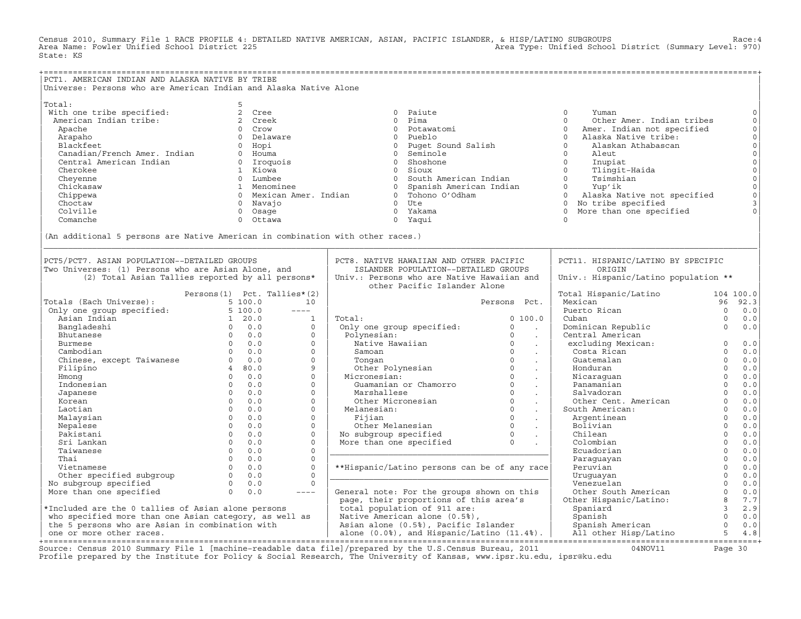Census 2010, Summary File 1 RACE PROFILE 4: DETAILED NATIVE AMERICAN, ASIAN, PACIFIC ISLANDER, & HISP/LATINO SUBGROUPS<br>Area Name: Fowler Unified School District 225 State: KS

| PCT1. AMERICAN INDIAN AND ALASKA NATIVE BY TRIBE                                                                                                                               |                                                                                                                                                                                                                                                                                                                                                                                              |                                                                                                 |                                                         |                                        |               |                     |
|--------------------------------------------------------------------------------------------------------------------------------------------------------------------------------|----------------------------------------------------------------------------------------------------------------------------------------------------------------------------------------------------------------------------------------------------------------------------------------------------------------------------------------------------------------------------------------------|-------------------------------------------------------------------------------------------------|---------------------------------------------------------|----------------------------------------|---------------|---------------------|
|                                                                                                                                                                                | Universe: Persons who are American Indian and Alaska Native Alone                                                                                                                                                                                                                                                                                                                            |                                                                                                 |                                                         |                                        |               |                     |
|                                                                                                                                                                                |                                                                                                                                                                                                                                                                                                                                                                                              |                                                                                                 |                                                         |                                        |               |                     |
| Total:                                                                                                                                                                         | 5                                                                                                                                                                                                                                                                                                                                                                                            |                                                                                                 |                                                         |                                        |               |                     |
| With one tribe specified:                                                                                                                                                      | 2 Cree                                                                                                                                                                                                                                                                                                                                                                                       | 0 Paiute                                                                                        |                                                         | $\Omega$<br>Yuman                      |               | $\mathbf 0$         |
| American Indian tribe:                                                                                                                                                         | 2 Creek                                                                                                                                                                                                                                                                                                                                                                                      | 0 Pima                                                                                          |                                                         | $\Omega$<br>Other Amer. Indian tribes  |               | $\circ$             |
| Apache                                                                                                                                                                         | 0 Crow                                                                                                                                                                                                                                                                                                                                                                                       | 0 Potawatomi                                                                                    |                                                         | $\Omega$<br>Amer. Indian not specified |               | $\mathsf O$         |
| Arapaho                                                                                                                                                                        | 0 Delaware                                                                                                                                                                                                                                                                                                                                                                                   | 0 Pueblo                                                                                        |                                                         | $\Omega$<br>Alaska Native tribe:       |               | $\mathsf{O}\xspace$ |
| Blackfeet                                                                                                                                                                      | 0 Hopi                                                                                                                                                                                                                                                                                                                                                                                       | 0 Puget Sound Salish                                                                            |                                                         | $\Omega$<br>Alaskan Athabascan         |               | $\mathsf{O}\xspace$ |
| Canadian/French Amer. Indian<br>Cantral American Indian                                                                                                                        |                                                                                                                                                                                                                                                                                                                                                                                              |                                                                                                 |                                                         |                                        |               | $\mathsf{O}\xspace$ |
|                                                                                                                                                                                | 0 Houma                                                                                                                                                                                                                                                                                                                                                                                      | 0 Seminole                                                                                      |                                                         | $\circ$<br>Aleut                       |               |                     |
|                                                                                                                                                                                | 0 Iroquois                                                                                                                                                                                                                                                                                                                                                                                   | 0 Shoshone                                                                                      |                                                         | $\Omega$<br>Inupiat                    |               | $\mathsf{O}\xspace$ |
| Cherokee                                                                                                                                                                       | 1 Kiowa                                                                                                                                                                                                                                                                                                                                                                                      | 0 Sioux                                                                                         |                                                         | $\Omega$<br>Tlingit-Haida              |               | $\mathsf{O}$        |
| Cheyenne                                                                                                                                                                       | 0 Lumbee                                                                                                                                                                                                                                                                                                                                                                                     | 0 South American Indian                                                                         |                                                         | $\Omega$<br>Tsimshian                  |               | $\mathsf{O}\xspace$ |
| Chickasaw                                                                                                                                                                      | 1 Menominee                                                                                                                                                                                                                                                                                                                                                                                  | 0 Spanish American Indian                                                                       |                                                         | $0 \qquad \qquad$<br>Yup'ik            |               | $\circ$             |
| Chippewa                                                                                                                                                                       | 0 Mexican Amer. Indian                                                                                                                                                                                                                                                                                                                                                                       | 0 Tohono O'Odham                                                                                |                                                         | $\circ$<br>Alaska Native not specified |               | $\circ$             |
| Choctaw                                                                                                                                                                        | 0 Navajo                                                                                                                                                                                                                                                                                                                                                                                     | $0$ Ute                                                                                         |                                                         | 0 No tribe specified                   |               | $\mathsf 3$         |
| Colville                                                                                                                                                                       | 0 Osage                                                                                                                                                                                                                                                                                                                                                                                      | 0 Yakama                                                                                        |                                                         | More than one specified<br>$\Omega$    |               | $\Omega$            |
| Comanche                                                                                                                                                                       | Ottawa<br>$\Omega$                                                                                                                                                                                                                                                                                                                                                                           | 0 Yaqui                                                                                         |                                                         | $\Omega$                               |               |                     |
|                                                                                                                                                                                |                                                                                                                                                                                                                                                                                                                                                                                              |                                                                                                 |                                                         |                                        |               |                     |
|                                                                                                                                                                                | (An additional 5 persons are Native American in combination with other races.)                                                                                                                                                                                                                                                                                                               |                                                                                                 |                                                         |                                        |               |                     |
|                                                                                                                                                                                |                                                                                                                                                                                                                                                                                                                                                                                              |                                                                                                 |                                                         |                                        |               |                     |
|                                                                                                                                                                                |                                                                                                                                                                                                                                                                                                                                                                                              |                                                                                                 |                                                         |                                        |               |                     |
| PCT5/PCT7. ASIAN POPULATION--DETAILED GROUPS                                                                                                                                   |                                                                                                                                                                                                                                                                                                                                                                                              | PCT8. NATIVE HAWAIIAN AND OTHER PACIFIC                                                         |                                                         | PCT11. HISPANIC/LATINO BY SPECIFIC     |               |                     |
| Two Universes: (1) Persons who are Asian Alone, and                                                                                                                            |                                                                                                                                                                                                                                                                                                                                                                                              | ISLANDER POPULATION--DETAILED GROUPS                                                            |                                                         | ORIGIN                                 |               |                     |
|                                                                                                                                                                                |                                                                                                                                                                                                                                                                                                                                                                                              |                                                                                                 |                                                         |                                        |               |                     |
|                                                                                                                                                                                | (2) Total Asian Tallies reported by all persons*                                                                                                                                                                                                                                                                                                                                             | Univ.: Persons who are Native Hawaiian and<br>other Pacific Islander Alone                      |                                                         | Univ.: Hispanic/Latino population **   |               |                     |
|                                                                                                                                                                                |                                                                                                                                                                                                                                                                                                                                                                                              |                                                                                                 |                                                         |                                        |               |                     |
|                                                                                                                                                                                | Persons(1) Pct. Tallies*(2)                                                                                                                                                                                                                                                                                                                                                                  |                                                                                                 |                                                         | Total Hispanic/Latino                  | 104 100.0     |                     |
|                                                                                                                                                                                | 10                                                                                                                                                                                                                                                                                                                                                                                           |                                                                                                 | Persons Pct.                                            | Mexican                                | 96            | 92.3                |
| Fotals (Each Universe): 5 100.0<br>Only one group specified: 5 100.0<br>Asian Indian 1 20.0<br>Bangladeshi 0 0.0<br>Burmese 0 0.0<br>0 0.0<br>0 0.0<br>0 0.0<br>0 0.0<br>0 0.0 | $\frac{1}{2} \frac{1}{2} \frac{1}{2} \frac{1}{2} \frac{1}{2} \frac{1}{2} \frac{1}{2} \frac{1}{2} \frac{1}{2} \frac{1}{2} \frac{1}{2} \frac{1}{2} \frac{1}{2} \frac{1}{2} \frac{1}{2} \frac{1}{2} \frac{1}{2} \frac{1}{2} \frac{1}{2} \frac{1}{2} \frac{1}{2} \frac{1}{2} \frac{1}{2} \frac{1}{2} \frac{1}{2} \frac{1}{2} \frac{1}{2} \frac{1}{2} \frac{1}{2} \frac{1}{2} \frac{1}{2} \frac{$ |                                                                                                 |                                                         | Puerto Rican                           | $\Omega$      | 0.0                 |
|                                                                                                                                                                                | $\mathbf{1}$                                                                                                                                                                                                                                                                                                                                                                                 | Total:                                                                                          | 0, 100.0                                                | Cuban                                  | $\Omega$      | 0.0                 |
|                                                                                                                                                                                | $\circ$                                                                                                                                                                                                                                                                                                                                                                                      | Only one group specified:                                                                       | $\circ$<br>$\sim 100$                                   | Dominican Republic                     | $\Omega$      | 0.0                 |
|                                                                                                                                                                                | $\Omega$                                                                                                                                                                                                                                                                                                                                                                                     | Polynesian:                                                                                     | $\Omega$<br>$\sim 10$                                   | Central American                       |               |                     |
|                                                                                                                                                                                | $\Omega$                                                                                                                                                                                                                                                                                                                                                                                     | Native Hawaiian                                                                                 | $\sim 100$                                              | excluding Mexican:                     | $\mathbf 0$   | 0.0                 |
|                                                                                                                                                                                | $\Omega$                                                                                                                                                                                                                                                                                                                                                                                     | Samoan                                                                                          | $\overline{0}$<br>$\sim 10$                             | Costa Rican                            | $\Omega$      | 0.0                 |
| Chinese, except Taiwanese 0 0.0                                                                                                                                                | $\mathbf{0}$                                                                                                                                                                                                                                                                                                                                                                                 | Tonqan                                                                                          | $\overline{0}$<br>$\sim$                                | Guatemalan                             | $\Omega$      | 0.0                 |
| Filipino                                                                                                                                                                       | 4 80.0<br>9                                                                                                                                                                                                                                                                                                                                                                                  |                                                                                                 | $\sim 100$                                              | Honduran                               | $\Omega$      | 0.0                 |
| Hmong                                                                                                                                                                          | $\circ$<br>$0 \t 0.0$                                                                                                                                                                                                                                                                                                                                                                        | Tongan 0<br>Other Polynesian 0<br>icronesian: 0<br>Guamanian or Chamorro 0<br>0<br>Micronesian: | $\sim$                                                  | Nicaraquan                             | $\Omega$      | 0.0                 |
| Indonesian                                                                                                                                                                     | $0 \t 0.0$<br>$\circ$                                                                                                                                                                                                                                                                                                                                                                        |                                                                                                 | $\sim$                                                  | Panamanian                             | $\circ$       | 0.0                 |
| Japanese                                                                                                                                                                       | $\Omega$<br>$\Omega$<br>0.0                                                                                                                                                                                                                                                                                                                                                                  | Marshallese                                                                                     | $\Omega$<br>$\sim$                                      | Salvadoran                             | $\Omega$      | 0.0                 |
| Korean                                                                                                                                                                         | $\overline{0}$<br>0.0<br>$\circ$                                                                                                                                                                                                                                                                                                                                                             | Other Micronesian                                                                               | $\sim$                                                  | Other Cent. American                   | $\Omega$      | 0.0                 |
| Laotian                                                                                                                                                                        | $\Omega$<br>0.0<br>$\circ$                                                                                                                                                                                                                                                                                                                                                                   | Melanesian:                                                                                     | $\begin{array}{c} 0 \\ 0 \end{array}$<br>$\sim 10^{-1}$ | South American:                        | $\Omega$      | 0.0                 |
| Malaysian                                                                                                                                                                      | $\overline{0}$<br>0.0<br>$\circ$                                                                                                                                                                                                                                                                                                                                                             | Fijian                                                                                          | $\circ$                                                 | Argentinean                            | $\Omega$      | 0.0                 |
|                                                                                                                                                                                | $\Omega$<br>0.0<br>$\circ$                                                                                                                                                                                                                                                                                                                                                                   |                                                                                                 | $\sim$                                                  | Bolivian                               | $\mathbf 0$   | 0.0                 |
| Nepalese                                                                                                                                                                       | $\Omega$<br>$\Omega$                                                                                                                                                                                                                                                                                                                                                                         | Other Melanesian 0<br>No subgroup specified 0<br>More than one specified 0                      |                                                         |                                        | $\Omega$      |                     |
| Pakistani                                                                                                                                                                      | 0.0                                                                                                                                                                                                                                                                                                                                                                                          |                                                                                                 |                                                         | Chilean                                |               | 0.0                 |
| Sri Lankan                                                                                                                                                                     | $\overline{0}$<br>0.0<br>$\mathbf 0$                                                                                                                                                                                                                                                                                                                                                         |                                                                                                 |                                                         | Colombian                              | $\Omega$      | 0.0                 |
| Taiwanese                                                                                                                                                                      | $\Omega$<br>0.0<br>$\Omega$                                                                                                                                                                                                                                                                                                                                                                  |                                                                                                 |                                                         | Ecuadorian                             | $\Omega$      | 0.0                 |
| Thai                                                                                                                                                                           | $\Omega$<br>0.0<br>$\circ$                                                                                                                                                                                                                                                                                                                                                                   |                                                                                                 |                                                         | Paraguayan                             | $\mathbf 0$   | 0.0                 |
| Vietnamese                                                                                                                                                                     | $\Omega$<br>0.0<br>$\circ$                                                                                                                                                                                                                                                                                                                                                                   | **Hispanic/Latino persons can be of any race                                                    |                                                         | Peruvian                               | $\mathbf{0}$  | 0.0                 |
| Other specified subgroup 0 0.0                                                                                                                                                 | $\Omega$                                                                                                                                                                                                                                                                                                                                                                                     |                                                                                                 |                                                         | Uruquayan                              | $\Omega$      | 0.0                 |
| No subgroup specified                                                                                                                                                          | $0 \t 0.0$<br>0 0.0<br>$\Omega$                                                                                                                                                                                                                                                                                                                                                              |                                                                                                 |                                                         | Venezuelan                             | $\Omega$      | 0.0                 |
| More than one specified                                                                                                                                                        | $---$                                                                                                                                                                                                                                                                                                                                                                                        | General note: For the groups shown on this                                                      |                                                         | Other South American                   | $\Omega$      | 0.0                 |
|                                                                                                                                                                                |                                                                                                                                                                                                                                                                                                                                                                                              | page, their proportions of this area's                                                          |                                                         | Other Hispanic/Latino:                 | 8             | 7.7                 |
| *Included are the 0 tallies of Asian alone persons                                                                                                                             |                                                                                                                                                                                                                                                                                                                                                                                              | total population of 911 are:                                                                    |                                                         | Spaniard                               | $\mathcal{E}$ | 2.9                 |
| who specified more than one Asian category, as well as                                                                                                                         |                                                                                                                                                                                                                                                                                                                                                                                              | Native American alone (0.5%),                                                                   |                                                         | Spanish                                | $\Omega$      | 0.0                 |
| the 5 persons who are Asian in combination with                                                                                                                                |                                                                                                                                                                                                                                                                                                                                                                                              | Asian alone (0.5%), Pacific Islander                                                            |                                                         |                                        | $\mathbf 0$   | 0.0                 |
| one or more other races.                                                                                                                                                       |                                                                                                                                                                                                                                                                                                                                                                                              | alone $(0.0%$ , and Hispanic/Latino $(11.4%)$ .                                                 |                                                         | ب<br>All other Hisp/Latino<br>------   | 5             | 4.8                 |
| -----------------                                                                                                                                                              |                                                                                                                                                                                                                                                                                                                                                                                              |                                                                                                 |                                                         |                                        |               |                     |

| one or more other races. | alone (0.0%), and Hispanic/Latino (11.4%). | All other Hisp/Latino 5 4.8| +===================================================================================================================================================+ Source: Census 2010 Summary File 1 [machine−readable data file]/prepared by the U.S.Census Bureau, 2011 04NOV11 Page 30 Profile prepared by the Institute for Policy & Social Research, The University of Kansas, www.ipsr.ku.edu, ipsr@ku.edu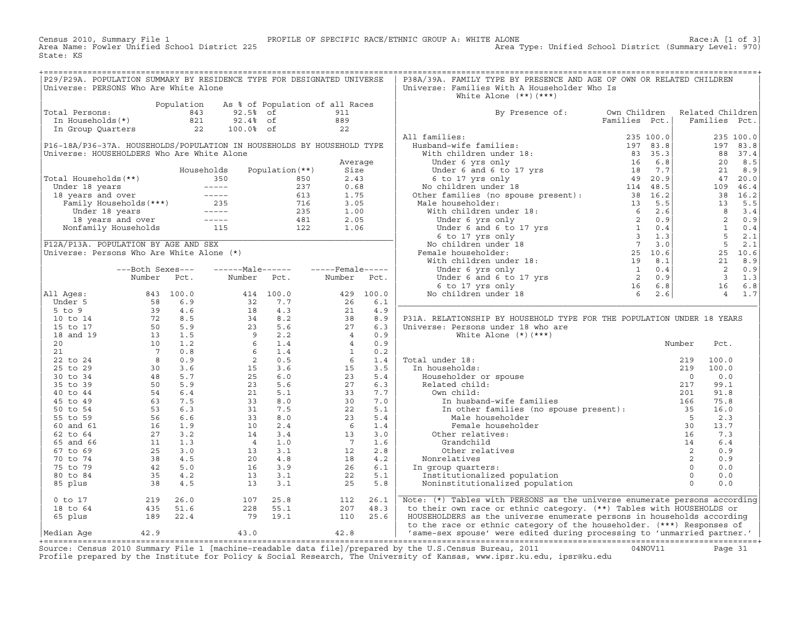Census 2010, Summary File 1 <sup>PROFILE</sup> OF SPECIFIC RACE/ETHNIC GROUP A: WHITE ALONE RACE:A [1 of 3]<br>Area Name: Fowler Unified School District 225 Area Type: Unified School District (Summary Level: 970) Area Type: Unified School District (Summary Level: 970) State: KS

| P29/P29A. POPULATION SUMMARY BY RESIDENCE TYPE FOR DESIGNATED UNIVERSE<br>Universe: PERSONS Who Are White Alone |                                                                                                                               |            |                                                                                                                                                   |                                 |                                                                            |           | P38A/39A. FAMILY TYPE BY PRESENCE AND AGE OF OWN OR RELATED CHILDREN<br>Universe: Families With A Householder Who Is<br>White Alone $(**)$ $(***)$                                                                                                     |               |                  |                |            |
|-----------------------------------------------------------------------------------------------------------------|-------------------------------------------------------------------------------------------------------------------------------|------------|---------------------------------------------------------------------------------------------------------------------------------------------------|---------------------------------|----------------------------------------------------------------------------|-----------|--------------------------------------------------------------------------------------------------------------------------------------------------------------------------------------------------------------------------------------------------------|---------------|------------------|----------------|------------|
|                                                                                                                 |                                                                                                                               | Population |                                                                                                                                                   | As % of Population of all Races |                                                                            |           |                                                                                                                                                                                                                                                        |               |                  |                |            |
| Total Persons:                                                                                                  |                                                                                                                               | 843        | 92.5% of                                                                                                                                          |                                 | 911                                                                        |           | By Presence of:                                                                                                                                                                                                                                        | Own Children  | Related Children |                |            |
| In Households(*)                                                                                                |                                                                                                                               | 821        | 92.4% of                                                                                                                                          |                                 | 889                                                                        |           |                                                                                                                                                                                                                                                        | Families Pct. |                  | Families Pct.  |            |
| In Group Quarters                                                                                               |                                                                                                                               | 22         | 100.0% of                                                                                                                                         |                                 | 22                                                                         |           |                                                                                                                                                                                                                                                        |               |                  |                |            |
|                                                                                                                 |                                                                                                                               |            |                                                                                                                                                   |                                 |                                                                            |           | All families:                                                                                                                                                                                                                                          | 235 100.0     |                  |                | 235 100.0  |
| P16-18A/P36-37A. HOUSEHOLDS/POPULATION IN HOUSEHOLDS BY HOUSEHOLD TYPE                                          |                                                                                                                               |            |                                                                                                                                                   |                                 |                                                                            |           | 11 families:<br>Husband-wife families:<br>With children under 18:<br>Under 6 yrs only<br>Under 6 and 6 to 17 yrs<br>(5 to 17 yrs and 18 complete 18 complete 18 complete 18 complete 18 complete 18 complete 18 complete 18 complete 18                |               |                  |                | 197 83.8   |
|                                                                                                                 |                                                                                                                               |            |                                                                                                                                                   |                                 |                                                                            |           |                                                                                                                                                                                                                                                        |               |                  |                |            |
| Universe: HOUSEHOLDERS Who Are White Alone                                                                      |                                                                                                                               |            |                                                                                                                                                   |                                 |                                                                            |           |                                                                                                                                                                                                                                                        |               |                  |                | 88 37.4    |
|                                                                                                                 |                                                                                                                               |            |                                                                                                                                                   |                                 | Average                                                                    |           |                                                                                                                                                                                                                                                        |               |                  | 20             | 8.5        |
|                                                                                                                 |                                                                                                                               |            | Households                                                                                                                                        | Population $(**)$               | Size                                                                       |           |                                                                                                                                                                                                                                                        |               |                  | 21             | 8.9        |
| Total Households(**)                                                                                            |                                                                                                                               | 350        |                                                                                                                                                   | 850                             | 2.43                                                                       |           |                                                                                                                                                                                                                                                        |               |                  |                | 47 20.0    |
| Under 18 years                                                                                                  | Under 18 years -----<br>18 years and over -----<br>Family Households (***) 235                                                |            | $\begin{array}{cccccc} - & - & - & - & - \\ \end{array}$                                                                                          | 237                             | 0.68                                                                       |           |                                                                                                                                                                                                                                                        |               |                  |                | 109 46.4   |
|                                                                                                                 |                                                                                                                               |            |                                                                                                                                                   | 613                             | 1.75                                                                       |           |                                                                                                                                                                                                                                                        |               |                  |                | 38 16.2    |
|                                                                                                                 |                                                                                                                               |            |                                                                                                                                                   | 716                             | 3.05                                                                       |           | Male householder:                                                                                                                                                                                                                                      |               |                  | 13             | 5.5        |
| Under 18 years                                                                                                  |                                                                                                                               |            | $------$                                                                                                                                          | 235                             | 1.00                                                                       |           |                                                                                                                                                                                                                                                        |               |                  | 8              | 3.4        |
|                                                                                                                 |                                                                                                                               |            | $\sim$ $    -$                                                                                                                                    | 481                             | 2.05                                                                       |           |                                                                                                                                                                                                                                                        |               |                  | $\overline{2}$ | 0.9        |
|                                                                                                                 | 18 years and over -----<br>20 onfamily Households 115<br>Nonfamily Households                                                 |            |                                                                                                                                                   | 122                             | 1.06                                                                       |           | 38 16.2<br>Aale householder:<br>With children under 18:<br>Under 6 yrs only<br>Under 6 and 6 to 17 yrs<br>Under 6 and 6 to 17 yrs<br>2 0.9<br>Under 6 and 6 to 17 yrs<br>2 0.9<br>Under 6 and 6 to 17 yrs<br>2 1 0.4<br>Ne children under 18<br>Ne chi |               |                  | $\mathbf{1}$   | 0.4        |
|                                                                                                                 |                                                                                                                               |            |                                                                                                                                                   |                                 |                                                                            |           |                                                                                                                                                                                                                                                        |               |                  |                | $5 \t 2.1$ |
| P12A/P13A. POPULATION BY AGE AND SEX                                                                            |                                                                                                                               |            |                                                                                                                                                   |                                 |                                                                            |           |                                                                                                                                                                                                                                                        |               |                  | 5              | 2.1        |
|                                                                                                                 |                                                                                                                               |            |                                                                                                                                                   |                                 |                                                                            |           |                                                                                                                                                                                                                                                        |               |                  |                |            |
| Universe: Persons Who Are White Alone (*)                                                                       |                                                                                                                               |            |                                                                                                                                                   |                                 |                                                                            |           | Female householder:                                                                                                                                                                                                                                    |               |                  |                | 25 10.6    |
|                                                                                                                 |                                                                                                                               |            |                                                                                                                                                   |                                 |                                                                            |           |                                                                                                                                                                                                                                                        |               |                  | 21             | 8.9        |
|                                                                                                                 | ---Both Sexes---                                                                                                              |            |                                                                                                                                                   | $---Male---  ---Female---$      |                                                                            |           |                                                                                                                                                                                                                                                        |               |                  | 2              | 0.9        |
|                                                                                                                 | Number Pct.                                                                                                                   |            | Number Pct.                                                                                                                                       |                                 | Number Pct.                                                                |           |                                                                                                                                                                                                                                                        |               |                  | $\overline{3}$ | 1.3        |
|                                                                                                                 |                                                                                                                               |            |                                                                                                                                                   |                                 |                                                                            |           |                                                                                                                                                                                                                                                        |               |                  | 16             | 6.8        |
| All Ages:                                                                                                       | 843 100.0                                                                                                                     |            |                                                                                                                                                   | 414 100.0                       |                                                                            | 429 100.0 |                                                                                                                                                                                                                                                        |               |                  |                | 4 1.7      |
| Under 5                                                                                                         | $\begin{array}{cccc}\n 3 & 100.0 \\  58 & 6.9 \\  39 & 4.6 \\  72 & 8.5 \\  50 & 5.9 \\  13 & 1.5 \\  10 & 1.6\n \end{array}$ |            | 32                                                                                                                                                | 7.7                             | 26                                                                         | 6.1       |                                                                                                                                                                                                                                                        |               |                  |                |            |
| $5$ to $9$                                                                                                      |                                                                                                                               |            | 18                                                                                                                                                | 4.3                             | 21                                                                         | 4.9       |                                                                                                                                                                                                                                                        |               |                  |                |            |
| 10 to 14                                                                                                        |                                                                                                                               |            | $\begin{array}{cccc}\n & 4.3 \\  & 8.2 \\  & 23 \\  & 5.6 \\  & 9 \\  & 2.2 \\  & 6 \\  & 1.4 \\  & 2 \\  & 0.5 \\  & 15 \\  & 3.6\n \end{array}$ |                                 | 38<br>$\begin{array}{r} 38 \\ 27 \\ 4 \\ 4 \\ 1 \\ 6 \\ 10 \\ \end{array}$ | 8.9       | P31A. RELATIONSHIP BY HOUSEHOLD TYPE FOR THE POPULATION UNDER 18 YEARS                                                                                                                                                                                 |               |                  |                |            |
| 15 to 17                                                                                                        |                                                                                                                               |            |                                                                                                                                                   |                                 |                                                                            | 6.3       | Universe: Persons under 18 who are                                                                                                                                                                                                                     |               |                  |                |            |
| 18 and 19                                                                                                       |                                                                                                                               |            |                                                                                                                                                   |                                 |                                                                            | 0.9       | White Alone $(*)$ $(***)$                                                                                                                                                                                                                              |               |                  |                |            |
| 20                                                                                                              | 10                                                                                                                            | 1.2        |                                                                                                                                                   |                                 |                                                                            | 0.9       |                                                                                                                                                                                                                                                        |               | Number           | Pct.           |            |
| 21                                                                                                              | $7\phantom{0}$                                                                                                                | 0.8        |                                                                                                                                                   |                                 |                                                                            | 0.2       |                                                                                                                                                                                                                                                        |               |                  |                |            |
| 22 to 24                                                                                                        |                                                                                                                               | 0.9        |                                                                                                                                                   |                                 |                                                                            | 1.4       | Total under 18:                                                                                                                                                                                                                                        |               | 219              | 100.0          |            |
| 25 to 29                                                                                                        | $\begin{array}{c} 8 \\ 30 \end{array}$<br>30                                                                                  | 3.6        |                                                                                                                                                   |                                 |                                                                            | 3.5       | In households:                                                                                                                                                                                                                                         |               | 219              | 100.0          |            |
|                                                                                                                 |                                                                                                                               |            |                                                                                                                                                   |                                 |                                                                            |           |                                                                                                                                                                                                                                                        |               |                  |                |            |
| 30 to 34                                                                                                        | $\frac{48}{50}$                                                                                                               | 5.7        | 25                                                                                                                                                | 6.0                             | 23                                                                         | 5.4       | Householder or spouse                                                                                                                                                                                                                                  |               | $\Omega$         | 0.0            |            |
| 35 to 39                                                                                                        |                                                                                                                               | 5.9        | 23                                                                                                                                                | 5.6                             | 27                                                                         | 6.3       | Related child:                                                                                                                                                                                                                                         |               | 217              | 99.1           |            |
| 40 to 44                                                                                                        |                                                                                                                               | 6.4        | 21                                                                                                                                                | 5.1                             | 33                                                                         | 7.7       | Own child:                                                                                                                                                                                                                                             |               | 201              | 91.8           |            |
| 45 to 49                                                                                                        |                                                                                                                               |            | 33                                                                                                                                                | 8.0                             | 30                                                                         | 7.0       | In husband-wife families                                                                                                                                                                                                                               |               | 166              | 75.8           |            |
| 50 to 54                                                                                                        | $63$ 7.5<br>53 6.3<br>56 6.6                                                                                                  |            | 31                                                                                                                                                | 7.5                             | 22                                                                         | 5.1       | In other families (no spouse present):                                                                                                                                                                                                                 |               | 35               | 16.0           |            |
| 55 to 59                                                                                                        |                                                                                                                               |            | 33                                                                                                                                                | 8.0                             | 23                                                                         | 5.4       | Male householder                                                                                                                                                                                                                                       |               | $5^{\circ}$      | 2.3            |            |
| 60 and 61                                                                                                       | 16                                                                                                                            | 1.9        | 10                                                                                                                                                | 2.4                             | $6\overline{6}$                                                            | 1.4       | Female householder                                                                                                                                                                                                                                     |               | 30               | 13.7           |            |
| 62 to 64                                                                                                        | 27                                                                                                                            | 3.2        | 14                                                                                                                                                | 3.4                             | 13                                                                         | 3.0       | Other relatives:                                                                                                                                                                                                                                       |               | 16               | 7.3            |            |
| 65 and 66                                                                                                       | $\frac{-1}{11}$                                                                                                               | 1.3        | $\overline{4}$                                                                                                                                    | 1.0                             | $7\overline{ }$                                                            | 1.6       | Grandchild                                                                                                                                                                                                                                             |               | 14               | 6.4            |            |
| 67 to 69                                                                                                        | 25                                                                                                                            | 3.0        | 13                                                                                                                                                | 3.1                             | 12                                                                         | 2.8       | Other relatives                                                                                                                                                                                                                                        |               | 2                | 0.9            |            |
| 70 to 74                                                                                                        | 38                                                                                                                            | 4.5        | 20                                                                                                                                                | 4.8                             | 18                                                                         | 4.2       | Nonrelatives                                                                                                                                                                                                                                           |               | 2                | 0.9            |            |
| 75 to 79                                                                                                        | 42                                                                                                                            | 5.0        | 16                                                                                                                                                | 3.9                             | 26                                                                         | 6.1       | In group quarters:                                                                                                                                                                                                                                     |               | $\Omega$         | 0.0            |            |
| 80 to 84                                                                                                        | 35                                                                                                                            | 4.2        | 13                                                                                                                                                | 3.1                             | 22                                                                         | 5.1       | Institutionalized population                                                                                                                                                                                                                           |               | $\Omega$         | 0.0            |            |
|                                                                                                                 |                                                                                                                               |            |                                                                                                                                                   |                                 |                                                                            |           |                                                                                                                                                                                                                                                        |               | $\Omega$         |                |            |
| 85 plus                                                                                                         | 38                                                                                                                            | 4.5        | 13                                                                                                                                                | 3.1                             | 25                                                                         | 5.8       | Noninstitutionalized population                                                                                                                                                                                                                        |               |                  | 0.0            |            |
|                                                                                                                 |                                                                                                                               |            |                                                                                                                                                   |                                 |                                                                            |           |                                                                                                                                                                                                                                                        |               |                  |                |            |
| $0$ to $17$                                                                                                     | 219                                                                                                                           | 26.0       | 107                                                                                                                                               | 25.8                            | 112                                                                        | 26.1      | Note: (*) Tables with PERSONS as the universe enumerate persons according                                                                                                                                                                              |               |                  |                |            |
| 18 to 64                                                                                                        | 435                                                                                                                           | 51.6       | 228                                                                                                                                               | 55.1                            | 207                                                                        | 48.3      | to their own race or ethnic category. (**) Tables with HOUSEHOLDS or                                                                                                                                                                                   |               |                  |                |            |
| 65 plus                                                                                                         | 189                                                                                                                           | 22.4       | 79                                                                                                                                                | 19.1                            | 110                                                                        | 25.6      | HOUSEHOLDERS as the universe enumerate persons in households according                                                                                                                                                                                 |               |                  |                |            |
|                                                                                                                 |                                                                                                                               |            |                                                                                                                                                   |                                 |                                                                            |           | to the race or ethnic category of the householder. (***) Responses of                                                                                                                                                                                  |               |                  |                |            |
| Median Age                                                                                                      | 42.9                                                                                                                          |            | 43.0                                                                                                                                              |                                 | 42.8                                                                       |           | 'same-sex spouse' were edited during processing to 'unmarried partner.'                                                                                                                                                                                |               |                  |                |            |

|Median Age 42.9 43.0 42.8 | 'same−sex spouse' were edited during processing to 'unmarried partner.' | +===================================================================================================================================================+ Source: Census 2010 Summary File 1 [machine−readable data file]/prepared by the U.S.Census Bureau, 2011 04NOV11 Page 31 Profile prepared by the Institute for Policy & Social Research, The University of Kansas, www.ipsr.ku.edu, ipsr@ku.edu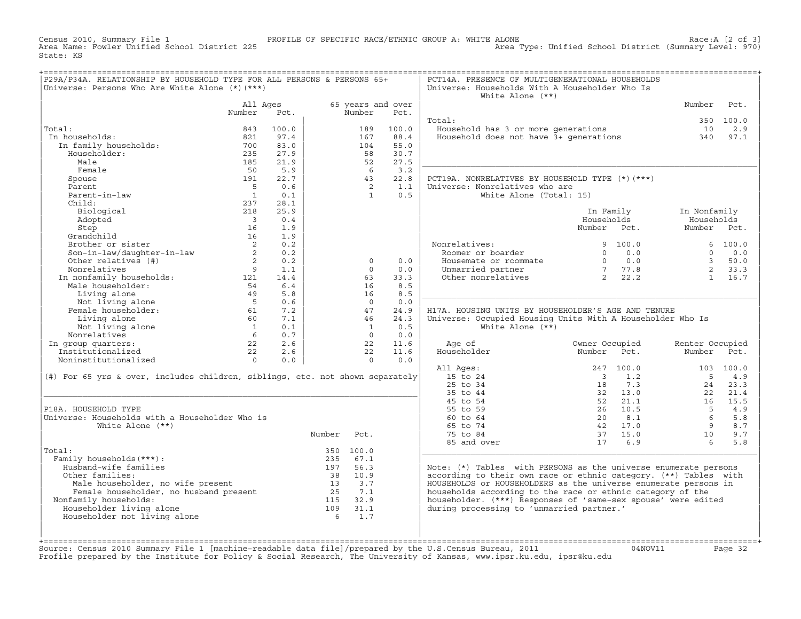Census 2010, Summary File 1 PROFILE OF SPECIFIC RACE/ETHNIC GROUP A: WHITE ALONE Race:A [2 of 3] Area Type: Unified School District (Summary Level: 970) State: KS

| P29A/P34A. RELATIONSHIP BY HOUSEHOLD TYPE FOR ALL PERSONS & PERSONS 65+<br>Universe: Persons Who Are White Alone (*) (***)                  |                            |       |                 |                                                      |                           | PCT14A. PRESENCE OF MULTIGENERATIONAL HOUSEHOLDS<br>Universe: Households With A Householder Who Is<br>White Alone $(**)$ |                                                                                                |                 |             |
|---------------------------------------------------------------------------------------------------------------------------------------------|----------------------------|-------|-----------------|------------------------------------------------------|---------------------------|--------------------------------------------------------------------------------------------------------------------------|------------------------------------------------------------------------------------------------|-----------------|-------------|
|                                                                                                                                             | All Ages<br>Number         | Pct.  |                 | Number                                               | 65 years and over<br>Pct. |                                                                                                                          |                                                                                                | Number          | Pct.        |
|                                                                                                                                             |                            |       |                 |                                                      |                           | Total:                                                                                                                   |                                                                                                |                 | 350 100.0   |
| Total:                                                                                                                                      | 843                        | 100.0 |                 | 189                                                  | 100.0                     | Household has 3 or more generations                                                                                      |                                                                                                | 10              | 2.9         |
| In households:                                                                                                                              | 821                        | 97.4  |                 | 167                                                  | 88.4                      | Household does not have 3+ generations                                                                                   |                                                                                                | 340             | 97.1        |
| In family households:                                                                                                                       | 700                        | 83.0  |                 | 104                                                  | 55.0                      |                                                                                                                          |                                                                                                |                 |             |
| Householder:                                                                                                                                | 235                        | 27.9  |                 | 58                                                   | 30.7                      |                                                                                                                          |                                                                                                |                 |             |
| Male                                                                                                                                        | 185                        | 21.9  |                 | 52                                                   | 27.5                      |                                                                                                                          |                                                                                                |                 |             |
| Female                                                                                                                                      | 50                         | 5.9   |                 | - 6                                                  | 3.2                       |                                                                                                                          |                                                                                                |                 |             |
| Spouse                                                                                                                                      | 191                        | 22.7  |                 | 43                                                   | 22.8                      | PCT19A. NONRELATIVES BY HOUSEHOLD TYPE (*) (***)                                                                         |                                                                                                |                 |             |
| Parent                                                                                                                                      | $5^{\circ}$                | 0.6   |                 | $\overline{2}$                                       | 1.1                       | Universe: Nonrelatives who are                                                                                           |                                                                                                |                 |             |
| Parent-in-law                                                                                                                               | $\overline{1}$             | 0.1   |                 | $\mathbf{1}$                                         | 0.5                       | White Alone (Total: 15)                                                                                                  |                                                                                                |                 |             |
| Child:                                                                                                                                      | 237                        | 28.1  |                 |                                                      |                           |                                                                                                                          |                                                                                                |                 |             |
| Biological                                                                                                                                  | 218                        | 25.9  |                 |                                                      |                           |                                                                                                                          | In Family                                                                                      | In Nonfamily    |             |
| Adopted                                                                                                                                     | $\overline{\mathbf{3}}$    | 0.4   |                 |                                                      |                           |                                                                                                                          | Households                                                                                     | Households      |             |
| Step                                                                                                                                        | 16                         | 1.9   |                 |                                                      |                           |                                                                                                                          | Number Pct.                                                                                    | Number Pct.     |             |
| Grandchild                                                                                                                                  | 16                         | 1.9   |                 |                                                      |                           |                                                                                                                          |                                                                                                |                 |             |
| Brother or sister                                                                                                                           | $\overline{\phantom{0}}^2$ | 0.2   |                 |                                                      |                           | Nonrelatives:                                                                                                            | 9 100.0                                                                                        |                 | 6 100.0     |
| Son-in-law/daughter-in-law                                                                                                                  | $\overline{\phantom{a}}$ 2 | 0.2   |                 |                                                      |                           | Roomer or boarder                                                                                                        | 0.0<br>$\Omega$                                                                                | $\Omega$        | 0.0         |
| Other relatives (#)                                                                                                                         | $\overline{2}$             | 0.2   |                 | $\circ$                                              | 0.0                       | Housemate or roommate                                                                                                    | $\begin{array}{ccc} 0 & \quad 0\,. \,0 \nonumber \\ 7 & \quad 77\,. \,8 \nonumber \end{array}$ | $\overline{3}$  | 50.0        |
| Nonrelatives                                                                                                                                | $\overline{9}$             | 1.1   |                 | $\Omega$                                             | 0.0                       | Unmarried partner                                                                                                        | $\begin{bmatrix} 7 & 77.8 \\ 2 & 22.2 \end{bmatrix}$                                           | $2^{\circ}$     | 33.3        |
| In nonfamily households: 121<br>Male householder: 54                                                                                        |                            | 14.4  |                 | 63                                                   | 33.3                      | Other nonrelatives                                                                                                       |                                                                                                | 1               | 16.7        |
|                                                                                                                                             |                            | 6.4   |                 | 16                                                   | 8.5                       |                                                                                                                          |                                                                                                |                 |             |
| Living alone                                                                                                                                | 49                         | 5.8   |                 | 16                                                   | 8.5                       |                                                                                                                          |                                                                                                |                 |             |
| Not living alone                                                                                                                            | $5^{\circ}$                | 0.6   |                 | $\Omega$                                             | 0.0                       |                                                                                                                          |                                                                                                |                 |             |
| Female householder:                                                                                                                         | 61                         | 7.2   |                 | 47                                                   | 24.9                      | H17A. HOUSING UNITS BY HOUSEHOLDER'S AGE AND TENURE                                                                      |                                                                                                |                 |             |
| Living alone                                                                                                                                | 60                         | 7.1   |                 | 46                                                   | 24.3                      | Universe: Occupied Housing Units With A Householder Who Is                                                               |                                                                                                |                 |             |
| Not living alone                                                                                                                            | $\overline{1}$             | 0.1   |                 | $\overline{1}$                                       | 0.5                       | White Alone $(**)$                                                                                                       |                                                                                                |                 |             |
| Nonrelatives                                                                                                                                | $6\overline{6}$            | 0.7   |                 | $\bigcap$                                            | 0.0                       |                                                                                                                          |                                                                                                |                 |             |
| In group quarters:                                                                                                                          | 22                         | 2.6   |                 | 22                                                   | 11.6                      | Age of                                                                                                                   | Owner Occupied                                                                                 | Renter Occupied |             |
| Institutionalized                                                                                                                           | 22                         | 2.6   |                 | 22                                                   | 11.6                      | Householder                                                                                                              | Number<br>Pct.                                                                                 | Number          | Pct.        |
| Noninstitutionalized                                                                                                                        | $\overline{0}$             | 0.0   |                 | $\circ$                                              | 0.0                       |                                                                                                                          |                                                                                                |                 |             |
|                                                                                                                                             |                            |       |                 |                                                      |                           | All Ages:                                                                                                                | 247 100.0                                                                                      |                 | 103 100.0   |
| (#) For 65 yrs & over, includes children, siblings, etc. not shown separately                                                               |                            |       |                 |                                                      |                           | 15 to 24                                                                                                                 | $\overline{\mathbf{3}}$<br>1.2                                                                 | $-5$            | 4.9         |
|                                                                                                                                             |                            |       |                 |                                                      |                           | 25 to 34<br>35 to 44                                                                                                     | 7.3<br>18<br>32 13.0                                                                           | 24              | 23.3        |
|                                                                                                                                             |                            |       |                 |                                                      |                           |                                                                                                                          | 52 21.1                                                                                        | 2.2             | 21.4        |
| P18A, HOUSEHOLD TYPE                                                                                                                        |                            |       |                 |                                                      |                           | 45 to 54<br>55 to 59                                                                                                     |                                                                                                | 16              | 15.5<br>4.9 |
| Universe: Households with a Householder Who is                                                                                              |                            |       |                 |                                                      |                           | 60 to 64                                                                                                                 | 26 10.5<br>8.1<br>20                                                                           | 5<br>- 6        | 5.8         |
| White Alone $(**)$                                                                                                                          |                            |       |                 |                                                      |                           | 65 to 74                                                                                                                 | 42 17.0                                                                                        | 9               | 8.7         |
|                                                                                                                                             |                            |       |                 | Pct.                                                 |                           | 75 to 84                                                                                                                 | 37 15.0                                                                                        | 10              | 9.7         |
|                                                                                                                                             |                            |       | Number          |                                                      |                           |                                                                                                                          |                                                                                                | 6               |             |
|                                                                                                                                             |                            |       |                 |                                                      |                           | 85 and over                                                                                                              | 17 6.9                                                                                         |                 | 5.8         |
| Total:<br>Family households (***) :                                                                                                         |                            |       | 235             | 350 100.0<br>67.1                                    |                           |                                                                                                                          |                                                                                                |                 |             |
| Husband-wife families                                                                                                                       |                            |       | 197             | 56.3                                                 |                           | Note: (*) Tables with PERSONS as the universe enumerate persons                                                          |                                                                                                |                 |             |
| Other families:                                                                                                                             |                            |       | 38              | 10.9                                                 |                           | according to their own race or ethnic category. (**) Tables with                                                         |                                                                                                |                 |             |
|                                                                                                                                             |                            |       |                 |                                                      |                           | HOUSEHOLDS or HOUSEHOLDERS as the universe enumerate persons in                                                          |                                                                                                |                 |             |
|                                                                                                                                             |                            |       |                 | $\begin{array}{cc} 13 & 3.7 \\ 25 & 7.1 \end{array}$ |                           | households according to the race or ethnic category of the                                                               |                                                                                                |                 |             |
| ncr rumminion<br>Male householder, no wife present<br>Female householder, no husband present<br>Family households:<br>Nonfamily households: |                            |       |                 | 115 32.9                                             |                           | householder. (***) Responses of 'same-sex spouse' were edited                                                            |                                                                                                |                 |             |
| Householder living alone                                                                                                                    |                            |       | 109             | 31.1                                                 |                           | during processing to 'unmarried partner.'                                                                                |                                                                                                |                 |             |
| Householder not living alone                                                                                                                |                            |       | $6\overline{6}$ | 1.7                                                  |                           |                                                                                                                          |                                                                                                |                 |             |
|                                                                                                                                             |                            |       |                 |                                                      |                           |                                                                                                                          |                                                                                                |                 |             |
|                                                                                                                                             |                            |       |                 |                                                      |                           |                                                                                                                          |                                                                                                |                 |             |
|                                                                                                                                             |                            |       |                 |                                                      |                           |                                                                                                                          |                                                                                                |                 |             |

+===================================================================================================================================================+Source: Census 2010 Summary File 1 [machine−readable data file]/prepared by the U.S.Census Bureau, 2011 04NOV11 Page 32 Profile prepared by the Institute for Policy & Social Research, The University of Kansas, www.ipsr.ku.edu, ipsr@ku.edu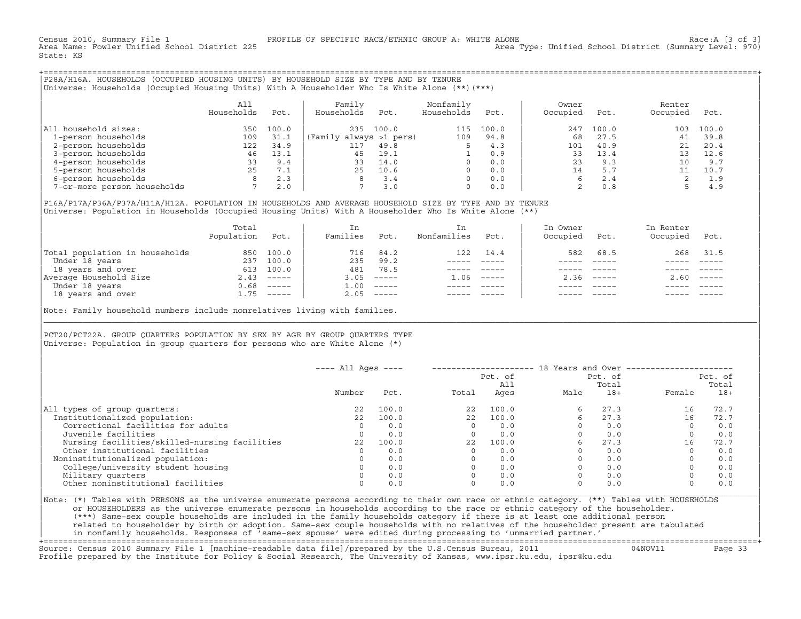Census 2010, Summary File 1 PROFILE OF SPECIFIC RACE/ETHNIC GROUP A: WHITE ALONE Race:A [3 of 3] Area Type: Unified School District (Summary Level: 970) State: KS

+===================================================================================================================================================+|P28A/H16A. HOUSEHOLDS (OCCUPIED HOUSING UNITS) BY HOUSEHOLD SIZE BY TYPE AND BY TENURE | |Universe: Households (Occupied Housing Units) With A Householder Who Is White Alone (\*\*)(\*\*\*) |

| | | All | Family Nonfamily | Owner Renter Renter | Renter | Renter | Renter | Renter | Renter | Renter | Renter | Renter | Renter | Renter | Renter | Renter | Renter | Renter | Renter | Renter | Renter | Renter | Renter | Re | Households Pct. | Households Pct. Households Pct. | Occupied Pct. Occupied Pct. | | | | | |All household sizes:  $\begin{array}{ccccccccc} 350 & 100.0 & 235 & 100.0 & 115 & 100.0 & 247 & 100.0 & 103 & 100.0 \\ 1-person households & & & & 109 & 31.1 & (Family always & >1 pers) & & 109 & 94.8 & & 68 & 27.5 & 41 & 39.8 \end{array}$ | 1−person households 109 31.1 |(Family always >1 pers) 109 94.8 | 68 27.5 41 39.8 | 1 22 34.9 | 117 49.8 5 4.3 | 101 40.9 21 20.4<br>16 13.1 | 45 19.1 1 0.9 | 33 13.4 13 12.6 | 3−person households 46 13.1 | 45 19.1 1 0.9 | 33 13.4 13 12.6 | | 4−person households 33 9.4 | 33 14.0 0 0.0 | 23 9.3 10 9.7 | 1 5−person households<br>
5−person households<br>
5−person households<br>
7 2.0 7 3.0 0.0 2 0.8 5 4.9<br>
7 2.0 7 3.0 0 0.0 2 0.8 5 4.9 | 6−person households 8 2.3 | 8 3.4 0 0.0 | 6 2.4 2 1.9 | 7-or-more person households

| | |P16A/P17A/P36A/P37A/H11A/H12A. POPULATION IN HOUSEHOLDS AND AVERAGE HOUSEHOLD SIZE BY TYPE AND BY TENURE | Universe: Population in Households (Occupied Housing Units) With A Householder Who Is White Alone (\*\*)

|                                | Total<br>Population | Pct.         | In<br>Families | Pct.                      | Nonfamilies | Pct.                      | In Owner<br>Occupied | Pct.         | In Renter<br>Occupied | Pct.                      |  |
|--------------------------------|---------------------|--------------|----------------|---------------------------|-------------|---------------------------|----------------------|--------------|-----------------------|---------------------------|--|
| Total population in households |                     | 850 100.0    | 716            | 84.2                      | 122         | 14.4                      | 582                  | 68.5         | 268                   | 31.5                      |  |
| Under 18 years                 |                     | 237 100.0    | 235            | 99.2                      |             |                           |                      |              |                       |                           |  |
| 18 years and over              |                     | 613 100.0    | 481            | 78.5                      |             |                           |                      |              |                       |                           |  |
| Average Household Size         |                     | $2.43$ ----- | 3.05           | $------$                  | 1.06        | $\qquad \qquad - - - - -$ |                      | $2.36$ $---$ | 2.60                  | $\qquad \qquad - - - - -$ |  |
| Under 18 years                 | 0.68                | ______       | 1.00           | $\qquad \qquad - - - - -$ |             |                           |                      |              |                       |                           |  |
| 18 years and over              | . 75                | ______       | 2.05           |                           |             |                           |                      |              |                       |                           |  |

| |

|\_\_\_\_\_\_\_\_\_\_\_\_\_\_\_\_\_\_\_\_\_\_\_\_\_\_\_\_\_\_\_\_\_\_\_\_\_\_\_\_\_\_\_\_\_\_\_\_\_\_\_\_\_\_\_\_\_\_\_\_\_\_\_\_\_\_\_\_\_\_\_\_\_\_\_\_\_\_\_\_\_\_\_\_\_\_\_\_\_\_\_\_\_\_\_\_\_\_\_\_\_\_\_\_\_\_\_\_\_\_\_\_\_\_\_\_\_\_\_\_\_\_\_\_\_\_\_\_\_\_\_\_\_\_\_\_\_\_\_\_\_\_\_\_\_\_\_|

| |

Note: Family household numbers include nonrelatives living with families.

| | PCT20/PCT22A. GROUP OUARTERS POPULATION BY SEX BY AGE BY GROUP OUARTERS TYPE Universe: Population in group quarters for persons who are White Alone  $(*)$ 

|                                               | $---$ All Ages $---$ |       |       | Pct. of<br>All | 18 Years and Over -------------- | Pct. of<br>Total |          | Pct. of<br>Total |
|-----------------------------------------------|----------------------|-------|-------|----------------|----------------------------------|------------------|----------|------------------|
|                                               | Number               | Pct.  | Total | Ages           | Male                             | $18+$            | Female   | $18+$            |
| All types of group quarters:                  | 22                   | 100.0 | 22    | 100.0          | 6                                | 27.3             | 16       | 72.7             |
| Institutionalized population:                 | 22.2                 | 100.0 | 22.2  | 100.0          |                                  | 27.3             | 16       | 72.7             |
| Correctional facilities for adults            | $\Omega$             | 0.0   |       | 0.0            |                                  | 0.0              | $\circ$  | 0.0              |
| Juvenile facilities                           | $\Omega$             | 0.0   |       | 0.0            |                                  | 0.0              | $\circ$  | 0.0              |
| Nursing facilities/skilled-nursing facilities | 22                   | 100.0 | 22.2  | 100.0          | h                                | 27.3             | 16       | 72.7             |
| Other institutional facilities                |                      | 0.0   |       | 0.0            |                                  | 0.0              | $\Omega$ | 0.0              |
| Noninstitutionalized population:              |                      | 0.0   |       | 0.0            |                                  | 0.0              |          | 0.0              |
| College/university student housing            |                      | 0.0   |       | 0.0            |                                  | 0.0              | $\circ$  | 0.0              |
| Military quarters                             |                      | 0.0   |       | 0.0            |                                  | 0.0              | $\Omega$ | 0.0              |
| Other noninstitutional facilities             |                      | 0.0   |       | 0.0            |                                  | 0.0              | $\circ$  | 0.0              |

|Note: (\*) Tables with PERSONS as the universe enumerate persons according to their own race or ethnic category. (\*\*) Tables with HOUSEHOLDS | or HOUSEHOLDERS as the universe enumerate persons in households according to the race or ethnic category of the householder. | (\*\*\*) Same−sex couple households are included in the family households category if there is at least one additional person | | related to householder by birth or adoption. Same−sex couple households with no relatives of the householder present are tabulated | | in nonfamily households. Responses of 'same−sex spouse' were edited during processing to 'unmarried partner.' | +===================================================================================================================================================+

Source: Census 2010 Summary File 1 [machine−readable data file]/prepared by the U.S.Census Bureau, 2011 04NOV11 Page 33 Profile prepared by the Institute for Policy & Social Research, The University of Kansas, www.ipsr.ku.edu, ipsr@ku.edu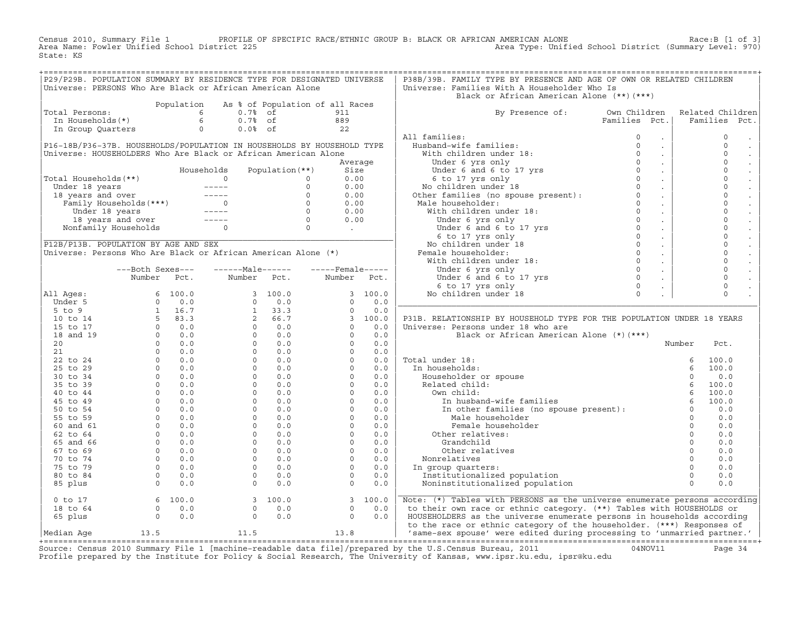Census 2010, Summary File 1 PROFILE OF SPECIFIC RACE/ETHNIC GROUP B: BLACK OR AFRICAN AMERICAN ALONE Race:B [1 of 3]<br>Area Name: Fowler Unified School District 225 Area Type: Unified School District (Summary Level: 970) Area Type: Unified School District (Summary Level: 970) State: KS

| Universe: PERSONS Who Are Black or African American Alone<br>Universe: Families With A Householder Who Is<br>Black or African American Alone (**)(***)<br>Population As % of Population of all Races<br>otal Persons:<br>The Households (*)<br>The Households (*)<br>The Households (*)<br>The Group Quarters<br>Contract Contract Contract Contract Contract Contract Contract Contract Contract Contract Contract Contract Contract Contract C<br>Related Children<br>Total Persons:<br>By Presence of: Own Children Related Children<br>Families Pct.   Families Pct.<br>911<br>$\mathbf 0$<br>All tamilies:<br>Husband-wife families:<br>With children under 18:<br>Under 6 yrs only<br>Under 6 and 6 to 17 yrs<br>0<br>Under 6 and 6 to 17 yrs<br>0<br>6 to 17 yrs only<br>No children under 18<br>Other families (no spouse present):<br>Male ho<br>$\sim$ $-$<br>P16-18B/P36-37B. HOUSEHOLDS/POPULATION IN HOUSEHOLDS BY HOUSEHOLD TYPE<br>$\Omega$<br>$\sim$<br>Universe: HOUSEHOLDERS Who Are Black or African American Alone<br>$\Omega$<br>$\sim$<br>$\mathbf 0$<br>$\sim$<br>$\circ$<br>Universe: HOUSEHOUBLE<br>Total Households (**)<br>Under 18 years<br>18 years and over<br>Family Households (***)<br>Under 18 years<br>18 years and over<br>18 years and over<br>18 years and over<br>18 years and over<br>18 years and over<br>18 ye<br>$\sim 100$<br>$\mathbf 0$<br>$\sim 100$<br>$\mathbf 0$<br>$\sim 100$<br>$\Omega$<br>$\sim 10^{-1}$<br>Other families (no spouse present):<br>Male householder:<br>With children under 18:<br>Under 6 yrs only<br>Under 6 and 6 to 17 yrs<br>6 to 17 yrs only<br>No children under 18<br>Female householder:<br>With children under 18:<br>Under 6 yrs<br>$\mathbf 0$<br>$\sim$<br>$\Omega$<br>$\sim 100$<br>$\mathbf 0$<br>$\sim 100$<br>$\mathbf 0$<br>$\sim 100$<br>$\mathbf 0$<br>$\sim 100$<br>$\mathbf 0$<br>$\sim 10$<br>Universe: Persons Who Are Black or African American Alone (*)<br>$\mathbf 0$<br>$\sim 10$<br>$\mathbf 0$<br>$\sim 100$<br>---Both Sexes---    ------Male------    -----Female-----<br>$\mathsf{O}\xspace$<br>$\sim 10$<br>Number Pct. Number Pct.<br>$\Omega$<br>Number Pct.<br>$\sim 100$<br>$\mathbf 0$<br>$\sim 10$<br>$\Omega$<br>$\mathcal{L}^{\pm}$<br>P31B. RELATIONSHIP BY HOUSEHOLD TYPE FOR THE POPULATION UNDER 18 YEARS<br>Universe: Persons under 18 who are<br>Black or African American Alone (*)(***)<br>Total under 18:<br>In households:<br>Householder or spouse<br>Related child:<br>Own child:<br>Own child:<br>In husband-wife families<br>In husband-wife families<br>In the families<br>(no spouse present):<br>Only 6 100.0<br>(no 0.0<br>Male househo<br>Characteristic Characteristic Characteristic Characteristic Characteristic Characteristic Characteristic Characteristic Characteristic Characteristic Characteristic Characteristic Characteristic Characteristic Characterist<br>0.0<br>Nonrelatives<br>0.0<br>0.0<br>In group quarters:<br>Institutionalized population<br>0.0<br>Noninstitutionalized population<br>0.0<br>0 to 17<br>18 to 64<br>65 plus<br>0 0.0<br>$\begin{bmatrix} 3 & 100.0 \\ 0 & 0.0 \\ 0 & 0.0 \end{bmatrix}$<br>$\begin{bmatrix} 3 & 100.0 \\ 0 & 0.0 \\ 0 & 0.0 \end{bmatrix}$<br>Note: (*) Tables with PERSONS as the universe enumerate persons according<br>to their own race or ethnic category. (**) Tables with HOUSEHOLDS or<br>HOUSEHOLDERS as the universe enumerate persons in households according<br>to the race or ethnic category of the householder. (***) Responses of<br>11.5 13.8<br>13.5<br>Median Aqe<br>$\alpha$ | P29/P29B. POPULATION SUMMARY BY RESIDENCE TYPE FOR DESIGNATED UNIVERSE |  |  |  | P38B/39B. FAMILY TYPE BY PRESENCE AND AGE OF OWN OR RELATED CHILDREN |  |  |
|--------------------------------------------------------------------------------------------------------------------------------------------------------------------------------------------------------------------------------------------------------------------------------------------------------------------------------------------------------------------------------------------------------------------------------------------------------------------------------------------------------------------------------------------------------------------------------------------------------------------------------------------------------------------------------------------------------------------------------------------------------------------------------------------------------------------------------------------------------------------------------------------------------------------------------------------------------------------------------------------------------------------------------------------------------------------------------------------------------------------------------------------------------------------------------------------------------------------------------------------------------------------------------------------------------------------------------------------------------------------------------------------------------------------------------------------------------------------------------------------------------------------------------------------------------------------------------------------------------------------------------------------------------------------------------------------------------------------------------------------------------------------------------------------------------------------------------------------------------------------------------------------------------------------------------------------------------------------------------------------------------------------------------------------------------------------------------------------------------------------------------------------------------------------------------------------------------------------------------------------------------------------------------------------------------------------------------------------------------------------------------------------------------------------------------------------------------------------------------------------------------------------------------------------------------------------------------------------------------------------------------------------------------------------------------------------------------------------------------------------------------------------------------------------------------------------------------------------------------------------------------------------------------------------------------------------------------------------------------------------------------------------------------------------------------------------------------------------------------------------------------------------------------------------------------------------------------------------------------------------------------------------------------------------------------------------------------------------------------------------------------------------------------------------------------------------------------------------------------------------------------------------------------------------------------------------------------------------------|------------------------------------------------------------------------|--|--|--|----------------------------------------------------------------------|--|--|
|                                                                                                                                                                                                                                                                                                                                                                                                                                                                                                                                                                                                                                                                                                                                                                                                                                                                                                                                                                                                                                                                                                                                                                                                                                                                                                                                                                                                                                                                                                                                                                                                                                                                                                                                                                                                                                                                                                                                                                                                                                                                                                                                                                                                                                                                                                                                                                                                                                                                                                                                                                                                                                                                                                                                                                                                                                                                                                                                                                                                                                                                                                                                                                                                                                                                                                                                                                                                                                                                                                                                                                                                  |                                                                        |  |  |  |                                                                      |  |  |
| / 'same-sex spouse' were edited during processing to 'unmarried partner.'                                                                                                                                                                                                                                                                                                                                                                                                                                                                                                                                                                                                                                                                                                                                                                                                                                                                                                                                                                                                                                                                                                                                                                                                                                                                                                                                                                                                                                                                                                                                                                                                                                                                                                                                                                                                                                                                                                                                                                                                                                                                                                                                                                                                                                                                                                                                                                                                                                                                                                                                                                                                                                                                                                                                                                                                                                                                                                                                                                                                                                                                                                                                                                                                                                                                                                                                                                                                                                                                                                                        |                                                                        |  |  |  |                                                                      |  |  |
|                                                                                                                                                                                                                                                                                                                                                                                                                                                                                                                                                                                                                                                                                                                                                                                                                                                                                                                                                                                                                                                                                                                                                                                                                                                                                                                                                                                                                                                                                                                                                                                                                                                                                                                                                                                                                                                                                                                                                                                                                                                                                                                                                                                                                                                                                                                                                                                                                                                                                                                                                                                                                                                                                                                                                                                                                                                                                                                                                                                                                                                                                                                                                                                                                                                                                                                                                                                                                                                                                                                                                                                                  |                                                                        |  |  |  |                                                                      |  |  |
|                                                                                                                                                                                                                                                                                                                                                                                                                                                                                                                                                                                                                                                                                                                                                                                                                                                                                                                                                                                                                                                                                                                                                                                                                                                                                                                                                                                                                                                                                                                                                                                                                                                                                                                                                                                                                                                                                                                                                                                                                                                                                                                                                                                                                                                                                                                                                                                                                                                                                                                                                                                                                                                                                                                                                                                                                                                                                                                                                                                                                                                                                                                                                                                                                                                                                                                                                                                                                                                                                                                                                                                                  |                                                                        |  |  |  |                                                                      |  |  |
|                                                                                                                                                                                                                                                                                                                                                                                                                                                                                                                                                                                                                                                                                                                                                                                                                                                                                                                                                                                                                                                                                                                                                                                                                                                                                                                                                                                                                                                                                                                                                                                                                                                                                                                                                                                                                                                                                                                                                                                                                                                                                                                                                                                                                                                                                                                                                                                                                                                                                                                                                                                                                                                                                                                                                                                                                                                                                                                                                                                                                                                                                                                                                                                                                                                                                                                                                                                                                                                                                                                                                                                                  |                                                                        |  |  |  |                                                                      |  |  |
|                                                                                                                                                                                                                                                                                                                                                                                                                                                                                                                                                                                                                                                                                                                                                                                                                                                                                                                                                                                                                                                                                                                                                                                                                                                                                                                                                                                                                                                                                                                                                                                                                                                                                                                                                                                                                                                                                                                                                                                                                                                                                                                                                                                                                                                                                                                                                                                                                                                                                                                                                                                                                                                                                                                                                                                                                                                                                                                                                                                                                                                                                                                                                                                                                                                                                                                                                                                                                                                                                                                                                                                                  |                                                                        |  |  |  |                                                                      |  |  |
|                                                                                                                                                                                                                                                                                                                                                                                                                                                                                                                                                                                                                                                                                                                                                                                                                                                                                                                                                                                                                                                                                                                                                                                                                                                                                                                                                                                                                                                                                                                                                                                                                                                                                                                                                                                                                                                                                                                                                                                                                                                                                                                                                                                                                                                                                                                                                                                                                                                                                                                                                                                                                                                                                                                                                                                                                                                                                                                                                                                                                                                                                                                                                                                                                                                                                                                                                                                                                                                                                                                                                                                                  |                                                                        |  |  |  |                                                                      |  |  |
|                                                                                                                                                                                                                                                                                                                                                                                                                                                                                                                                                                                                                                                                                                                                                                                                                                                                                                                                                                                                                                                                                                                                                                                                                                                                                                                                                                                                                                                                                                                                                                                                                                                                                                                                                                                                                                                                                                                                                                                                                                                                                                                                                                                                                                                                                                                                                                                                                                                                                                                                                                                                                                                                                                                                                                                                                                                                                                                                                                                                                                                                                                                                                                                                                                                                                                                                                                                                                                                                                                                                                                                                  |                                                                        |  |  |  |                                                                      |  |  |
|                                                                                                                                                                                                                                                                                                                                                                                                                                                                                                                                                                                                                                                                                                                                                                                                                                                                                                                                                                                                                                                                                                                                                                                                                                                                                                                                                                                                                                                                                                                                                                                                                                                                                                                                                                                                                                                                                                                                                                                                                                                                                                                                                                                                                                                                                                                                                                                                                                                                                                                                                                                                                                                                                                                                                                                                                                                                                                                                                                                                                                                                                                                                                                                                                                                                                                                                                                                                                                                                                                                                                                                                  |                                                                        |  |  |  |                                                                      |  |  |
|                                                                                                                                                                                                                                                                                                                                                                                                                                                                                                                                                                                                                                                                                                                                                                                                                                                                                                                                                                                                                                                                                                                                                                                                                                                                                                                                                                                                                                                                                                                                                                                                                                                                                                                                                                                                                                                                                                                                                                                                                                                                                                                                                                                                                                                                                                                                                                                                                                                                                                                                                                                                                                                                                                                                                                                                                                                                                                                                                                                                                                                                                                                                                                                                                                                                                                                                                                                                                                                                                                                                                                                                  |                                                                        |  |  |  |                                                                      |  |  |
|                                                                                                                                                                                                                                                                                                                                                                                                                                                                                                                                                                                                                                                                                                                                                                                                                                                                                                                                                                                                                                                                                                                                                                                                                                                                                                                                                                                                                                                                                                                                                                                                                                                                                                                                                                                                                                                                                                                                                                                                                                                                                                                                                                                                                                                                                                                                                                                                                                                                                                                                                                                                                                                                                                                                                                                                                                                                                                                                                                                                                                                                                                                                                                                                                                                                                                                                                                                                                                                                                                                                                                                                  |                                                                        |  |  |  |                                                                      |  |  |
|                                                                                                                                                                                                                                                                                                                                                                                                                                                                                                                                                                                                                                                                                                                                                                                                                                                                                                                                                                                                                                                                                                                                                                                                                                                                                                                                                                                                                                                                                                                                                                                                                                                                                                                                                                                                                                                                                                                                                                                                                                                                                                                                                                                                                                                                                                                                                                                                                                                                                                                                                                                                                                                                                                                                                                                                                                                                                                                                                                                                                                                                                                                                                                                                                                                                                                                                                                                                                                                                                                                                                                                                  |                                                                        |  |  |  |                                                                      |  |  |
|                                                                                                                                                                                                                                                                                                                                                                                                                                                                                                                                                                                                                                                                                                                                                                                                                                                                                                                                                                                                                                                                                                                                                                                                                                                                                                                                                                                                                                                                                                                                                                                                                                                                                                                                                                                                                                                                                                                                                                                                                                                                                                                                                                                                                                                                                                                                                                                                                                                                                                                                                                                                                                                                                                                                                                                                                                                                                                                                                                                                                                                                                                                                                                                                                                                                                                                                                                                                                                                                                                                                                                                                  |                                                                        |  |  |  |                                                                      |  |  |
|                                                                                                                                                                                                                                                                                                                                                                                                                                                                                                                                                                                                                                                                                                                                                                                                                                                                                                                                                                                                                                                                                                                                                                                                                                                                                                                                                                                                                                                                                                                                                                                                                                                                                                                                                                                                                                                                                                                                                                                                                                                                                                                                                                                                                                                                                                                                                                                                                                                                                                                                                                                                                                                                                                                                                                                                                                                                                                                                                                                                                                                                                                                                                                                                                                                                                                                                                                                                                                                                                                                                                                                                  |                                                                        |  |  |  |                                                                      |  |  |
|                                                                                                                                                                                                                                                                                                                                                                                                                                                                                                                                                                                                                                                                                                                                                                                                                                                                                                                                                                                                                                                                                                                                                                                                                                                                                                                                                                                                                                                                                                                                                                                                                                                                                                                                                                                                                                                                                                                                                                                                                                                                                                                                                                                                                                                                                                                                                                                                                                                                                                                                                                                                                                                                                                                                                                                                                                                                                                                                                                                                                                                                                                                                                                                                                                                                                                                                                                                                                                                                                                                                                                                                  |                                                                        |  |  |  |                                                                      |  |  |
|                                                                                                                                                                                                                                                                                                                                                                                                                                                                                                                                                                                                                                                                                                                                                                                                                                                                                                                                                                                                                                                                                                                                                                                                                                                                                                                                                                                                                                                                                                                                                                                                                                                                                                                                                                                                                                                                                                                                                                                                                                                                                                                                                                                                                                                                                                                                                                                                                                                                                                                                                                                                                                                                                                                                                                                                                                                                                                                                                                                                                                                                                                                                                                                                                                                                                                                                                                                                                                                                                                                                                                                                  |                                                                        |  |  |  |                                                                      |  |  |
|                                                                                                                                                                                                                                                                                                                                                                                                                                                                                                                                                                                                                                                                                                                                                                                                                                                                                                                                                                                                                                                                                                                                                                                                                                                                                                                                                                                                                                                                                                                                                                                                                                                                                                                                                                                                                                                                                                                                                                                                                                                                                                                                                                                                                                                                                                                                                                                                                                                                                                                                                                                                                                                                                                                                                                                                                                                                                                                                                                                                                                                                                                                                                                                                                                                                                                                                                                                                                                                                                                                                                                                                  |                                                                        |  |  |  |                                                                      |  |  |
|                                                                                                                                                                                                                                                                                                                                                                                                                                                                                                                                                                                                                                                                                                                                                                                                                                                                                                                                                                                                                                                                                                                                                                                                                                                                                                                                                                                                                                                                                                                                                                                                                                                                                                                                                                                                                                                                                                                                                                                                                                                                                                                                                                                                                                                                                                                                                                                                                                                                                                                                                                                                                                                                                                                                                                                                                                                                                                                                                                                                                                                                                                                                                                                                                                                                                                                                                                                                                                                                                                                                                                                                  |                                                                        |  |  |  |                                                                      |  |  |
|                                                                                                                                                                                                                                                                                                                                                                                                                                                                                                                                                                                                                                                                                                                                                                                                                                                                                                                                                                                                                                                                                                                                                                                                                                                                                                                                                                                                                                                                                                                                                                                                                                                                                                                                                                                                                                                                                                                                                                                                                                                                                                                                                                                                                                                                                                                                                                                                                                                                                                                                                                                                                                                                                                                                                                                                                                                                                                                                                                                                                                                                                                                                                                                                                                                                                                                                                                                                                                                                                                                                                                                                  |                                                                        |  |  |  |                                                                      |  |  |
|                                                                                                                                                                                                                                                                                                                                                                                                                                                                                                                                                                                                                                                                                                                                                                                                                                                                                                                                                                                                                                                                                                                                                                                                                                                                                                                                                                                                                                                                                                                                                                                                                                                                                                                                                                                                                                                                                                                                                                                                                                                                                                                                                                                                                                                                                                                                                                                                                                                                                                                                                                                                                                                                                                                                                                                                                                                                                                                                                                                                                                                                                                                                                                                                                                                                                                                                                                                                                                                                                                                                                                                                  |                                                                        |  |  |  |                                                                      |  |  |
|                                                                                                                                                                                                                                                                                                                                                                                                                                                                                                                                                                                                                                                                                                                                                                                                                                                                                                                                                                                                                                                                                                                                                                                                                                                                                                                                                                                                                                                                                                                                                                                                                                                                                                                                                                                                                                                                                                                                                                                                                                                                                                                                                                                                                                                                                                                                                                                                                                                                                                                                                                                                                                                                                                                                                                                                                                                                                                                                                                                                                                                                                                                                                                                                                                                                                                                                                                                                                                                                                                                                                                                                  |                                                                        |  |  |  |                                                                      |  |  |
|                                                                                                                                                                                                                                                                                                                                                                                                                                                                                                                                                                                                                                                                                                                                                                                                                                                                                                                                                                                                                                                                                                                                                                                                                                                                                                                                                                                                                                                                                                                                                                                                                                                                                                                                                                                                                                                                                                                                                                                                                                                                                                                                                                                                                                                                                                                                                                                                                                                                                                                                                                                                                                                                                                                                                                                                                                                                                                                                                                                                                                                                                                                                                                                                                                                                                                                                                                                                                                                                                                                                                                                                  |                                                                        |  |  |  |                                                                      |  |  |
|                                                                                                                                                                                                                                                                                                                                                                                                                                                                                                                                                                                                                                                                                                                                                                                                                                                                                                                                                                                                                                                                                                                                                                                                                                                                                                                                                                                                                                                                                                                                                                                                                                                                                                                                                                                                                                                                                                                                                                                                                                                                                                                                                                                                                                                                                                                                                                                                                                                                                                                                                                                                                                                                                                                                                                                                                                                                                                                                                                                                                                                                                                                                                                                                                                                                                                                                                                                                                                                                                                                                                                                                  |                                                                        |  |  |  |                                                                      |  |  |
|                                                                                                                                                                                                                                                                                                                                                                                                                                                                                                                                                                                                                                                                                                                                                                                                                                                                                                                                                                                                                                                                                                                                                                                                                                                                                                                                                                                                                                                                                                                                                                                                                                                                                                                                                                                                                                                                                                                                                                                                                                                                                                                                                                                                                                                                                                                                                                                                                                                                                                                                                                                                                                                                                                                                                                                                                                                                                                                                                                                                                                                                                                                                                                                                                                                                                                                                                                                                                                                                                                                                                                                                  |                                                                        |  |  |  |                                                                      |  |  |
|                                                                                                                                                                                                                                                                                                                                                                                                                                                                                                                                                                                                                                                                                                                                                                                                                                                                                                                                                                                                                                                                                                                                                                                                                                                                                                                                                                                                                                                                                                                                                                                                                                                                                                                                                                                                                                                                                                                                                                                                                                                                                                                                                                                                                                                                                                                                                                                                                                                                                                                                                                                                                                                                                                                                                                                                                                                                                                                                                                                                                                                                                                                                                                                                                                                                                                                                                                                                                                                                                                                                                                                                  |                                                                        |  |  |  |                                                                      |  |  |
|                                                                                                                                                                                                                                                                                                                                                                                                                                                                                                                                                                                                                                                                                                                                                                                                                                                                                                                                                                                                                                                                                                                                                                                                                                                                                                                                                                                                                                                                                                                                                                                                                                                                                                                                                                                                                                                                                                                                                                                                                                                                                                                                                                                                                                                                                                                                                                                                                                                                                                                                                                                                                                                                                                                                                                                                                                                                                                                                                                                                                                                                                                                                                                                                                                                                                                                                                                                                                                                                                                                                                                                                  |                                                                        |  |  |  |                                                                      |  |  |
|                                                                                                                                                                                                                                                                                                                                                                                                                                                                                                                                                                                                                                                                                                                                                                                                                                                                                                                                                                                                                                                                                                                                                                                                                                                                                                                                                                                                                                                                                                                                                                                                                                                                                                                                                                                                                                                                                                                                                                                                                                                                                                                                                                                                                                                                                                                                                                                                                                                                                                                                                                                                                                                                                                                                                                                                                                                                                                                                                                                                                                                                                                                                                                                                                                                                                                                                                                                                                                                                                                                                                                                                  |                                                                        |  |  |  |                                                                      |  |  |
|                                                                                                                                                                                                                                                                                                                                                                                                                                                                                                                                                                                                                                                                                                                                                                                                                                                                                                                                                                                                                                                                                                                                                                                                                                                                                                                                                                                                                                                                                                                                                                                                                                                                                                                                                                                                                                                                                                                                                                                                                                                                                                                                                                                                                                                                                                                                                                                                                                                                                                                                                                                                                                                                                                                                                                                                                                                                                                                                                                                                                                                                                                                                                                                                                                                                                                                                                                                                                                                                                                                                                                                                  |                                                                        |  |  |  |                                                                      |  |  |
|                                                                                                                                                                                                                                                                                                                                                                                                                                                                                                                                                                                                                                                                                                                                                                                                                                                                                                                                                                                                                                                                                                                                                                                                                                                                                                                                                                                                                                                                                                                                                                                                                                                                                                                                                                                                                                                                                                                                                                                                                                                                                                                                                                                                                                                                                                                                                                                                                                                                                                                                                                                                                                                                                                                                                                                                                                                                                                                                                                                                                                                                                                                                                                                                                                                                                                                                                                                                                                                                                                                                                                                                  |                                                                        |  |  |  |                                                                      |  |  |
|                                                                                                                                                                                                                                                                                                                                                                                                                                                                                                                                                                                                                                                                                                                                                                                                                                                                                                                                                                                                                                                                                                                                                                                                                                                                                                                                                                                                                                                                                                                                                                                                                                                                                                                                                                                                                                                                                                                                                                                                                                                                                                                                                                                                                                                                                                                                                                                                                                                                                                                                                                                                                                                                                                                                                                                                                                                                                                                                                                                                                                                                                                                                                                                                                                                                                                                                                                                                                                                                                                                                                                                                  |                                                                        |  |  |  |                                                                      |  |  |
|                                                                                                                                                                                                                                                                                                                                                                                                                                                                                                                                                                                                                                                                                                                                                                                                                                                                                                                                                                                                                                                                                                                                                                                                                                                                                                                                                                                                                                                                                                                                                                                                                                                                                                                                                                                                                                                                                                                                                                                                                                                                                                                                                                                                                                                                                                                                                                                                                                                                                                                                                                                                                                                                                                                                                                                                                                                                                                                                                                                                                                                                                                                                                                                                                                                                                                                                                                                                                                                                                                                                                                                                  |                                                                        |  |  |  |                                                                      |  |  |
|                                                                                                                                                                                                                                                                                                                                                                                                                                                                                                                                                                                                                                                                                                                                                                                                                                                                                                                                                                                                                                                                                                                                                                                                                                                                                                                                                                                                                                                                                                                                                                                                                                                                                                                                                                                                                                                                                                                                                                                                                                                                                                                                                                                                                                                                                                                                                                                                                                                                                                                                                                                                                                                                                                                                                                                                                                                                                                                                                                                                                                                                                                                                                                                                                                                                                                                                                                                                                                                                                                                                                                                                  |                                                                        |  |  |  |                                                                      |  |  |
|                                                                                                                                                                                                                                                                                                                                                                                                                                                                                                                                                                                                                                                                                                                                                                                                                                                                                                                                                                                                                                                                                                                                                                                                                                                                                                                                                                                                                                                                                                                                                                                                                                                                                                                                                                                                                                                                                                                                                                                                                                                                                                                                                                                                                                                                                                                                                                                                                                                                                                                                                                                                                                                                                                                                                                                                                                                                                                                                                                                                                                                                                                                                                                                                                                                                                                                                                                                                                                                                                                                                                                                                  |                                                                        |  |  |  |                                                                      |  |  |
|                                                                                                                                                                                                                                                                                                                                                                                                                                                                                                                                                                                                                                                                                                                                                                                                                                                                                                                                                                                                                                                                                                                                                                                                                                                                                                                                                                                                                                                                                                                                                                                                                                                                                                                                                                                                                                                                                                                                                                                                                                                                                                                                                                                                                                                                                                                                                                                                                                                                                                                                                                                                                                                                                                                                                                                                                                                                                                                                                                                                                                                                                                                                                                                                                                                                                                                                                                                                                                                                                                                                                                                                  |                                                                        |  |  |  |                                                                      |  |  |
|                                                                                                                                                                                                                                                                                                                                                                                                                                                                                                                                                                                                                                                                                                                                                                                                                                                                                                                                                                                                                                                                                                                                                                                                                                                                                                                                                                                                                                                                                                                                                                                                                                                                                                                                                                                                                                                                                                                                                                                                                                                                                                                                                                                                                                                                                                                                                                                                                                                                                                                                                                                                                                                                                                                                                                                                                                                                                                                                                                                                                                                                                                                                                                                                                                                                                                                                                                                                                                                                                                                                                                                                  |                                                                        |  |  |  |                                                                      |  |  |
|                                                                                                                                                                                                                                                                                                                                                                                                                                                                                                                                                                                                                                                                                                                                                                                                                                                                                                                                                                                                                                                                                                                                                                                                                                                                                                                                                                                                                                                                                                                                                                                                                                                                                                                                                                                                                                                                                                                                                                                                                                                                                                                                                                                                                                                                                                                                                                                                                                                                                                                                                                                                                                                                                                                                                                                                                                                                                                                                                                                                                                                                                                                                                                                                                                                                                                                                                                                                                                                                                                                                                                                                  |                                                                        |  |  |  |                                                                      |  |  |
|                                                                                                                                                                                                                                                                                                                                                                                                                                                                                                                                                                                                                                                                                                                                                                                                                                                                                                                                                                                                                                                                                                                                                                                                                                                                                                                                                                                                                                                                                                                                                                                                                                                                                                                                                                                                                                                                                                                                                                                                                                                                                                                                                                                                                                                                                                                                                                                                                                                                                                                                                                                                                                                                                                                                                                                                                                                                                                                                                                                                                                                                                                                                                                                                                                                                                                                                                                                                                                                                                                                                                                                                  |                                                                        |  |  |  |                                                                      |  |  |
|                                                                                                                                                                                                                                                                                                                                                                                                                                                                                                                                                                                                                                                                                                                                                                                                                                                                                                                                                                                                                                                                                                                                                                                                                                                                                                                                                                                                                                                                                                                                                                                                                                                                                                                                                                                                                                                                                                                                                                                                                                                                                                                                                                                                                                                                                                                                                                                                                                                                                                                                                                                                                                                                                                                                                                                                                                                                                                                                                                                                                                                                                                                                                                                                                                                                                                                                                                                                                                                                                                                                                                                                  |                                                                        |  |  |  |                                                                      |  |  |
|                                                                                                                                                                                                                                                                                                                                                                                                                                                                                                                                                                                                                                                                                                                                                                                                                                                                                                                                                                                                                                                                                                                                                                                                                                                                                                                                                                                                                                                                                                                                                                                                                                                                                                                                                                                                                                                                                                                                                                                                                                                                                                                                                                                                                                                                                                                                                                                                                                                                                                                                                                                                                                                                                                                                                                                                                                                                                                                                                                                                                                                                                                                                                                                                                                                                                                                                                                                                                                                                                                                                                                                                  |                                                                        |  |  |  |                                                                      |  |  |
|                                                                                                                                                                                                                                                                                                                                                                                                                                                                                                                                                                                                                                                                                                                                                                                                                                                                                                                                                                                                                                                                                                                                                                                                                                                                                                                                                                                                                                                                                                                                                                                                                                                                                                                                                                                                                                                                                                                                                                                                                                                                                                                                                                                                                                                                                                                                                                                                                                                                                                                                                                                                                                                                                                                                                                                                                                                                                                                                                                                                                                                                                                                                                                                                                                                                                                                                                                                                                                                                                                                                                                                                  |                                                                        |  |  |  |                                                                      |  |  |
|                                                                                                                                                                                                                                                                                                                                                                                                                                                                                                                                                                                                                                                                                                                                                                                                                                                                                                                                                                                                                                                                                                                                                                                                                                                                                                                                                                                                                                                                                                                                                                                                                                                                                                                                                                                                                                                                                                                                                                                                                                                                                                                                                                                                                                                                                                                                                                                                                                                                                                                                                                                                                                                                                                                                                                                                                                                                                                                                                                                                                                                                                                                                                                                                                                                                                                                                                                                                                                                                                                                                                                                                  |                                                                        |  |  |  |                                                                      |  |  |
|                                                                                                                                                                                                                                                                                                                                                                                                                                                                                                                                                                                                                                                                                                                                                                                                                                                                                                                                                                                                                                                                                                                                                                                                                                                                                                                                                                                                                                                                                                                                                                                                                                                                                                                                                                                                                                                                                                                                                                                                                                                                                                                                                                                                                                                                                                                                                                                                                                                                                                                                                                                                                                                                                                                                                                                                                                                                                                                                                                                                                                                                                                                                                                                                                                                                                                                                                                                                                                                                                                                                                                                                  |                                                                        |  |  |  |                                                                      |  |  |
|                                                                                                                                                                                                                                                                                                                                                                                                                                                                                                                                                                                                                                                                                                                                                                                                                                                                                                                                                                                                                                                                                                                                                                                                                                                                                                                                                                                                                                                                                                                                                                                                                                                                                                                                                                                                                                                                                                                                                                                                                                                                                                                                                                                                                                                                                                                                                                                                                                                                                                                                                                                                                                                                                                                                                                                                                                                                                                                                                                                                                                                                                                                                                                                                                                                                                                                                                                                                                                                                                                                                                                                                  |                                                                        |  |  |  |                                                                      |  |  |
|                                                                                                                                                                                                                                                                                                                                                                                                                                                                                                                                                                                                                                                                                                                                                                                                                                                                                                                                                                                                                                                                                                                                                                                                                                                                                                                                                                                                                                                                                                                                                                                                                                                                                                                                                                                                                                                                                                                                                                                                                                                                                                                                                                                                                                                                                                                                                                                                                                                                                                                                                                                                                                                                                                                                                                                                                                                                                                                                                                                                                                                                                                                                                                                                                                                                                                                                                                                                                                                                                                                                                                                                  |                                                                        |  |  |  |                                                                      |  |  |
|                                                                                                                                                                                                                                                                                                                                                                                                                                                                                                                                                                                                                                                                                                                                                                                                                                                                                                                                                                                                                                                                                                                                                                                                                                                                                                                                                                                                                                                                                                                                                                                                                                                                                                                                                                                                                                                                                                                                                                                                                                                                                                                                                                                                                                                                                                                                                                                                                                                                                                                                                                                                                                                                                                                                                                                                                                                                                                                                                                                                                                                                                                                                                                                                                                                                                                                                                                                                                                                                                                                                                                                                  |                                                                        |  |  |  |                                                                      |  |  |
|                                                                                                                                                                                                                                                                                                                                                                                                                                                                                                                                                                                                                                                                                                                                                                                                                                                                                                                                                                                                                                                                                                                                                                                                                                                                                                                                                                                                                                                                                                                                                                                                                                                                                                                                                                                                                                                                                                                                                                                                                                                                                                                                                                                                                                                                                                                                                                                                                                                                                                                                                                                                                                                                                                                                                                                                                                                                                                                                                                                                                                                                                                                                                                                                                                                                                                                                                                                                                                                                                                                                                                                                  |                                                                        |  |  |  |                                                                      |  |  |
|                                                                                                                                                                                                                                                                                                                                                                                                                                                                                                                                                                                                                                                                                                                                                                                                                                                                                                                                                                                                                                                                                                                                                                                                                                                                                                                                                                                                                                                                                                                                                                                                                                                                                                                                                                                                                                                                                                                                                                                                                                                                                                                                                                                                                                                                                                                                                                                                                                                                                                                                                                                                                                                                                                                                                                                                                                                                                                                                                                                                                                                                                                                                                                                                                                                                                                                                                                                                                                                                                                                                                                                                  |                                                                        |  |  |  |                                                                      |  |  |
|                                                                                                                                                                                                                                                                                                                                                                                                                                                                                                                                                                                                                                                                                                                                                                                                                                                                                                                                                                                                                                                                                                                                                                                                                                                                                                                                                                                                                                                                                                                                                                                                                                                                                                                                                                                                                                                                                                                                                                                                                                                                                                                                                                                                                                                                                                                                                                                                                                                                                                                                                                                                                                                                                                                                                                                                                                                                                                                                                                                                                                                                                                                                                                                                                                                                                                                                                                                                                                                                                                                                                                                                  |                                                                        |  |  |  |                                                                      |  |  |
|                                                                                                                                                                                                                                                                                                                                                                                                                                                                                                                                                                                                                                                                                                                                                                                                                                                                                                                                                                                                                                                                                                                                                                                                                                                                                                                                                                                                                                                                                                                                                                                                                                                                                                                                                                                                                                                                                                                                                                                                                                                                                                                                                                                                                                                                                                                                                                                                                                                                                                                                                                                                                                                                                                                                                                                                                                                                                                                                                                                                                                                                                                                                                                                                                                                                                                                                                                                                                                                                                                                                                                                                  |                                                                        |  |  |  |                                                                      |  |  |
|                                                                                                                                                                                                                                                                                                                                                                                                                                                                                                                                                                                                                                                                                                                                                                                                                                                                                                                                                                                                                                                                                                                                                                                                                                                                                                                                                                                                                                                                                                                                                                                                                                                                                                                                                                                                                                                                                                                                                                                                                                                                                                                                                                                                                                                                                                                                                                                                                                                                                                                                                                                                                                                                                                                                                                                                                                                                                                                                                                                                                                                                                                                                                                                                                                                                                                                                                                                                                                                                                                                                                                                                  |                                                                        |  |  |  |                                                                      |  |  |
|                                                                                                                                                                                                                                                                                                                                                                                                                                                                                                                                                                                                                                                                                                                                                                                                                                                                                                                                                                                                                                                                                                                                                                                                                                                                                                                                                                                                                                                                                                                                                                                                                                                                                                                                                                                                                                                                                                                                                                                                                                                                                                                                                                                                                                                                                                                                                                                                                                                                                                                                                                                                                                                                                                                                                                                                                                                                                                                                                                                                                                                                                                                                                                                                                                                                                                                                                                                                                                                                                                                                                                                                  |                                                                        |  |  |  |                                                                      |  |  |
|                                                                                                                                                                                                                                                                                                                                                                                                                                                                                                                                                                                                                                                                                                                                                                                                                                                                                                                                                                                                                                                                                                                                                                                                                                                                                                                                                                                                                                                                                                                                                                                                                                                                                                                                                                                                                                                                                                                                                                                                                                                                                                                                                                                                                                                                                                                                                                                                                                                                                                                                                                                                                                                                                                                                                                                                                                                                                                                                                                                                                                                                                                                                                                                                                                                                                                                                                                                                                                                                                                                                                                                                  |                                                                        |  |  |  |                                                                      |  |  |

Source: Census 2010 Summary File 1 [machine-readable data file]/prepared by the U.S.Census Bureau, 2011 Page 34<br>Profile prepared by the Institute for Policy & Social Research, The University of Kansas, www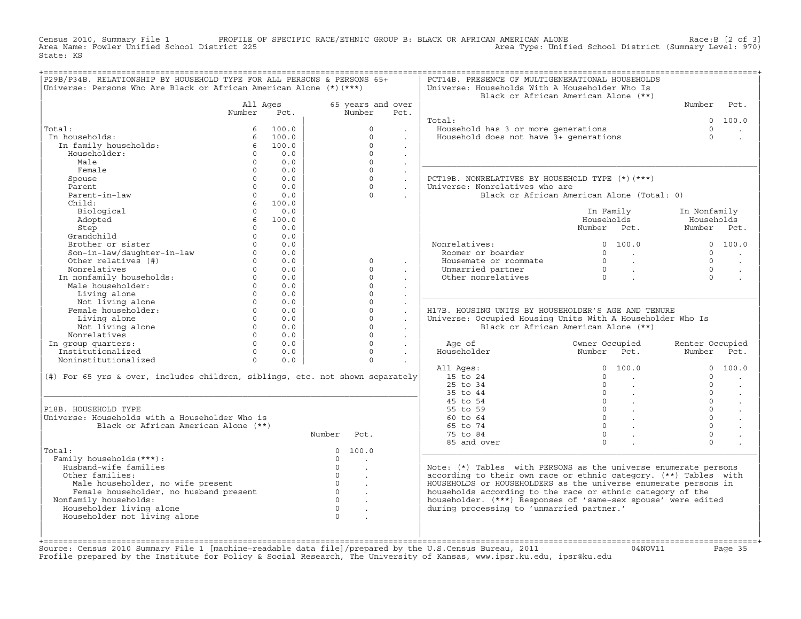Census 2010, Summary File 1 PROFILE OF SPECIFIC RACE/ETHNIC GROUP B: BLACK OR AFRICAN AMERICAN ALONE Race:B [2 of 3] Area Name: Fowler Unified School District 225 Area Type: Unified School District (Summary Level: 970) State: KS

| Universe: Persons Who Are Black or African American Alone (*) (***)           | P29B/P34B. RELATIONSHIP BY HOUSEHOLD TYPE FOR ALL PERSONS & PERSONS 65+ |       |                |                      |                      | PCT14B. PRESENCE OF MULTIGENERATIONAL HOUSEHOLDS<br>Universe: Households With A Householder Who Is |                                             |                 |         |
|-------------------------------------------------------------------------------|-------------------------------------------------------------------------|-------|----------------|----------------------|----------------------|----------------------------------------------------------------------------------------------------|---------------------------------------------|-----------------|---------|
|                                                                               |                                                                         |       |                |                      |                      |                                                                                                    | Black or African American Alone (**)        |                 |         |
|                                                                               | All Ages                                                                |       |                | 65 years and over    |                      |                                                                                                    |                                             | Number          | Pct.    |
|                                                                               | Number                                                                  | Pct.  |                | Number               | Pct.                 |                                                                                                    |                                             |                 |         |
|                                                                               |                                                                         |       |                |                      |                      | Total:                                                                                             |                                             | $\Omega$        | 100.0   |
| Total:                                                                        | 6                                                                       | 100.0 |                | $\Omega$             |                      | Household has 3 or more generations                                                                |                                             | $\Omega$        |         |
| In households:                                                                | 6                                                                       | 100.0 |                | $\Omega$             |                      | Household does not have 3+ generations                                                             |                                             | $\Omega$        |         |
| In family households:                                                         | 6                                                                       | 100.0 |                | $\Omega$             |                      |                                                                                                    |                                             |                 |         |
| Householder:                                                                  | $\Omega$                                                                | 0.0   |                | $\Omega$             | $\sim$               |                                                                                                    |                                             |                 |         |
| Male                                                                          | $\Omega$                                                                | 0.0   |                | $\Omega$             |                      |                                                                                                    |                                             |                 |         |
| Female                                                                        | $\Omega$                                                                | 0.0   |                | $\Omega$             | $\sim$               |                                                                                                    |                                             |                 |         |
| Spouse                                                                        | $\Omega$                                                                | 0.0   |                | $\Omega$             | $\mathbf{L}$         | PCT19B. NONRELATIVES BY HOUSEHOLD TYPE (*)(***)                                                    |                                             |                 |         |
| Parent                                                                        | $\cap$                                                                  | 0.0   |                | $\Omega$             |                      | Universe: Nonrelatives who are                                                                     |                                             |                 |         |
| Parent-in-law                                                                 | $\Omega$                                                                | 0.0   |                | $\Omega$             |                      |                                                                                                    | Black or African American Alone (Total: 0)  |                 |         |
| Child:                                                                        | 6                                                                       | 100.0 |                |                      |                      |                                                                                                    |                                             |                 |         |
| Biological                                                                    | $\Omega$                                                                | 0.0   |                |                      |                      |                                                                                                    | In Family                                   | In Nonfamily    |         |
| Adopted                                                                       | 6                                                                       | 100.0 |                |                      |                      |                                                                                                    | Households                                  | Households      |         |
| Step                                                                          | $\cap$                                                                  | 0.0   |                |                      |                      |                                                                                                    | Number Pct.                                 | Number Pct.     |         |
| Grandchild                                                                    | $\Omega$                                                                | 0.0   |                |                      |                      |                                                                                                    |                                             |                 |         |
| Brother or sister                                                             | $\Omega$                                                                | 0.0   |                |                      |                      | Nonrelatives:                                                                                      | 0 100.0                                     |                 | 0 100.0 |
| Son-in-law/daughter-in-law                                                    | $\Omega$                                                                | 0.0   |                |                      |                      | Roomer or boarder                                                                                  | $\Omega$<br><b>Contract Contract</b>        | $\Omega$        |         |
| Other relatives (#)                                                           | $\Omega$                                                                | 0.0   |                | $\Omega$             | $\sim$               | Housemate or roommate                                                                              | $\overline{0}$<br>$\sim 10^{11}$ km $^{-1}$ | $\Omega$        | $\sim$  |
| Nonrelatives                                                                  | $\Omega$                                                                | 0.0   |                | $\Omega$             |                      | Unmarried partner                                                                                  | $\overline{0}$<br>$\sim$ 100 $\mu$          | $\Omega$        |         |
| In nonfamily households:                                                      | $\Omega$                                                                | 0.0   |                | $\Omega$             |                      | Other nonrelatives                                                                                 | $\overline{0}$                              | $\Omega$        |         |
| Male householder:                                                             | $\Omega$                                                                | 0.0   |                | $\Omega$             |                      |                                                                                                    |                                             |                 |         |
| Living alone                                                                  | $\Omega$                                                                | 0.0   |                | $\Omega$             |                      |                                                                                                    |                                             |                 |         |
| Not living alone                                                              | $\Omega$                                                                | 0.0   |                | $\Omega$             | $\sim$               |                                                                                                    |                                             |                 |         |
| Female householder:                                                           | $\Omega$                                                                | 0.0   |                | $\Omega$             | $\mathbf{r}$         | H17B. HOUSING UNITS BY HOUSEHOLDER'S AGE AND TENURE                                                |                                             |                 |         |
| Living alone                                                                  | $\Omega$                                                                | 0.0   |                | $\Omega$             | $\ddot{\phantom{a}}$ | Universe: Occupied Housing Units With A Householder Who Is                                         |                                             |                 |         |
| Not living alone                                                              | $\Omega$                                                                | 0.0   |                | $\Omega$             |                      |                                                                                                    | Black or African American Alone (**)        |                 |         |
| Nonrelatives                                                                  | $\Omega$                                                                | 0.0   |                | $\Omega$             |                      |                                                                                                    |                                             |                 |         |
|                                                                               |                                                                         | 0.0   |                | $\Omega$             | $\sim$               |                                                                                                    |                                             | Renter Occupied |         |
| In group quarters:                                                            | $\Omega$                                                                |       |                |                      |                      | Age of                                                                                             | Owner Occupied                              |                 | Pct.    |
| Institutionalized                                                             | $\Omega$                                                                | 0.0   |                | $\Omega$             | $\sim$               | Householder                                                                                        | Number Pct.                                 | Number          |         |
| Noninstitutionalized                                                          | $\Omega$                                                                | 0.0   |                | $\Omega$             |                      |                                                                                                    |                                             |                 |         |
|                                                                               |                                                                         |       |                |                      |                      | All Ages:                                                                                          | 100.0<br>$\Omega$                           | $\Omega$        | 100.0   |
| (#) For 65 yrs & over, includes children, siblings, etc. not shown separately |                                                                         |       |                |                      |                      | 15 to 24                                                                                           | $\Omega$<br>$\sim 100$                      | $\Omega$        |         |
|                                                                               |                                                                         |       |                |                      |                      | 25 to 34                                                                                           | $\Omega$                                    | $\Omega$        |         |
|                                                                               |                                                                         |       |                |                      |                      | 35 to 44                                                                                           | $\circ$                                     | $\Omega$        | $\sim$  |
|                                                                               |                                                                         |       |                |                      |                      | 45 to 54                                                                                           | $\overline{0}$<br>$\sim 100$ $\mu$          | $\Omega$        | $\sim$  |
| P18B. HOUSEHOLD TYPE                                                          |                                                                         |       |                |                      |                      | 55 to 59                                                                                           | 0                                           | $\Omega$        |         |
| Universe: Households with a Householder Who is                                |                                                                         |       |                |                      |                      | 60 to 64                                                                                           | 0                                           | $\Omega$        |         |
| Black or African American Alone (**)                                          |                                                                         |       |                |                      |                      | 65 to 74                                                                                           | $\Omega$                                    | $\Omega$        |         |
|                                                                               |                                                                         |       | Number         | Pct.                 |                      | 75 to 84                                                                                           | $\Omega$                                    | $\Omega$        |         |
|                                                                               |                                                                         |       |                |                      |                      | 85 and over                                                                                        | $\Omega$                                    | $\Omega$        |         |
|                                                                               |                                                                         |       | $\mathbf{0}$   | 100.0                |                      |                                                                                                    |                                             |                 |         |
| Family households (***) :                                                     |                                                                         |       | $\Omega$       | $\ddot{\phantom{a}}$ |                      |                                                                                                    |                                             |                 |         |
| Husband-wife families                                                         |                                                                         |       | $\circ$        |                      |                      | Note: (*) Tables with PERSONS as the universe enumerate persons                                    |                                             |                 |         |
| Other families:                                                               |                                                                         |       | $\Omega$       | $\ddot{\phantom{a}}$ |                      | according to their own race or ethnic category. (**) Tables with                                   |                                             |                 |         |
| Male householder, no wife present                                             |                                                                         |       | $\overline{0}$ | $\ddot{\phantom{a}}$ |                      | HOUSEHOLDS or HOUSEHOLDERS as the universe enumerate persons in                                    |                                             |                 |         |
| Female householder, no husband present                                        |                                                                         |       | $\overline{0}$ | $\sim$               |                      | households according to the race or ethnic category of the                                         |                                             |                 |         |
| Nonfamily households:                                                         |                                                                         |       | $\Omega$       | $\ddot{\phantom{a}}$ |                      | householder. (***) Responses of 'same-sex spouse' were edited                                      |                                             |                 |         |
| Total:<br>Householder living alone                                            |                                                                         |       | $\Omega$       | $\ddot{\phantom{a}}$ |                      | during processing to 'unmarried partner.'                                                          |                                             |                 |         |
| Householder not living alone                                                  |                                                                         |       | $\cap$         |                      |                      |                                                                                                    |                                             |                 |         |

+===================================================================================================================================================+Source: Census 2010 Summary File 1 [machine−readable data file]/prepared by the U.S.Census Bureau, 2011 04NOV11 Page 35 Profile prepared by the Institute for Policy & Social Research, The University of Kansas, www.ipsr.ku.edu, ipsr@ku.edu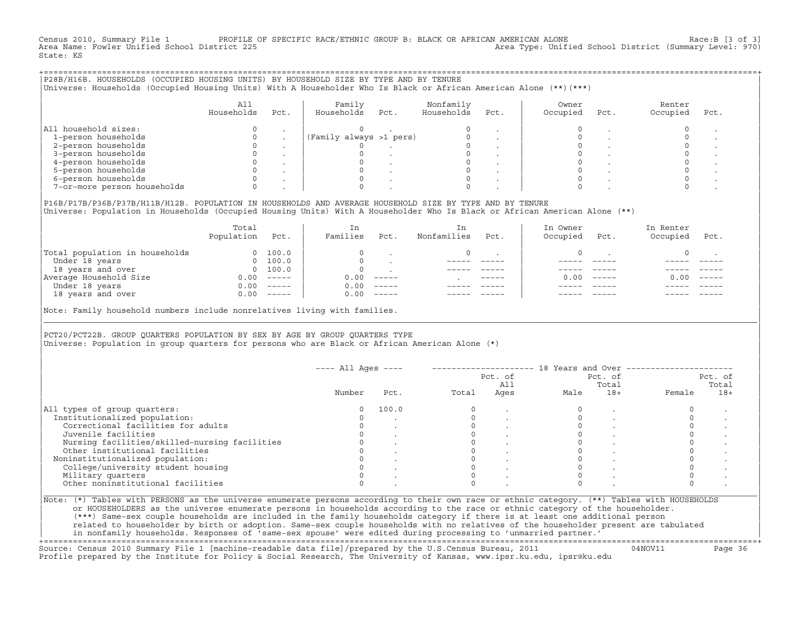Census 2010, Summary File 1 PROFILE OF SPECIFIC RACE/ETHNIC GROUP B: BLACK OR AFRICAN AMERICAN ALONE Race:B [3 of 3]<br>Area Name: Fowler Unified School District 225 Area Type: Unified School District (Summary Level: 970) State: KS

| P28B/H16B. HOUSEHOLDS (OCCUPIED HOUSING UNITS) BY HOUSEHOLD SIZE BY TYPE AND BY TENURE<br>Universe: Households (Occupied Housing Units) With A Householder Who Is Black or African American Alone (**)(***) |                   |      |                         |      |                         |      |                   |      |                    |      |
|-------------------------------------------------------------------------------------------------------------------------------------------------------------------------------------------------------------|-------------------|------|-------------------------|------|-------------------------|------|-------------------|------|--------------------|------|
|                                                                                                                                                                                                             | All<br>Households | Pct. | Family<br>Households    | Pct. | Nonfamily<br>Households | Pct. | Owner<br>Occupied | Pct. | Renter<br>Occupied | Pct. |
| All household sizes:                                                                                                                                                                                        |                   |      |                         |      |                         |      |                   |      |                    |      |
| 1-person households                                                                                                                                                                                         |                   |      | (Family always >1 pers) |      |                         |      |                   |      |                    |      |
| 2-person households                                                                                                                                                                                         |                   |      |                         |      |                         |      |                   |      |                    |      |
| 3-person households                                                                                                                                                                                         |                   |      |                         |      |                         |      |                   |      |                    |      |
| 4-person households                                                                                                                                                                                         |                   |      |                         |      |                         |      |                   |      |                    |      |
| 5-person households                                                                                                                                                                                         |                   |      |                         |      |                         |      |                   |      |                    |      |
| 6-person households                                                                                                                                                                                         |                   |      |                         |      |                         |      |                   |      |                    |      |
| 7-or-more person households                                                                                                                                                                                 |                   |      |                         |      |                         |      |                   |      |                    |      |
|                                                                                                                                                                                                             |                   |      |                         |      |                         |      |                   |      |                    |      |

|P16B/P17B/P36B/P37B/H11B/H12B. POPULATION IN HOUSEHOLDS AND AVERAGE HOUSEHOLD SIZE BY TYPE AND BY TENURE | Universe: Population in Households (Occupied Housing Units) With A Householder Who Is Black or African American Alone (\*\*)

|                                | Total<br>Population | Pct.                                                                                                                                                                                                                                                                                                                                                                                                                                                                                 | In<br>Families | Pct.     | In.<br>Nonfamilies | Pct.          | In Owner<br>Occupied | Pct.          | In Renter<br>Occupied | Pct.     |  |
|--------------------------------|---------------------|--------------------------------------------------------------------------------------------------------------------------------------------------------------------------------------------------------------------------------------------------------------------------------------------------------------------------------------------------------------------------------------------------------------------------------------------------------------------------------------|----------------|----------|--------------------|---------------|----------------------|---------------|-----------------------|----------|--|
| Total population in households | $\Omega$            | 100.0                                                                                                                                                                                                                                                                                                                                                                                                                                                                                |                |          |                    |               |                      |               |                       |          |  |
| Under 18 years                 | $\Omega$            | 100.0                                                                                                                                                                                                                                                                                                                                                                                                                                                                                |                |          |                    |               |                      |               |                       |          |  |
| 18 years and over              |                     | 0 100.0                                                                                                                                                                                                                                                                                                                                                                                                                                                                              |                |          |                    |               |                      |               |                       |          |  |
| Average Household Size         | 0.00                | $------$                                                                                                                                                                                                                                                                                                                                                                                                                                                                             | 0.00           | $------$ |                    | $- - - - - -$ | 0. OO -              | $\frac{1}{2}$ | 0.00                  | $------$ |  |
| Under 18 years                 | 0.00                | $------$                                                                                                                                                                                                                                                                                                                                                                                                                                                                             | 0.00           | $------$ |                    |               |                      |               |                       |          |  |
| 18 years and over              | 0.00                | $\begin{tabular}{cccccc} \multicolumn{2}{c}{} & \multicolumn{2}{c}{} & \multicolumn{2}{c}{} & \multicolumn{2}{c}{} & \multicolumn{2}{c}{} & \multicolumn{2}{c}{} & \multicolumn{2}{c}{} & \multicolumn{2}{c}{} & \multicolumn{2}{c}{} & \multicolumn{2}{c}{} & \multicolumn{2}{c}{} & \multicolumn{2}{c}{} & \multicolumn{2}{c}{} & \multicolumn{2}{c}{} & \multicolumn{2}{c}{} & \multicolumn{2}{c}{} & \multicolumn{2}{c}{} & \multicolumn{2}{c}{} & \multicolumn{2}{c}{} & \mult$ | 0.00           | $------$ |                    |               |                      |               |                       | ------   |  |
|                                |                     |                                                                                                                                                                                                                                                                                                                                                                                                                                                                                      |                |          |                    |               |                      |               |                       |          |  |

|Note: Family household numbers include nonrelatives living with families. |

| | PCT20/PCT22B. GROUP OUARTERS POPULATION BY SEX BY AGE BY GROUP OUARTERS TYPE Universe: Population in group quarters for persons who are Black or African American Alone (\*)

|                                               |        |       |       | Pct. of<br>All |      | Pct. of<br>Total |        | Pct. of<br>Total |
|-----------------------------------------------|--------|-------|-------|----------------|------|------------------|--------|------------------|
|                                               | Number | Pct.  | Total | Ages           | Male | $18+$            | Female | $18+$            |
| All types of group quarters:                  |        | 100.0 |       |                |      |                  |        |                  |
| Institutionalized population:                 |        |       |       |                |      |                  |        |                  |
| Correctional facilities for adults            |        |       |       |                |      |                  |        |                  |
| Juvenile facilities                           |        |       |       |                |      |                  |        |                  |
| Nursing facilities/skilled-nursing facilities |        |       |       |                |      |                  |        |                  |
| Other institutional facilities                |        |       |       |                |      |                  |        |                  |
| Noninstitutionalized population:              |        |       |       |                |      |                  |        |                  |
| College/university student housing            |        |       |       |                |      |                  |        |                  |
| Military quarters                             |        |       |       |                |      |                  |        |                  |
| Other noninstitutional facilities             |        |       |       |                |      |                  |        |                  |

|\_\_\_\_\_\_\_\_\_\_\_\_\_\_\_\_\_\_\_\_\_\_\_\_\_\_\_\_\_\_\_\_\_\_\_\_\_\_\_\_\_\_\_\_\_\_\_\_\_\_\_\_\_\_\_\_\_\_\_\_\_\_\_\_\_\_\_\_\_\_\_\_\_\_\_\_\_\_\_\_\_\_\_\_\_\_\_\_\_\_\_\_\_\_\_\_\_\_\_\_\_\_\_\_\_\_\_\_\_\_\_\_\_\_\_\_\_\_\_\_\_\_\_\_\_\_\_\_\_\_\_\_\_\_\_\_\_\_\_\_\_\_\_\_\_\_\_|

| |

| or HOUSEHOLDERS as the universe enumerate persons in households according to the race or ethnic category of the householder. | | (\*\*\*) Same−sex couple households are included in the family households category if there is at least one additional person | | related to householder by birth or adoption. Same−sex couple households with no relatives of the householder present are tabulated | | in nonfamily households. Responses of 'same−sex spouse' were edited during processing to 'unmarried partner.' |

+===================================================================================================================================================+ Source: Census 2010 Summary File 1 [machine−readable data file]/prepared by the U.S.Census Bureau, 2011 04NOV11 Page 36 Profile prepared by the Institute for Policy & Social Research, The University of Kansas, www.ipsr.ku.edu, ipsr@ku.edu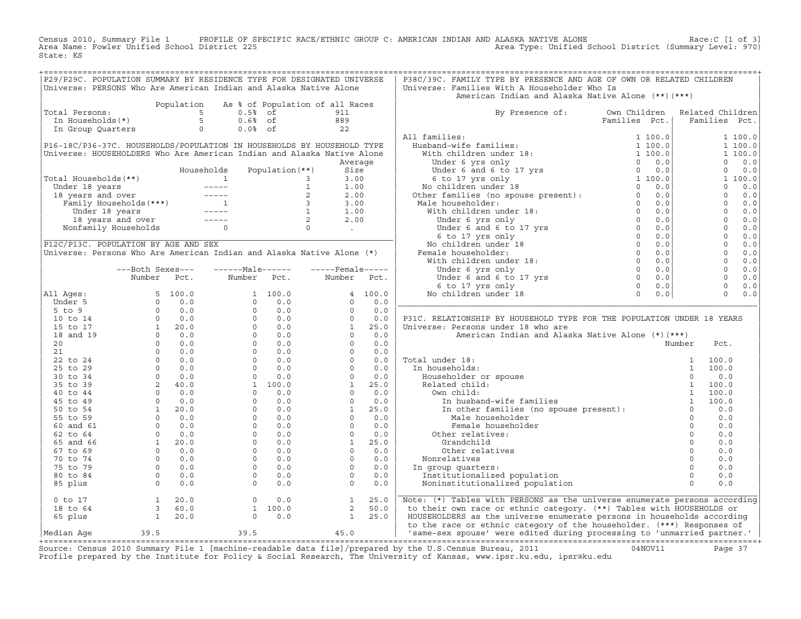Census 2010, Summary File 1 PROFILE OF SPECIFIC RACE/ETHNIC GROUP C: AMERICAN INDIAN AND ALASKA NATIVE ALONE<br>Area Name: Fowler Unified School District 225 Area Type: Unified School Distr State: KS

| P29/P29C. POPULATION SUMMARY BY RESIDENCE TYPE FOR DESIGNATED UNIVERSE                                                                                                                                                                               |                                                                   |            |                                                                       |             |                                                                   |         | P38C/39C. FAMILY TYPE BY PRESENCE AND AGE OF OWN OR RELATED CHILDREN                                                                                                                                                                                                                                                                                                                                                                                  |               |          |                |            |
|------------------------------------------------------------------------------------------------------------------------------------------------------------------------------------------------------------------------------------------------------|-------------------------------------------------------------------|------------|-----------------------------------------------------------------------|-------------|-------------------------------------------------------------------|---------|-------------------------------------------------------------------------------------------------------------------------------------------------------------------------------------------------------------------------------------------------------------------------------------------------------------------------------------------------------------------------------------------------------------------------------------------------------|---------------|----------|----------------|------------|
| Universe: PERSONS Who Are American Indian and Alaska Native Alone                                                                                                                                                                                    |                                                                   |            |                                                                       |             |                                                                   |         | Universe: Families With A Householder Who Is                                                                                                                                                                                                                                                                                                                                                                                                          |               |          |                |            |
|                                                                                                                                                                                                                                                      |                                                                   |            |                                                                       |             |                                                                   |         | American Indian and Alaska Native Alone (**) (***)                                                                                                                                                                                                                                                                                                                                                                                                    |               |          |                |            |
|                                                                                                                                                                                                                                                      |                                                                   | Population |                                                                       |             | As % of Population of all Races                                   |         |                                                                                                                                                                                                                                                                                                                                                                                                                                                       |               |          |                |            |
| Total Persons:<br>Total Persons:<br>In Households(*)<br>In Group Quarters de the Contract of the Contract of the Contract of the Contract of the Contract of the Contract of the Contract of the Contract of the Contract of the Contract of the Con |                                                                   |            |                                                                       |             | 911                                                               |         | By Presence of: Own Children Related Children                                                                                                                                                                                                                                                                                                                                                                                                         |               |          |                |            |
|                                                                                                                                                                                                                                                      |                                                                   |            |                                                                       |             | $\begin{array}{c} 889 \\ 22 \end{array}$                          |         |                                                                                                                                                                                                                                                                                                                                                                                                                                                       | Families Pct. |          | Families Pct.  |            |
|                                                                                                                                                                                                                                                      |                                                                   |            |                                                                       |             |                                                                   |         |                                                                                                                                                                                                                                                                                                                                                                                                                                                       |               |          |                |            |
|                                                                                                                                                                                                                                                      |                                                                   |            |                                                                       |             |                                                                   |         | All families:                                                                                                                                                                                                                                                                                                                                                                                                                                         |               |          |                | 1 100.0    |
| P16-18C/P36-37C. HOUSEHOLDS/POPULATION IN HOUSEHOLDS BY HOUSEHOLD TYPE                                                                                                                                                                               |                                                                   |            |                                                                       |             |                                                                   |         |                                                                                                                                                                                                                                                                                                                                                                                                                                                       |               |          |                | 1 100.0    |
| Universe: HOUSEHOLDERS Who Are American Indian and Alaska Native Alone                                                                                                                                                                               |                                                                   |            |                                                                       |             |                                                                   |         |                                                                                                                                                                                                                                                                                                                                                                                                                                                       |               |          |                | 1 100.0    |
|                                                                                                                                                                                                                                                      |                                                                   |            |                                                                       |             |                                                                   | Average |                                                                                                                                                                                                                                                                                                                                                                                                                                                       |               |          | $\Omega$       | 0.0        |
|                                                                                                                                                                                                                                                      |                                                                   |            |                                                                       |             |                                                                   |         |                                                                                                                                                                                                                                                                                                                                                                                                                                                       |               |          | $\circ$        | 0.0        |
| Total Households (**)<br>Under 18 years<br>18 years and over<br>18 years and over 2 2.00<br>Under 18 years 1 1.00<br>Under 18 years 1 1.00<br>Under 18 years 1 1.00<br>18 years 1 1.00<br>18 years 1 1.00<br>18 years 1 1.00<br>18 years and over    |                                                                   |            |                                                                       |             |                                                                   |         |                                                                                                                                                                                                                                                                                                                                                                                                                                                       |               |          |                | 1 100.0    |
|                                                                                                                                                                                                                                                      |                                                                   |            |                                                                       |             |                                                                   |         |                                                                                                                                                                                                                                                                                                                                                                                                                                                       |               |          | $\Omega$       | 0.0        |
|                                                                                                                                                                                                                                                      |                                                                   |            |                                                                       |             |                                                                   |         |                                                                                                                                                                                                                                                                                                                                                                                                                                                       |               |          | $\Omega$       | 0.0        |
|                                                                                                                                                                                                                                                      |                                                                   |            |                                                                       |             |                                                                   |         |                                                                                                                                                                                                                                                                                                                                                                                                                                                       |               |          |                | $0 \t 0.0$ |
|                                                                                                                                                                                                                                                      |                                                                   |            |                                                                       |             |                                                                   |         |                                                                                                                                                                                                                                                                                                                                                                                                                                                       |               |          | $\overline{0}$ | 0.0        |
|                                                                                                                                                                                                                                                      |                                                                   |            |                                                                       |             |                                                                   |         |                                                                                                                                                                                                                                                                                                                                                                                                                                                       |               |          | $\overline{0}$ | 0.0        |
|                                                                                                                                                                                                                                                      |                                                                   |            |                                                                       |             |                                                                   |         |                                                                                                                                                                                                                                                                                                                                                                                                                                                       |               |          | $\overline{0}$ | 0.0        |
|                                                                                                                                                                                                                                                      |                                                                   |            |                                                                       |             |                                                                   |         |                                                                                                                                                                                                                                                                                                                                                                                                                                                       |               |          | $\overline{0}$ | 0.0        |
| P12C/P13C. POPULATION BY AGE AND SEX                                                                                                                                                                                                                 |                                                                   |            |                                                                       |             |                                                                   |         |                                                                                                                                                                                                                                                                                                                                                                                                                                                       |               |          | $\overline{0}$ | 0.0        |
| Universe: Persons Who Are American Indian and Alaska Native Alone (*)                                                                                                                                                                                |                                                                   |            |                                                                       |             |                                                                   |         |                                                                                                                                                                                                                                                                                                                                                                                                                                                       |               |          | $\overline{0}$ | 0.0        |
|                                                                                                                                                                                                                                                      |                                                                   |            |                                                                       |             |                                                                   |         |                                                                                                                                                                                                                                                                                                                                                                                                                                                       |               |          | $\overline{0}$ | 0.0        |
|                                                                                                                                                                                                                                                      | ---Both Sexes---                                                  |            | $---Male----$                                                         |             | $---$ Female -----                                                |         |                                                                                                                                                                                                                                                                                                                                                                                                                                                       |               |          | $\overline{0}$ | 0.0        |
|                                                                                                                                                                                                                                                      | Number Pct.                                                       |            |                                                                       | Number Pct. | Number Pct.                                                       |         |                                                                                                                                                                                                                                                                                                                                                                                                                                                       |               |          | $\Omega$       | 0.0        |
|                                                                                                                                                                                                                                                      |                                                                   |            |                                                                       |             |                                                                   |         |                                                                                                                                                                                                                                                                                                                                                                                                                                                       |               |          | $\circ$        | 0.0        |
| All Ages:                                                                                                                                                                                                                                            |                                                                   |            |                                                                       |             |                                                                   | 4 100.0 |                                                                                                                                                                                                                                                                                                                                                                                                                                                       |               |          | $\Omega$       | 0.0        |
| Under 5                                                                                                                                                                                                                                              |                                                                   |            |                                                                       |             |                                                                   | 0.0     |                                                                                                                                                                                                                                                                                                                                                                                                                                                       |               |          |                |            |
| $5$ to $9$                                                                                                                                                                                                                                           |                                                                   |            |                                                                       |             |                                                                   | 0.0     |                                                                                                                                                                                                                                                                                                                                                                                                                                                       |               |          |                |            |
| 10 to 14                                                                                                                                                                                                                                             |                                                                   |            |                                                                       |             |                                                                   | 0.0     | P31C. RELATIONSHIP BY HOUSEHOLD TYPE FOR THE POPULATION UNDER 18 YEARS                                                                                                                                                                                                                                                                                                                                                                                |               |          |                |            |
| 15 to 17                                                                                                                                                                                                                                             |                                                                   |            |                                                                       |             |                                                                   | 25.0    | Universe: Persons under 18 who are                                                                                                                                                                                                                                                                                                                                                                                                                    |               |          |                |            |
| 18 and 19                                                                                                                                                                                                                                            |                                                                   |            |                                                                       |             |                                                                   | 0.0     | American Indian and Alaska Native Alone (*) (***)                                                                                                                                                                                                                                                                                                                                                                                                     |               |          |                |            |
| 20                                                                                                                                                                                                                                                   |                                                                   |            |                                                                       |             |                                                                   | 0.0     |                                                                                                                                                                                                                                                                                                                                                                                                                                                       |               | Number   | Pct.           |            |
| 21                                                                                                                                                                                                                                                   |                                                                   |            |                                                                       |             |                                                                   | 0.0     |                                                                                                                                                                                                                                                                                                                                                                                                                                                       |               |          |                |            |
| 22 to 24                                                                                                                                                                                                                                             |                                                                   |            |                                                                       |             |                                                                   | 0.0     | Total under 18:                                                                                                                                                                                                                                                                                                                                                                                                                                       |               |          |                |            |
| 25 to 29                                                                                                                                                                                                                                             |                                                                   |            |                                                                       |             |                                                                   | 0.0     | In households:                                                                                                                                                                                                                                                                                                                                                                                                                                        |               |          |                |            |
| 30 to 34                                                                                                                                                                                                                                             |                                                                   |            |                                                                       |             |                                                                   | 0.0     |                                                                                                                                                                                                                                                                                                                                                                                                                                                       |               |          |                |            |
| 35 to 39                                                                                                                                                                                                                                             |                                                                   |            |                                                                       |             |                                                                   | 25.0    |                                                                                                                                                                                                                                                                                                                                                                                                                                                       |               |          |                |            |
| 40 to 44                                                                                                                                                                                                                                             |                                                                   |            |                                                                       |             |                                                                   | 0.0     |                                                                                                                                                                                                                                                                                                                                                                                                                                                       |               |          |                |            |
| 45 to 49                                                                                                                                                                                                                                             |                                                                   |            |                                                                       |             |                                                                   | 0.0     |                                                                                                                                                                                                                                                                                                                                                                                                                                                       |               |          |                |            |
| 50 to 54                                                                                                                                                                                                                                             |                                                                   |            |                                                                       |             |                                                                   | 25.0    |                                                                                                                                                                                                                                                                                                                                                                                                                                                       |               |          |                |            |
| 55 to 59                                                                                                                                                                                                                                             |                                                                   |            |                                                                       |             |                                                                   | 0.0     | $\begin{tabular}{lllllllllll} \texttt{all under 18:} & & & & & 1 & 100.0 \\ \texttt{in households:} & & & & 1 & 100.0 \\ \texttt{Householder or spouse} & & & 0 & 0.0 \\ \texttt{Related child:} & & & 1 & 100.0 \\ \texttt{0} & & & 1 & 100.0 \\ \texttt{In husband-wife families} & & & 1 & 100.0 \\ \texttt{In other families (no spouse present):} & & & 0 & 0.0 \\ \texttt{Mala householder} & & & 0 & 0.0 \\ \end{tabular}$<br>Male householder |               | $\Omega$ | 0.0            |            |
| 60 and 61                                                                                                                                                                                                                                            |                                                                   |            |                                                                       |             |                                                                   | 0.0     | Female householder                                                                                                                                                                                                                                                                                                                                                                                                                                    |               | $\Omega$ | 0.0            |            |
| 62 to 64                                                                                                                                                                                                                                             |                                                                   |            |                                                                       |             |                                                                   | 0.0     | Other relatives:                                                                                                                                                                                                                                                                                                                                                                                                                                      |               | $\Omega$ | 0.0            |            |
| 65 and 66                                                                                                                                                                                                                                            |                                                                   |            |                                                                       |             |                                                                   | 25.0    | Grandchild                                                                                                                                                                                                                                                                                                                                                                                                                                            |               | $\Omega$ | 0.0            |            |
| 67 to 69                                                                                                                                                                                                                                             |                                                                   |            |                                                                       |             |                                                                   | 0.0     | Other relatives                                                                                                                                                                                                                                                                                                                                                                                                                                       |               | $\Omega$ | 0.0            |            |
| 70 to 74                                                                                                                                                                                                                                             |                                                                   |            |                                                                       |             |                                                                   | 0.0     | Nonrelatives                                                                                                                                                                                                                                                                                                                                                                                                                                          |               | $\Omega$ | 0.0            |            |
| 75 to 79                                                                                                                                                                                                                                             |                                                                   |            |                                                                       |             |                                                                   | 0.0     | In group quarters:                                                                                                                                                                                                                                                                                                                                                                                                                                    |               | $\Omega$ | 0.0            |            |
| 80 to 84                                                                                                                                                                                                                                             |                                                                   |            |                                                                       |             |                                                                   | 0.0     | Institutionalized population                                                                                                                                                                                                                                                                                                                                                                                                                          |               | $\Omega$ | 0.0            |            |
| 85 plus                                                                                                                                                                                                                                              |                                                                   |            |                                                                       |             |                                                                   | 0.0     | Noninstitutionalized population                                                                                                                                                                                                                                                                                                                                                                                                                       |               | $\Omega$ | 0.0            |            |
|                                                                                                                                                                                                                                                      |                                                                   |            |                                                                       |             |                                                                   |         |                                                                                                                                                                                                                                                                                                                                                                                                                                                       |               |          |                |            |
| $0$ to $17$                                                                                                                                                                                                                                          |                                                                   |            |                                                                       |             |                                                                   |         | Note: (*) Tables with PERSONS as the universe enumerate persons according                                                                                                                                                                                                                                                                                                                                                                             |               |          |                |            |
| 18 to 64                                                                                                                                                                                                                                             |                                                                   |            |                                                                       |             |                                                                   |         | to their own race or ethnic category. (**) Tables with HOUSEHOLDS or                                                                                                                                                                                                                                                                                                                                                                                  |               |          |                |            |
| 65 plus                                                                                                                                                                                                                                              | $\begin{array}{ccc} 1 & 20.0 \\ 3 & 60.0 \\ 1 & 20.0 \end{array}$ |            | $\begin{bmatrix} 0 & 0 & 0 \\ 1 & 100 & 0 \\ 0 & 0 & 0 \end{bmatrix}$ |             | $\begin{array}{ccc} 1 & 25.0 \\ 2 & 50.0 \\ 1 & 25.0 \end{array}$ |         | HOUSEHOLDERS as the universe enumerate persons in households according                                                                                                                                                                                                                                                                                                                                                                                |               |          |                |            |
|                                                                                                                                                                                                                                                      |                                                                   |            |                                                                       |             |                                                                   |         |                                                                                                                                                                                                                                                                                                                                                                                                                                                       |               |          |                |            |
| Median Age                                                                                                                                                                                                                                           | 39.5                                                              |            |                                                                       |             | $39.5$ $45.0$                                                     |         | to the race or ethnic category of the householder. (***) Responses of<br>so the first of the edited during processing to 'unmarried partner.'                                                                                                                                                                                                                                                                                                         |               |          |                |            |
|                                                                                                                                                                                                                                                      |                                                                   |            |                                                                       |             |                                                                   |         |                                                                                                                                                                                                                                                                                                                                                                                                                                                       |               |          |                |            |
|                                                                                                                                                                                                                                                      |                                                                   |            |                                                                       |             |                                                                   |         | a cosegue distrituities and the cost of the cost of the cost of the cost of the cost of the cost of the cost of                                                                                                                                                                                                                                                                                                                                       |               |          |                |            |

Source: Census 2010 Summary File 1 [machine-readable data file]/prepared by the U.S.Census Bureau, 2011 Page 37<br>Profile prepared by the Institute for Policy & Social Research, The University of Kansas, www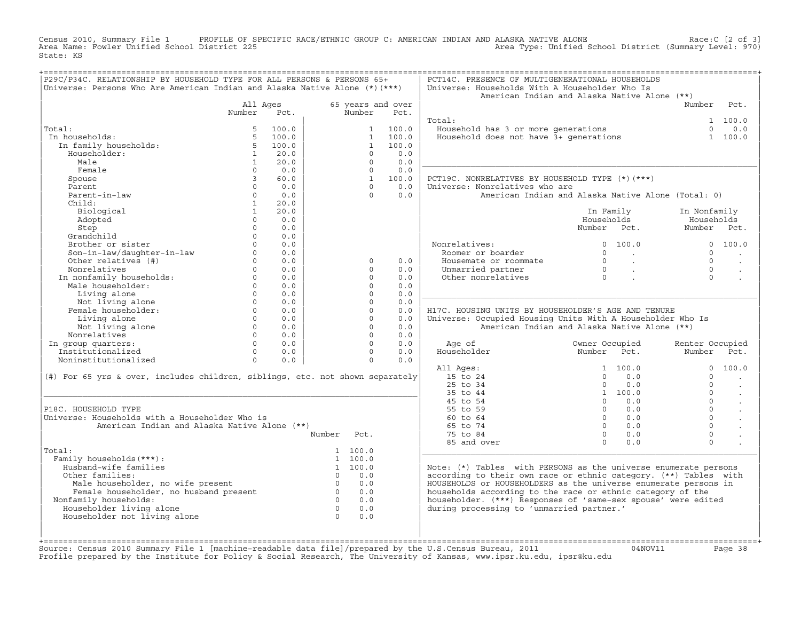Census 2010, Summary File 1 PROFILE OF SPECIFIC RACE/ETHNIC GROUP C: AMERICAN INDIAN AND ALASKA NATIVE ALONE Race:C [2 of 3]<br>Area Name: Fowler Unified School District 225 area Type: Unified School District (Summary Level: Area Type: Unified School District (Summary Level: 970) State: KS

| P29C/P34C. RELATIONSHIP BY HOUSEHOLD TYPE FOR ALL PERSONS & PERSONS 65+<br>Universe: Persons Who Are American Indian and Alaska Native Alone (*) (***) |                          |             |                     |                      |                   | PCT14C. PRESENCE OF MULTIGENERATIONAL HOUSEHOLDS<br>Universe: Households With A Householder Who Is<br>American Indian and Alaska Native Alone (**) |                                  |                         |                 |                          |
|--------------------------------------------------------------------------------------------------------------------------------------------------------|--------------------------|-------------|---------------------|----------------------|-------------------|----------------------------------------------------------------------------------------------------------------------------------------------------|----------------------------------|-------------------------|-----------------|--------------------------|
|                                                                                                                                                        | All Ages                 |             |                     |                      | 65 years and over |                                                                                                                                                    |                                  |                         | Number Pct.     |                          |
|                                                                                                                                                        | Number                   | Pct.        |                     | Number               | Pct.              |                                                                                                                                                    |                                  |                         |                 |                          |
|                                                                                                                                                        |                          |             |                     |                      |                   | Total:                                                                                                                                             |                                  |                         |                 | 1 100.0                  |
| Total:                                                                                                                                                 | 5                        | 100.0       |                     | $1 \quad$            | 100.0             | Household has 3 or more generations<br>Household does not have 3+ generations                                                                      |                                  |                         | $\Omega$        | 0.0                      |
| In households:                                                                                                                                         | 5                        | 100.0       |                     | $\mathbf{1}$         | 100.0             |                                                                                                                                                    |                                  |                         |                 | 1 100.0                  |
| In family households:                                                                                                                                  | 5 <sup>5</sup>           | 100.0       |                     | $\mathbf{1}$         | 100.0             |                                                                                                                                                    |                                  |                         |                 |                          |
| Householder:                                                                                                                                           | $\mathbf{1}$             | 20.0        |                     | $\Omega$<br>$\Omega$ | 0.0               |                                                                                                                                                    |                                  |                         |                 |                          |
| Male<br>Female                                                                                                                                         | $\mathbf{1}$<br>$\Omega$ | 20.0<br>0.0 |                     | $\Omega$             | 0.0<br>0.0        |                                                                                                                                                    |                                  |                         |                 |                          |
| Spouse                                                                                                                                                 | $\mathbf{3}$             | 60.0        |                     | $\mathbf{1}$         | 100.0             | PCT19C. NONRELATIVES BY HOUSEHOLD TYPE (*) (***)                                                                                                   |                                  |                         |                 |                          |
| Parent                                                                                                                                                 | $\Omega$                 | 0.0         |                     | $\cap$               | 0.0               | Universe: Nonrelatives who are                                                                                                                     |                                  |                         |                 |                          |
| Parent-in-law                                                                                                                                          | $\Omega$                 | 0.0         |                     | $\Omega$             | 0.0               | American Indian and Alaska Native Alone (Total: 0)                                                                                                 |                                  |                         |                 |                          |
| Child:                                                                                                                                                 | $\mathbf{1}$             | 20.0        |                     |                      |                   |                                                                                                                                                    |                                  |                         |                 |                          |
| Biological                                                                                                                                             | 1                        | 20.0        |                     |                      |                   |                                                                                                                                                    | In Family                        |                         | In Nonfamily    |                          |
| Adopted                                                                                                                                                | $\Omega$                 | 0.0         |                     |                      |                   |                                                                                                                                                    | Households                       |                         | Households      |                          |
| Step                                                                                                                                                   | $\Omega$                 | 0.0         |                     |                      |                   |                                                                                                                                                    | Number Pct.                      |                         | Number Pct.     |                          |
| Grandchild                                                                                                                                             | $\Omega$                 | 0.0         |                     |                      |                   |                                                                                                                                                    |                                  |                         |                 |                          |
| Brother or sister                                                                                                                                      | $\Omega$                 | 0.0         |                     |                      |                   | Nonrelatives:                                                                                                                                      |                                  | 0 100.0                 |                 | 0 100.0                  |
| Son-in-law/daughter-in-law                                                                                                                             | $\circ$                  | 0.0         |                     |                      |                   | Roomer or boarder                                                                                                                                  | $\Omega$                         | <b>Contractor</b>       | $\Omega$        | $\overline{\phantom{a}}$ |
| Other relatives (#)                                                                                                                                    | $0 \qquad \qquad$        | 0.0         |                     | $\Omega$             | 0.0               | Housemate or roommate                                                                                                                              | $\overline{0}$                   | $\sim 10^{11}$ km       | $\Omega$        |                          |
| Nonrelatives                                                                                                                                           | $\cap$                   | 0.0         |                     | $\cap$               | 0.0               | Unmarried partner                                                                                                                                  |                                  | $\sim 100$ km s $^{-1}$ | $\cap$          |                          |
| In nonfamily households:<br>Male householder.                                                                                                          | $\Omega$                 | 0.0         |                     | $\Omega$             | 0.0               | Other nonrelatives                                                                                                                                 | $\begin{matrix}0\\0\end{matrix}$ |                         | $\Omega$        |                          |
| Male householder:                                                                                                                                      | $\Omega$                 | 0.0         |                     | $\Omega$             | 0.0               |                                                                                                                                                    |                                  |                         |                 |                          |
| Living alone                                                                                                                                           | $\Omega$                 | 0.0         |                     | $\Omega$             | 0.0               |                                                                                                                                                    |                                  |                         |                 |                          |
| Not living alone                                                                                                                                       | $\Omega$                 | 0.0         |                     | $\Omega$             | 0.0               |                                                                                                                                                    |                                  |                         |                 |                          |
| Female householder:                                                                                                                                    | $\Omega$                 | 0.0         |                     | $\Omega$             | 0.0               | H17C. HOUSING UNITS BY HOUSEHOLDER'S AGE AND TENURE                                                                                                |                                  |                         |                 |                          |
| Living alone                                                                                                                                           | $0 \qquad \qquad$        | 0.0         |                     | $\Omega$             | 0.0               | Universe: Occupied Housing Units With A Householder Who Is                                                                                         |                                  |                         |                 |                          |
| Not living alone                                                                                                                                       | $\Omega$                 | 0.0         |                     | $\Omega$             | 0.0               | American Indian and Alaska Native Alone (**)                                                                                                       |                                  |                         |                 |                          |
| Nonrelatives                                                                                                                                           | $\Omega$                 | 0.0         |                     | $\Omega$             | 0.0               |                                                                                                                                                    |                                  |                         |                 |                          |
| In group quarters:                                                                                                                                     | $\Omega$                 | 0.0         |                     | $\Omega$             | 0.0               | Age of                                                                                                                                             | Owner Occupied                   |                         | Renter Occupied |                          |
| Institutionalized                                                                                                                                      | $\Omega$                 | 0.0         |                     | $\Omega$             | 0.0               | Householder                                                                                                                                        | Number Pct.                      |                         | Number          | Pct.                     |
| Noninstitutionalized                                                                                                                                   | $\circ$                  | 0.0         |                     | $\Omega$             | 0.0               |                                                                                                                                                    |                                  |                         |                 |                          |
|                                                                                                                                                        |                          |             |                     |                      |                   | All Ages:                                                                                                                                          |                                  | 1 100.0                 | $\Omega$        | 100.0                    |
| (#) For 65 yrs & over, includes children, siblings, etc. not shown separately                                                                          |                          |             |                     |                      |                   | 15 to 24                                                                                                                                           | $\Omega$                         | 0.0                     | $\Omega$        |                          |
|                                                                                                                                                        |                          |             |                     |                      |                   | 25 to 34                                                                                                                                           | $\Omega$                         | 0.0                     | $\Omega$        |                          |
|                                                                                                                                                        |                          |             |                     |                      |                   | 35 to 44                                                                                                                                           |                                  | 1 100.0                 | $\cap$          | $\sim$                   |
|                                                                                                                                                        |                          |             |                     |                      |                   | 45 to 54                                                                                                                                           | $\Omega$                         | 0.0                     | $\Omega$        | $\ddot{\phantom{a}}$     |
| P18C. HOUSEHOLD TYPE                                                                                                                                   |                          |             |                     |                      |                   | 55 to 59                                                                                                                                           | $\Omega$                         | 0.0                     | $\Omega$        | $\ddot{\phantom{a}}$     |
| Universe: Households with a Householder Who is                                                                                                         |                          |             |                     |                      |                   | $60 \text{ to } 64$                                                                                                                                | $\Omega$                         | 0.0                     | $\Omega$        | $\ddot{\phantom{a}}$     |
| American Indian and Alaska Native Alone (**)                                                                                                           |                          |             |                     |                      |                   | 65 to 74                                                                                                                                           | $\Omega$                         | 0.0                     | $\Omega$        |                          |
|                                                                                                                                                        |                          |             | Number              | Pct.                 |                   | 75 to 84                                                                                                                                           | $\Omega$                         | 0.0                     | $\Omega$        |                          |
|                                                                                                                                                        |                          |             |                     |                      |                   | 85 and over                                                                                                                                        | $\Omega$                         | 0.0                     | $\Omega$        |                          |
| Total:                                                                                                                                                 |                          |             |                     | 1, 100.0             |                   |                                                                                                                                                    |                                  |                         |                 |                          |
| Family households (***) :                                                                                                                              |                          |             |                     | 1 100.0              |                   |                                                                                                                                                    |                                  |                         |                 |                          |
| Husband-wife families                                                                                                                                  |                          |             |                     | 1 100.0              |                   | Note: $(*)$ Tables with PERSONS as the universe enumerate persons                                                                                  |                                  |                         |                 |                          |
| Other families:                                                                                                                                        |                          |             |                     | $0 \qquad 0.0$       |                   | according to their own race or ethnic category. (**) Tables with                                                                                   |                                  |                         |                 |                          |
| Male householder, no wife present<br>Female householder, no husband present<br>Family households:                                                      |                          |             | $\overline{0}$<br>0 | $0 \qquad 0.0$       |                   | HOUSEHOLDS or HOUSEHOLDERS as the universe enumerate persons in                                                                                    |                                  |                         |                 |                          |
|                                                                                                                                                        |                          |             |                     | 0.0                  |                   | households according to the race or ethnic category of the                                                                                         |                                  |                         |                 |                          |
| Nonfamily households:                                                                                                                                  |                          |             |                     | 0.0                  |                   | householder. (***) Responses of 'same-sex spouse' were edited                                                                                      |                                  |                         |                 |                          |
| Householder living alone                                                                                                                               |                          |             | $\overline{0}$      | 0.0                  |                   | during processing to 'unmarried partner.'                                                                                                          |                                  |                         |                 |                          |
| Householder not living alone                                                                                                                           |                          |             | $\overline{0}$      | 0.0                  |                   |                                                                                                                                                    |                                  |                         |                 |                          |
|                                                                                                                                                        |                          |             |                     |                      |                   |                                                                                                                                                    |                                  |                         |                 |                          |
|                                                                                                                                                        |                          |             |                     |                      |                   |                                                                                                                                                    |                                  |                         |                 |                          |

+===================================================================================================================================================+Source: Census 2010 Summary File 1 [machine−readable data file]/prepared by the U.S.Census Bureau, 2011 04NOV11 Page 38 Profile prepared by the Institute for Policy & Social Research, The University of Kansas, www.ipsr.ku.edu, ipsr@ku.edu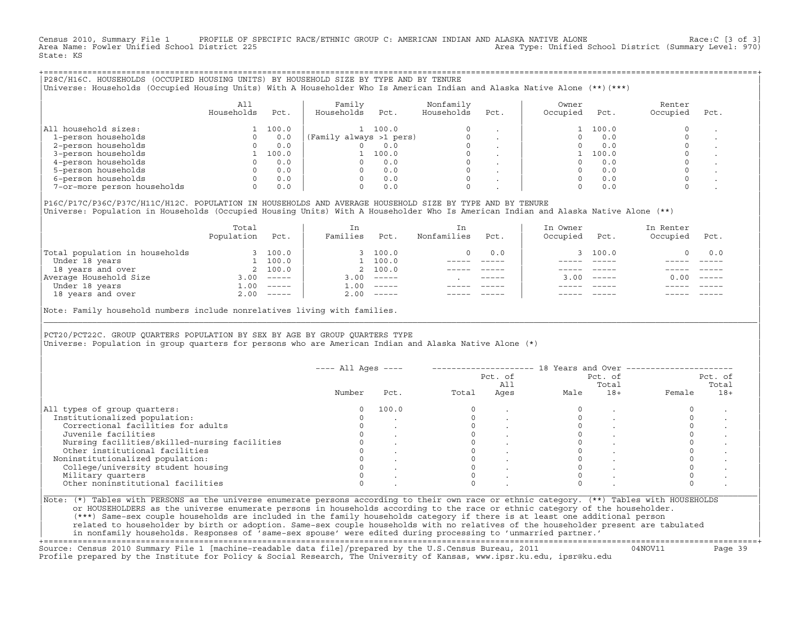Census 2010, Summary File 1 PROFILE OF SPECIFIC RACE/ETHNIC GROUP C: AMERICAN INDIAN AND ALASKA NATIVE ALONE Race:C [3 of 3]<br>Area Name: Fowler Unified School District 225 Area Type: Unified School District (Summary Level: 970) State: KS

+===================================================================================================================================================+|P28C/H16C. HOUSEHOLDS (OCCUPIED HOUSING UNITS) BY HOUSEHOLD SIZE BY TYPE AND BY TENURE | |Universe: Households (Occupied Housing Units) With A Householder Who Is American Indian and Alaska Native Alone (\*\*)(\*\*\*) |

|                             | All<br>Households | Pct.  | Family<br>Households<br>Pct. | Nonfamily<br>Households | Pct.    | Owner<br>Occupied | Pct.  | Renter<br>Occupied | Pct. |
|-----------------------------|-------------------|-------|------------------------------|-------------------------|---------|-------------------|-------|--------------------|------|
| All household sizes:        |                   | 100.0 | 100.0                        | $\Omega$                |         |                   | 100.0 |                    |      |
| 1-person households         |                   | 0.0   | (Family always >1 pers)      |                         |         |                   | 0.0   |                    |      |
| 2-person households         |                   | 0.0   | 0.0                          | $\Omega$                |         |                   | 0.0   |                    |      |
| 3-person households         |                   | 100.0 | 100.0                        | $\mathbf 0$             | $\cdot$ |                   | 100.0 |                    |      |
| 4-person households         |                   | 0.0   | 0.0                          | $\Omega$                | $\cdot$ |                   | 0.0   |                    |      |
| 5-person households         |                   | 0.0   | 0.0                          | $\Omega$                |         |                   | 0.0   |                    |      |
| 6-person households         |                   | 0.0   | 0.0                          | $\Omega$                |         |                   | 0.0   |                    |      |
| 7-or-more person households |                   | 0.0   | 0.0                          | $\mathbf 0$             |         |                   | 0.0   |                    |      |

|P16C/P17C/P36C/P37C/H11C/H12C. POPULATION IN HOUSEHOLDS AND AVERAGE HOUSEHOLD SIZE BY TYPE AND BY TENURE | Universe: Population in Households (Occupied Housing Units) With A Householder Who Is American Indian and Alaska Native Alone (\*\*)

| 100.0        | 100.0    |                                 | 0.0         |             |              |          |
|--------------|----------|---------------------------------|-------------|-------------|--------------|----------|
|              |          |                                 |             | 3 100.0     |              | 0.0      |
| 100.0        | 100.0    |                                 |             |             |              |          |
| 2 100.0      |          |                                 |             |             |              |          |
| $------$     | $------$ |                                 | $- - - - -$ |             | 0.00         | $------$ |
| $------$     | $------$ |                                 |             |             |              |          |
| $2.00$ ----- |          |                                 |             | $- - - - -$ |              | $------$ |
|              |          | 2 100.0<br>3.00<br>1.00<br>2.00 |             |             | $3.00$ ----- |          |

Note: Family household numbers include nonrelatives living with families.

| | PCT20/PCT22C. GROUP OUARTERS POPULATION BY SEX BY AGE BY GROUP OUARTERS TYPE Universe: Population in group quarters for persons who are American Indian and Alaska Native Alone (\*)

|                                               |        |       |       | Pct. of<br>All |      | Pct. of<br>Total |        | Pct. of<br>Total |
|-----------------------------------------------|--------|-------|-------|----------------|------|------------------|--------|------------------|
|                                               | Number | Pct.  | Total | Ages           | Male | $18+$            | Female | $18+$            |
| All types of group quarters:                  |        | 100.0 |       |                |      |                  |        |                  |
| Institutionalized population:                 |        |       |       |                |      |                  |        |                  |
| Correctional facilities for adults            |        |       |       |                |      |                  |        |                  |
| Juvenile facilities                           |        |       |       |                |      |                  |        |                  |
| Nursing facilities/skilled-nursing facilities |        |       |       |                |      |                  |        |                  |
| Other institutional facilities                |        |       |       |                |      |                  |        |                  |
| Noninstitutionalized population:              |        |       |       |                |      |                  |        |                  |
| College/university student housing            |        |       |       |                |      |                  |        |                  |
| Military quarters                             |        |       |       |                |      |                  |        |                  |
| Other noninstitutional facilities             |        |       |       |                |      |                  |        |                  |

|\_\_\_\_\_\_\_\_\_\_\_\_\_\_\_\_\_\_\_\_\_\_\_\_\_\_\_\_\_\_\_\_\_\_\_\_\_\_\_\_\_\_\_\_\_\_\_\_\_\_\_\_\_\_\_\_\_\_\_\_\_\_\_\_\_\_\_\_\_\_\_\_\_\_\_\_\_\_\_\_\_\_\_\_\_\_\_\_\_\_\_\_\_\_\_\_\_\_\_\_\_\_\_\_\_\_\_\_\_\_\_\_\_\_\_\_\_\_\_\_\_\_\_\_\_\_\_\_\_\_\_\_\_\_\_\_\_\_\_\_\_\_\_\_\_\_\_|

| |

or HOUSEHOLDERS as the universe enumerate persons in households according to the race or ethnic category of the householder. | (\*\*\*) Same−sex couple households are included in the family households category if there is at least one additional person | | related to householder by birth or adoption. Same−sex couple households with no relatives of the householder present are tabulated | | in nonfamily households. Responses of 'same−sex spouse' were edited during processing to 'unmarried partner.' |

+===================================================================================================================================================+ Source: Census 2010 Summary File 1 [machine−readable data file]/prepared by the U.S.Census Bureau, 2011 04NOV11 Page 39 Profile prepared by the Institute for Policy & Social Research, The University of Kansas, www.ipsr.ku.edu, ipsr@ku.edu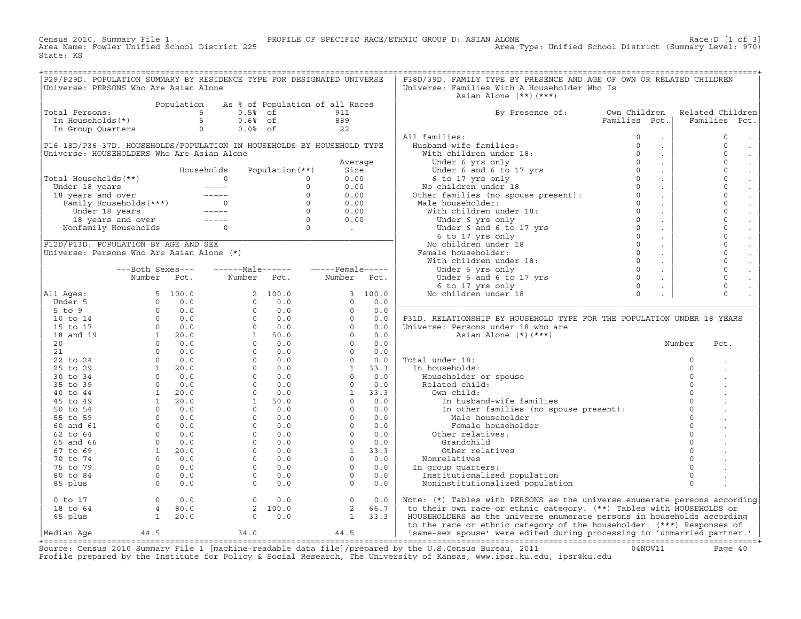Census 2010, Summary File 1 PROFILE OF SPECIFIC RACE/ETHNIC GROUP D: ASIAN ALONE Race:D [1 of 3]<br>Area Name: Fowler Unified School District 225 Area Type: Unified School District (Summary Level: 970) State: KS

| P29/P29D. POPULATION SUMMARY BY RESIDENCE TYPE FOR DESIGNATED UNIVERSE<br>Universe: PERSONS Who Are Asian Alone                                                                                                                        |                                                                                                                          |                                                          |            |                                                                  | P38D/39D. FAMILY TYPE BY PRESENCE AND AGE OF OWN OR RELATED CHILDREN<br>Universe: Families With A Householder Who Is<br>Asian Alone $(**)$ $(***)$                                                                                                 |               |        |                      |                     |
|----------------------------------------------------------------------------------------------------------------------------------------------------------------------------------------------------------------------------------------|--------------------------------------------------------------------------------------------------------------------------|----------------------------------------------------------|------------|------------------------------------------------------------------|----------------------------------------------------------------------------------------------------------------------------------------------------------------------------------------------------------------------------------------------------|---------------|--------|----------------------|---------------------|
|                                                                                                                                                                                                                                        |                                                                                                                          | Population As % of Population of all Races               |            |                                                                  |                                                                                                                                                                                                                                                    |               |        |                      |                     |
| Total Persons:                                                                                                                                                                                                                         |                                                                                                                          |                                                          |            |                                                                  | By Presence of: Own Children                                                                                                                                                                                                                       |               |        |                      | Related Children    |
|                                                                                                                                                                                                                                        |                                                                                                                          |                                                          |            |                                                                  |                                                                                                                                                                                                                                                    | Families Pct. |        |                      | Families Pct.       |
|                                                                                                                                                                                                                                        | otal Persons:<br>In Households (*) 5 $0.5$ of 911<br>In Households (*) 5 $0.6$ of 889<br>In Group Quarters 0 $0.0$ of 22 |                                                          |            |                                                                  |                                                                                                                                                                                                                                                    |               |        |                      |                     |
|                                                                                                                                                                                                                                        |                                                                                                                          |                                                          |            |                                                                  | All families:                                                                                                                                                                                                                                      |               | $\sim$ |                      | $\Omega$            |
| P16-18D/P36-37D. HOUSEHOLDS/POPULATION IN HOUSEHOLDS BY HOUSEHOLD TYPE                                                                                                                                                                 |                                                                                                                          |                                                          |            |                                                                  | 11 families: 0<br>Husband-wife families: 0<br>With children under 18: 0<br>Under 6 yrs only 0<br>Under 6 and 6 to 17 yrs<br>6 to 17 yrs only 0<br>No children under 18 0<br>Other families (no spouse present): 0<br>Mala bousebolder: 0           |               | $\sim$ |                      | $\mathsf{O}\xspace$ |
| Universe: HOUSEHOLDERS Who Are Asian Alone                                                                                                                                                                                             |                                                                                                                          |                                                          |            |                                                                  |                                                                                                                                                                                                                                                    |               | $\sim$ |                      | $\circ$             |
|                                                                                                                                                                                                                                        |                                                                                                                          |                                                          |            |                                                                  |                                                                                                                                                                                                                                                    |               | $\sim$ |                      | $\mathsf{O}\xspace$ |
|                                                                                                                                                                                                                                        |                                                                                                                          |                                                          |            |                                                                  |                                                                                                                                                                                                                                                    |               | $\sim$ |                      | $\mathbf 0$         |
|                                                                                                                                                                                                                                        |                                                                                                                          |                                                          |            |                                                                  |                                                                                                                                                                                                                                                    |               | $\sim$ |                      | $\mathbf 0$         |
|                                                                                                                                                                                                                                        |                                                                                                                          |                                                          |            |                                                                  |                                                                                                                                                                                                                                                    |               | $\sim$ |                      | $\mathbf 0$         |
|                                                                                                                                                                                                                                        |                                                                                                                          |                                                          |            |                                                                  |                                                                                                                                                                                                                                                    |               | $\sim$ |                      | $\mathbf 0$         |
|                                                                                                                                                                                                                                        |                                                                                                                          |                                                          |            |                                                                  | Male householder:                                                                                                                                                                                                                                  | $\circ$       | $\sim$ |                      | $\mathbf 0$         |
|                                                                                                                                                                                                                                        |                                                                                                                          |                                                          |            |                                                                  |                                                                                                                                                                                                                                                    |               | $\sim$ |                      | $\mathbf 0$         |
| Universe: HOUSEROUD<br>Total Households (**)<br>Under 18 years ----- 0 0 0.00<br>18 years and over ----- 0 0 0.00<br>Family Households (***)<br>Under 18 years ----- 0 0.00<br>Under 18 years ----- 0 0.00<br>Under 18 years ----- 0 0 |                                                                                                                          |                                                          |            |                                                                  | Aale householder:<br>With children under 18:<br>Under 6 yrs only<br>Under 6 and 6 to 17 yrs<br>6 to 17 yrs only<br>No children under 18<br>Pemale householder:<br>With children under 18:<br>Under 6 yrs only<br>Under 6 and 6 to 17 yrs 0<br>6 to |               | $\sim$ |                      | $\mathbf 0$         |
|                                                                                                                                                                                                                                        |                                                                                                                          |                                                          |            |                                                                  |                                                                                                                                                                                                                                                    |               | $\sim$ |                      | $\mathbf 0$         |
|                                                                                                                                                                                                                                        |                                                                                                                          |                                                          |            |                                                                  |                                                                                                                                                                                                                                                    |               |        |                      | $\mathbf 0$         |
|                                                                                                                                                                                                                                        |                                                                                                                          |                                                          |            |                                                                  |                                                                                                                                                                                                                                                    |               | $\sim$ |                      | $\mathbf 0$         |
|                                                                                                                                                                                                                                        |                                                                                                                          |                                                          |            |                                                                  | Female householder:                                                                                                                                                                                                                                |               | $\sim$ |                      | $\mathsf{O}\xspace$ |
|                                                                                                                                                                                                                                        |                                                                                                                          |                                                          |            |                                                                  |                                                                                                                                                                                                                                                    |               | $\sim$ |                      | $\mathbf 0$         |
|                                                                                                                                                                                                                                        |                                                                                                                          | ---Both Sexes---    ------Male------    -----Female----- |            |                                                                  |                                                                                                                                                                                                                                                    |               |        |                      | $\mathbf 0$         |
|                                                                                                                                                                                                                                        |                                                                                                                          |                                                          |            |                                                                  | Under 6 yrs only                                                                                                                                                                                                                                   |               | $\sim$ |                      | $\mathbf 0$         |
|                                                                                                                                                                                                                                        |                                                                                                                          | Number Pct. Number Pct. Number Pct.                      |            |                                                                  |                                                                                                                                                                                                                                                    |               | $\sim$ |                      | $\mathbf 0$         |
|                                                                                                                                                                                                                                        |                                                                                                                          |                                                          |            |                                                                  |                                                                                                                                                                                                                                                    |               | $\sim$ |                      | $\Omega$            |
| All Ages:                                                                                                                                                                                                                              |                                                                                                                          |                                                          |            |                                                                  |                                                                                                                                                                                                                                                    |               |        |                      |                     |
|                                                                                                                                                                                                                                        |                                                                                                                          |                                                          |            |                                                                  |                                                                                                                                                                                                                                                    |               |        |                      |                     |
|                                                                                                                                                                                                                                        |                                                                                                                          |                                                          |            |                                                                  |                                                                                                                                                                                                                                                    |               |        |                      |                     |
|                                                                                                                                                                                                                                        |                                                                                                                          |                                                          |            |                                                                  | P31D. RELATIONSHIP BY HOUSEHOLD TYPE FOR THE POPULATION UNDER 18 YEARS                                                                                                                                                                             |               |        |                      |                     |
|                                                                                                                                                                                                                                        |                                                                                                                          |                                                          |            |                                                                  | Universe: Persons under 18 who are                                                                                                                                                                                                                 |               |        |                      |                     |
|                                                                                                                                                                                                                                        |                                                                                                                          |                                                          |            |                                                                  | Asian Alone (*)(***)                                                                                                                                                                                                                               |               |        |                      |                     |
|                                                                                                                                                                                                                                        |                                                                                                                          |                                                          |            |                                                                  |                                                                                                                                                                                                                                                    |               |        | Number               | Pct.                |
|                                                                                                                                                                                                                                        |                                                                                                                          |                                                          |            |                                                                  |                                                                                                                                                                                                                                                    |               |        |                      |                     |
|                                                                                                                                                                                                                                        |                                                                                                                          |                                                          |            |                                                                  | Total under 18:                                                                                                                                                                                                                                    |               |        | $\Omega$             |                     |
|                                                                                                                                                                                                                                        |                                                                                                                          |                                                          |            |                                                                  | In households:                                                                                                                                                                                                                                     |               |        | $\circ$              |                     |
|                                                                                                                                                                                                                                        |                                                                                                                          |                                                          |            |                                                                  | Householder or spouse                                                                                                                                                                                                                              |               |        | $\Omega$             |                     |
|                                                                                                                                                                                                                                        |                                                                                                                          |                                                          |            |                                                                  | Related child:                                                                                                                                                                                                                                     |               |        | $\Omega$             |                     |
|                                                                                                                                                                                                                                        |                                                                                                                          |                                                          |            |                                                                  | Own child:                                                                                                                                                                                                                                         |               |        | $\Omega$             |                     |
|                                                                                                                                                                                                                                        |                                                                                                                          |                                                          |            |                                                                  | In husband-wife families                                                                                                                                                                                                                           |               |        | $\Omega$             |                     |
|                                                                                                                                                                                                                                        |                                                                                                                          |                                                          |            |                                                                  | In other families (no spouse present):<br>Male householder                                                                                                                                                                                         |               |        | $\Omega$<br>$\Omega$ |                     |
|                                                                                                                                                                                                                                        |                                                                                                                          |                                                          |            |                                                                  |                                                                                                                                                                                                                                                    |               |        |                      |                     |
|                                                                                                                                                                                                                                        |                                                                                                                          |                                                          |            |                                                                  | Female householder                                                                                                                                                                                                                                 |               |        | $\Omega$             |                     |
|                                                                                                                                                                                                                                        |                                                                                                                          |                                                          |            |                                                                  | Other relatives:                                                                                                                                                                                                                                   |               |        | $\Omega$             |                     |
|                                                                                                                                                                                                                                        |                                                                                                                          |                                                          |            |                                                                  | Grandchild                                                                                                                                                                                                                                         |               |        | $\Omega$             |                     |
|                                                                                                                                                                                                                                        |                                                                                                                          |                                                          |            |                                                                  | Other relatives                                                                                                                                                                                                                                    |               |        | $\Omega$             |                     |
|                                                                                                                                                                                                                                        |                                                                                                                          |                                                          |            |                                                                  | Nonrelatives                                                                                                                                                                                                                                       |               |        |                      |                     |
|                                                                                                                                                                                                                                        |                                                                                                                          |                                                          |            |                                                                  | In group quarters:                                                                                                                                                                                                                                 |               |        | $\Omega$             |                     |
|                                                                                                                                                                                                                                        |                                                                                                                          |                                                          |            |                                                                  | Institutionalized population                                                                                                                                                                                                                       |               |        | $\circ$              |                     |
|                                                                                                                                                                                                                                        |                                                                                                                          |                                                          |            |                                                                  | Noninstitutionalized population                                                                                                                                                                                                                    |               |        | $\Omega$             |                     |
| $0$ to $17$                                                                                                                                                                                                                            | $\begin{array}{ccc} 0 & 0.0 \\ 4 & 80.0 \\ 1 & 20.0 \end{array}$                                                         |                                                          | $0 \t 0.0$ | $\begin{array}{ccc} 0 & 0.0 \\ 2 & 66.7 \\ 1 & 33.3 \end{array}$ | Note: (*) Tables with PERSONS as the universe enumerate persons according                                                                                                                                                                          |               |        |                      |                     |
| 18 to 64                                                                                                                                                                                                                               |                                                                                                                          |                                                          | 2 100.0    |                                                                  | to their own race or ethnic category. (**) Tables with HOUSEHOLDS or                                                                                                                                                                               |               |        |                      |                     |
| 65 plus                                                                                                                                                                                                                                |                                                                                                                          |                                                          | $0 \t 0.0$ |                                                                  | HOUSEHOLDERS as the universe enumerate persons in households according                                                                                                                                                                             |               |        |                      |                     |
|                                                                                                                                                                                                                                        |                                                                                                                          |                                                          |            |                                                                  | to the race or ethnic category of the householder. (***) Responses of                                                                                                                                                                              |               |        |                      |                     |
| Median Aqe                                                                                                                                                                                                                             | 44.5 34.0                                                                                                                |                                                          |            | 44.5                                                             | 'same-sex spouse' were edited during processing to 'unmarried partner.'                                                                                                                                                                            |               |        |                      |                     |
|                                                                                                                                                                                                                                        |                                                                                                                          |                                                          |            |                                                                  |                                                                                                                                                                                                                                                    |               |        |                      |                     |

+===================================================================================================================================================+Source: Census 2010 Summary File 1 [machine−readable data file]/prepared by the U.S.Census Bureau, 2011 04NOV11 Page 40 Profile prepared by the Institute for Policy & Social Research, The University of Kansas, www.ipsr.ku.edu, ipsr@ku.edu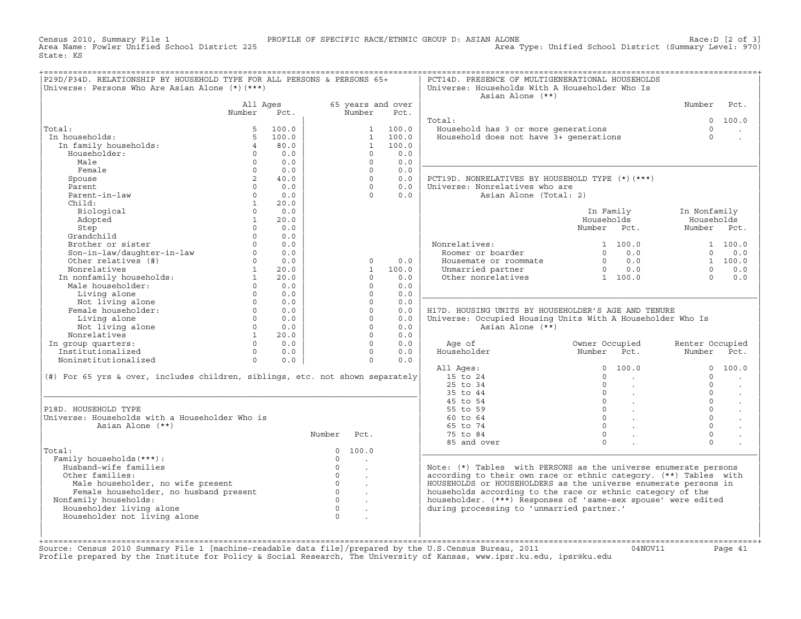Census 2010, Summary File 1 PROFILE OF SPECIFIC RACE/ETHNIC GROUP D: ASIAN ALONE Race:D [2 of 3] Area Type: Unified School District (Summary Level: 970) State: KS

| P29D/P34D. RELATIONSHIP BY HOUSEHOLD TYPE FOR ALL PERSONS & PERSONS 65+<br>Universe: Persons Who Are Asian Alone (*) (***) |                          |                          |                |                      |                   | PCT14D. PRESENCE OF MULTIGENERATIONAL HOUSEHOLDS<br>Universe: Households With A Householder Who Is<br>Asian Alone (**) |                           |                      |                           |                      |
|----------------------------------------------------------------------------------------------------------------------------|--------------------------|--------------------------|----------------|----------------------|-------------------|------------------------------------------------------------------------------------------------------------------------|---------------------------|----------------------|---------------------------|----------------------|
|                                                                                                                            | All Ages                 |                          |                |                      | 65 years and over |                                                                                                                        |                           |                      | Number                    | Pct.                 |
|                                                                                                                            | Number                   | Pct.                     |                | Number               | Pct.              |                                                                                                                        |                           |                      |                           |                      |
|                                                                                                                            |                          |                          |                |                      |                   | Total:                                                                                                                 |                           |                      |                           | 0 100.0              |
| Total:                                                                                                                     |                          | 100.0                    |                |                      | 1 100.0           | Household has 3 or more generations                                                                                    |                           |                      | $\Omega$                  |                      |
| In households:                                                                                                             |                          | 5 100.0                  |                | 1                    | 100.0             | Household does not have 3+ qenerations                                                                                 |                           |                      | $\Omega$                  |                      |
| In family households:                                                                                                      |                          | 4 80.0                   |                | $\mathbf{1}$         | 100.0             |                                                                                                                        |                           |                      |                           |                      |
| Householder:                                                                                                               | $\Omega$                 | 0.0                      |                | $\Omega$             | 0.0               |                                                                                                                        |                           |                      |                           |                      |
| Male                                                                                                                       | $\Omega$                 | 0.0                      |                | $\Omega$             | 0.0               |                                                                                                                        |                           |                      |                           |                      |
| Female                                                                                                                     | $\Omega$                 | 0.0                      |                | $\Omega$             | 0.0               |                                                                                                                        |                           |                      |                           |                      |
| Spouse                                                                                                                     | 2                        | 40.0                     |                | $\Omega$             | 0.0               | PCT19D. NONRELATIVES BY HOUSEHOLD TYPE (*) (***)                                                                       |                           |                      |                           |                      |
| Parent<br>Parent-in-law                                                                                                    | $\Omega$                 | 0.0                      |                | $\Omega$<br>$\Omega$ | 0.0<br>0.0        | Universe: Nonrelatives who are                                                                                         |                           |                      |                           |                      |
|                                                                                                                            | $\Omega$                 | 0.0<br>20.0              |                |                      |                   | Asian Alone (Total: 2)                                                                                                 |                           |                      |                           |                      |
| Child:                                                                                                                     | $\mathbf{1}$<br>$\Omega$ |                          |                |                      |                   |                                                                                                                        |                           |                      |                           |                      |
| Biological                                                                                                                 |                          | 0.0<br>20.0              |                |                      |                   |                                                                                                                        |                           | In Family            | In Nonfamily              |                      |
| Adopted                                                                                                                    | $\mathbf{1}$<br>$\Omega$ | 0.0                      |                |                      |                   |                                                                                                                        | Households<br>Number Pct. |                      | Households<br>Number Pct. |                      |
| Step<br>Grandchild                                                                                                         | $\Omega$                 | 0.0                      |                |                      |                   |                                                                                                                        |                           |                      |                           |                      |
|                                                                                                                            | $\Omega$                 | 0.0                      |                |                      |                   | Nonrelatives:                                                                                                          |                           | 1 100.0              |                           | 1 100.0              |
| Brother or sister<br>Son-in-law/daughter-in-law<br>Other relatives (#)                                                     | $\circ$                  | 0.0                      |                |                      |                   | pnrelatives:<br>Roomer or boarder                                                                                      |                           | $0 \qquad 0.0$       | $\Omega$                  | 0.0                  |
|                                                                                                                            | $\overline{0}$           | 0.0                      |                | $\Omega$             | 0.0               |                                                                                                                        |                           |                      |                           | 1 100.0              |
| Nonrelatives                                                                                                               | 1                        | 20.0                     |                | $\mathbf{1}$         | 100.0             | Housemate or roommate $0$ 0.0<br>Unmarried partner 0 0.0<br>Other nonrelatives 1 100.0                                 |                           |                      | $\Omega$                  | 0.0                  |
|                                                                                                                            |                          | 20.0                     |                | $\Omega$             | 0.0               |                                                                                                                        |                           |                      | $\Omega$                  | 0.0                  |
| In nonfamily households:<br>Male households:<br>$\frac{1}{2}$<br>Male householder:<br>$\frac{1}{2}$                        |                          | 0.0                      |                | $\Omega$             | 0.0               |                                                                                                                        |                           |                      |                           |                      |
| Living alone                                                                                                               | $0 \qquad \qquad$        | 0.0                      |                | $\mathbf 0$          | 0.0               |                                                                                                                        |                           |                      |                           |                      |
| Not living alone                                                                                                           |                          | $0 \qquad 0.0$           |                | $\Omega$             | 0.0               |                                                                                                                        |                           |                      |                           |                      |
| Female householder:                                                                                                        |                          | $0 \qquad \qquad$<br>0.0 |                | $\circ$              | 0.0               | H17D. HOUSING UNITS BY HOUSEHOLDER'S AGE AND TENURE                                                                    |                           |                      |                           |                      |
| Living alone                                                                                                               |                          | $0 \qquad 0.0$           |                | $\circ$              | 0.0               | Universe: Occupied Housing Units With A Householder Who Is                                                             |                           |                      |                           |                      |
| Not living alone                                                                                                           |                          | 0.0                      |                | $\Omega$             | 0.0               | Asian Alone (**)                                                                                                       |                           |                      |                           |                      |
| Nonrelatives                                                                                                               | $\mathbf{1}$             | 20.0                     |                | $\Omega$             | 0.0               |                                                                                                                        |                           |                      |                           |                      |
| In group quarters:                                                                                                         | $\Omega$                 | 0.0                      |                | $\Omega$             | 0.0               | Age of                                                                                                                 |                           | Owner Occupied       | Renter Occupied           |                      |
| Institutionalized                                                                                                          |                          | $0 \qquad 0.0$           |                | $\Omega$             | 0.0               | Householder                                                                                                            |                           | Number Pct.          | Number Pct.               |                      |
| Noninstitutionalized                                                                                                       | $\Omega$                 | 0.0                      |                | $\Omega$             | 0.0               |                                                                                                                        |                           |                      |                           |                      |
|                                                                                                                            |                          |                          |                |                      |                   | All Ages:                                                                                                              |                           | 0 100.0              |                           | 0 100.0              |
| (#) For 65 yrs & over, includes children, siblings, etc. not shown separately                                              |                          |                          |                |                      |                   | 15 to 24                                                                                                               | $\Omega$                  |                      | $\Omega$                  |                      |
|                                                                                                                            |                          |                          |                |                      |                   | 25 to 34                                                                                                               | $\Omega$                  |                      | $\Omega$                  |                      |
|                                                                                                                            |                          |                          |                |                      |                   | 35 to 44                                                                                                               | $\circ$                   | $\ddot{\phantom{a}}$ | $\Omega$                  | $\blacksquare$       |
|                                                                                                                            |                          |                          |                |                      |                   | 45 to 54                                                                                                               | $\circ$                   |                      | $\Omega$                  | $\ddot{\phantom{1}}$ |
| P18D. HOUSEHOLD TYPE                                                                                                       |                          |                          |                |                      |                   | 55 to 59                                                                                                               | $\Omega$                  |                      | $\Omega$                  |                      |
| Universe: Households with a Householder Who is                                                                             |                          |                          |                |                      |                   | 60 to 64                                                                                                               | $\Omega$                  |                      | $\Omega$                  |                      |
| Asian Alone (**)                                                                                                           |                          |                          |                |                      |                   | 65 to 74                                                                                                               | $\Omega$                  |                      | $\Omega$                  |                      |
|                                                                                                                            |                          |                          | Number         | Pct.                 |                   | 75 to 84                                                                                                               | $\Omega$                  |                      | $\mathbf 0$               |                      |
|                                                                                                                            |                          |                          |                |                      |                   | 85 and over                                                                                                            | $\Omega$                  |                      | $\Omega$                  |                      |
| Total:                                                                                                                     |                          |                          |                | 0 100.0              |                   |                                                                                                                        |                           |                      |                           |                      |
| Family households (***) :                                                                                                  |                          |                          | $\circ$        | $\ddot{\phantom{a}}$ |                   |                                                                                                                        |                           |                      |                           |                      |
| Husband-wife families                                                                                                      |                          |                          | $\Omega$       |                      |                   | Note: (*) Tables with PERSONS as the universe enumerate persons                                                        |                           |                      |                           |                      |
| Other families:                                                                                                            |                          |                          | $\overline{0}$ | $\ddot{\phantom{a}}$ |                   | according to their own race or ethnic category. (**) Tables with                                                       |                           |                      |                           |                      |
| Male householder, no wife present                                                                                          |                          |                          | $\overline{0}$ | $\ddot{\phantom{a}}$ |                   | HOUSEHOLDS or HOUSEHOLDERS as the universe enumerate persons in                                                        |                           |                      |                           |                      |
| Female householder, no husband present                                                                                     |                          |                          | $\overline{0}$ | $\ddot{\phantom{a}}$ |                   | households according to the race or ethnic category of the                                                             |                           |                      |                           |                      |
| Nonfamily households:                                                                                                      |                          |                          | $\overline{0}$ | $\ddot{\phantom{a}}$ |                   | householder. (***) Responses of 'same-sex spouse' were edited                                                          |                           |                      |                           |                      |
| Householder living alone                                                                                                   |                          |                          | $\overline{0}$ | $\ddot{\phantom{a}}$ |                   | during processing to 'unmarried partner.'                                                                              |                           |                      |                           |                      |
| Householder not living alone                                                                                               |                          |                          | $\bigcap$      |                      |                   |                                                                                                                        |                           |                      |                           |                      |
|                                                                                                                            |                          |                          |                |                      |                   |                                                                                                                        |                           |                      |                           |                      |
|                                                                                                                            |                          |                          |                |                      |                   |                                                                                                                        |                           |                      |                           |                      |
|                                                                                                                            |                          |                          |                |                      |                   |                                                                                                                        |                           |                      |                           |                      |

+===================================================================================================================================================+Source: Census 2010 Summary File 1 [machine−readable data file]/prepared by the U.S.Census Bureau, 2011 04NOV11 Page 41 Profile prepared by the Institute for Policy & Social Research, The University of Kansas, www.ipsr.ku.edu, ipsr@ku.edu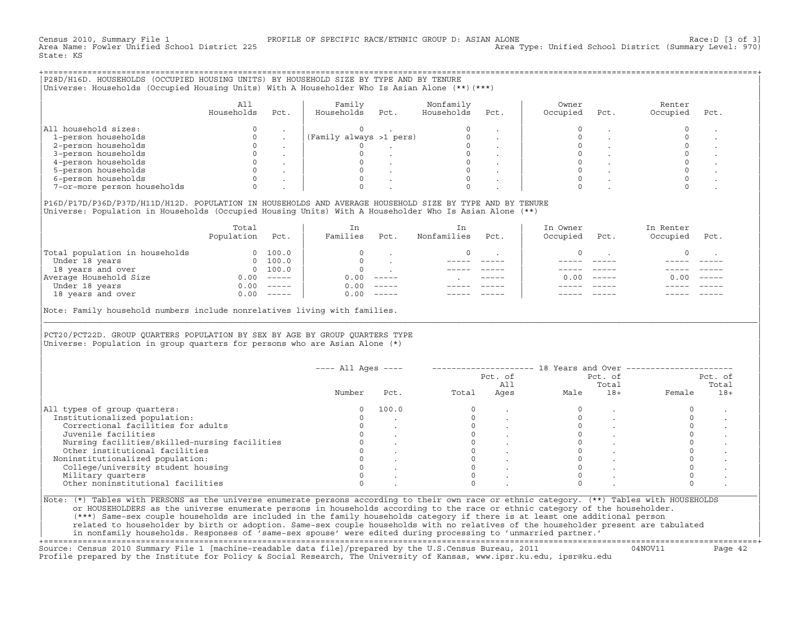Census 2010, Summary File 1 PROFILE OF SPECIFIC RACE/ETHNIC GROUP D: ASIAN ALONE Race:D [3 of 3] Area Type: Unified School District (Summary Level: 970) State: KS

+===================================================================================================================================================+|P28D/H16D. HOUSEHOLDS (OCCUPIED HOUSING UNITS) BY HOUSEHOLD SIZE BY TYPE AND BY TENURE | |Universe: Households (Occupied Housing Units) With A Householder Who Is Asian Alone (\*\*)(\*\*\*) |

|                             | All<br>Households | Pct. | Family<br>Households    | Pct. | Nonfamily<br>Households | Pct. | Owner<br>Occupied | Pct. | Renter<br>Occupied | Pct. |
|-----------------------------|-------------------|------|-------------------------|------|-------------------------|------|-------------------|------|--------------------|------|
| All household sizes:        |                   |      |                         |      |                         |      |                   |      |                    |      |
| 1-person households         |                   |      | (Family always >1 pers) |      |                         |      |                   |      |                    |      |
| 2-person households         |                   |      |                         |      |                         |      |                   |      |                    |      |
| 3-person households         |                   |      |                         |      |                         |      |                   |      |                    |      |
| 4-person households         |                   |      |                         |      |                         |      |                   |      |                    |      |
| 5-person households         |                   |      |                         |      |                         |      |                   |      |                    |      |
| 6-person households         |                   |      |                         |      |                         |      |                   |      |                    |      |
| 7-or-more person households |                   |      |                         |      |                         |      |                   |      |                    |      |

| | |P16D/P17D/P36D/P37D/H11D/H12D. POPULATION IN HOUSEHOLDS AND AVERAGE HOUSEHOLD SIZE BY TYPE AND BY TENURE | Universe: Population in Households (Occupied Housing Units) With A Householder Who Is Asian Alone (\*\*)

|                                | Total<br>Population | Pct.     | In<br>Families | Pct.     | In<br>Nonfamilies | Pct.          | In Owner<br>Occupied | Pct.          | In Renter<br>Occupied | Pct.     |
|--------------------------------|---------------------|----------|----------------|----------|-------------------|---------------|----------------------|---------------|-----------------------|----------|
| Total population in households | $\Omega$            | 100.0    | $\Omega$       |          | $\Omega$          |               |                      |               |                       |          |
| Under 18 years                 | $\Omega$            | 100.0    |                |          |                   |               |                      |               |                       |          |
| 18 years and over              |                     | 0 100.0  | $\Omega$       |          |                   |               |                      |               |                       |          |
| Average Household Size         | 0.00                | $------$ | 0.00           | $------$ |                   | $- - - - - -$ | 0. OO -              | $\frac{1}{2}$ | 0.00                  | $------$ |
| Under 18 years                 | 0.00                | $------$ | 0.00           | $------$ |                   |               |                      |               |                       |          |
| 18 years and over              | 0.00                |          | 0.00           | $------$ |                   |               |                      |               |                       |          |
|                                |                     |          |                |          |                   |               |                      |               |                       |          |

Note: Family household numbers include nonrelatives living with families.

| | PCT20/PCT22D. GROUP OUARTERS POPULATION BY SEX BY AGE BY GROUP OUARTERS TYPE Universe: Population in group quarters for persons who are Asian Alone  $(*)$ 

|                                               |        |       |       | Pct. of<br>All |      | Pct. of<br>Total |        | Pct. of<br>Total |
|-----------------------------------------------|--------|-------|-------|----------------|------|------------------|--------|------------------|
|                                               | Number | Pct.  | Total | Ages           | Male | $18+$            | Female | $18+$            |
| All types of group quarters:                  | 0      | 100.0 |       |                |      |                  |        |                  |
| Institutionalized population:                 |        |       |       |                |      |                  |        |                  |
| Correctional facilities for adults            |        |       |       |                |      |                  |        |                  |
| Juvenile facilities                           |        |       |       |                |      |                  |        |                  |
| Nursing facilities/skilled-nursing facilities |        |       |       |                |      |                  |        |                  |
| Other institutional facilities                |        |       |       |                |      |                  |        |                  |
| Noninstitutionalized population:              |        |       |       |                |      |                  |        |                  |
| College/university student housing            |        |       |       |                |      |                  |        |                  |
| Military quarters                             |        |       |       |                |      |                  |        |                  |
| Other noninstitutional facilities             |        |       |       |                |      |                  |        |                  |

|\_\_\_\_\_\_\_\_\_\_\_\_\_\_\_\_\_\_\_\_\_\_\_\_\_\_\_\_\_\_\_\_\_\_\_\_\_\_\_\_\_\_\_\_\_\_\_\_\_\_\_\_\_\_\_\_\_\_\_\_\_\_\_\_\_\_\_\_\_\_\_\_\_\_\_\_\_\_\_\_\_\_\_\_\_\_\_\_\_\_\_\_\_\_\_\_\_\_\_\_\_\_\_\_\_\_\_\_\_\_\_\_\_\_\_\_\_\_\_\_\_\_\_\_\_\_\_\_\_\_\_\_\_\_\_\_\_\_\_\_\_\_\_\_\_\_\_|

| |

or HOUSEHOLDERS as the universe enumerate persons in households according to the race or ethnic category of the householder. | (\*\*\*) Same−sex couple households are included in the family households category if there is at least one additional person | | related to householder by birth or adoption. Same−sex couple households with no relatives of the householder present are tabulated | | in nonfamily households. Responses of 'same−sex spouse' were edited during processing to 'unmarried partner.' |

+===================================================================================================================================================+ Source: Census 2010 Summary File 1 [machine−readable data file]/prepared by the U.S.Census Bureau, 2011 04NOV11 Page 42 Profile prepared by the Institute for Policy & Social Research, The University of Kansas, www.ipsr.ku.edu, ipsr@ku.edu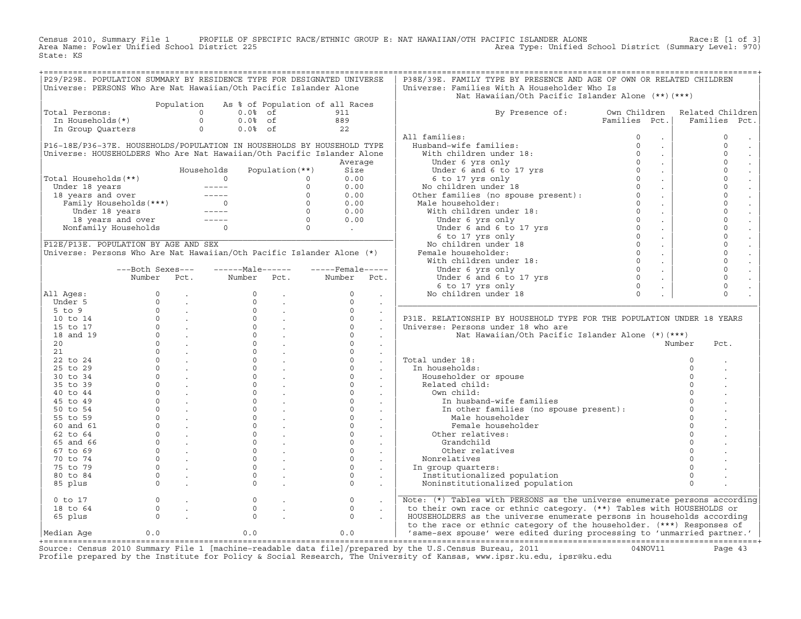Census 2010, Summary File 1 PROFILE OF SPECIFIC RACE/ETHNIC GROUP E: NAT HAWAIIAN/OTH PACIFIC ISLANDER ALONE<br>Area Name: Fowler Unified School District 225 Area Type: Unified School Distric State: KS

|                                                                       |                                                                                                                                                                                                                         |            |                       |                                                                         | P29/P29E. POPULATION SUMMARY BY RESIDENCE TYPE FOR DESIGNATED UNIVERSE                  | P38E/39E. FAMILY TYPE BY PRESENCE AND AGE OF OWN OR RELATED CHILDREN                                                                                                                                                                               |                                                                          |                  |
|-----------------------------------------------------------------------|-------------------------------------------------------------------------------------------------------------------------------------------------------------------------------------------------------------------------|------------|-----------------------|-------------------------------------------------------------------------|-----------------------------------------------------------------------------------------|----------------------------------------------------------------------------------------------------------------------------------------------------------------------------------------------------------------------------------------------------|--------------------------------------------------------------------------|------------------|
| Universe: PERSONS Who Are Nat Hawaiian/Oth Pacific Islander Alone     |                                                                                                                                                                                                                         |            |                       |                                                                         |                                                                                         |                                                                                                                                                                                                                                                    |                                                                          |                  |
|                                                                       |                                                                                                                                                                                                                         |            |                       |                                                                         |                                                                                         | Universe: Families With A Householder Who Is<br>Nat Hawaiian/Oth Pacific Islander Alone (**) (***)                                                                                                                                                 |                                                                          |                  |
|                                                                       |                                                                                                                                                                                                                         | Population |                       |                                                                         | As % of Population of all Races                                                         |                                                                                                                                                                                                                                                    |                                                                          |                  |
| Total Persons:                                                        |                                                                                                                                                                                                                         |            | $\circ$<br>$0.0%$ of  |                                                                         | 911                                                                                     | By Presence of: Own Children                                                                                                                                                                                                                       |                                                                          | Related Children |
| In Households(*)                                                      |                                                                                                                                                                                                                         |            | $\Omega$<br>$0.0%$ of |                                                                         | 889                                                                                     |                                                                                                                                                                                                                                                    | Families Pct.                                                            | Families<br>Pct. |
| In Group Quarters                                                     |                                                                                                                                                                                                                         |            | $\circ$<br>$0.0%$ of  |                                                                         | 22                                                                                      |                                                                                                                                                                                                                                                    |                                                                          |                  |
|                                                                       |                                                                                                                                                                                                                         |            |                       |                                                                         |                                                                                         | All families:                                                                                                                                                                                                                                      | $\circ$<br>$\bullet$                                                     | $\circ$          |
|                                                                       |                                                                                                                                                                                                                         |            |                       |                                                                         | P16-18E/P36-37E. HOUSEHOLDS/POPULATION IN HOUSEHOLDS BY HOUSEHOLD TYPE                  | Husband-wife families:                                                                                                                                                                                                                             | $\circ$<br>$\sim$                                                        | $\circ$          |
|                                                                       |                                                                                                                                                                                                                         |            |                       |                                                                         | Universe: HOUSEHOLDERS Who Are Nat Hawaiian/Oth Pacific Islander Alone                  | With children under 18:                                                                                                                                                                                                                            | $\Omega$<br>$\sim$                                                       | $\circ$          |
|                                                                       |                                                                                                                                                                                                                         |            |                       |                                                                         | Average                                                                                 | Under 6 and 6 to 17 yrs<br>6 to 17 yrs only<br>3 children under 18                                                                                                                                                                                 | $\Omega$<br>$\sim$                                                       | $\circ$          |
|                                                                       |                                                                                                                                                                                                                         |            | Households            | Population $(**)$                                                       | Size                                                                                    |                                                                                                                                                                                                                                                    | $\Omega$<br>$\sim$                                                       | $\mathsf{O}$     |
| Total Households(**)                                                  |                                                                                                                                                                                                                         |            | $\overline{0}$        | $\circ$                                                                 | 0.00                                                                                    |                                                                                                                                                                                                                                                    | $\sim 100$                                                               | $\mathsf{O}$     |
|                                                                       |                                                                                                                                                                                                                         |            |                       | $\circ$                                                                 | 0.00                                                                                    |                                                                                                                                                                                                                                                    | $\sim$                                                                   | $\circ$          |
|                                                                       |                                                                                                                                                                                                                         |            |                       |                                                                         | 0.00                                                                                    |                                                                                                                                                                                                                                                    | $\sim 10$                                                                | $\circ$          |
|                                                                       |                                                                                                                                                                                                                         |            |                       |                                                                         | 0.00                                                                                    |                                                                                                                                                                                                                                                    | $\sim 10^{-1}$                                                           | $\circ$          |
|                                                                       |                                                                                                                                                                                                                         |            |                       |                                                                         | 0.00                                                                                    |                                                                                                                                                                                                                                                    | $\sim 100$                                                               | $\Omega$         |
|                                                                       | otal Households (**)<br>18 years and over<br>18 years and over<br>Family Households (***)<br>19 years and over<br>18 years and over<br>18 years and over<br>18 years and over<br>19 years and over<br>19 years and over |            |                       | $\begin{bmatrix} 0 \\ 0 \\ 0 \\ 0 \\ 0 \\ 0 \end{bmatrix}$              | 0.00                                                                                    |                                                                                                                                                                                                                                                    | $\sim 10$                                                                | $\circ$          |
|                                                                       | Nonfamily Households 0                                                                                                                                                                                                  |            |                       |                                                                         | $\mathcal{L}^{\text{max}}_{\text{max}}$ , where $\mathcal{L}^{\text{max}}_{\text{max}}$ |                                                                                                                                                                                                                                                    | $\sim$                                                                   | $\mathbf 0$      |
|                                                                       |                                                                                                                                                                                                                         |            |                       |                                                                         |                                                                                         |                                                                                                                                                                                                                                                    | $\sim$                                                                   | $\circ$          |
| P12E/P13E. POPULATION BY AGE AND SEX                                  |                                                                                                                                                                                                                         |            |                       |                                                                         |                                                                                         | Under 6 and 5 to 17 yrs only<br>6 to 17 yrs only<br>8 contideren under 18<br>Other families (no spouse present):<br>0<br>Male householder:<br>With children under 18:<br>Under 6 and 6 to 17 yrs<br>6 to 17 yrs only<br>8 contiderent 18<br>Pemale | $\sim$                                                                   | $\circ$          |
| Universe: Persons Who Are Nat Hawaiian/Oth Pacific Islander Alone (*) |                                                                                                                                                                                                                         |            |                       |                                                                         |                                                                                         |                                                                                                                                                                                                                                                    | $\sim$                                                                   | $\circ$          |
|                                                                       |                                                                                                                                                                                                                         |            |                       |                                                                         |                                                                                         |                                                                                                                                                                                                                                                    | $\sim$                                                                   | $\mathsf{O}$     |
|                                                                       | ---Both Sexes---                                                                                                                                                                                                        |            | ------Male------      |                                                                         | $---$ Female -----                                                                      |                                                                                                                                                                                                                                                    | $\sim$                                                                   | $\mathbf 0$      |
|                                                                       | Number                                                                                                                                                                                                                  | Pct.       | Number                | Pct.                                                                    | Number<br>Pct.                                                                          | Under 6 and 6 to 17 yrs                                                                                                                                                                                                                            | $\begin{matrix} 0 \\ 0 \\ 0 \end{matrix}$<br>$\mathcal{L}^{\mathcal{L}}$ | $\circ$          |
|                                                                       |                                                                                                                                                                                                                         |            |                       |                                                                         |                                                                                         | 6 to 17 yrs only                                                                                                                                                                                                                                   | $\blacksquare$                                                           | $\circ$          |
| All Ages:                                                             |                                                                                                                                                                                                                         |            | $\Omega$              |                                                                         | $\Omega$                                                                                | No children under 18                                                                                                                                                                                                                               | $\Omega$                                                                 | $\Omega$         |
| Under 5                                                               |                                                                                                                                                                                                                         |            | $\Omega$              | $\sim$                                                                  | $\Omega$<br>$\sim$                                                                      |                                                                                                                                                                                                                                                    |                                                                          |                  |
| $5$ to $9$                                                            |                                                                                                                                                                                                                         |            | $\circ$               |                                                                         | $\circ$                                                                                 |                                                                                                                                                                                                                                                    |                                                                          |                  |
| 10 to 14                                                              |                                                                                                                                                                                                                         |            |                       | $\begin{matrix} 0 & & \cdot \\ 0 & & \cdot \\ 0 & & \cdot \end{matrix}$ | $\circ$<br>$\ddot{\phantom{a}}$                                                         | P31E. RELATIONSHIP BY HOUSEHOLD TYPE FOR THE POPULATION UNDER 18 YEARS                                                                                                                                                                             |                                                                          |                  |
| 15 to 17                                                              |                                                                                                                                                                                                                         |            |                       |                                                                         | $\circ$                                                                                 | Universe: Persons under 18 who are                                                                                                                                                                                                                 |                                                                          |                  |
| 18 and 19                                                             |                                                                                                                                                                                                                         |            | $\Omega$              |                                                                         | $\Omega$                                                                                | Nat Hawaiian/Oth Pacific Islander Alone (*)(***)                                                                                                                                                                                                   |                                                                          |                  |
| 20                                                                    |                                                                                                                                                                                                                         |            | $\overline{0}$        |                                                                         | $\circ$                                                                                 |                                                                                                                                                                                                                                                    |                                                                          | Number<br>Pct.   |
| 21                                                                    |                                                                                                                                                                                                                         |            |                       | $\Omega$                                                                | $\Omega$<br>$\cdot$                                                                     |                                                                                                                                                                                                                                                    |                                                                          |                  |
| 22 to 24                                                              |                                                                                                                                                                                                                         |            | $\circ$               |                                                                         | $\circ$<br>$\ddot{\phantom{a}}$                                                         | Total under 18:                                                                                                                                                                                                                                    |                                                                          | $\circ$          |
| 25 to 29                                                              |                                                                                                                                                                                                                         |            | $\circ$               |                                                                         | $\circ$<br>$\sim$                                                                       | In households:                                                                                                                                                                                                                                     |                                                                          |                  |
| 30 to 34                                                              |                                                                                                                                                                                                                         |            | $\Omega$              |                                                                         | $\Omega$                                                                                | Householder or spouse                                                                                                                                                                                                                              |                                                                          |                  |
| 35 to 39                                                              |                                                                                                                                                                                                                         |            | $\circ$               | $\frac{1}{2}$ .                                                         | $\circ$<br>$\sim$                                                                       | Related child:                                                                                                                                                                                                                                     |                                                                          |                  |
| $40$ to $44$                                                          |                                                                                                                                                                                                                         |            | $\Omega$              |                                                                         | $\Omega$                                                                                | Own child:                                                                                                                                                                                                                                         |                                                                          |                  |
| 45 to 49                                                              |                                                                                                                                                                                                                         |            | $\circ$               |                                                                         | $\circ$                                                                                 | In husband-wife families                                                                                                                                                                                                                           |                                                                          |                  |
| 50 to 54                                                              |                                                                                                                                                                                                                         |            | $\circ$               |                                                                         | $\circ$<br>$\sim$ $-$                                                                   | In other families (no spouse present):                                                                                                                                                                                                             |                                                                          | $\Omega$         |
| 55 to 59                                                              |                                                                                                                                                                                                                         |            | $\circ$               |                                                                         | $\circ$<br>$\sim 100$ km s $^{-1}$                                                      | Male householder                                                                                                                                                                                                                                   |                                                                          | $\Omega$         |
| 60 and 61                                                             |                                                                                                                                                                                                                         |            | $\circ$               |                                                                         | $\circ$<br>$\sim$ $-$                                                                   | Female householder                                                                                                                                                                                                                                 |                                                                          |                  |
| $62$ to $64$                                                          |                                                                                                                                                                                                                         |            | $\Omega$              | $\sim$                                                                  | $\Omega$<br>$\sim$                                                                      | Other relatives:                                                                                                                                                                                                                                   |                                                                          |                  |
| 65 and 66                                                             |                                                                                                                                                                                                                         |            | $\Omega$              | <b>Service</b>                                                          | $\Omega$<br>$\sim$                                                                      | Grandchild                                                                                                                                                                                                                                         |                                                                          |                  |
| 67 to 69                                                              |                                                                                                                                                                                                                         |            | $\circ$               |                                                                         | $\circ$                                                                                 | Other relatives                                                                                                                                                                                                                                    |                                                                          |                  |
| 70 to 74                                                              |                                                                                                                                                                                                                         |            | $\circ$               |                                                                         | $\mathsf{O}$                                                                            | Nonrelatives                                                                                                                                                                                                                                       |                                                                          |                  |
| 75 to 79                                                              |                                                                                                                                                                                                                         |            | $\Omega$              |                                                                         | $\circ$                                                                                 | In group quarters:                                                                                                                                                                                                                                 |                                                                          |                  |
| 80 to 84                                                              |                                                                                                                                                                                                                         |            | $\Omega$              |                                                                         | $\circ$<br>$\ddot{\phantom{a}}$                                                         | Institutionalized population                                                                                                                                                                                                                       |                                                                          | $\Omega$         |
| 85 plus                                                               |                                                                                                                                                                                                                         |            | $\Omega$              |                                                                         | $\Omega$                                                                                | Noninstitutionalized population                                                                                                                                                                                                                    |                                                                          | $\Omega$         |
|                                                                       |                                                                                                                                                                                                                         |            |                       |                                                                         |                                                                                         |                                                                                                                                                                                                                                                    |                                                                          |                  |
| $0$ to $17$                                                           | $\circ$                                                                                                                                                                                                                 |            | $\mathbb O$           |                                                                         | $\circ$                                                                                 | Note: (*) Tables with PERSONS as the universe enumerate persons according                                                                                                                                                                          |                                                                          |                  |
| 18 to 64                                                              | $\Omega$                                                                                                                                                                                                                |            | $\Omega$              |                                                                         | $\Omega$                                                                                | to their own race or ethnic category. (**) Tables with HOUSEHOLDS or                                                                                                                                                                               |                                                                          |                  |
| 65 plus                                                               | $\Omega$                                                                                                                                                                                                                |            | $\Omega$              |                                                                         | $\Omega$                                                                                | HOUSEHOLDERS as the universe enumerate persons in households according                                                                                                                                                                             |                                                                          |                  |
|                                                                       |                                                                                                                                                                                                                         |            |                       |                                                                         |                                                                                         | to the race or ethnic category of the householder. (***) Responses of                                                                                                                                                                              |                                                                          |                  |
| Median Age                                                            | 0.0                                                                                                                                                                                                                     |            | 0.0                   |                                                                         | 0.0                                                                                     | 'same-sex spouse' were edited during processing to 'unmarried partner.'                                                                                                                                                                            |                                                                          |                  |
|                                                                       |                                                                                                                                                                                                                         |            |                       |                                                                         |                                                                                         |                                                                                                                                                                                                                                                    |                                                                          |                  |
|                                                                       |                                                                                                                                                                                                                         |            |                       |                                                                         |                                                                                         | Courge, Congue 2010 Summary File 1 [magbine readable data file] (prepared by the H S Congue Bureau 2011                                                                                                                                            |                                                                          |                  |

Source: Census 2010 Summary File 1 [machine-readable data file]/prepared by the U.S.Census Bureau, 2011 Page 43<br>Profile prepared by the Institute for Policy & Social Research, The University of Kansas, www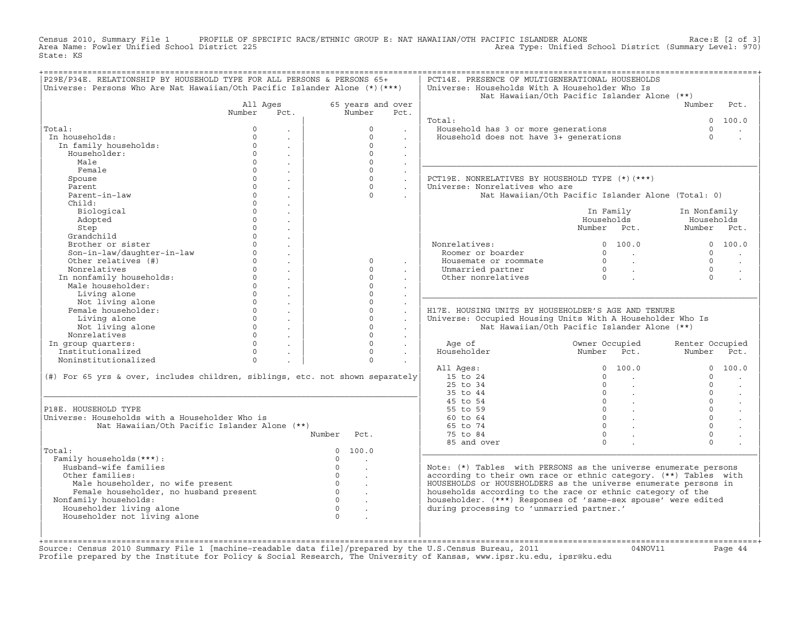Census 2010, Summary File 1 PROFILE OF SPECIFIC RACE/ETHNIC GROUP E: NAT HAWAIIAN/OTH PACIFIC ISLANDER ALONE<br>Area Name: Fowler Unified School District 225 Area Type: Unified School Distric State: KS

| 65 years and over<br>Number<br>$\Omega$<br>$\Omega$<br>$\Omega$<br>$\Omega$<br>$\Omega$<br>$\Omega$<br>$\Omega$<br>$\Omega$<br>$\Omega$<br>$\Omega$<br>$\Omega$<br>$\Omega$<br>$\Omega$ | Pct.<br>$\sim$<br>$\sim$<br>$\ddot{\phantom{a}}$<br>$\sim$<br>$\sim$<br>$\ddot{\phantom{a}}$<br>$\sim$<br>$\sim$<br>$\sim$<br>$\mathbf{r}$ | Total:<br>Household has 3 or more generations<br>Household does not have 3+ generations<br>PCT19E. NONRELATIVES BY HOUSEHOLD TYPE (*)(***)<br>Universe: Nonrelatives who are<br>Nonrelatives:<br>Roomer or boarder<br>Housemate or roommate<br>Unmarried partner<br>Other nonrelatives | Nat Hawaiian/Oth Pacific Islander Alone (**)<br>Nat Hawaiian/Oth Pacific Islander Alone (Total: 0)<br>In Family<br>Households<br>Number Pct.<br>0 100.0<br>$\begin{array}{ccc} 0 & & \end{array}$<br>$\begin{matrix}0&\ &\ \cdot\ &0&\ \end{matrix}$ | Number<br>$\cap$<br>$\Omega$<br>In Nonfamily<br>Households<br>Number Pct.<br>$\cap$<br>$\Omega$<br>$\Omega$<br>$\Omega$ | Pct.<br>0 100.0<br>0 100.0                                                                                                                                                                                                                                                                                                              |
|-----------------------------------------------------------------------------------------------------------------------------------------------------------------------------------------|--------------------------------------------------------------------------------------------------------------------------------------------|----------------------------------------------------------------------------------------------------------------------------------------------------------------------------------------------------------------------------------------------------------------------------------------|------------------------------------------------------------------------------------------------------------------------------------------------------------------------------------------------------------------------------------------------------|-------------------------------------------------------------------------------------------------------------------------|-----------------------------------------------------------------------------------------------------------------------------------------------------------------------------------------------------------------------------------------------------------------------------------------------------------------------------------------|
|                                                                                                                                                                                         |                                                                                                                                            |                                                                                                                                                                                                                                                                                        |                                                                                                                                                                                                                                                      |                                                                                                                         |                                                                                                                                                                                                                                                                                                                                         |
|                                                                                                                                                                                         |                                                                                                                                            |                                                                                                                                                                                                                                                                                        |                                                                                                                                                                                                                                                      |                                                                                                                         |                                                                                                                                                                                                                                                                                                                                         |
|                                                                                                                                                                                         |                                                                                                                                            |                                                                                                                                                                                                                                                                                        |                                                                                                                                                                                                                                                      |                                                                                                                         |                                                                                                                                                                                                                                                                                                                                         |
|                                                                                                                                                                                         |                                                                                                                                            |                                                                                                                                                                                                                                                                                        |                                                                                                                                                                                                                                                      |                                                                                                                         |                                                                                                                                                                                                                                                                                                                                         |
|                                                                                                                                                                                         |                                                                                                                                            |                                                                                                                                                                                                                                                                                        |                                                                                                                                                                                                                                                      |                                                                                                                         |                                                                                                                                                                                                                                                                                                                                         |
|                                                                                                                                                                                         |                                                                                                                                            |                                                                                                                                                                                                                                                                                        |                                                                                                                                                                                                                                                      |                                                                                                                         |                                                                                                                                                                                                                                                                                                                                         |
|                                                                                                                                                                                         |                                                                                                                                            |                                                                                                                                                                                                                                                                                        |                                                                                                                                                                                                                                                      |                                                                                                                         |                                                                                                                                                                                                                                                                                                                                         |
|                                                                                                                                                                                         |                                                                                                                                            |                                                                                                                                                                                                                                                                                        |                                                                                                                                                                                                                                                      |                                                                                                                         |                                                                                                                                                                                                                                                                                                                                         |
|                                                                                                                                                                                         |                                                                                                                                            |                                                                                                                                                                                                                                                                                        |                                                                                                                                                                                                                                                      |                                                                                                                         |                                                                                                                                                                                                                                                                                                                                         |
|                                                                                                                                                                                         |                                                                                                                                            |                                                                                                                                                                                                                                                                                        |                                                                                                                                                                                                                                                      |                                                                                                                         |                                                                                                                                                                                                                                                                                                                                         |
|                                                                                                                                                                                         |                                                                                                                                            |                                                                                                                                                                                                                                                                                        |                                                                                                                                                                                                                                                      |                                                                                                                         |                                                                                                                                                                                                                                                                                                                                         |
|                                                                                                                                                                                         |                                                                                                                                            |                                                                                                                                                                                                                                                                                        |                                                                                                                                                                                                                                                      |                                                                                                                         |                                                                                                                                                                                                                                                                                                                                         |
|                                                                                                                                                                                         |                                                                                                                                            |                                                                                                                                                                                                                                                                                        |                                                                                                                                                                                                                                                      |                                                                                                                         |                                                                                                                                                                                                                                                                                                                                         |
|                                                                                                                                                                                         |                                                                                                                                            |                                                                                                                                                                                                                                                                                        |                                                                                                                                                                                                                                                      |                                                                                                                         |                                                                                                                                                                                                                                                                                                                                         |
|                                                                                                                                                                                         |                                                                                                                                            |                                                                                                                                                                                                                                                                                        |                                                                                                                                                                                                                                                      |                                                                                                                         |                                                                                                                                                                                                                                                                                                                                         |
|                                                                                                                                                                                         |                                                                                                                                            |                                                                                                                                                                                                                                                                                        |                                                                                                                                                                                                                                                      |                                                                                                                         |                                                                                                                                                                                                                                                                                                                                         |
|                                                                                                                                                                                         |                                                                                                                                            |                                                                                                                                                                                                                                                                                        |                                                                                                                                                                                                                                                      |                                                                                                                         |                                                                                                                                                                                                                                                                                                                                         |
|                                                                                                                                                                                         |                                                                                                                                            |                                                                                                                                                                                                                                                                                        |                                                                                                                                                                                                                                                      |                                                                                                                         |                                                                                                                                                                                                                                                                                                                                         |
|                                                                                                                                                                                         |                                                                                                                                            |                                                                                                                                                                                                                                                                                        |                                                                                                                                                                                                                                                      |                                                                                                                         |                                                                                                                                                                                                                                                                                                                                         |
|                                                                                                                                                                                         |                                                                                                                                            |                                                                                                                                                                                                                                                                                        |                                                                                                                                                                                                                                                      |                                                                                                                         | $\sim$                                                                                                                                                                                                                                                                                                                                  |
|                                                                                                                                                                                         |                                                                                                                                            |                                                                                                                                                                                                                                                                                        |                                                                                                                                                                                                                                                      |                                                                                                                         |                                                                                                                                                                                                                                                                                                                                         |
|                                                                                                                                                                                         |                                                                                                                                            |                                                                                                                                                                                                                                                                                        |                                                                                                                                                                                                                                                      |                                                                                                                         |                                                                                                                                                                                                                                                                                                                                         |
| $\Omega$                                                                                                                                                                                |                                                                                                                                            |                                                                                                                                                                                                                                                                                        |                                                                                                                                                                                                                                                      |                                                                                                                         |                                                                                                                                                                                                                                                                                                                                         |
| $\Omega$                                                                                                                                                                                |                                                                                                                                            |                                                                                                                                                                                                                                                                                        |                                                                                                                                                                                                                                                      |                                                                                                                         |                                                                                                                                                                                                                                                                                                                                         |
| $\Omega$                                                                                                                                                                                |                                                                                                                                            | H17E. HOUSING UNITS BY HOUSEHOLDER'S AGE AND TENURE                                                                                                                                                                                                                                    |                                                                                                                                                                                                                                                      |                                                                                                                         |                                                                                                                                                                                                                                                                                                                                         |
| $\Omega$                                                                                                                                                                                | $\mathbf{r}$<br>$\ddot{\phantom{a}}$                                                                                                       | Universe: Occupied Housing Units With A Householder Who Is                                                                                                                                                                                                                             |                                                                                                                                                                                                                                                      |                                                                                                                         |                                                                                                                                                                                                                                                                                                                                         |
| $\Omega$                                                                                                                                                                                | $\sim$                                                                                                                                     |                                                                                                                                                                                                                                                                                        | Nat Hawaiian/Oth Pacific Islander Alone (**)                                                                                                                                                                                                         |                                                                                                                         |                                                                                                                                                                                                                                                                                                                                         |
| $\Omega$                                                                                                                                                                                | $\ddot{\phantom{0}}$                                                                                                                       |                                                                                                                                                                                                                                                                                        |                                                                                                                                                                                                                                                      |                                                                                                                         |                                                                                                                                                                                                                                                                                                                                         |
| $\Omega$                                                                                                                                                                                | $\sim$                                                                                                                                     | Age of                                                                                                                                                                                                                                                                                 | Owner Occupied                                                                                                                                                                                                                                       | Renter Occupied                                                                                                         |                                                                                                                                                                                                                                                                                                                                         |
| $\Omega$                                                                                                                                                                                | $\sim$                                                                                                                                     | Householder                                                                                                                                                                                                                                                                            | Number Pct.                                                                                                                                                                                                                                          | Number Pct.                                                                                                             |                                                                                                                                                                                                                                                                                                                                         |
| $\Omega$                                                                                                                                                                                |                                                                                                                                            |                                                                                                                                                                                                                                                                                        |                                                                                                                                                                                                                                                      |                                                                                                                         |                                                                                                                                                                                                                                                                                                                                         |
|                                                                                                                                                                                         |                                                                                                                                            | All Ages:                                                                                                                                                                                                                                                                              | 0 100.0                                                                                                                                                                                                                                              |                                                                                                                         | 0 100.0                                                                                                                                                                                                                                                                                                                                 |
| (#) For 65 yrs & over, includes children, siblings, etc. not shown separately                                                                                                           |                                                                                                                                            | 15 to 24                                                                                                                                                                                                                                                                               | $\Omega$<br><b>Contract Contract</b>                                                                                                                                                                                                                 | $\cap$                                                                                                                  |                                                                                                                                                                                                                                                                                                                                         |
|                                                                                                                                                                                         |                                                                                                                                            | 25 to 34                                                                                                                                                                                                                                                                               | $\Omega$                                                                                                                                                                                                                                             | $\cap$                                                                                                                  |                                                                                                                                                                                                                                                                                                                                         |
|                                                                                                                                                                                         |                                                                                                                                            | 35 to 44                                                                                                                                                                                                                                                                               | $0 \qquad \qquad .$                                                                                                                                                                                                                                  | $\cap$                                                                                                                  | $\ddot{\phantom{a}}$                                                                                                                                                                                                                                                                                                                    |
|                                                                                                                                                                                         |                                                                                                                                            | 45 to 54                                                                                                                                                                                                                                                                               | $\begin{matrix} 0 & \cdots & \cdots \end{matrix}$                                                                                                                                                                                                    | $\Omega$                                                                                                                | $\ddot{\phantom{a}}$                                                                                                                                                                                                                                                                                                                    |
|                                                                                                                                                                                         |                                                                                                                                            | 55 to 59                                                                                                                                                                                                                                                                               | $\begin{array}{ccc} & & & \\ & & & \end{array}$                                                                                                                                                                                                      | $\Omega$                                                                                                                |                                                                                                                                                                                                                                                                                                                                         |
|                                                                                                                                                                                         |                                                                                                                                            | 60 to 64                                                                                                                                                                                                                                                                               | $0 \qquad \qquad .$                                                                                                                                                                                                                                  | $\Omega$                                                                                                                |                                                                                                                                                                                                                                                                                                                                         |
|                                                                                                                                                                                         |                                                                                                                                            | 65 to 74                                                                                                                                                                                                                                                                               | $0 \qquad \qquad$                                                                                                                                                                                                                                    | $\Omega$                                                                                                                |                                                                                                                                                                                                                                                                                                                                         |
| Number<br>Pct.                                                                                                                                                                          |                                                                                                                                            | 75 to 84                                                                                                                                                                                                                                                                               | $\Omega$                                                                                                                                                                                                                                             | $\Omega$                                                                                                                |                                                                                                                                                                                                                                                                                                                                         |
|                                                                                                                                                                                         |                                                                                                                                            | 85 and over                                                                                                                                                                                                                                                                            | $\Omega$                                                                                                                                                                                                                                             | $\Omega$                                                                                                                |                                                                                                                                                                                                                                                                                                                                         |
| 100.0<br>$\Omega$                                                                                                                                                                       |                                                                                                                                            |                                                                                                                                                                                                                                                                                        |                                                                                                                                                                                                                                                      |                                                                                                                         |                                                                                                                                                                                                                                                                                                                                         |
|                                                                                                                                                                                         |                                                                                                                                            |                                                                                                                                                                                                                                                                                        |                                                                                                                                                                                                                                                      |                                                                                                                         |                                                                                                                                                                                                                                                                                                                                         |
| $\Omega$<br><b>Contract</b>                                                                                                                                                             |                                                                                                                                            |                                                                                                                                                                                                                                                                                        |                                                                                                                                                                                                                                                      |                                                                                                                         |                                                                                                                                                                                                                                                                                                                                         |
| $\sim$                                                                                                                                                                                  |                                                                                                                                            |                                                                                                                                                                                                                                                                                        |                                                                                                                                                                                                                                                      |                                                                                                                         |                                                                                                                                                                                                                                                                                                                                         |
|                                                                                                                                                                                         |                                                                                                                                            |                                                                                                                                                                                                                                                                                        |                                                                                                                                                                                                                                                      |                                                                                                                         |                                                                                                                                                                                                                                                                                                                                         |
|                                                                                                                                                                                         |                                                                                                                                            |                                                                                                                                                                                                                                                                                        |                                                                                                                                                                                                                                                      |                                                                                                                         |                                                                                                                                                                                                                                                                                                                                         |
|                                                                                                                                                                                         |                                                                                                                                            |                                                                                                                                                                                                                                                                                        |                                                                                                                                                                                                                                                      |                                                                                                                         |                                                                                                                                                                                                                                                                                                                                         |
| $\sim$                                                                                                                                                                                  |                                                                                                                                            |                                                                                                                                                                                                                                                                                        |                                                                                                                                                                                                                                                      |                                                                                                                         |                                                                                                                                                                                                                                                                                                                                         |
| $\mathcal{L}^{\mathcal{L}}$                                                                                                                                                             |                                                                                                                                            |                                                                                                                                                                                                                                                                                        |                                                                                                                                                                                                                                                      |                                                                                                                         |                                                                                                                                                                                                                                                                                                                                         |
|                                                                                                                                                                                         |                                                                                                                                            |                                                                                                                                                                                                                                                                                        |                                                                                                                                                                                                                                                      |                                                                                                                         |                                                                                                                                                                                                                                                                                                                                         |
|                                                                                                                                                                                         | $\circ$<br>$\begin{array}{ccccccc}\n0 & & & \end{array}$<br>$\begin{array}{ccc} & & & \\ & & & \end{array}$<br>$\Omega$                    |                                                                                                                                                                                                                                                                                        |                                                                                                                                                                                                                                                      | $\Omega$<br>during processing to 'unmarried partner.'<br>$\overline{a}$                                                 | Note: $(*)$ Tables with PERSONS as the universe enumerate persons<br>according to their own race or ethnic category. (**) Tables with<br>HOUSEHOLDS or HOUSEHOLDERS as the universe enumerate persons in<br>households according to the race or ethnic category of the<br>householder. (***) Responses of 'same-sex spouse' were edited |

+===================================================================================================================================================+Source: Census 2010 Summary File 1 [machine−readable data file]/prepared by the U.S.Census Bureau, 2011 04NOV11 Page 44 Profile prepared by the Institute for Policy & Social Research, The University of Kansas, www.ipsr.ku.edu, ipsr@ku.edu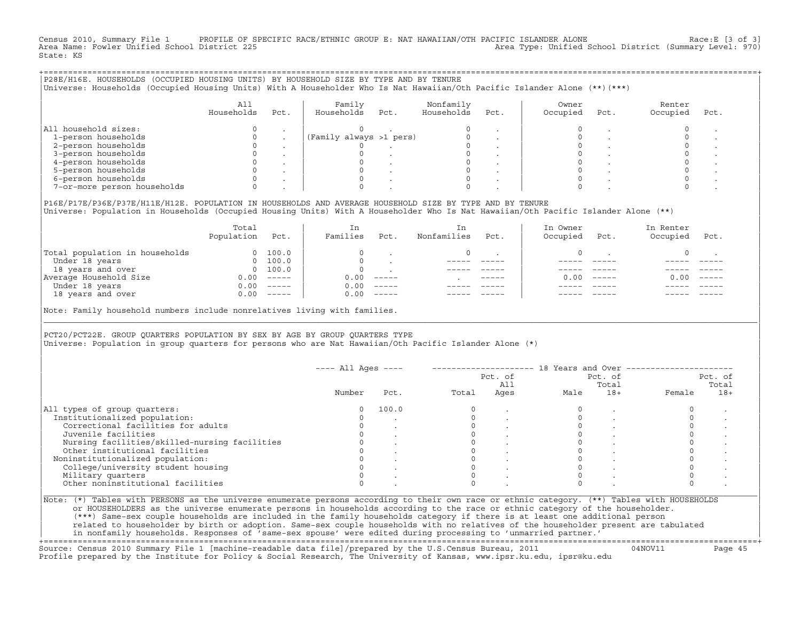Census 2010, Summary File 1 PROFILE OF SPECIFIC RACE/ETHNIC GROUP E: NAT HAWAIIAN/OTH PACIFIC ISLANDER ALONE Race:E [3 of 3]<br>Area Name: Fowler Unified School District 225 Area Type: Unified School District (Summary Level: 970) State: KS

| P28E/H16E. HOUSEHOLDS (OCCUPIED HOUSING UNITS) BY HOUSEHOLD SIZE BY TYPE AND BY TENURE<br>Universe: Households (Occupied Housing Units) With A Householder Who Is Nat Hawaiian/Oth Pacific Islander Alone (**)(***) |                   |      |                         |      |                         |      |                   |      |                    |      |  |
|---------------------------------------------------------------------------------------------------------------------------------------------------------------------------------------------------------------------|-------------------|------|-------------------------|------|-------------------------|------|-------------------|------|--------------------|------|--|
|                                                                                                                                                                                                                     | All<br>Households | Pct. | Family<br>Households    | Pct. | Nonfamily<br>Households | Pct. | Owner<br>Occupied | Pct. | Renter<br>Occupied | Pct. |  |
| All household sizes:                                                                                                                                                                                                |                   |      |                         |      |                         |      |                   |      |                    |      |  |
| 1-person households                                                                                                                                                                                                 |                   |      | (Family always >1 pers) |      |                         |      |                   |      |                    |      |  |
| 2-person households                                                                                                                                                                                                 |                   |      |                         |      |                         |      |                   |      |                    |      |  |
| 3-person households                                                                                                                                                                                                 |                   |      |                         |      |                         |      |                   |      |                    |      |  |
| 4-person households                                                                                                                                                                                                 |                   |      |                         |      |                         |      |                   |      |                    |      |  |
| 5-person households                                                                                                                                                                                                 |                   |      |                         |      |                         |      |                   |      |                    |      |  |
| 6-person households                                                                                                                                                                                                 |                   |      |                         |      |                         |      |                   |      |                    |      |  |
| 7-or-more person households                                                                                                                                                                                         |                   |      |                         |      |                         |      |                   |      |                    |      |  |
|                                                                                                                                                                                                                     |                   |      |                         |      |                         |      |                   |      |                    |      |  |

|P16E/P17E/P36E/P37E/H11E/H12E. POPULATION IN HOUSEHOLDS AND AVERAGE HOUSEHOLD SIZE BY TYPE AND BY TENURE | |Universe: Population in Households (Occupied Housing Units) With A Householder Who Is Nat Hawaiian/Oth Pacific Islander Alone (\*\*) |

|                                | Total<br>Population | Pct.                                                                                                                                                                                                                                                                                                                                                                                                                                                                                 | In<br>Families | Pct.     | In.<br>Nonfamilies | Pct.          | In Owner<br>Occupied | Pct.          | In Renter<br>Occupied | Pct.     |  |
|--------------------------------|---------------------|--------------------------------------------------------------------------------------------------------------------------------------------------------------------------------------------------------------------------------------------------------------------------------------------------------------------------------------------------------------------------------------------------------------------------------------------------------------------------------------|----------------|----------|--------------------|---------------|----------------------|---------------|-----------------------|----------|--|
| Total population in households | $\Omega$            | 100.0                                                                                                                                                                                                                                                                                                                                                                                                                                                                                |                |          |                    |               |                      |               |                       |          |  |
| Under 18 years                 | $\Omega$            | 100.0                                                                                                                                                                                                                                                                                                                                                                                                                                                                                |                |          |                    |               |                      |               |                       |          |  |
| 18 years and over              |                     | 0 100.0                                                                                                                                                                                                                                                                                                                                                                                                                                                                              |                |          |                    |               |                      |               |                       |          |  |
| Average Household Size         | 0.00                | $------$                                                                                                                                                                                                                                                                                                                                                                                                                                                                             | 0.00           | $------$ |                    | $- - - - - -$ | 0. OO -              | $\frac{1}{2}$ | 0.00                  | $------$ |  |
| Under 18 years                 | 0.00                | $------$                                                                                                                                                                                                                                                                                                                                                                                                                                                                             | 0.00           | $------$ |                    |               |                      |               |                       |          |  |
| 18 years and over              | 0.00                | $\begin{tabular}{cccccc} \multicolumn{2}{c}{} & \multicolumn{2}{c}{} & \multicolumn{2}{c}{} & \multicolumn{2}{c}{} & \multicolumn{2}{c}{} & \multicolumn{2}{c}{} & \multicolumn{2}{c}{} & \multicolumn{2}{c}{} & \multicolumn{2}{c}{} & \multicolumn{2}{c}{} & \multicolumn{2}{c}{} & \multicolumn{2}{c}{} & \multicolumn{2}{c}{} & \multicolumn{2}{c}{} & \multicolumn{2}{c}{} & \multicolumn{2}{c}{} & \multicolumn{2}{c}{} & \multicolumn{2}{c}{} & \multicolumn{2}{c}{} & \mult$ | 0.00           | $------$ |                    |               |                      |               |                       | ------   |  |
|                                |                     |                                                                                                                                                                                                                                                                                                                                                                                                                                                                                      |                |          |                    |               |                      |               |                       |          |  |

|Note: Family household numbers include nonrelatives living with families. |

| | PCT20/PCT22E. GROUP OUARTERS POPULATION BY SEX BY AGE BY GROUP OUARTERS TYPE |Universe: Population in group quarters for persons who are Nat Hawaiian/Oth Pacific Islander Alone (\*) |

|                                               |        |       |       | Pct. of<br>All |      | Pct. of<br>Total |        | Pct. of<br>Total |
|-----------------------------------------------|--------|-------|-------|----------------|------|------------------|--------|------------------|
|                                               | Number | Pct.  | Total | Ages           | Male | $18+$            | Female | $18+$            |
| All types of group quarters:                  |        | 100.0 |       |                |      |                  |        |                  |
| Institutionalized population:                 |        |       |       |                |      |                  |        |                  |
| Correctional facilities for adults            |        |       |       |                |      |                  |        |                  |
| Juvenile facilities                           |        |       |       |                |      |                  |        |                  |
| Nursing facilities/skilled-nursing facilities |        |       |       |                |      |                  |        |                  |
| Other institutional facilities                |        |       |       |                |      |                  |        |                  |
| Noninstitutionalized population:              |        |       |       |                |      |                  |        |                  |
| College/university student housing            |        |       |       |                |      |                  |        |                  |
| Military quarters                             |        |       |       |                |      |                  |        |                  |
| Other noninstitutional facilities             |        |       |       |                |      |                  |        |                  |

|\_\_\_\_\_\_\_\_\_\_\_\_\_\_\_\_\_\_\_\_\_\_\_\_\_\_\_\_\_\_\_\_\_\_\_\_\_\_\_\_\_\_\_\_\_\_\_\_\_\_\_\_\_\_\_\_\_\_\_\_\_\_\_\_\_\_\_\_\_\_\_\_\_\_\_\_\_\_\_\_\_\_\_\_\_\_\_\_\_\_\_\_\_\_\_\_\_\_\_\_\_\_\_\_\_\_\_\_\_\_\_\_\_\_\_\_\_\_\_\_\_\_\_\_\_\_\_\_\_\_\_\_\_\_\_\_\_\_\_\_\_\_\_\_\_\_\_|

| |

| (\*\*\*) Same−sex couple households are included in the family households category if there is at least one additional person | | related to householder by birth or adoption. Same−sex couple households with no relatives of the householder present are tabulated | | in nonfamily households. Responses of 'same−sex spouse' were edited during processing to 'unmarried partner.' | +===================================================================================================================================================+

Source: Census 2010 Summary File 1 [machine−readable data file]/prepared by the U.S.Census Bureau, 2011 04NOV11 Page 45 Profile prepared by the Institute for Policy & Social Research, The University of Kansas, www.ipsr.ku.edu, ipsr@ku.edu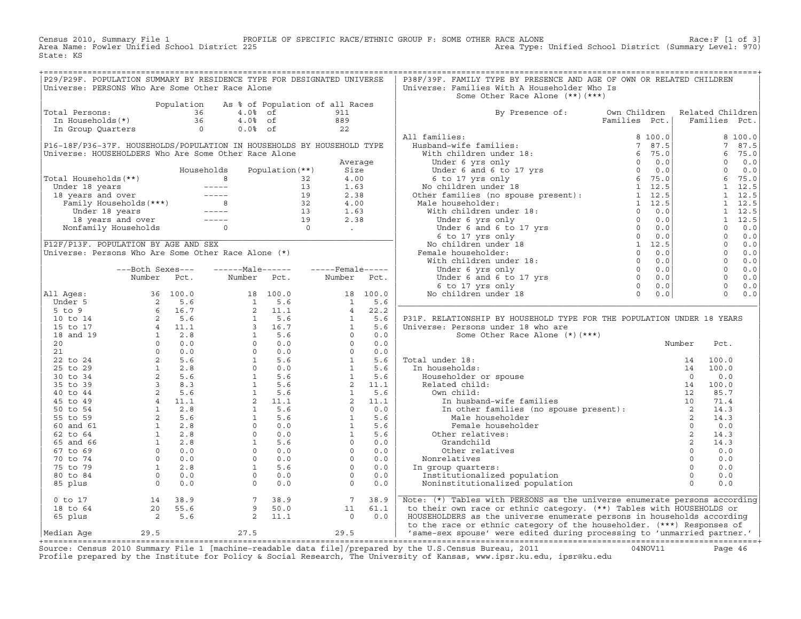Census 2010, Summary File 1 PROFILE OF SPECIFIC RACE/ETHNIC GROUP F: SOME OTHER RACE ALONE Race:F [1 of 3]<br>Area Name: Fowler Unified School District 225 Area Type: Unified School District (Summary Level: 970) Area Type: Unified School District (Summary Level: 970) State: KS

| P29/P29F. POPULATION SUMMARY BY RESIDENCE TYPE FOR DESIGNATED UNIVERSE                                                                                                                                                                 |                                            |                                                                                                                         |      |  | P38F/39F. FAMILY TYPE BY PRESENCE AND AGE OF OWN OR RELATED CHILDREN           |  |  |
|----------------------------------------------------------------------------------------------------------------------------------------------------------------------------------------------------------------------------------------|--------------------------------------------|-------------------------------------------------------------------------------------------------------------------------|------|--|--------------------------------------------------------------------------------|--|--|
| Universe: PERSONS Who Are Some Other Race Alone                                                                                                                                                                                        |                                            |                                                                                                                         |      |  | Universe: Families With A Householder Who Is                                   |  |  |
|                                                                                                                                                                                                                                        |                                            |                                                                                                                         |      |  | Some Other Race Alone (**) (***)                                               |  |  |
|                                                                                                                                                                                                                                        |                                            |                                                                                                                         |      |  |                                                                                |  |  |
| Total Persons:<br>Total Persons:<br>Total Persons:<br>10 Boydation As % of Population of all Races<br>10 Boydan As % of the Sample of the Sample Sample Sample Sample Sample Sample Sample Sample Sample Sample Sample Sample Sample S |                                            |                                                                                                                         |      |  |                                                                                |  |  |
|                                                                                                                                                                                                                                        |                                            |                                                                                                                         |      |  | By Presence of: Own Children Related Children<br>Families Pct.   Families Pct. |  |  |
|                                                                                                                                                                                                                                        |                                            |                                                                                                                         |      |  |                                                                                |  |  |
|                                                                                                                                                                                                                                        |                                            |                                                                                                                         |      |  |                                                                                |  |  |
|                                                                                                                                                                                                                                        |                                            |                                                                                                                         |      |  |                                                                                |  |  |
|                                                                                                                                                                                                                                        |                                            |                                                                                                                         |      |  |                                                                                |  |  |
|                                                                                                                                                                                                                                        |                                            |                                                                                                                         |      |  |                                                                                |  |  |
|                                                                                                                                                                                                                                        |                                            |                                                                                                                         |      |  |                                                                                |  |  |
|                                                                                                                                                                                                                                        |                                            |                                                                                                                         |      |  |                                                                                |  |  |
|                                                                                                                                                                                                                                        |                                            |                                                                                                                         |      |  |                                                                                |  |  |
|                                                                                                                                                                                                                                        |                                            |                                                                                                                         |      |  |                                                                                |  |  |
|                                                                                                                                                                                                                                        |                                            |                                                                                                                         |      |  |                                                                                |  |  |
|                                                                                                                                                                                                                                        |                                            |                                                                                                                         |      |  |                                                                                |  |  |
|                                                                                                                                                                                                                                        |                                            |                                                                                                                         |      |  |                                                                                |  |  |
|                                                                                                                                                                                                                                        |                                            |                                                                                                                         |      |  |                                                                                |  |  |
|                                                                                                                                                                                                                                        |                                            |                                                                                                                         |      |  |                                                                                |  |  |
|                                                                                                                                                                                                                                        |                                            |                                                                                                                         |      |  |                                                                                |  |  |
|                                                                                                                                                                                                                                        |                                            |                                                                                                                         |      |  |                                                                                |  |  |
|                                                                                                                                                                                                                                        |                                            |                                                                                                                         |      |  |                                                                                |  |  |
|                                                                                                                                                                                                                                        |                                            |                                                                                                                         |      |  |                                                                                |  |  |
|                                                                                                                                                                                                                                        |                                            |                                                                                                                         |      |  |                                                                                |  |  |
|                                                                                                                                                                                                                                        |                                            |                                                                                                                         |      |  |                                                                                |  |  |
|                                                                                                                                                                                                                                        |                                            |                                                                                                                         |      |  |                                                                                |  |  |
|                                                                                                                                                                                                                                        |                                            |                                                                                                                         |      |  |                                                                                |  |  |
|                                                                                                                                                                                                                                        |                                            |                                                                                                                         |      |  |                                                                                |  |  |
|                                                                                                                                                                                                                                        |                                            |                                                                                                                         |      |  |                                                                                |  |  |
|                                                                                                                                                                                                                                        |                                            |                                                                                                                         |      |  | P31F. RELATIONSHIP BY HOUSEHOLD TYPE FOR THE POPULATION UNDER 18 YEARS         |  |  |
|                                                                                                                                                                                                                                        |                                            |                                                                                                                         |      |  |                                                                                |  |  |
|                                                                                                                                                                                                                                        |                                            |                                                                                                                         |      |  |                                                                                |  |  |
|                                                                                                                                                                                                                                        |                                            |                                                                                                                         |      |  |                                                                                |  |  |
|                                                                                                                                                                                                                                        |                                            |                                                                                                                         |      |  |                                                                                |  |  |
|                                                                                                                                                                                                                                        |                                            |                                                                                                                         |      |  |                                                                                |  |  |
|                                                                                                                                                                                                                                        |                                            |                                                                                                                         |      |  |                                                                                |  |  |
|                                                                                                                                                                                                                                        |                                            |                                                                                                                         |      |  |                                                                                |  |  |
|                                                                                                                                                                                                                                        |                                            |                                                                                                                         |      |  |                                                                                |  |  |
|                                                                                                                                                                                                                                        |                                            |                                                                                                                         |      |  |                                                                                |  |  |
|                                                                                                                                                                                                                                        |                                            |                                                                                                                         |      |  |                                                                                |  |  |
|                                                                                                                                                                                                                                        |                                            |                                                                                                                         |      |  |                                                                                |  |  |
|                                                                                                                                                                                                                                        |                                            |                                                                                                                         |      |  |                                                                                |  |  |
|                                                                                                                                                                                                                                        |                                            |                                                                                                                         |      |  |                                                                                |  |  |
|                                                                                                                                                                                                                                        |                                            |                                                                                                                         |      |  |                                                                                |  |  |
|                                                                                                                                                                                                                                        |                                            |                                                                                                                         |      |  |                                                                                |  |  |
|                                                                                                                                                                                                                                        |                                            |                                                                                                                         |      |  |                                                                                |  |  |
|                                                                                                                                                                                                                                        |                                            |                                                                                                                         |      |  |                                                                                |  |  |
|                                                                                                                                                                                                                                        |                                            |                                                                                                                         |      |  |                                                                                |  |  |
|                                                                                                                                                                                                                                        |                                            |                                                                                                                         |      |  |                                                                                |  |  |
|                                                                                                                                                                                                                                        |                                            |                                                                                                                         |      |  |                                                                                |  |  |
|                                                                                                                                                                                                                                        |                                            |                                                                                                                         |      |  |                                                                                |  |  |
|                                                                                                                                                                                                                                        |                                            |                                                                                                                         |      |  |                                                                                |  |  |
|                                                                                                                                                                                                                                        | 0 to 17<br>18 to 64<br>65 plus<br>2<br>5.6 | $\left[ \begin{matrix} 7 & 38.9 & & 7 & 38.9 \ 9 & 50.0 & & & 11 & 61.1 \ 2 & 11.1 & & & 0 & 0.0 \end{matrix} \right].$ |      |  | Note: (*) Tables with PERSONS as the universe enumerate persons according      |  |  |
|                                                                                                                                                                                                                                        |                                            |                                                                                                                         |      |  | to their own race or ethnic category. (**) Tables with HOUSEHOLDS or           |  |  |
|                                                                                                                                                                                                                                        |                                            |                                                                                                                         |      |  | HOUSEHOLDERS as the universe enumerate persons in households according         |  |  |
|                                                                                                                                                                                                                                        |                                            |                                                                                                                         |      |  | to the race or ethnic category of the householder. (***) Responses of          |  |  |
|                                                                                                                                                                                                                                        | 29.5                                       |                                                                                                                         |      |  |                                                                                |  |  |
| Median Age                                                                                                                                                                                                                             |                                            | 27.5                                                                                                                    | 29.5 |  | 'same-sex spouse' were edited during processing to 'unmarried partner.'        |  |  |

|Median Age 29.5 27.5 29.5 | 'same−sex spouse' were edited during processing to 'unmarried partner.' | +===================================================================================================================================================+ Source: Census 2010 Summary File 1 [machine−readable data file]/prepared by the U.S.Census Bureau, 2011 04NOV11 Page 46 Profile prepared by the Institute for Policy & Social Research, The University of Kansas, www.ipsr.ku.edu, ipsr@ku.edu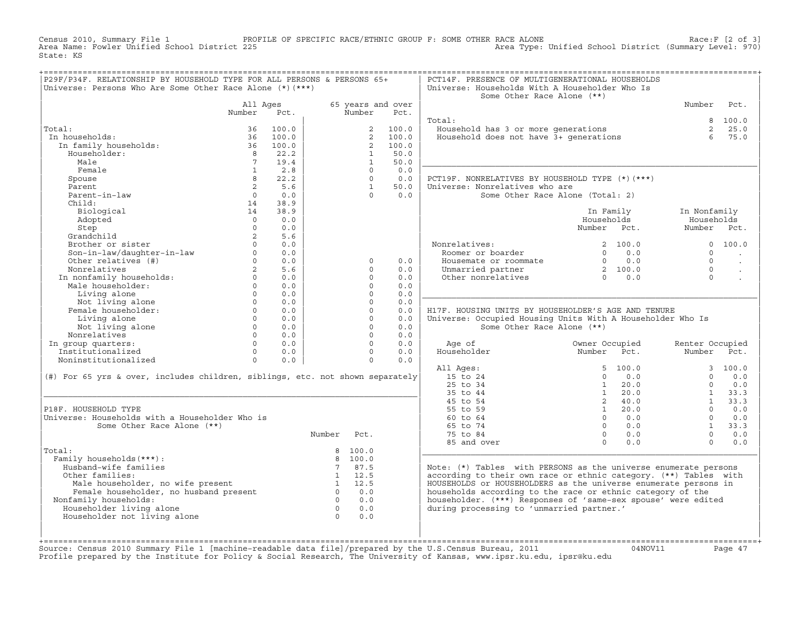Census 2010, Summary File 1 PROFILE OF SPECIFIC RACE/ETHNIC GROUP F: SOME OTHER RACE ALONE Race:F [2 of 3]<br>Area Name: Fowler Unified School District 225 Area Type: Unified School District (Summary Level: 970) Area Type: Unified School District (Summary Level: 970) State: KS

| P29F/P34F. RELATIONSHIP BY HOUSEHOLD TYPE FOR ALL PERSONS & PERSONS 65+                                                                                                                                                                                   |                 | :=================== |                |                      |                   | PCT14F. PRESENCE OF MULTIGENERATIONAL HOUSEHOLDS                                                                                                                                 |                                                 |                 |                      |
|-----------------------------------------------------------------------------------------------------------------------------------------------------------------------------------------------------------------------------------------------------------|-----------------|----------------------|----------------|----------------------|-------------------|----------------------------------------------------------------------------------------------------------------------------------------------------------------------------------|-------------------------------------------------|-----------------|----------------------|
| Universe: Persons Who Are Some Other Race Alone (*) (***)                                                                                                                                                                                                 |                 |                      |                |                      |                   | Universe: Households With A Householder Who Is                                                                                                                                   |                                                 |                 |                      |
|                                                                                                                                                                                                                                                           |                 |                      |                |                      |                   | Some Other Race Alone (**)                                                                                                                                                       |                                                 |                 |                      |
|                                                                                                                                                                                                                                                           | All Ages        |                      |                |                      | 65 years and over |                                                                                                                                                                                  |                                                 | Number          | Pct.                 |
|                                                                                                                                                                                                                                                           | Number          | Pct.                 |                | Number               | Pct.              |                                                                                                                                                                                  |                                                 |                 |                      |
|                                                                                                                                                                                                                                                           |                 |                      |                |                      |                   | Total:                                                                                                                                                                           |                                                 |                 | 8 100.0              |
| Total:                                                                                                                                                                                                                                                    |                 | 36 100.0             |                |                      | 2 100.0           | Household has 3 or more generations<br>Household does not have 3+ generations                                                                                                    |                                                 |                 | 2, 25.0              |
| In households:<br>1.41.<br>1 households: 36 100.0<br>1 m family households: 36 100.0<br>8 22.2                                                                                                                                                            |                 |                      |                |                      | 2, 100.0          |                                                                                                                                                                                  |                                                 | $6^{\circ}$     | 75.0                 |
|                                                                                                                                                                                                                                                           |                 |                      |                |                      | 2 100.0           |                                                                                                                                                                                  |                                                 |                 |                      |
| Householder:                                                                                                                                                                                                                                              |                 | 8 22.2               |                | $\mathbf{1}$         | 50.0              |                                                                                                                                                                                  |                                                 |                 |                      |
| Male                                                                                                                                                                                                                                                      | $7\overline{7}$ | 19.4                 |                | $\mathbf{1}$         | 50.0              |                                                                                                                                                                                  |                                                 |                 |                      |
| Female                                                                                                                                                                                                                                                    | $\overline{1}$  | 2.8                  |                | $\Omega$             | 0.0               |                                                                                                                                                                                  |                                                 |                 |                      |
| Spouse                                                                                                                                                                                                                                                    | 8               | 22.2                 |                | $\Omega$             | 0.0               | PCT19F. NONRELATIVES BY HOUSEHOLD TYPE (*) (***)                                                                                                                                 |                                                 |                 |                      |
| Parent                                                                                                                                                                                                                                                    | $\overline{2}$  | 5.6                  |                | $\overline{1}$       | 50.0              | Universe: Nonrelatives who are                                                                                                                                                   |                                                 |                 |                      |
| Parent-in-law                                                                                                                                                                                                                                             | $\overline{0}$  | 0.0                  |                | $\bigcap$            | 0.0               |                                                                                                                                                                                  | Some Other Race Alone (Total: 2)                |                 |                      |
| Child:                                                                                                                                                                                                                                                    | $14$ 38.9       |                      |                |                      |                   |                                                                                                                                                                                  |                                                 |                 |                      |
| Biological                                                                                                                                                                                                                                                |                 | 14 38.9              |                |                      |                   |                                                                                                                                                                                  | In Family                                       | In Nonfamily    |                      |
| Adopted                                                                                                                                                                                                                                                   | $\overline{0}$  | 0.0                  |                |                      |                   |                                                                                                                                                                                  | Households                                      | Households      |                      |
| Step<br>Grandchild<br>Brother or sister<br>Son-in-law/daughter-in-law<br>Other relatives (#)<br>0<br>0<br>0<br>0<br>0<br>0<br>0<br>0<br>0<br>0                                                                                                            |                 | 0.0                  |                |                      |                   |                                                                                                                                                                                  | Number Pct.                                     | Number Pct.     |                      |
|                                                                                                                                                                                                                                                           |                 | 5.6                  |                |                      |                   |                                                                                                                                                                                  |                                                 |                 |                      |
|                                                                                                                                                                                                                                                           |                 | 0.0                  |                |                      |                   | Nonrelatives:<br>Roomer or boarder                                                                                                                                               | 2, 100.0                                        |                 | 0, 100, 0            |
|                                                                                                                                                                                                                                                           |                 | 0.0                  |                |                      |                   |                                                                                                                                                                                  | $0 \qquad 0.0$                                  | $\Omega$        |                      |
|                                                                                                                                                                                                                                                           |                 | $0 \qquad 0.0$       |                | $\circ$              | 0.0               | Housemate or roommate $\begin{array}{ccc} 0 & 0.0 \\ 0.0 \\ 0.0 \\ 0 & 0.0 \end{array}$<br>Unmarried partner $\begin{array}{ccc} 0 & 0.0 \\ 2 & 100.0 \\ 0.0 \\ 0.0 \end{array}$ |                                                 | $\Omega$        | $\sim$               |
|                                                                                                                                                                                                                                                           |                 |                      |                | $\Omega$             | 0.0               |                                                                                                                                                                                  |                                                 | $\Omega$        | $\ddot{\phantom{a}}$ |
|                                                                                                                                                                                                                                                           |                 |                      |                | $\Omega$             | 0.0               |                                                                                                                                                                                  |                                                 | $\Omega$        |                      |
|                                                                                                                                                                                                                                                           |                 |                      |                | $\Omega$             | 0.0               |                                                                                                                                                                                  |                                                 |                 |                      |
|                                                                                                                                                                                                                                                           |                 |                      |                | $\Omega$             | 0.0               |                                                                                                                                                                                  |                                                 |                 |                      |
|                                                                                                                                                                                                                                                           |                 |                      |                | $\circ$              | 0.0               |                                                                                                                                                                                  |                                                 |                 |                      |
|                                                                                                                                                                                                                                                           |                 |                      |                | $\circ$              | 0.0               | H17F. HOUSING UNITS BY HOUSEHOLDER'S AGE AND TENURE                                                                                                                              |                                                 |                 |                      |
|                                                                                                                                                                                                                                                           |                 |                      |                | $\Omega$             | 0.0               | Universe: Occupied Housing Units With A Householder Who Is                                                                                                                       |                                                 |                 |                      |
|                                                                                                                                                                                                                                                           |                 |                      |                | $\Omega$             | 0.0               | Some Other Race Alone (**)                                                                                                                                                       |                                                 |                 |                      |
|                                                                                                                                                                                                                                                           |                 |                      |                | $\Omega$             | 0.0               |                                                                                                                                                                                  |                                                 |                 |                      |
| Nonrelatives 0<br>In group quarters: 0<br>Institutionalized 0<br>Noninstitutionalized 0                                                                                                                                                                   |                 |                      |                | $\Omega$<br>$\Omega$ | 0.0               | Age of                                                                                                                                                                           | Owner Occupied<br>Owner Occupiea<br>Number Pct. | Renter Occupied |                      |
|                                                                                                                                                                                                                                                           |                 | 0.0                  |                |                      | 0.0               | Householder                                                                                                                                                                      |                                                 | Number Pct.     |                      |
|                                                                                                                                                                                                                                                           |                 | 0.0                  |                | $\Omega$             | 0.0               |                                                                                                                                                                                  |                                                 |                 |                      |
|                                                                                                                                                                                                                                                           |                 |                      |                |                      |                   | All Ages:                                                                                                                                                                        | 5, 100.0                                        | $\cap$          | 3, 100.0             |
| $(\#)$ For 65 yrs & over, includes children, siblings, etc. not shown separately                                                                                                                                                                          |                 |                      |                |                      |                   | 15 to 24<br>25 to 34                                                                                                                                                             | 0.0<br>$\Omega$<br>$1 \ 20.0$                   |                 | 0.0<br>0.0           |
|                                                                                                                                                                                                                                                           |                 |                      |                |                      |                   |                                                                                                                                                                                  |                                                 | $\Omega$        |                      |
|                                                                                                                                                                                                                                                           |                 |                      |                |                      |                   | 35 to 44                                                                                                                                                                         | 1 20.0                                          |                 | $1 \t33.3$           |
|                                                                                                                                                                                                                                                           |                 |                      |                |                      |                   | 45 to 54                                                                                                                                                                         | 2 40.0<br>$1 \ 20.0$                            | $\Omega$        | $1 \t33.3$<br>0.0    |
| P18F. HOUSEHOLD TYPE<br>Universe: Households with a Householder Who is                                                                                                                                                                                    |                 |                      |                |                      |                   | 55 to 59<br>60 to 64                                                                                                                                                             | $0 \qquad 0.0$                                  | $\Omega$        | 0.0                  |
| Some Other Race Alone (**)                                                                                                                                                                                                                                |                 |                      |                |                      |                   | 65 to 74                                                                                                                                                                         | $0 \qquad 0.0$                                  | 1               | 33.3                 |
|                                                                                                                                                                                                                                                           |                 |                      |                |                      |                   |                                                                                                                                                                                  |                                                 | $\Omega$        |                      |
|                                                                                                                                                                                                                                                           |                 |                      | Number Pct.    |                      |                   | 75 to 84                                                                                                                                                                         | $0 \qquad 0.0$                                  | $\cap$          | 0.0                  |
|                                                                                                                                                                                                                                                           |                 |                      |                |                      |                   | 85 and over                                                                                                                                                                      | $0 \t 0.0$                                      |                 | 0.0                  |
| Total:<br>Family households (***) :                                                                                                                                                                                                                       |                 |                      |                | 8 100.0<br>8 100.0   |                   |                                                                                                                                                                                  |                                                 |                 |                      |
|                                                                                                                                                                                                                                                           |                 |                      |                | 7 87.5               |                   |                                                                                                                                                                                  |                                                 |                 |                      |
| Husband-wife families                                                                                                                                                                                                                                     |                 |                      |                | 1 12.5               |                   | Note: $(*)$ Tables with PERSONS as the universe enumerate persons<br>according to their own race or ethnic category. (**) Tables with                                            |                                                 |                 |                      |
|                                                                                                                                                                                                                                                           |                 |                      |                |                      |                   |                                                                                                                                                                                  |                                                 |                 |                      |
| Other families:                                                                                                                                                                                                                                           |                 |                      |                |                      |                   |                                                                                                                                                                                  |                                                 |                 |                      |
|                                                                                                                                                                                                                                                           |                 |                      |                |                      |                   | HOUSEHOLDS or HOUSEHOLDERS as the universe enumerate persons in                                                                                                                  |                                                 |                 |                      |
|                                                                                                                                                                                                                                                           |                 |                      |                |                      |                   | households according to the race or ethnic category of the                                                                                                                       |                                                 |                 |                      |
| ner ramilies: includer, no wife present that is a state of the state of the state of the state of the state of<br>Female householder, no husband present the state of the state of the state of the state of the state of the st<br>Nonfamily households: |                 |                      |                | $0 \qquad 0.0$       |                   | householder. (***) Responses of 'same-sex spouse' were edited                                                                                                                    |                                                 |                 |                      |
| Householder living alone                                                                                                                                                                                                                                  |                 |                      | $\overline{0}$ | 0.0                  |                   | during processing to 'unmarried partner.'                                                                                                                                        |                                                 |                 |                      |
| Householder not living alone                                                                                                                                                                                                                              |                 |                      | $\overline{0}$ | 0.0                  |                   |                                                                                                                                                                                  |                                                 |                 |                      |
|                                                                                                                                                                                                                                                           |                 |                      |                |                      |                   |                                                                                                                                                                                  |                                                 |                 |                      |

+===================================================================================================================================================+Source: Census 2010 Summary File 1 [machine−readable data file]/prepared by the U.S.Census Bureau, 2011 04NOV11 Page 47 Profile prepared by the Institute for Policy & Social Research, The University of Kansas, www.ipsr.ku.edu, ipsr@ku.edu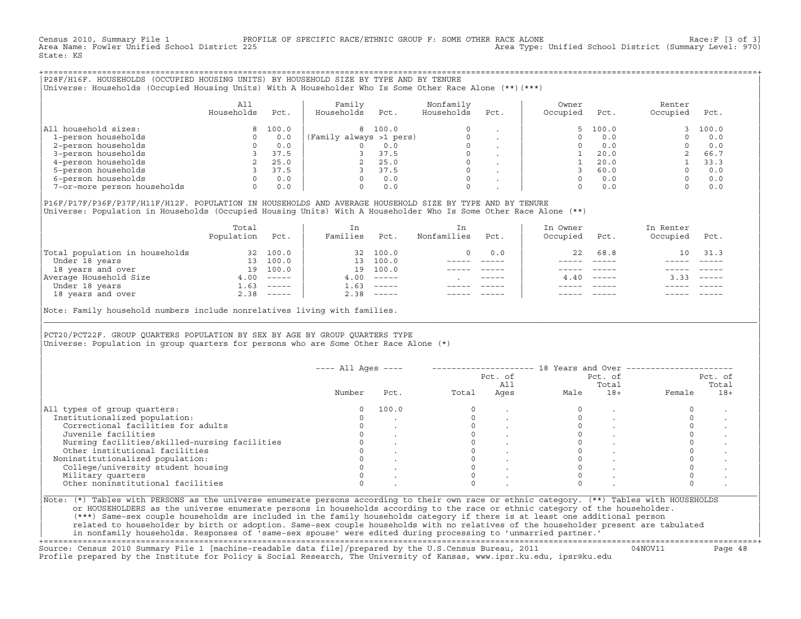Census 2010, Summary File 1 PROFILE OF SPECIFIC RACE/ETHNIC GROUP F: SOME OTHER RACE ALONE Race:F [3 of 3]<br>Area Name: Fowler Unified School District 225 Area Type: Unified School District (Summary Level: 970) Area Type: Unified School District (Summary Level: 970) State: KS

+===================================================================================================================================================+|P28F/H16F. HOUSEHOLDS (OCCUPIED HOUSING UNITS) BY HOUSEHOLD SIZE BY TYPE AND BY TENURE | |Universe: Households (Occupied Housing Units) With A Householder Who Is Some Other Race Alone (\*\*)(\*\*\*) |

|                             | All<br>Households | Pct.  | Family<br>Households    | Pct.    | Nonfamily<br>Households | Pct.    | Owner<br>Occupied | Pct.  | Renter<br>Occupied | Pct.  |
|-----------------------------|-------------------|-------|-------------------------|---------|-------------------------|---------|-------------------|-------|--------------------|-------|
| household sizes:<br>All     |                   | 100.0 |                         | 8 100.0 | $\Omega$                |         |                   | 100.0 |                    | 100.0 |
| 1-person households         |                   | 0.0   | (Family always >1 pers) |         |                         |         |                   | 0.0   |                    | 0.0   |
| 2-person households         |                   | 0.0   |                         | 0.0     | $\mathbf 0$             |         |                   | 0.0   |                    | 0.0   |
| 3-person households         |                   | 37.5  |                         | 37.5    | $\mathbf 0$             | $\cdot$ |                   | 20.0  |                    | 66.7  |
| 4-person households         |                   | 25.0  |                         | 25.0    | $\mathbf 0$             | $\cdot$ |                   | 20.0  |                    | 33.3  |
| 5-person households         |                   | 37.5  |                         | 37.5    | $\Omega$                |         |                   | 60.0  |                    | 0.0   |
| 6-person households         |                   | 0.0   |                         | 0.0     | $\Omega$                |         |                   | 0.0   |                    | 0.0   |
| 7-or-more person households | 0                 | 0.0   |                         | 0.0     | $\mathbf 0$             |         |                   | 0.0   |                    | 0.0   |

|P16F/P17F/P36F/P37F/H11F/H12F. POPULATION IN HOUSEHOLDS AND AVERAGE HOUSEHOLD SIZE BY TYPE AND BY TENURE | Universe: Population in Households (Occupied Housing Units) With A Householder Who Is Some Other Race Alone (\*\*)

|                                | Total<br>Population | Pct.         | In<br>Families | Pct.     | In<br>Nonfamilies | Pct.        | In Owner<br>Occupied | Pct.          | In Renter<br>Occupied | Pct.     |
|--------------------------------|---------------------|--------------|----------------|----------|-------------------|-------------|----------------------|---------------|-----------------------|----------|
| Total population in households | 32                  | 100.0        |                | 32 100.0 | 0                 | 0.0         | 22                   | 68.8          | 10                    | 31.3     |
| Under 18 years                 | 13                  | 100.0        |                | 13 100.0 |                   |             |                      |               |                       |          |
| 18 years and over              | 19                  | 100.0        | 19             | 100.0    |                   |             |                      |               |                       |          |
| Average Household Size         | 4.00                | $------$     | 4.00           | $------$ |                   | $- - - - -$ | 4.40                 | $- - - - - -$ | 3.33                  | $------$ |
| Under 18 years                 | ⊥.63                | $------$     | 1.63           | $------$ |                   |             |                      |               |                       |          |
| 18 years and over              |                     | $2.38$ ----- | 2.38           |          |                   |             |                      |               |                       | $------$ |
|                                |                     |              |                |          |                   |             |                      |               |                       |          |

Note: Family household numbers include nonrelatives living with families.

| | PCT20/PCT22F. GROUP OUARTERS POPULATION BY SEX BY AGE BY GROUP OUARTERS TYPE Universe: Population in group quarters for persons who are Some Other Race Alone (\*)

|                                               |        |       |       | Pct. of<br>All |      | Pct. of<br>Total |        | Pct. of<br>Total |
|-----------------------------------------------|--------|-------|-------|----------------|------|------------------|--------|------------------|
|                                               | Number | Pct.  | Total | Ages           | Male | $18+$            | Female | $18+$            |
| All types of group quarters:                  |        | 100.0 |       |                |      |                  |        |                  |
| Institutionalized population:                 |        |       |       |                |      |                  |        |                  |
| Correctional facilities for adults            |        |       |       |                |      |                  |        |                  |
| Juvenile facilities                           |        |       |       |                |      |                  |        |                  |
| Nursing facilities/skilled-nursing facilities |        |       |       |                |      |                  |        |                  |
| Other institutional facilities                |        |       |       |                |      |                  |        |                  |
| Noninstitutionalized population:              |        |       |       |                |      |                  |        |                  |
| College/university student housing            |        |       |       |                |      |                  |        |                  |
| Military quarters                             |        |       |       |                |      |                  |        |                  |
| Other noninstitutional facilities             |        |       |       |                |      |                  |        |                  |

|\_\_\_\_\_\_\_\_\_\_\_\_\_\_\_\_\_\_\_\_\_\_\_\_\_\_\_\_\_\_\_\_\_\_\_\_\_\_\_\_\_\_\_\_\_\_\_\_\_\_\_\_\_\_\_\_\_\_\_\_\_\_\_\_\_\_\_\_\_\_\_\_\_\_\_\_\_\_\_\_\_\_\_\_\_\_\_\_\_\_\_\_\_\_\_\_\_\_\_\_\_\_\_\_\_\_\_\_\_\_\_\_\_\_\_\_\_\_\_\_\_\_\_\_\_\_\_\_\_\_\_\_\_\_\_\_\_\_\_\_\_\_\_\_\_\_\_|

| |

or HOUSEHOLDERS as the universe enumerate persons in households according to the race or ethnic category of the householder. | (\*\*\*) Same−sex couple households are included in the family households category if there is at least one additional person | | related to householder by birth or adoption. Same−sex couple households with no relatives of the householder present are tabulated | | in nonfamily households. Responses of 'same−sex spouse' were edited during processing to 'unmarried partner.' |

+===================================================================================================================================================+ Source: Census 2010 Summary File 1 [machine−readable data file]/prepared by the U.S.Census Bureau, 2011 04NOV11 Page 48 Profile prepared by the Institute for Policy & Social Research, The University of Kansas, www.ipsr.ku.edu, ipsr@ku.edu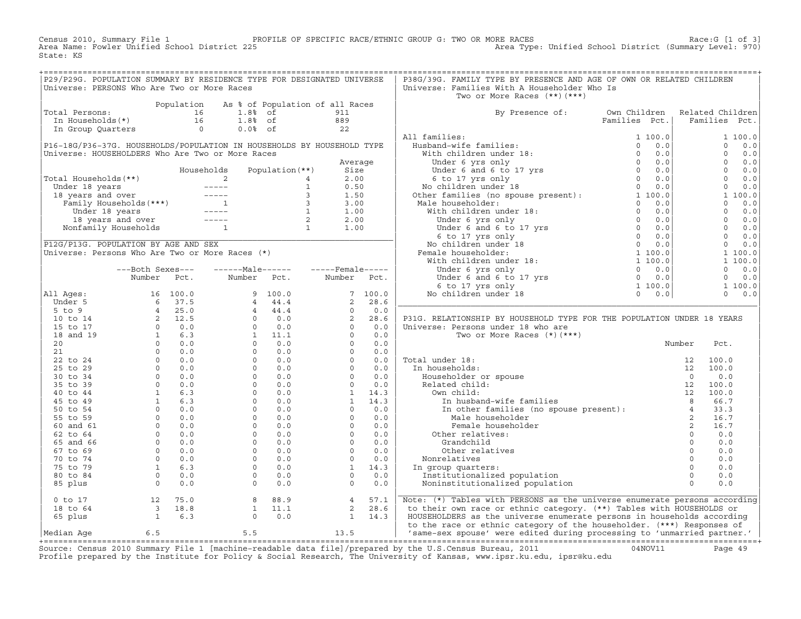Census 2010, Summary File 1 PROFILE OF SPECIFIC RACE/ETHNIC GROUP G: TWO OR MORE RACES Race:G [1 of 3]<br>Area Name: Fowler Unified School District 225 Area Type: Unified School District (Summary Level: 970) Area Type: Unified School District (Summary Level: 970) State: KS

| P29/P29G. POPULATION SUMMARY BY RESIDENCE TYPE FOR DESIGNATED UNIVERSE                                                                                                                                                                           |  |  |  | P38G/39G. FAMILY TYPE BY PRESENCE AND AGE OF OWN OR RELATED CHILDREN           |  |  |
|--------------------------------------------------------------------------------------------------------------------------------------------------------------------------------------------------------------------------------------------------|--|--|--|--------------------------------------------------------------------------------|--|--|
| Universe: PERSONS Who Are Two or More Races                                                                                                                                                                                                      |  |  |  | Universe: Families With A Householder Who Is                                   |  |  |
|                                                                                                                                                                                                                                                  |  |  |  | Two or More Races (**)(***)                                                    |  |  |
|                                                                                                                                                                                                                                                  |  |  |  |                                                                                |  |  |
|                                                                                                                                                                                                                                                  |  |  |  | By Presence of: Own Children Related Children<br>Families Pct.   Families Pct. |  |  |
|                                                                                                                                                                                                                                                  |  |  |  |                                                                                |  |  |
|                                                                                                                                                                                                                                                  |  |  |  |                                                                                |  |  |
| Total Persons:<br>Population As % of Population of all Races<br>In Households(*)<br>In Group Quarters<br>$\begin{array}{ l l }\n\hline\n1.88\quad of & 911 \\ I6 & 1.88\quad of & 889 \\ In Group Quarters & 0 & 0.08\quad of & 22\n\end{array}$ |  |  |  |                                                                                |  |  |
|                                                                                                                                                                                                                                                  |  |  |  |                                                                                |  |  |
|                                                                                                                                                                                                                                                  |  |  |  |                                                                                |  |  |
|                                                                                                                                                                                                                                                  |  |  |  |                                                                                |  |  |
|                                                                                                                                                                                                                                                  |  |  |  |                                                                                |  |  |
|                                                                                                                                                                                                                                                  |  |  |  |                                                                                |  |  |
|                                                                                                                                                                                                                                                  |  |  |  |                                                                                |  |  |
|                                                                                                                                                                                                                                                  |  |  |  |                                                                                |  |  |
|                                                                                                                                                                                                                                                  |  |  |  |                                                                                |  |  |
|                                                                                                                                                                                                                                                  |  |  |  |                                                                                |  |  |
|                                                                                                                                                                                                                                                  |  |  |  |                                                                                |  |  |
|                                                                                                                                                                                                                                                  |  |  |  |                                                                                |  |  |
|                                                                                                                                                                                                                                                  |  |  |  |                                                                                |  |  |
|                                                                                                                                                                                                                                                  |  |  |  |                                                                                |  |  |
|                                                                                                                                                                                                                                                  |  |  |  |                                                                                |  |  |
|                                                                                                                                                                                                                                                  |  |  |  |                                                                                |  |  |
|                                                                                                                                                                                                                                                  |  |  |  |                                                                                |  |  |
|                                                                                                                                                                                                                                                  |  |  |  |                                                                                |  |  |
|                                                                                                                                                                                                                                                  |  |  |  |                                                                                |  |  |
|                                                                                                                                                                                                                                                  |  |  |  |                                                                                |  |  |
|                                                                                                                                                                                                                                                  |  |  |  |                                                                                |  |  |
|                                                                                                                                                                                                                                                  |  |  |  |                                                                                |  |  |
|                                                                                                                                                                                                                                                  |  |  |  |                                                                                |  |  |
|                                                                                                                                                                                                                                                  |  |  |  |                                                                                |  |  |
|                                                                                                                                                                                                                                                  |  |  |  |                                                                                |  |  |
|                                                                                                                                                                                                                                                  |  |  |  |                                                                                |  |  |
|                                                                                                                                                                                                                                                  |  |  |  |                                                                                |  |  |
|                                                                                                                                                                                                                                                  |  |  |  |                                                                                |  |  |
|                                                                                                                                                                                                                                                  |  |  |  |                                                                                |  |  |
|                                                                                                                                                                                                                                                  |  |  |  |                                                                                |  |  |
|                                                                                                                                                                                                                                                  |  |  |  |                                                                                |  |  |
|                                                                                                                                                                                                                                                  |  |  |  |                                                                                |  |  |
|                                                                                                                                                                                                                                                  |  |  |  |                                                                                |  |  |
|                                                                                                                                                                                                                                                  |  |  |  |                                                                                |  |  |
|                                                                                                                                                                                                                                                  |  |  |  |                                                                                |  |  |
|                                                                                                                                                                                                                                                  |  |  |  |                                                                                |  |  |
|                                                                                                                                                                                                                                                  |  |  |  |                                                                                |  |  |
|                                                                                                                                                                                                                                                  |  |  |  |                                                                                |  |  |
|                                                                                                                                                                                                                                                  |  |  |  |                                                                                |  |  |
|                                                                                                                                                                                                                                                  |  |  |  |                                                                                |  |  |
|                                                                                                                                                                                                                                                  |  |  |  |                                                                                |  |  |
|                                                                                                                                                                                                                                                  |  |  |  |                                                                                |  |  |
|                                                                                                                                                                                                                                                  |  |  |  |                                                                                |  |  |
|                                                                                                                                                                                                                                                  |  |  |  |                                                                                |  |  |
|                                                                                                                                                                                                                                                  |  |  |  |                                                                                |  |  |
|                                                                                                                                                                                                                                                  |  |  |  | Note: (*) Tables with PERSONS as the universe enumerate persons according      |  |  |
|                                                                                                                                                                                                                                                  |  |  |  |                                                                                |  |  |
|                                                                                                                                                                                                                                                  |  |  |  | HOUSEHOLDERS as the universe enumerate persons in households according         |  |  |
|                                                                                                                                                                                                                                                  |  |  |  |                                                                                |  |  |
|                                                                                                                                                                                                                                                  |  |  |  |                                                                                |  |  |

+===================================================================================================================================================+Source: Census 2010 Summary File 1 [machine−readable data file]/prepared by the U.S.Census Bureau, 2011 04NOV11 Page 49 Profile prepared by the Institute for Policy & Social Research, The University of Kansas, www.ipsr.ku.edu, ipsr@ku.edu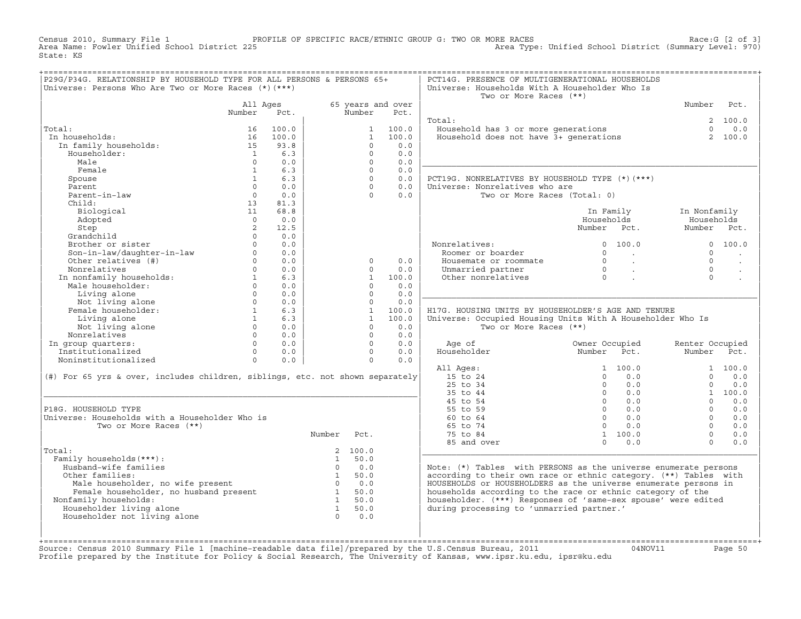Census 2010, Summary File 1 PROFILE OF SPECIFIC RACE/ETHNIC GROUP G: TWO OR MORE RACES Race:G [2 of 3]<br>Area Name: Fowler Unified School District 225 Area Type: Unified School District (Summary Level: 970) Area Type: Unified School District (Summary Level: 970) State: KS

| P29G/P34G. RELATIONSHIP BY HOUSEHOLD TYPE FOR ALL PERSONS & PERSONS 65+<br>Universe: Persons Who Are Two or More Races (*) (***) |                |                                                                  |        |                   |                          | PCT14G. PRESENCE OF MULTIGENERATIONAL HOUSEHOLDS<br>Universe: Households With A Householder Who Is<br>Two or More Races (**) |                                                                                    |                      |                      |
|----------------------------------------------------------------------------------------------------------------------------------|----------------|------------------------------------------------------------------|--------|-------------------|--------------------------|------------------------------------------------------------------------------------------------------------------------------|------------------------------------------------------------------------------------|----------------------|----------------------|
|                                                                                                                                  | All Ages       |                                                                  |        |                   | 65 years and over        |                                                                                                                              |                                                                                    | Number               | Pct.                 |
|                                                                                                                                  | Number         | Pct.                                                             |        | Number            | Pct.                     |                                                                                                                              |                                                                                    |                      |                      |
|                                                                                                                                  |                |                                                                  |        |                   |                          | Total:                                                                                                                       |                                                                                    |                      | 2, 100.0             |
| Total:                                                                                                                           | 16             | 100.0                                                            |        |                   | 1 100.0                  | Household has 3 or more generations<br>Household does not have 3+ generations                                                |                                                                                    | $\Omega$             | 0.0                  |
| In households:                                                                                                                   |                | 16 100.0                                                         |        | $\mathbf{1}$      | 100.0                    |                                                                                                                              |                                                                                    |                      | 2 100.0              |
| In family households:                                                                                                            | $15 \t 93.8$   |                                                                  |        | $\Omega$          | 0.0                      |                                                                                                                              |                                                                                    |                      |                      |
| Householder:                                                                                                                     |                | 1 6.3                                                            |        | $\Omega$          | 0.0                      |                                                                                                                              |                                                                                    |                      |                      |
| Male                                                                                                                             | $\cap$         | 0.0                                                              |        | $\Omega$          | 0.0                      |                                                                                                                              |                                                                                    |                      |                      |
| Female                                                                                                                           | $\mathbf{1}$   | 6.3                                                              |        | $\Omega$          | 0.0                      |                                                                                                                              |                                                                                    |                      |                      |
| Spouse                                                                                                                           | 1              | 6.3                                                              |        | $\Omega$          | 0.0                      | PCT19G. NONRELATIVES BY HOUSEHOLD TYPE (*) (***)                                                                             |                                                                                    |                      |                      |
| Parent                                                                                                                           | $\Omega$       | 0.0                                                              |        | $\Omega$          | 0.0                      | Universe: Nonrelatives who are                                                                                               |                                                                                    |                      |                      |
| Parent-in-law                                                                                                                    | $\overline{0}$ | 0.0                                                              |        | $\Omega$          | 0.0                      | Two or More Races (Total: 0)                                                                                                 |                                                                                    |                      |                      |
| Child:                                                                                                                           | 13             | 81.3                                                             |        |                   |                          |                                                                                                                              |                                                                                    |                      |                      |
| Biological                                                                                                                       | 11             | 68.8                                                             |        |                   |                          |                                                                                                                              | In Family                                                                          | In Nonfamily         |                      |
| Adopted                                                                                                                          | $\Omega$       | 0.0                                                              |        |                   |                          |                                                                                                                              | Households                                                                         | Households           |                      |
| Step                                                                                                                             | 2              | 12.5                                                             |        |                   |                          |                                                                                                                              | Number Pct.                                                                        | Number Pct.          |                      |
| Grandchild                                                                                                                       | $\Omega$       | 0.0                                                              |        |                   |                          |                                                                                                                              |                                                                                    |                      |                      |
| Brother or sister                                                                                                                | $\Omega$       | 0.0                                                              |        |                   |                          | Nonrelatives:                                                                                                                | 0 100.0                                                                            |                      | 0 100.0              |
| Son-in-law/daughter-in-law<br>Other relatives (#)                                                                                |                | $0 \qquad \qquad$<br>0.0                                         |        |                   |                          | Roomer or boarder                                                                                                            | $0 \qquad \qquad .$                                                                | $\Omega$             | $\ddot{\phantom{a}}$ |
|                                                                                                                                  |                | $0 \qquad \qquad$<br>0.0                                         |        | $\circ$           | 0.0                      | Housemate or roommate                                                                                                        |                                                                                    | $\Omega$             | $\ddot{\phantom{a}}$ |
| Nonrelatives                                                                                                                     |                | $0 \qquad 0.0$                                                   |        | $\Omega$          | 0.0                      | Unmarried partner                                                                                                            | $\begin{matrix} 0 & & \cdot \\ & & 0 \\ & & & \cdot \\ & & & & \cdot \end{matrix}$ | $\cap$               |                      |
|                                                                                                                                  |                | 6.3                                                              |        |                   | 1 100.0                  | Other nonrelatives                                                                                                           |                                                                                    | $\Omega$             |                      |
| Nonrelatives<br>In nonfamily households: 1<br>Male householder: 0<br>0                                                           |                | 0.0                                                              |        | $\Omega$          | 0.0                      |                                                                                                                              |                                                                                    |                      |                      |
| Living alone                                                                                                                     | $\overline{0}$ | 0.0                                                              |        | $\Omega$          | 0.0                      |                                                                                                                              |                                                                                    |                      |                      |
| Living alone<br>Not living alone<br>Female householder: 1 6.3<br>I iving alone 1 6.3                                             |                |                                                                  |        | $\Omega$          | 0.0                      |                                                                                                                              |                                                                                    |                      |                      |
|                                                                                                                                  |                |                                                                  |        |                   | 1 100.0                  | H17G. HOUSING UNITS BY HOUSEHOLDER'S AGE AND TENURE                                                                          |                                                                                    |                      |                      |
|                                                                                                                                  |                |                                                                  |        |                   | 1 100.0                  | Universe: Occupied Housing Units With A Householder Who Is                                                                   |                                                                                    |                      |                      |
| Not living alone<br>pnrelatives                                                                                                  |                | $\begin{matrix} 0 && 0\, . \, 0 \\ 0 && 0\, . \, 0 \end{matrix}$ |        | $\Omega$          | 0.0                      | Two or More Races (**)                                                                                                       |                                                                                    |                      |                      |
| Nonrelatives                                                                                                                     |                |                                                                  |        | $\Omega$          | 0.0                      |                                                                                                                              |                                                                                    |                      |                      |
| In group quarters:<br>Institutionalized<br>Noningtitutionalized                                                                  |                | $0 \qquad 0.0$                                                   |        |                   | $\Omega$<br>0.0          | Age of                                                                                                                       | Owner Occupied                                                                     | Renter Occupied      |                      |
|                                                                                                                                  |                | $\begin{matrix}0&0.0\end{matrix}$                                |        |                   | $0 \qquad \qquad$<br>0.0 | Householder                                                                                                                  | Number Pct.                                                                        | Number Pct.          |                      |
| Noninstitutionalized 0                                                                                                           |                | 0.0                                                              |        |                   | 0.0<br>$\overline{0}$    |                                                                                                                              |                                                                                    |                      |                      |
|                                                                                                                                  |                |                                                                  |        |                   |                          | All Ages:                                                                                                                    | 1 100.0                                                                            |                      | 1 100.0              |
| (#) For 65 yrs & over, includes children, siblings, etc. not shown separately                                                    |                |                                                                  |        |                   |                          | 15 to 24                                                                                                                     | $0 \t 0.0$                                                                         | $\cap$               | 0.0                  |
|                                                                                                                                  |                |                                                                  |        |                   |                          | 25 to 34                                                                                                                     | $\overline{0}$<br>0.0                                                              | $\Omega$             | 0.0                  |
|                                                                                                                                  |                |                                                                  |        |                   |                          | 35 to 44                                                                                                                     | $0 \qquad 0.0$                                                                     |                      | 1 100.0              |
|                                                                                                                                  |                |                                                                  |        |                   |                          | 45 to 54                                                                                                                     | $0 \t 0.0$                                                                         | $\Omega$             | 0.0                  |
| P18G. HOUSEHOLD TYPE                                                                                                             |                |                                                                  |        |                   |                          | 55 to 59                                                                                                                     | $0 \t 0.0$                                                                         | $\Omega$<br>$\Omega$ | 0.0                  |
| Universe: Households with a Householder Who is                                                                                   |                |                                                                  |        |                   |                          | 60 to 64                                                                                                                     | $0 \qquad 0.0$                                                                     | $\Omega$             | 0.0                  |
| Two or More Races (**)                                                                                                           |                |                                                                  |        |                   |                          | 65 to 74                                                                                                                     | $0 \qquad 0.0$                                                                     | $\Omega$             | 0.0                  |
|                                                                                                                                  |                |                                                                  | Number | Pct.              |                          | 75 to 84                                                                                                                     | 1 100.0                                                                            | $\Omega$             | 0.0                  |
|                                                                                                                                  |                |                                                                  |        |                   |                          | 85 and over                                                                                                                  | $0 \t 0.0$                                                                         |                      | 0.0                  |
| Total:<br>Family households (***) :                                                                                              |                |                                                                  |        | 2 100.0<br>1 50.0 |                          |                                                                                                                              |                                                                                    |                      |                      |
| Husband-wife families                                                                                                            |                |                                                                  |        | $0 \qquad 0.0$    |                          | Note: (*) Tables with PERSONS as the universe enumerate persons                                                              |                                                                                    |                      |                      |
| Other families:                                                                                                                  |                |                                                                  | 1 50.0 |                   |                          | according to their own race or ethnic category. (**) Tables with                                                             |                                                                                    |                      |                      |
|                                                                                                                                  |                |                                                                  |        |                   |                          | HOUSEHOLDS or HOUSEHOLDERS as the universe enumerate persons in                                                              |                                                                                    |                      |                      |
| Male householder, no wife present $0$ 0.0<br>Female householder, no husband present 1 50.0<br>amily households:<br>1 50.0        |                |                                                                  |        |                   |                          | households according to the race or ethnic category of the                                                                   |                                                                                    |                      |                      |
| Nonfamily households:                                                                                                            |                |                                                                  |        |                   |                          | householder. (***) Responses of 'same-sex spouse' were edited                                                                |                                                                                    |                      |                      |
| Householder living alone                                                                                                         |                |                                                                  |        | 1 50.0            |                          | during processing to 'unmarried partner.'                                                                                    |                                                                                    |                      |                      |
| Householder not living alone                                                                                                     |                |                                                                  |        | $0 \qquad 0.0$    |                          |                                                                                                                              |                                                                                    |                      |                      |
|                                                                                                                                  |                |                                                                  |        |                   |                          |                                                                                                                              |                                                                                    |                      |                      |
|                                                                                                                                  |                |                                                                  |        |                   |                          |                                                                                                                              |                                                                                    |                      |                      |
|                                                                                                                                  |                |                                                                  |        |                   |                          |                                                                                                                              |                                                                                    |                      |                      |

+===================================================================================================================================================+Source: Census 2010 Summary File 1 [machine−readable data file]/prepared by the U.S.Census Bureau, 2011 04NOV11 Page 50 Profile prepared by the Institute for Policy & Social Research, The University of Kansas, www.ipsr.ku.edu, ipsr@ku.edu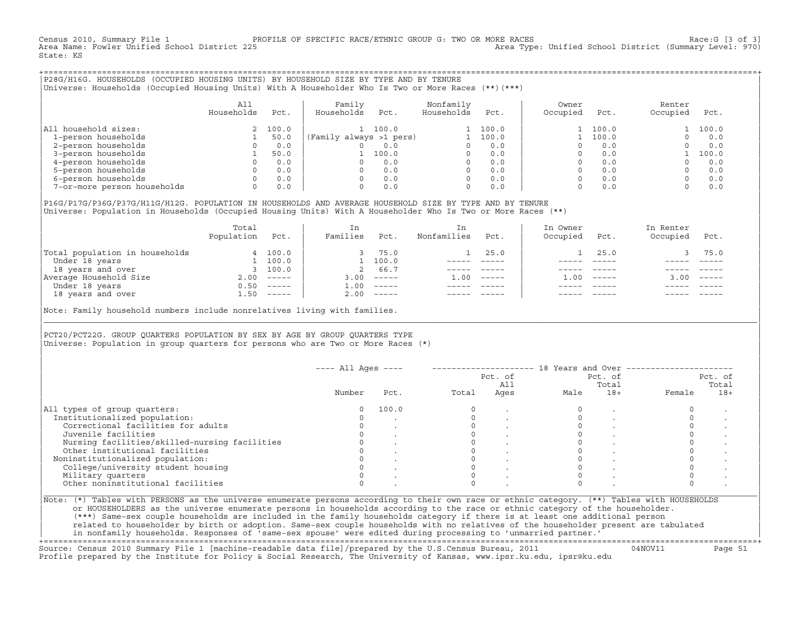Census 2010, Summary File 1 PROFILE OF SPECIFIC RACE/ETHNIC GROUP G: TWO OR MORE RACES [3 of 3]<br>Area Name: Fowler Unified School District 225 Area Type: Unified School District (Summary Level: 970) Area Type: Unified School District (Summary Level: 970) State: KS

+===================================================================================================================================================+|P28G/H16G. HOUSEHOLDS (OCCUPIED HOUSING UNITS) BY HOUSEHOLD SIZE BY TYPE AND BY TENURE | |Universe: Households (Occupied Housing Units) With A Householder Who Is Two or More Races (\*\*)(\*\*\*) |

|                             | All<br>Households | Pct.    | Family<br>Households<br>Pct. | Nonfamily<br>Households | Pct.  | Owner<br>Occupied | Pct.  | Renter<br>Occupied | Pct.  |
|-----------------------------|-------------------|---------|------------------------------|-------------------------|-------|-------------------|-------|--------------------|-------|
| household sizes:<br>All     |                   | 2 100.0 | 100.0                        |                         | 100.0 |                   | 100.0 |                    | 100.0 |
| 1-person households         |                   | 50.0    | (Family always >1 pers)      |                         | 100.0 |                   | 100.0 |                    | 0.0   |
| 2-person households         |                   | 0.0     | 0.0                          |                         | 0.0   |                   | 0.0   |                    | 0.0   |
| 3-person households         |                   | 50.0    | 100.0                        | $\Omega$                | 0.0   |                   | 0.0   |                    | 100.0 |
| 4-person households         |                   | 0.0     | 0.0                          | $\Omega$                | 0.0   |                   | 0.0   |                    | 0.0   |
| 5-person households         |                   | 0.0     | 0.0                          | $\Omega$                | 0.0   |                   | 0.0   |                    | 0.0   |
| 6-person households         |                   | 0.0     | 0.0                          | $\Omega$                | 0.0   |                   | 0.0   |                    | 0.0   |
| 7-or-more person households | $\Omega$          | 0.0     | 0.0                          | 0                       | 0.0   |                   | 0.0   |                    | 0.0   |

|P16G/P17G/P36G/P37G/H11G/H12G. POPULATION IN HOUSEHOLDS AND AVERAGE HOUSEHOLD SIZE BY TYPE AND BY TENURE | Universe: Population in Households (Occupied Housing Units) With A Householder Who Is Two or More Races (\*\*)

|                                | Total<br>Population | Pct.         | In<br>Families     | Pct.     | In.<br>Nonfamilies | Pct.     | In Owner<br>Occupied | Pct.          | In Renter<br>Occupied | Pct.     |
|--------------------------------|---------------------|--------------|--------------------|----------|--------------------|----------|----------------------|---------------|-----------------------|----------|
| Total population in households |                     | 4 100.0      |                    | 75.0     |                    | 25.0     |                      | 25.0          |                       | 75.0     |
| Under 18 years                 |                     | 100.0        |                    | 100.0    |                    |          |                      |               |                       |          |
| 18 years and over              |                     | 3 100.0      | 2                  | 66.7     |                    |          |                      |               |                       |          |
| Average Household Size         | 2.00                | $------$     | 3.00               | $------$ | 1.00               | $------$ | .00                  | $- - - - - -$ | 3.00                  | $------$ |
| Under 18 years                 | 0.50                | $------$     | $\overline{1}$ .00 | $------$ |                    |          |                      |               |                       |          |
| 18 years and over              |                     | $1.50$ ----- | 2.00               |          |                    |          |                      | $- - - - -$   |                       | $------$ |
|                                |                     |              |                    |          |                    |          |                      |               |                       |          |

Note: Family household numbers include nonrelatives living with families.

| | PCT20/PCT22G. GROUP OUARTERS POPULATION BY SEX BY AGE BY GROUP OUARTERS TYPE Universe: Population in group quarters for persons who are Two or More Races (\*)

|                                               |        |       |       | Pct. of<br>All |      | Pct. of<br>Total | Pct. of<br>Total |       |  |
|-----------------------------------------------|--------|-------|-------|----------------|------|------------------|------------------|-------|--|
|                                               | Number | Pct.  | Total | Ages           | Male | $18+$            | Female           | $18+$ |  |
| All types of group quarters:                  |        | 100.0 |       |                |      |                  |                  |       |  |
| Institutionalized population:                 |        |       |       |                |      |                  |                  |       |  |
| Correctional facilities for adults            |        |       |       |                |      |                  |                  |       |  |
| Juvenile facilities                           |        |       |       |                |      |                  |                  |       |  |
| Nursing facilities/skilled-nursing facilities |        |       |       |                |      |                  |                  |       |  |
| Other institutional facilities                |        |       |       |                |      |                  |                  |       |  |
| Noninstitutionalized population:              |        |       |       |                |      |                  |                  |       |  |
| College/university student housing            |        |       |       |                |      |                  |                  |       |  |
| Military quarters                             |        |       |       |                |      |                  |                  |       |  |
| Other noninstitutional facilities             |        |       |       |                |      |                  |                  |       |  |

|\_\_\_\_\_\_\_\_\_\_\_\_\_\_\_\_\_\_\_\_\_\_\_\_\_\_\_\_\_\_\_\_\_\_\_\_\_\_\_\_\_\_\_\_\_\_\_\_\_\_\_\_\_\_\_\_\_\_\_\_\_\_\_\_\_\_\_\_\_\_\_\_\_\_\_\_\_\_\_\_\_\_\_\_\_\_\_\_\_\_\_\_\_\_\_\_\_\_\_\_\_\_\_\_\_\_\_\_\_\_\_\_\_\_\_\_\_\_\_\_\_\_\_\_\_\_\_\_\_\_\_\_\_\_\_\_\_\_\_\_\_\_\_\_\_\_\_|

| |

or HOUSEHOLDERS as the universe enumerate persons in households according to the race or ethnic category of the householder. | (\*\*\*) Same−sex couple households are included in the family households category if there is at least one additional person | | related to householder by birth or adoption. Same−sex couple households with no relatives of the householder present are tabulated | | in nonfamily households. Responses of 'same−sex spouse' were edited during processing to 'unmarried partner.' |

+===================================================================================================================================================+ Source: Census 2010 Summary File 1 [machine−readable data file]/prepared by the U.S.Census Bureau, 2011 04NOV11 Page 51 Profile prepared by the Institute for Policy & Social Research, The University of Kansas, www.ipsr.ku.edu, ipsr@ku.edu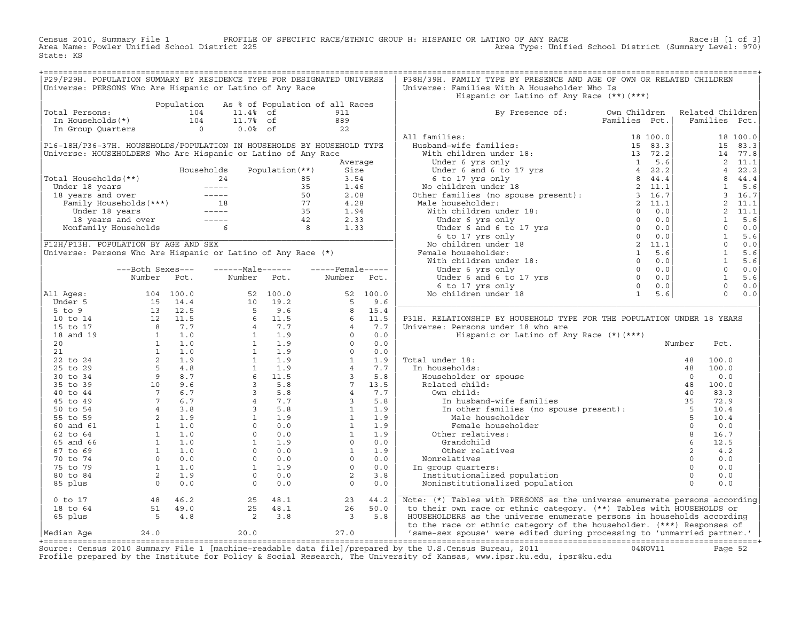Census 2010, Summary File 1 PROFILE OF SPECIFIC RACE/ETHNIC GROUP H: HISPANIC OR LATINO OF ANY RACE Race:H [1 of 3]<br>Area Name: Fowler Unified School District 225 Area Type: Unified School District (Summary Level: 970) Area Type: Unified School District (Summary Level: 970) State: KS

| P29/P29H. POPULATION SUMMARY BY RESIDENCE TYPE FOR DESIGNATED UNIVERSE |                                            |                                                                                                                                                                                                                                |  | P38H/39H. FAMILY TYPE BY PRESENCE AND AGE OF OWN OR RELATED CHILDREN                                                                                                                                                                                   |  |  |  |
|------------------------------------------------------------------------|--------------------------------------------|--------------------------------------------------------------------------------------------------------------------------------------------------------------------------------------------------------------------------------|--|--------------------------------------------------------------------------------------------------------------------------------------------------------------------------------------------------------------------------------------------------------|--|--|--|
| Universe: PERSONS Who Are Hispanic or Latino of Any Race               |                                            |                                                                                                                                                                                                                                |  | Universe: Families With A Householder Who Is                                                                                                                                                                                                           |  |  |  |
|                                                                        |                                            |                                                                                                                                                                                                                                |  | Hispanic or Latino of Any Race (**)(***)                                                                                                                                                                                                               |  |  |  |
|                                                                        |                                            | Population As % of Population of all Races                                                                                                                                                                                     |  |                                                                                                                                                                                                                                                        |  |  |  |
| Total Persons:                                                         |                                            |                                                                                                                                                                                                                                |  | By Presence of: Own Children Related Children                                                                                                                                                                                                          |  |  |  |
|                                                                        |                                            |                                                                                                                                                                                                                                |  |                                                                                                                                                                                                                                                        |  |  |  |
|                                                                        |                                            | For the control of the control of the control of the control of the control of the control of the control of the control of the control of the control of the control of the control of the control of the control of the cont |  |                                                                                                                                                                                                                                                        |  |  |  |
|                                                                        |                                            |                                                                                                                                                                                                                                |  |                                                                                                                                                                                                                                                        |  |  |  |
|                                                                        |                                            |                                                                                                                                                                                                                                |  |                                                                                                                                                                                                                                                        |  |  |  |
|                                                                        |                                            |                                                                                                                                                                                                                                |  |                                                                                                                                                                                                                                                        |  |  |  |
|                                                                        |                                            |                                                                                                                                                                                                                                |  |                                                                                                                                                                                                                                                        |  |  |  |
|                                                                        |                                            |                                                                                                                                                                                                                                |  |                                                                                                                                                                                                                                                        |  |  |  |
|                                                                        |                                            |                                                                                                                                                                                                                                |  |                                                                                                                                                                                                                                                        |  |  |  |
|                                                                        |                                            |                                                                                                                                                                                                                                |  |                                                                                                                                                                                                                                                        |  |  |  |
|                                                                        |                                            |                                                                                                                                                                                                                                |  |                                                                                                                                                                                                                                                        |  |  |  |
|                                                                        |                                            |                                                                                                                                                                                                                                |  |                                                                                                                                                                                                                                                        |  |  |  |
|                                                                        |                                            |                                                                                                                                                                                                                                |  |                                                                                                                                                                                                                                                        |  |  |  |
|                                                                        |                                            |                                                                                                                                                                                                                                |  |                                                                                                                                                                                                                                                        |  |  |  |
|                                                                        |                                            |                                                                                                                                                                                                                                |  |                                                                                                                                                                                                                                                        |  |  |  |
|                                                                        |                                            |                                                                                                                                                                                                                                |  |                                                                                                                                                                                                                                                        |  |  |  |
|                                                                        |                                            |                                                                                                                                                                                                                                |  |                                                                                                                                                                                                                                                        |  |  |  |
|                                                                        |                                            |                                                                                                                                                                                                                                |  |                                                                                                                                                                                                                                                        |  |  |  |
|                                                                        |                                            |                                                                                                                                                                                                                                |  |                                                                                                                                                                                                                                                        |  |  |  |
|                                                                        |                                            |                                                                                                                                                                                                                                |  |                                                                                                                                                                                                                                                        |  |  |  |
|                                                                        |                                            |                                                                                                                                                                                                                                |  |                                                                                                                                                                                                                                                        |  |  |  |
|                                                                        |                                            |                                                                                                                                                                                                                                |  |                                                                                                                                                                                                                                                        |  |  |  |
|                                                                        |                                            |                                                                                                                                                                                                                                |  |                                                                                                                                                                                                                                                        |  |  |  |
|                                                                        |                                            |                                                                                                                                                                                                                                |  |                                                                                                                                                                                                                                                        |  |  |  |
|                                                                        |                                            |                                                                                                                                                                                                                                |  | P31H. RELATIONSHIP BY HOUSEHOLD TYPE FOR THE POPULATION UNDER 18 YEARS                                                                                                                                                                                 |  |  |  |
|                                                                        |                                            |                                                                                                                                                                                                                                |  |                                                                                                                                                                                                                                                        |  |  |  |
|                                                                        |                                            |                                                                                                                                                                                                                                |  |                                                                                                                                                                                                                                                        |  |  |  |
|                                                                        |                                            |                                                                                                                                                                                                                                |  |                                                                                                                                                                                                                                                        |  |  |  |
|                                                                        |                                            |                                                                                                                                                                                                                                |  |                                                                                                                                                                                                                                                        |  |  |  |
|                                                                        |                                            |                                                                                                                                                                                                                                |  |                                                                                                                                                                                                                                                        |  |  |  |
|                                                                        |                                            |                                                                                                                                                                                                                                |  |                                                                                                                                                                                                                                                        |  |  |  |
|                                                                        |                                            |                                                                                                                                                                                                                                |  |                                                                                                                                                                                                                                                        |  |  |  |
|                                                                        |                                            |                                                                                                                                                                                                                                |  |                                                                                                                                                                                                                                                        |  |  |  |
|                                                                        |                                            |                                                                                                                                                                                                                                |  |                                                                                                                                                                                                                                                        |  |  |  |
|                                                                        |                                            |                                                                                                                                                                                                                                |  |                                                                                                                                                                                                                                                        |  |  |  |
|                                                                        |                                            |                                                                                                                                                                                                                                |  |                                                                                                                                                                                                                                                        |  |  |  |
|                                                                        |                                            |                                                                                                                                                                                                                                |  |                                                                                                                                                                                                                                                        |  |  |  |
|                                                                        |                                            |                                                                                                                                                                                                                                |  |                                                                                                                                                                                                                                                        |  |  |  |
|                                                                        |                                            |                                                                                                                                                                                                                                |  |                                                                                                                                                                                                                                                        |  |  |  |
|                                                                        |                                            |                                                                                                                                                                                                                                |  |                                                                                                                                                                                                                                                        |  |  |  |
|                                                                        |                                            |                                                                                                                                                                                                                                |  |                                                                                                                                                                                                                                                        |  |  |  |
|                                                                        |                                            |                                                                                                                                                                                                                                |  |                                                                                                                                                                                                                                                        |  |  |  |
|                                                                        |                                            |                                                                                                                                                                                                                                |  |                                                                                                                                                                                                                                                        |  |  |  |
|                                                                        |                                            |                                                                                                                                                                                                                                |  | 10.4<br>Male householder<br>Male householder<br>Fremate householder<br>Frematives: 0 0.0<br>Frematives: 0 0.0<br>Cher relatives: 8 16.7<br>Grandchild<br>Other relatives<br>relatives<br>relatives<br>coup quarters: 0 0.0<br>stitutionalized populati |  |  |  |
|                                                                        | 0 to 17<br>18 to 64<br>65 plus<br>5<br>4.8 |                                                                                                                                                                                                                                |  | 0 to 17 and 18 to 64 and 18 to 64 and 18 to 64 and 18 to 64 and 18 to 64 by 19 and 18 to 64 and 18 to 64 and 18 to 64 and 18 to 64 and 18 to 64 and 18 to 64 and 18 to 64 and 18 to 64 and 18 to 64 and 18 to 65 plus and 18 t                         |  |  |  |
|                                                                        |                                            |                                                                                                                                                                                                                                |  |                                                                                                                                                                                                                                                        |  |  |  |
|                                                                        |                                            |                                                                                                                                                                                                                                |  |                                                                                                                                                                                                                                                        |  |  |  |
|                                                                        |                                            |                                                                                                                                                                                                                                |  |                                                                                                                                                                                                                                                        |  |  |  |
|                                                                        |                                            |                                                                                                                                                                                                                                |  |                                                                                                                                                                                                                                                        |  |  |  |

+===================================================================================================================================================+Source: Census 2010 Summary File 1 [machine−readable data file]/prepared by the U.S.Census Bureau, 2011 04NOV11 Page 52 Profile prepared by the Institute for Policy & Social Research, The University of Kansas, www.ipsr.ku.edu, ipsr@ku.edu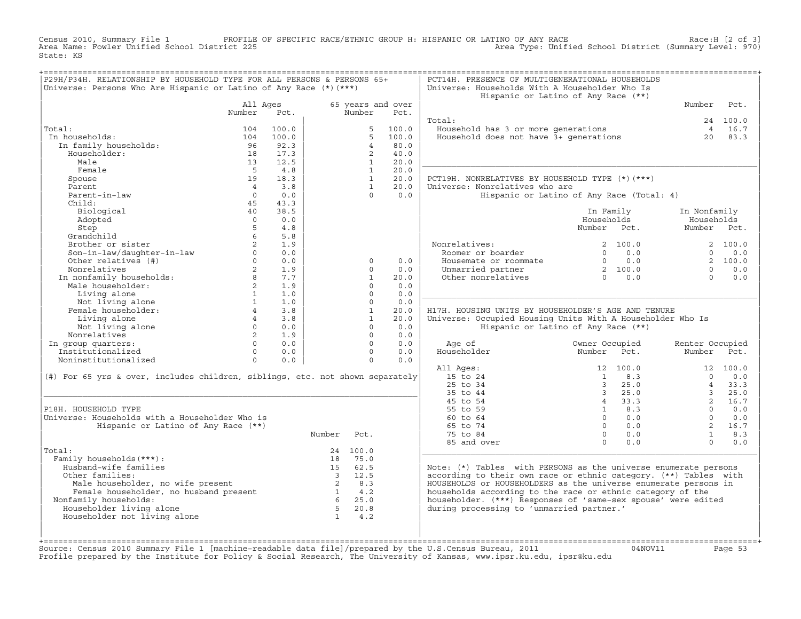Census 2010, Summary File 1 PROFILE OF SPECIFIC RACE/ETHNIC GROUP H: HISPANIC OR LATINO OF ANY RACE Race:H [2 of 3]<br>Area Name: Fowler Unified School District 225 Area Type: Unified School District (Summary Level: 970) Area Type: Unified School District (Summary Level: 970) State: KS

| P29H/P34H. RELATIONSHIP BY HOUSEHOLD TYPE FOR ALL PERSONS & PERSONS 65+<br>Universe: Persons Who Are Hispanic or Latino of Any Race $(*)$ $(***)$ |                    |       |                          |                |                           | PCT14H. PRESENCE OF MULTIGENERATIONAL HOUSEHOLDS<br>Universe: Households With A Householder Who Is | Hispanic or Latino of Any Race (**)                  |                 |          |
|---------------------------------------------------------------------------------------------------------------------------------------------------|--------------------|-------|--------------------------|----------------|---------------------------|----------------------------------------------------------------------------------------------------|------------------------------------------------------|-----------------|----------|
|                                                                                                                                                   | All Ages<br>Number | Pct.  |                          | Number         | 65 years and over<br>Pct. |                                                                                                    |                                                      | Number          | Pct.     |
|                                                                                                                                                   |                    |       |                          |                |                           | Total:                                                                                             |                                                      |                 | 24 100.0 |
| Total:                                                                                                                                            | 104                | 100.0 |                          | 5              | 100.0                     | Household has 3 or more generations                                                                |                                                      |                 | 4 16.7   |
| In households:                                                                                                                                    | 104                | 100.0 |                          | 5              | 100.0                     | Household does not have 3+ generations                                                             |                                                      | 20              | 83.3     |
| In family households:                                                                                                                             | 96                 | 92.3  |                          | $\overline{4}$ | 80.0                      |                                                                                                    |                                                      |                 |          |
| Householder:                                                                                                                                      | 18                 | 17.3  |                          | $\overline{2}$ | 40.0                      |                                                                                                    |                                                      |                 |          |
| Male                                                                                                                                              | 13                 | 12.5  |                          | $\mathbf{1}$   | 20.0                      |                                                                                                    |                                                      |                 |          |
| Female                                                                                                                                            | $-5$               | 4.8   |                          | $\mathbf{1}$   | 20.0                      |                                                                                                    |                                                      |                 |          |
| Spouse                                                                                                                                            | 19                 | 18.3  |                          | 1              | 20.0                      | PCT19H. NONRELATIVES BY HOUSEHOLD TYPE (*)(***)                                                    |                                                      |                 |          |
| Parent                                                                                                                                            | $\overline{4}$     | 3.8   |                          | $\mathbf{1}$   | 20.0                      | Universe: Nonrelatives who are                                                                     |                                                      |                 |          |
| Parent-in-law                                                                                                                                     | $\Omega$           | 0.0   |                          | $\cap$         | 0.0                       |                                                                                                    | Hispanic or Latino of Any Race (Total: 4)            |                 |          |
| Child:                                                                                                                                            | 45                 | 43.3  |                          |                |                           |                                                                                                    |                                                      |                 |          |
| Biological                                                                                                                                        | 40                 | 38.5  |                          |                |                           |                                                                                                    | In Family                                            | In Nonfamily    |          |
| Adopted                                                                                                                                           | $\Omega$           | 0.0   |                          |                |                           |                                                                                                    | Households                                           | Households      |          |
| Step                                                                                                                                              | $5^{\circ}$        | 4.8   |                          |                |                           |                                                                                                    | Number Pct.                                          | Number Pct.     |          |
| Grandchild                                                                                                                                        | 6                  | 5.8   |                          |                |                           |                                                                                                    |                                                      |                 |          |
| Brother or sister                                                                                                                                 |                    | 1.9   |                          |                |                           | Nonrelatives:                                                                                      | 2, 100.0                                             |                 | 2 100.0  |
| Son-in-law/daughter-in-law                                                                                                                        | $\Omega$           | 0.0   |                          |                |                           | Roomer or boarder                                                                                  | 0.0<br>$\Omega$                                      | $\Omega$        | 0.0      |
| Other relatives (#)                                                                                                                               | $\Omega$           | 0.0   |                          | $\circ$        | 0.0                       | Housemate or roommate                                                                              | 0.0<br>$\overline{0}$                                |                 | 2, 100.0 |
| Nonrelatives                                                                                                                                      | $\overline{a}$     | 1.9   |                          | $\Omega$       | 0.0                       | Unmarried partner                                                                                  |                                                      | $\Omega$        | 0.0      |
|                                                                                                                                                   | 8                  | 7.7   |                          | $\mathbf{1}$   | 20.0                      | Other nonrelatives                                                                                 | $\begin{array}{cc} 2 & 100.0 \\ 0 & 0.0 \end{array}$ | $\Omega$        | 0.0      |
| In nonfamily households:<br>Male householder:                                                                                                     | $2^{\circ}$        | 1.9   |                          | $\Omega$       | 0.0                       |                                                                                                    |                                                      |                 |          |
|                                                                                                                                                   | $\mathbf{1}$       | 1.0   |                          | $\Omega$       | 0.0                       |                                                                                                    |                                                      |                 |          |
| Living alone<br>Not living alone                                                                                                                  | $\mathbf{1}$       | 1.0   |                          | $\Omega$       | 0.0                       |                                                                                                    |                                                      |                 |          |
| Female householder:                                                                                                                               | $\overline{4}$     | 3.8   |                          | $\mathbf{1}$   | 20.0                      | H17H. HOUSING UNITS BY HOUSEHOLDER'S AGE AND TENURE                                                |                                                      |                 |          |
| Living alone                                                                                                                                      | $4\degree$         | 3.8   |                          | $\mathbf{1}$   | 20.0                      | Universe: Occupied Housing Units With A Householder Who Is                                         |                                                      |                 |          |
|                                                                                                                                                   | $\Omega$           | 0.0   |                          | $\Omega$       | 0.0                       |                                                                                                    | Hispanic or Latino of Any Race (**)                  |                 |          |
| Not living alone<br>Nonrelatives                                                                                                                  | 2                  | 1.9   |                          | $\Omega$       | 0.0                       |                                                                                                    |                                                      |                 |          |
|                                                                                                                                                   | $\Omega$           | 0.0   |                          | $\Omega$       | 0.0                       | Age of                                                                                             | Owner Occupied                                       | Renter Occupied |          |
| In group quarters:<br>Institutionalized                                                                                                           | $\Omega$           | 0.0   |                          | $\Omega$       | 0.0                       | Householder                                                                                        | Number<br>Pct.                                       | Number          | Pct.     |
| Noninstitutionalized                                                                                                                              | $\circ$            | 0.0   |                          | $\circ$        | 0.0                       |                                                                                                    |                                                      |                 |          |
|                                                                                                                                                   |                    |       |                          |                |                           |                                                                                                    | 12 100.0                                             |                 | 12 100.0 |
|                                                                                                                                                   |                    |       |                          |                |                           | All Ages:<br>15 to 24                                                                              | $\overline{1}$<br>8.3                                | $\cap$          | 0.0      |
| (#) For 65 yrs & over, includes children, siblings, etc. not shown separately                                                                     |                    |       |                          |                |                           | 25 to 34                                                                                           | 25.0<br>$\overline{3}$                               | $\overline{4}$  | 33.3     |
|                                                                                                                                                   |                    |       |                          |                |                           | 35 to 44                                                                                           | $\overline{3}$<br>25.0                               | $\overline{3}$  | 25.0     |
|                                                                                                                                                   |                    |       |                          |                |                           | 45 to 54                                                                                           | 4 33.3                                               | $2^{\circ}$     | 16.7     |
| P18H. HOUSEHOLD TYPE                                                                                                                              |                    |       |                          |                |                           | 55 to 59                                                                                           | $1 \t 8.3$                                           | $\Omega$        | 0.0      |
| Universe: Households with a Householder Who is                                                                                                    |                    |       |                          |                |                           | 60 to 64                                                                                           | $\Omega$<br>0.0                                      | $\Omega$        | 0.0      |
| Hispanic or Latino of Any Race (**)                                                                                                               |                    |       |                          |                |                           | 65 to 74                                                                                           | $\Omega$<br>0.0                                      | $2^{\circ}$     | 16.7     |
|                                                                                                                                                   |                    |       | Number                   | Pct.           |                           | 75 to 84                                                                                           | $\Omega$<br>0.0                                      | $\mathbf{1}$    | 8.3      |
|                                                                                                                                                   |                    |       |                          |                |                           | 85 and over                                                                                        | $\Omega$<br>0.0                                      | $\Omega$        | 0.0      |
| Total:                                                                                                                                            |                    |       |                          | 24 100.0       |                           |                                                                                                    |                                                      |                 |          |
| Family households (***) :                                                                                                                         |                    |       | 18                       | 75.0           |                           |                                                                                                    |                                                      |                 |          |
| Husband-wife families                                                                                                                             |                    |       |                          | 15 62.5        |                           | Note: (*) Tables with PERSONS as the universe enumerate persons                                    |                                                      |                 |          |
| Other families:                                                                                                                                   |                    |       |                          | 3 12.5         |                           | according to their own race or ethnic category. (**) Tables with                                   |                                                      |                 |          |
|                                                                                                                                                   |                    |       | $\overline{\phantom{0}}$ | 8.3            |                           | HOUSEHOLDS or HOUSEHOLDERS as the universe enumerate persons in                                    |                                                      |                 |          |
| Male householder, no wife present<br>Female householder, no husband present                                                                       |                    |       | $\overline{1}$           | 4.2            |                           | households according to the race or ethnic category of the                                         |                                                      |                 |          |
| Nonfamily households:                                                                                                                             |                    |       |                          | $6\ 25.0$      |                           | householder. (***) Responses of 'same-sex spouse' were edited                                      |                                                      |                 |          |
| Householder living alone                                                                                                                          |                    |       | $-5$                     | 20.8           |                           | during processing to 'unmarried partner.'                                                          |                                                      |                 |          |
| Householder not living alone                                                                                                                      |                    |       | $\mathbf{1}$             | 4.2            |                           |                                                                                                    |                                                      |                 |          |
|                                                                                                                                                   |                    |       |                          |                |                           |                                                                                                    |                                                      |                 |          |
|                                                                                                                                                   |                    |       |                          |                |                           |                                                                                                    |                                                      |                 |          |
|                                                                                                                                                   |                    |       |                          |                |                           |                                                                                                    |                                                      |                 |          |

+===================================================================================================================================================+Source: Census 2010 Summary File 1 [machine−readable data file]/prepared by the U.S.Census Bureau, 2011 04NOV11 Page 53 Profile prepared by the Institute for Policy & Social Research, The University of Kansas, www.ipsr.ku.edu, ipsr@ku.edu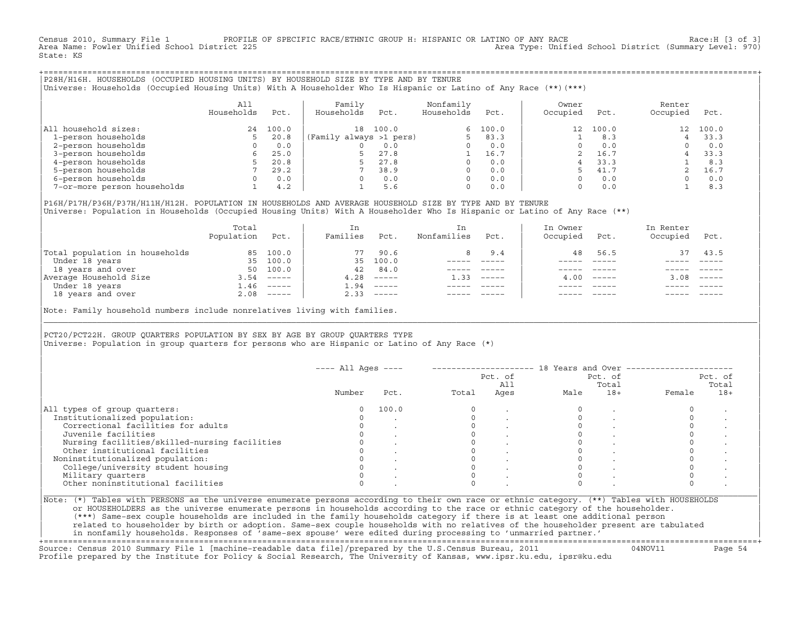Census 2010, Summary File 1 PROFILE OF SPECIFIC RACE/ETHNIC GROUP H: HISPANIC OR LATINO OF ANY RACE Race:H [3 of 3]<br>Area Name: Fowler Unified School District 225 Area Type: Unified School District (Summary Level: 970) State: KS

+===================================================================================================================================================+|P28H/H16H. HOUSEHOLDS (OCCUPIED HOUSING UNITS) BY HOUSEHOLD SIZE BY TYPE AND BY TENURE | |Universe: Households (Occupied Housing Units) With A Householder Who Is Hispanic or Latino of Any Race (\*\*)(\*\*\*) |

|                             | A11<br>Households | Pct.  | Family<br>Households    | Pct.  | Nonfamily<br>Households | Pct.  | Owner<br>Occupied | Pct.  | Renter<br>Occupied | Pct.  |  |
|-----------------------------|-------------------|-------|-------------------------|-------|-------------------------|-------|-------------------|-------|--------------------|-------|--|
| All household sizes:        | 24                | 100.0 | 18                      | 100.0 | 6                       | 100.0 | 12                | 100.0 | 12 <sup>12</sup>   | 100.0 |  |
| 1-person households         |                   | 20.8  | (Family always >1 pers) |       |                         | 83.3  |                   | 8.3   |                    | 33.3  |  |
| 2-person households         |                   | 0.0   |                         | 0.0   |                         | 0.0   |                   | 0.0   |                    | 0.0   |  |
| 3-person households         |                   | 25.0  |                         | 27.8  |                         | 16.7  |                   | 16.7  |                    | 33.3  |  |
| 4-person households         |                   | 20.8  |                         | 27.8  |                         | 0.0   |                   | 33.3  |                    | 8.3   |  |
| 5-person households         |                   | 29.2  |                         | 38.9  |                         | 0.0   |                   | 41.7  |                    | 16.7  |  |
| 6-person households         |                   | 0.0   |                         | 0.0   | $\Omega$                | 0.0   |                   | 0.0   |                    | 0.0   |  |
| 7-or-more person households |                   | 4.2   |                         | 5.6   | $\Omega$                | 0.0   |                   | 0.0   |                    | 8.3   |  |

|P16H/P17H/P36H/P37H/H11H/H12H. POPULATION IN HOUSEHOLDS AND AVERAGE HOUSEHOLD SIZE BY TYPE AND BY TENURE | Universe: Population in Households (Occupied Housing Units) With A Householder Who Is Hispanic or Latino of Any Race (\*\*)

|                                | Total<br>Population | Pct.         | In<br>Families | Pct.     | In.<br>Nonfamilies | Pct.     | In Owner<br>Occupied | Pct.             | In Renter<br>Occupied | Pct.                      |  |
|--------------------------------|---------------------|--------------|----------------|----------|--------------------|----------|----------------------|------------------|-----------------------|---------------------------|--|
| Total population in households | 85                  | 100.0        | 77             | 90.6     | 8                  | 9.4      | 48                   | 56.5             | 37                    | 43.5                      |  |
| Under 18 years                 | 35                  | 100.0        | 35             | 100.0    |                    |          |                      |                  |                       |                           |  |
| 18 years and over              | 50                  | 100.0        | 42             | 84.0     |                    |          |                      |                  |                       |                           |  |
| Average Household Size         | 3.54                | ______       | 4.28           | $------$ | 1.33               | $------$ |                      | $4.00 - - - - -$ | 3.08                  | $\qquad \qquad - - - - -$ |  |
| Under 18 years                 | 1.46                | $------$     | .94            | $------$ |                    |          |                      |                  |                       |                           |  |
| 18 years and over              |                     | $2.08$ ----- | 2.33           |          |                    |          |                      | $- - - - -$      |                       | $- - - - -$               |  |
|                                |                     |              |                |          |                    |          |                      |                  |                       |                           |  |

Note: Family household numbers include nonrelatives living with families.

| | PCT20/PCT22H. GROUP OUARTERS POPULATION BY SEX BY AGE BY GROUP OUARTERS TYPE Universe: Population in group quarters for persons who are Hispanic or Latino of Any Race (\*)

|                                               |        |       |       | Pct. of<br>All | Pct. of<br>Total |       | Pct. of<br>Total |       |
|-----------------------------------------------|--------|-------|-------|----------------|------------------|-------|------------------|-------|
|                                               | Number | Pct.  | Total | Ages           | Male             | $18+$ | Female           | $18+$ |
| All types of group quarters:                  | 0      | 100.0 |       |                |                  |       |                  |       |
| Institutionalized population:                 |        |       |       |                |                  |       |                  |       |
| Correctional facilities for adults            |        |       |       |                |                  |       |                  |       |
| Juvenile facilities                           |        |       |       |                |                  |       |                  |       |
| Nursing facilities/skilled-nursing facilities |        |       |       |                |                  |       |                  |       |
| Other institutional facilities                |        |       |       |                |                  |       |                  |       |
| Noninstitutionalized population:              |        |       |       |                |                  |       |                  |       |
| College/university student housing            |        |       |       |                |                  |       |                  |       |
| Military quarters                             |        |       |       |                |                  |       |                  |       |
| Other noninstitutional facilities             |        |       |       |                |                  |       |                  |       |

|\_\_\_\_\_\_\_\_\_\_\_\_\_\_\_\_\_\_\_\_\_\_\_\_\_\_\_\_\_\_\_\_\_\_\_\_\_\_\_\_\_\_\_\_\_\_\_\_\_\_\_\_\_\_\_\_\_\_\_\_\_\_\_\_\_\_\_\_\_\_\_\_\_\_\_\_\_\_\_\_\_\_\_\_\_\_\_\_\_\_\_\_\_\_\_\_\_\_\_\_\_\_\_\_\_\_\_\_\_\_\_\_\_\_\_\_\_\_\_\_\_\_\_\_\_\_\_\_\_\_\_\_\_\_\_\_\_\_\_\_\_\_\_\_\_\_\_|

| |

or HOUSEHOLDERS as the universe enumerate persons in households according to the race or ethnic category of the householder. | (\*\*\*) Same−sex couple households are included in the family households category if there is at least one additional person | | related to householder by birth or adoption. Same−sex couple households with no relatives of the householder present are tabulated | | in nonfamily households. Responses of 'same−sex spouse' were edited during processing to 'unmarried partner.' |

+===================================================================================================================================================+ Source: Census 2010 Summary File 1 [machine−readable data file]/prepared by the U.S.Census Bureau, 2011 04NOV11 Page 54 Profile prepared by the Institute for Policy & Social Research, The University of Kansas, www.ipsr.ku.edu, ipsr@ku.edu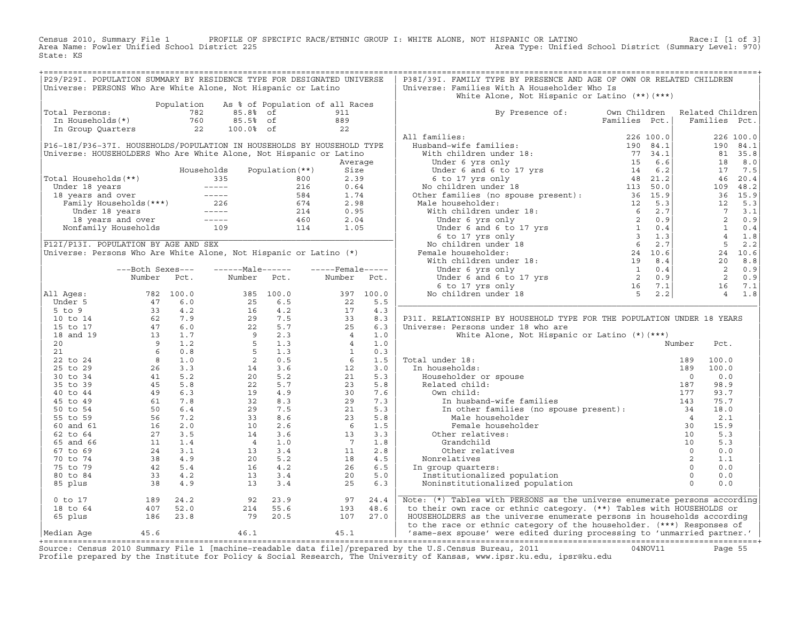Census 2010, Summary File 1 PROFILE OF SPECIFIC RACE/ETHNIC GROUP I: WHITE ALONE, NOT HISPANIC OR LATINO Race:I [1 of 3] Area Name: Fowler Unified School District 225 Area Type: Unified School District (Summary Level: 970) State: KS

| P29/P29I. POPULATION SUMMARY BY RESIDENCE TYPE FOR DESIGNATED UNIVERSE<br>Universe: PERSONS Who Are White Alone, Not Hispanic or Latino                                                                                                        |                                                                                                                                                                                                                                                                                              |            |                                                                                                                                                                                                                                                       |            |                                                                    |            | P38I/39I. FAMILY TYPE BY PRESENCE AND AGE OF OWN OR RELATED CHILDREN<br>Universe: Families With A Householder Who Is                                                                                                    |               |                        |                                                        |
|------------------------------------------------------------------------------------------------------------------------------------------------------------------------------------------------------------------------------------------------|----------------------------------------------------------------------------------------------------------------------------------------------------------------------------------------------------------------------------------------------------------------------------------------------|------------|-------------------------------------------------------------------------------------------------------------------------------------------------------------------------------------------------------------------------------------------------------|------------|--------------------------------------------------------------------|------------|-------------------------------------------------------------------------------------------------------------------------------------------------------------------------------------------------------------------------|---------------|------------------------|--------------------------------------------------------|
|                                                                                                                                                                                                                                                |                                                                                                                                                                                                                                                                                              | Population |                                                                                                                                                                                                                                                       |            | As % of Population of all Races                                    |            | White Alone, Not Hispanic or Latino $(**)$ $(***)$                                                                                                                                                                      |               |                        |                                                        |
| Total Persons:                                                                                                                                                                                                                                 |                                                                                                                                                                                                                                                                                              |            | 85.8% of                                                                                                                                                                                                                                              |            | 911                                                                |            | By Presence of: Own Children Related Children                                                                                                                                                                           |               |                        |                                                        |
| otal Persons: 782<br>In Households(*) 760<br>In Group Quarters 22                                                                                                                                                                              |                                                                                                                                                                                                                                                                                              |            | 85.5% of                                                                                                                                                                                                                                              |            | 889                                                                |            |                                                                                                                                                                                                                         | Families Pct. | Families Pct.          |                                                        |
|                                                                                                                                                                                                                                                |                                                                                                                                                                                                                                                                                              |            | 100.0% of                                                                                                                                                                                                                                             |            | $\sim$ 22                                                          |            |                                                                                                                                                                                                                         |               |                        |                                                        |
|                                                                                                                                                                                                                                                |                                                                                                                                                                                                                                                                                              |            |                                                                                                                                                                                                                                                       |            |                                                                    |            | All families:                                                                                                                                                                                                           |               |                        | 226 100.0                                              |
| P16-18I/P36-37I. HOUSEHOLDS/POPULATION IN HOUSEHOLDS BY HOUSEHOLD TYPE                                                                                                                                                                         |                                                                                                                                                                                                                                                                                              |            |                                                                                                                                                                                                                                                       |            |                                                                    |            |                                                                                                                                                                                                                         |               |                        | 190 84.1                                               |
| Universe: HOUSEHOLDERS Who Are White Alone, Not Hispanic or Latino                                                                                                                                                                             |                                                                                                                                                                                                                                                                                              |            |                                                                                                                                                                                                                                                       |            |                                                                    |            |                                                                                                                                                                                                                         |               |                        | 81 35.8                                                |
|                                                                                                                                                                                                                                                |                                                                                                                                                                                                                                                                                              |            |                                                                                                                                                                                                                                                       |            | Average                                                            |            |                                                                                                                                                                                                                         |               | 18                     | 8.0                                                    |
|                                                                                                                                                                                                                                                |                                                                                                                                                                                                                                                                                              |            |                                                                                                                                                                                                                                                       |            |                                                                    |            |                                                                                                                                                                                                                         |               | 17                     | 7.5                                                    |
| Total Households(**)                                                                                                                                                                                                                           |                                                                                                                                                                                                                                                                                              |            |                                                                                                                                                                                                                                                       |            |                                                                    |            |                                                                                                                                                                                                                         |               |                        | 46 20.4                                                |
|                                                                                                                                                                                                                                                |                                                                                                                                                                                                                                                                                              |            |                                                                                                                                                                                                                                                       |            |                                                                    |            |                                                                                                                                                                                                                         |               |                        | 109 48.2                                               |
|                                                                                                                                                                                                                                                |                                                                                                                                                                                                                                                                                              |            |                                                                                                                                                                                                                                                       |            |                                                                    |            |                                                                                                                                                                                                                         |               |                        | 36 15.9                                                |
|                                                                                                                                                                                                                                                |                                                                                                                                                                                                                                                                                              |            |                                                                                                                                                                                                                                                       |            |                                                                    |            |                                                                                                                                                                                                                         |               | 12                     | 5.3                                                    |
|                                                                                                                                                                                                                                                |                                                                                                                                                                                                                                                                                              |            |                                                                                                                                                                                                                                                       |            |                                                                    |            |                                                                                                                                                                                                                         |               |                        |                                                        |
|                                                                                                                                                                                                                                                |                                                                                                                                                                                                                                                                                              |            |                                                                                                                                                                                                                                                       |            |                                                                    |            |                                                                                                                                                                                                                         |               |                        | $\begin{bmatrix} 7 & 3 & 1 \\ 2 & 0 & 9 \end{bmatrix}$ |
|                                                                                                                                                                                                                                                |                                                                                                                                                                                                                                                                                              |            |                                                                                                                                                                                                                                                       |            |                                                                    |            |                                                                                                                                                                                                                         |               |                        | $1 \qquad 0.4$                                         |
| 1600 Months (**)<br>2.39<br>18 Years 18 Years 18 Years 18 Years 18 Years 18 Years 18 Years 18 Years 18 Years 18 Years 18 Years 16 O.64<br>18 Years 18 Years 16 O.64<br>1.74<br>1.74 226 674 2.98<br>1.74 226 674 2.98<br>1.74 2.98<br>1.74 2.9 |                                                                                                                                                                                                                                                                                              |            |                                                                                                                                                                                                                                                       |            |                                                                    |            |                                                                                                                                                                                                                         |               | $4\overline{4}$        | 1.8                                                    |
| P12I/P13I. POPULATION BY AGE AND SEX                                                                                                                                                                                                           |                                                                                                                                                                                                                                                                                              |            |                                                                                                                                                                                                                                                       |            |                                                                    |            |                                                                                                                                                                                                                         |               |                        | $5 \t 2.2$                                             |
| Universe: Persons Who Are White Alone, Not Hispanic or Latino (*)                                                                                                                                                                              |                                                                                                                                                                                                                                                                                              |            |                                                                                                                                                                                                                                                       |            |                                                                    |            |                                                                                                                                                                                                                         |               |                        | 24 10.6                                                |
|                                                                                                                                                                                                                                                |                                                                                                                                                                                                                                                                                              |            |                                                                                                                                                                                                                                                       |            |                                                                    |            |                                                                                                                                                                                                                         |               | 20                     | 8.8                                                    |
|                                                                                                                                                                                                                                                | ---Both Sexes---                                                                                                                                                                                                                                                                             |            | $---Maxe$                                                                                                                                                                                                                                             |            | $---$ Female-----                                                  |            |                                                                                                                                                                                                                         |               |                        | 2 0.9                                                  |
|                                                                                                                                                                                                                                                | Number Pct.                                                                                                                                                                                                                                                                                  |            | Number Pct.                                                                                                                                                                                                                                           |            | Number                                                             | Pct.       |                                                                                                                                                                                                                         |               | $\overline{2}$         | 0.9                                                    |
|                                                                                                                                                                                                                                                |                                                                                                                                                                                                                                                                                              |            |                                                                                                                                                                                                                                                       |            |                                                                    |            |                                                                                                                                                                                                                         |               |                        | 16 7.1                                                 |
| All Ages:                                                                                                                                                                                                                                      |                                                                                                                                                                                                                                                                                              |            |                                                                                                                                                                                                                                                       |            | $\frac{397}{22}$                                                   | 397 100.0  |                                                                                                                                                                                                                         |               |                        | 4 1.8                                                  |
| Under 5                                                                                                                                                                                                                                        |                                                                                                                                                                                                                                                                                              |            |                                                                                                                                                                                                                                                       |            |                                                                    | 5.5        |                                                                                                                                                                                                                         |               |                        |                                                        |
| $5$ to $9$                                                                                                                                                                                                                                     |                                                                                                                                                                                                                                                                                              |            |                                                                                                                                                                                                                                                       |            |                                                                    | 4.3        |                                                                                                                                                                                                                         |               |                        |                                                        |
| 10 to 14                                                                                                                                                                                                                                       |                                                                                                                                                                                                                                                                                              |            |                                                                                                                                                                                                                                                       |            | $\begin{array}{r} 217 \\ 33 \\ 25 \\ 4 \\ 1 \\ 6 \\ 3 \end{array}$ | 8.3        | P31I. RELATIONSHIP BY HOUSEHOLD TYPE FOR THE POPULATION UNDER 18 YEARS                                                                                                                                                  |               |                        |                                                        |
| 15 to 17                                                                                                                                                                                                                                       |                                                                                                                                                                                                                                                                                              |            |                                                                                                                                                                                                                                                       |            |                                                                    | 6.3        | Universe: Persons under 18 who are                                                                                                                                                                                      |               |                        |                                                        |
| 18 and 19                                                                                                                                                                                                                                      |                                                                                                                                                                                                                                                                                              |            |                                                                                                                                                                                                                                                       |            |                                                                    | 1.0        | White Alone, Not Hispanic or Latino (*) (***)                                                                                                                                                                           |               |                        |                                                        |
| 20                                                                                                                                                                                                                                             |                                                                                                                                                                                                                                                                                              |            |                                                                                                                                                                                                                                                       |            |                                                                    | 1.0        |                                                                                                                                                                                                                         |               | Number<br>Pct.         |                                                        |
| 21                                                                                                                                                                                                                                             |                                                                                                                                                                                                                                                                                              |            |                                                                                                                                                                                                                                                       |            |                                                                    | 0.3        | al under 18:<br>a households:<br>Householder or spouse<br>Related child:                                                                                                                                                |               |                        |                                                        |
| 22 to 24                                                                                                                                                                                                                                       |                                                                                                                                                                                                                                                                                              |            |                                                                                                                                                                                                                                                       |            |                                                                    | 1.5        | Total under 18:                                                                                                                                                                                                         |               | 100.0<br>189           |                                                        |
| 25 to 29                                                                                                                                                                                                                                       |                                                                                                                                                                                                                                                                                              |            |                                                                                                                                                                                                                                                       |            | 12                                                                 | 3.0        | In households:                                                                                                                                                                                                          |               | 189<br>100.0           |                                                        |
| 30 to 34                                                                                                                                                                                                                                       |                                                                                                                                                                                                                                                                                              |            |                                                                                                                                                                                                                                                       |            | 21                                                                 | 5.3        |                                                                                                                                                                                                                         |               | $\overline{0}$<br>0.0  |                                                        |
| 35 to 39                                                                                                                                                                                                                                       |                                                                                                                                                                                                                                                                                              |            |                                                                                                                                                                                                                                                       |            | 23                                                                 | 5.8        |                                                                                                                                                                                                                         |               | 187<br>98.9            |                                                        |
| 40 to 44                                                                                                                                                                                                                                       |                                                                                                                                                                                                                                                                                              |            |                                                                                                                                                                                                                                                       |            | 30                                                                 | 7.6        | Own child:                                                                                                                                                                                                              |               | 93.7<br>177            |                                                        |
| 45 to 49                                                                                                                                                                                                                                       |                                                                                                                                                                                                                                                                                              |            |                                                                                                                                                                                                                                                       |            | 29                                                                 | 7.3        | In husband-wife families                                                                                                                                                                                                |               | 75.7<br>143            |                                                        |
| 50 to 54                                                                                                                                                                                                                                       |                                                                                                                                                                                                                                                                                              |            |                                                                                                                                                                                                                                                       |            | 21                                                                 | 5.3        | In insband-wife families<br>In other families (no spouse present):<br>$34$                                                                                                                                              |               | 18.0<br>$\overline{4}$ |                                                        |
| 55 to 59                                                                                                                                                                                                                                       |                                                                                                                                                                                                                                                                                              |            | $\begin{array}{cccc} 385 & 100.0 \\ 25 & 6.5 \\ 16 & 4.2 \\ 29 & 7.5 \\ 22 & 5.7 \\ 9 & 2.3 \\ 5 & 1.3 \\ 5 & 1.3 \\ 2 & 0.5 \\ 14 & 3.6 \\ 20 & 5.7 \\ 19 & 4.9 \\ 32 & 8.3 \\ 29 & 7.5 \\ 19 & 4.9 \\ 32 & 8.5 \\ 33 & 8.6 \\ 10 & 2.6 \end{array}$ |            | 23                                                                 | 5.8        | Male householder                                                                                                                                                                                                        |               | 2.1                    |                                                        |
| 60 and 61<br>62 to 64                                                                                                                                                                                                                          |                                                                                                                                                                                                                                                                                              |            | $10$<br>$14$<br>$4$<br>$13$<br>$20$<br>$16$<br>$13$                                                                                                                                                                                                   | 2.6<br>3.6 | $6\overline{6}$<br>13                                              | 1.5<br>3.3 | Female householder                                                                                                                                                                                                      |               | 30<br>15.9<br>5.3      |                                                        |
|                                                                                                                                                                                                                                                |                                                                                                                                                                                                                                                                                              |            |                                                                                                                                                                                                                                                       | 1.0        | $\overline{7}$                                                     | 1.8        | Other relatives:                                                                                                                                                                                                        |               | 5.3                    |                                                        |
| 65 and 66<br>67 to 69                                                                                                                                                                                                                          |                                                                                                                                                                                                                                                                                              |            | $4\overline{4}$                                                                                                                                                                                                                                       | 3.4        | 11                                                                 | 2.8        | Grandchild<br>Other relatives                                                                                                                                                                                           |               |                        | 0.0                                                    |
| 70 to 74                                                                                                                                                                                                                                       |                                                                                                                                                                                                                                                                                              |            |                                                                                                                                                                                                                                                       | 5.2        | 18                                                                 | 4.5        | Nonrelatives                                                                                                                                                                                                            |               | 1.1                    |                                                        |
| 75 to 79                                                                                                                                                                                                                                       |                                                                                                                                                                                                                                                                                              |            |                                                                                                                                                                                                                                                       | 4.2        | 26                                                                 | 6.5        | In group quarters:                                                                                                                                                                                                      |               |                        | 0.0                                                    |
| 80 to 84                                                                                                                                                                                                                                       |                                                                                                                                                                                                                                                                                              |            |                                                                                                                                                                                                                                                       | 3.4        | 20                                                                 | 5.0        | Institutionalized population                                                                                                                                                                                            |               |                        | 0.0                                                    |
| 85 plus                                                                                                                                                                                                                                        | 1993<br>1994<br>1994<br>1994<br>1994<br>1994<br>1996.0<br>1996.0<br>1996.0<br>1996.0<br>1996.9<br>19994<br>1996.9<br>19994<br>19994<br>19994<br>19994<br>19994<br>19994<br>19994<br>1996.0<br>1996.9<br>506.4<br>506.4<br>506.4<br>506.4<br>506.4<br>506.4<br>506.4<br>506.4<br>506.4<br>506 |            | 13                                                                                                                                                                                                                                                    | 3.4        | 25                                                                 | 6.3        | $\frac{1}{\sqrt{1-\frac{1}{n}}}$<br>Noninstitutionalized population                                                                                                                                                     |               |                        | 0.0                                                    |
|                                                                                                                                                                                                                                                |                                                                                                                                                                                                                                                                                              |            |                                                                                                                                                                                                                                                       |            |                                                                    |            |                                                                                                                                                                                                                         |               |                        |                                                        |
|                                                                                                                                                                                                                                                |                                                                                                                                                                                                                                                                                              |            | 92                                                                                                                                                                                                                                                    | 23.9       | 97                                                                 | 24.4       | Note: (*) Tables with PERSONS as the universe enumerate persons according                                                                                                                                               |               |                        |                                                        |
|                                                                                                                                                                                                                                                |                                                                                                                                                                                                                                                                                              |            |                                                                                                                                                                                                                                                       |            |                                                                    | 48.6       |                                                                                                                                                                                                                         |               |                        |                                                        |
| 0 to 17                                                                                                                                                                                                                                        |                                                                                                                                                                                                                                                                                              |            |                                                                                                                                                                                                                                                       |            |                                                                    |            |                                                                                                                                                                                                                         |               |                        |                                                        |
| 18 to 64<br>65 plus                                                                                                                                                                                                                            | $\begin{array}{@{}ll} 189 & 24.2 \\ 407 & 52.0 \\ 186 & 23.8 \end{array}$                                                                                                                                                                                                                    |            | 214 55.6<br>79 20.5                                                                                                                                                                                                                                   |            | 193<br>107                                                         | 27.0       | to their own race or ethnic category. (**) Tables with HOUSEHOLDS or<br>HOUSEHOLDERS as the universe enumerate persons in households according<br>to the race or ethnic category of the householder. (***) Responses of |               |                        |                                                        |

Source: Census 2010 Summary File 1 [machine-readable data file]/prepared by the U.S.Census Bureau, 2011 Page 55<br>Profile prepared by the Institute for Policy & Social Research, The University of Kansas, www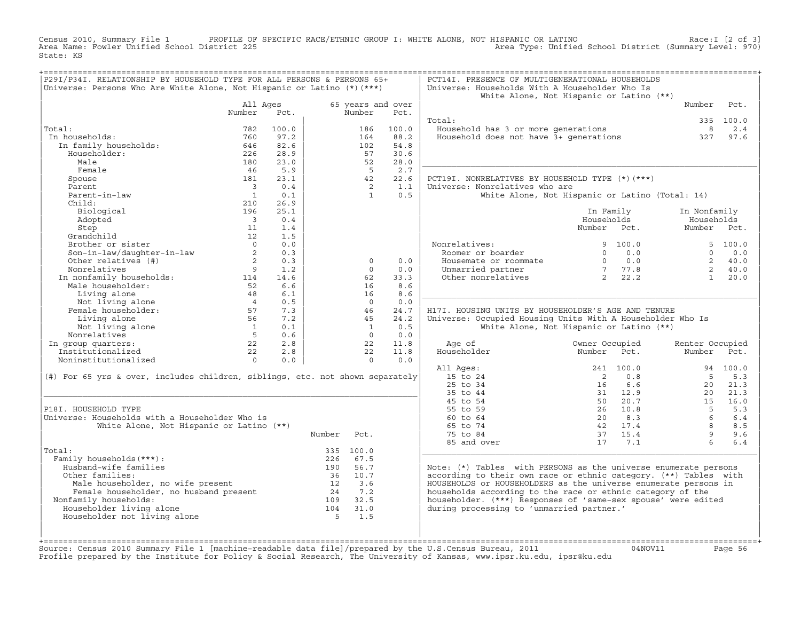Census 2010, Summary File 1 PROFILE OF SPECIFIC RACE/ETHNIC GROUP I: WHITE ALONE, NOT HISPANIC OR LATINO Race:I [2 of 3] Area Name: Fowler Unified School District 225 Area Type: Unified School District (Summary Level: 970) State: KS

| P29I/P34I. RELATIONSHIP BY HOUSEHOLD TYPE FOR ALL PERSONS & PERSONS 65+<br>Universe: Persons Who Are White Alone, Not Hispanic or Latino (*) (***)                                                                |                                             |       |                        |                             |       | PCT14I. PRESENCE OF MULTIGENERATIONAL HOUSEHOLDS<br>Universe: Households With A Householder Who Is |                                                                  |                  |              |
|-------------------------------------------------------------------------------------------------------------------------------------------------------------------------------------------------------------------|---------------------------------------------|-------|------------------------|-----------------------------|-------|----------------------------------------------------------------------------------------------------|------------------------------------------------------------------|------------------|--------------|
|                                                                                                                                                                                                                   |                                             |       |                        |                             |       |                                                                                                    | White Alone, Not Hispanic or Latino (**)                         |                  |              |
|                                                                                                                                                                                                                   | All Ages<br>Number                          | Pct.  |                        | 65 years and over<br>Number | Pct.  |                                                                                                    |                                                                  | Number           | Pct.         |
|                                                                                                                                                                                                                   |                                             |       |                        |                             |       | Total:                                                                                             |                                                                  |                  | 335 100.0    |
| Total:                                                                                                                                                                                                            | 782                                         | 100.0 |                        | 186                         | 100.0 | Household has 3 or more generations                                                                |                                                                  | $_{\rm 8}$       | 2.4          |
| In households:                                                                                                                                                                                                    | 760                                         | 97.2  |                        | 164                         | 88.2  | Household has 3 or more generations<br>Household does not have 3+ generations                      |                                                                  | 327              | 97.6         |
| In family households:                                                                                                                                                                                             | 646                                         | 82.6  |                        | 102                         | 54.8  |                                                                                                    |                                                                  |                  |              |
| Householder:                                                                                                                                                                                                      | 226                                         | 28.9  |                        | 57                          | 30.6  |                                                                                                    |                                                                  |                  |              |
| Male                                                                                                                                                                                                              | 180                                         | 23.0  |                        | 52                          | 28.0  |                                                                                                    |                                                                  |                  |              |
| Female                                                                                                                                                                                                            | 46                                          | 5.9   |                        | $-5$                        | 2.7   |                                                                                                    |                                                                  |                  |              |
| Spouse                                                                                                                                                                                                            | 181                                         | 23.1  |                        | 42                          | 22.6  | PCT19I. NONRELATIVES BY HOUSEHOLD TYPE (*) (***)                                                   |                                                                  |                  |              |
| Parent                                                                                                                                                                                                            | $\overline{\mathbf{3}}$                     | 0.4   |                        | $\overline{2}$              | 1.1   | Universe: Nonrelatives who are                                                                     |                                                                  |                  |              |
| Parent-in-law                                                                                                                                                                                                     | $\overline{1}$                              | 0.1   |                        | $\overline{1}$              | 0.5   |                                                                                                    | White Alone, Not Hispanic or Latino (Total: 14)                  |                  |              |
| Child:                                                                                                                                                                                                            | 210                                         | 26.9  |                        |                             |       |                                                                                                    |                                                                  |                  |              |
| Biological                                                                                                                                                                                                        | 196                                         | 25.1  |                        |                             |       |                                                                                                    | In Family                                                        | In Nonfamily     |              |
| Adopted                                                                                                                                                                                                           | $\overline{\phantom{a}}$                    | 0.4   |                        |                             |       |                                                                                                    | Households                                                       | Households       |              |
| Step                                                                                                                                                                                                              | 11                                          | 1.4   |                        |                             |       |                                                                                                    | Number Pct.                                                      | Number Pct.      |              |
| Grandchild                                                                                                                                                                                                        | 12                                          | 1.5   |                        |                             |       |                                                                                                    |                                                                  |                  |              |
| Brother or sister                                                                                                                                                                                                 | $\overline{a}$                              | 0.0   |                        |                             |       | Nonrelatives:                                                                                      | 9, 100.0                                                         |                  | 5, 100.0     |
|                                                                                                                                                                                                                   | $\overline{\phantom{a}}$                    | 0.3   |                        |                             |       | Roomer or boarder                                                                                  | $\Omega$<br>0.0                                                  | $\Omega$         | 0.0          |
| Son-in-law/daughter-in-law<br>Other relatives (#)                                                                                                                                                                 | $\overline{\phantom{a}}$ 2                  | 0.3   |                        | $\circ$                     | 0.0   | Housemate or roommate                                                                              | $\begin{array}{ccc} 0 & 0.0 \\ 7 & 77.8 \\ 2 & 22.2 \end{array}$ |                  | 2, 40.0      |
| Nonrelatives                                                                                                                                                                                                      | 9                                           | 1.2   |                        | $\Omega$                    | 0.0   | Unmarried partner                                                                                  |                                                                  |                  | 2, 40.0      |
|                                                                                                                                                                                                                   |                                             | 14.6  |                        | 62                          | 33.3  | Other nonrelatives                                                                                 |                                                                  | $1 \quad$        | 20.0         |
|                                                                                                                                                                                                                   |                                             | 6.6   |                        | 16                          | 8.6   |                                                                                                    |                                                                  |                  |              |
|                                                                                                                                                                                                                   |                                             | 6.1   |                        | 16                          | 8.6   |                                                                                                    |                                                                  |                  |              |
|                                                                                                                                                                                                                   |                                             | 0.5   |                        | $\overline{0}$              | 0.0   |                                                                                                    |                                                                  |                  |              |
| montenarives<br>In nonfamily households:<br>Male householder:<br>Living alone<br>Not living alone<br>Female householder:<br>Female householder:<br>Living alone<br>57<br>Living alone<br>57<br>Living alone<br>57 |                                             | 7.3   |                        | 46                          | 24.7  | H17I. HOUSING UNITS BY HOUSEHOLDER'S AGE AND TENURE                                                |                                                                  |                  |              |
|                                                                                                                                                                                                                   | 56                                          | 7.2   |                        | 45                          | 24.2  | Universe: Occupied Housing Units With A Householder Who Is                                         |                                                                  |                  |              |
|                                                                                                                                                                                                                   |                                             | 0.1   |                        | $\overline{1}$              | 0.5   |                                                                                                    | White Alone, Not Hispanic or Latino (**)                         |                  |              |
| alone<br>Not living alone<br>prelatives<br>Nonrelatives                                                                                                                                                           | $\begin{array}{c} 1 \\ 5 \\ 22 \end{array}$ | 0.6   |                        | $\bigcap$                   | 0.0   |                                                                                                    |                                                                  |                  |              |
| In group quarters:                                                                                                                                                                                                |                                             | 2.8   |                        | 22                          | 11.8  | Age of                                                                                             | Owner Occupied                                                   | Renter Occupied  |              |
| Institutionalized                                                                                                                                                                                                 | 22                                          | 2.8   |                        | 22                          | 11.8  | Householder                                                                                        | Number<br>Pct.                                                   | Number           | Pct.         |
| Noninstitutionalized                                                                                                                                                                                              | $\overline{0}$                              | 0.0   |                        | $\Omega$                    | 0.0   |                                                                                                    |                                                                  |                  |              |
|                                                                                                                                                                                                                   |                                             |       |                        |                             |       | All Ages:                                                                                          | 241 100.0                                                        |                  | 94 100.0     |
| (#) For 65 yrs & over, includes children, siblings, etc. not shown separately                                                                                                                                     |                                             |       |                        |                             |       | 15 to 24                                                                                           | $\overline{2}$<br>0.8                                            | $-5$             | 5.3          |
|                                                                                                                                                                                                                   |                                             |       |                        |                             |       | 25 to 34                                                                                           | 6.6<br>16                                                        | 20               | 21.3         |
|                                                                                                                                                                                                                   |                                             |       |                        |                             |       | 35 to 44                                                                                           | 31 12.9                                                          | 20               | 21.3         |
|                                                                                                                                                                                                                   |                                             |       |                        |                             |       | 45 to 54                                                                                           | 50 20.7                                                          | 15               | 16.0         |
| P18I. HOUSEHOLD TYPE                                                                                                                                                                                              |                                             |       |                        |                             |       | 55 to 59                                                                                           | 26 10.8<br>20 8.3                                                | $5^{\circ}$<br>6 | 5.3          |
| Universe: Households with a Householder Who is                                                                                                                                                                    |                                             |       |                        |                             |       | 60 to 64                                                                                           | 42 17.4                                                          | 8                | $6.4$<br>8.5 |
| White Alone, Not Hispanic or Latino (**)                                                                                                                                                                          |                                             |       |                        |                             |       | 65 to 74                                                                                           |                                                                  | 9                | 9.6          |
|                                                                                                                                                                                                                   |                                             |       | Number                 | Pct.                        |       | 75 to 84                                                                                           | 37 15.4                                                          | $6^{\circ}$      |              |
| Total:                                                                                                                                                                                                            |                                             |       |                        | 335 100.0                   |       | 85 and over                                                                                        | 17 7.1                                                           |                  | $6.4$        |
| Family households (***) :                                                                                                                                                                                         |                                             |       |                        | 226 67.5                    |       |                                                                                                    |                                                                  |                  |              |
| Husband-wife families                                                                                                                                                                                             |                                             |       |                        | 190 56.7                    |       | Note: $(*)$ Tables with PERSONS as the universe enumerate persons                                  |                                                                  |                  |              |
| Other families:                                                                                                                                                                                                   |                                             |       |                        | 36 10.7                     |       | according to their own race or ethnic category. (**) Tables with                                   |                                                                  |                  |              |
| % Are tamilies:<br>Male householder, no wife present<br>Female householder, no husband present<br>Family households:<br>109 32.5                                                                                  |                                             |       |                        |                             |       | HOUSEHOLDS or HOUSEHOLDERS as the universe enumerate persons in                                    |                                                                  |                  |              |
|                                                                                                                                                                                                                   |                                             |       |                        |                             |       | households according to the race or ethnic category of the                                         |                                                                  |                  |              |
| Nonfamily households:                                                                                                                                                                                             |                                             |       |                        |                             |       | householder. (***) Responses of 'same-sex spouse' were edited                                      |                                                                  |                  |              |
| Householder living alone                                                                                                                                                                                          |                                             |       |                        |                             |       | during processing to 'unmarried partner.'                                                          |                                                                  |                  |              |
| Householder not living alone                                                                                                                                                                                      |                                             |       | $109$ 32.5<br>104 31.0 | 1.5                         |       |                                                                                                    |                                                                  |                  |              |
|                                                                                                                                                                                                                   |                                             |       |                        |                             |       |                                                                                                    |                                                                  |                  |              |
|                                                                                                                                                                                                                   |                                             |       |                        |                             |       |                                                                                                    |                                                                  |                  |              |
|                                                                                                                                                                                                                   |                                             |       |                        |                             |       |                                                                                                    |                                                                  |                  |              |

+===================================================================================================================================================+Source: Census 2010 Summary File 1 [machine−readable data file]/prepared by the U.S.Census Bureau, 2011 04NOV11 Page 56 Profile prepared by the Institute for Policy & Social Research, The University of Kansas, www.ipsr.ku.edu, ipsr@ku.edu